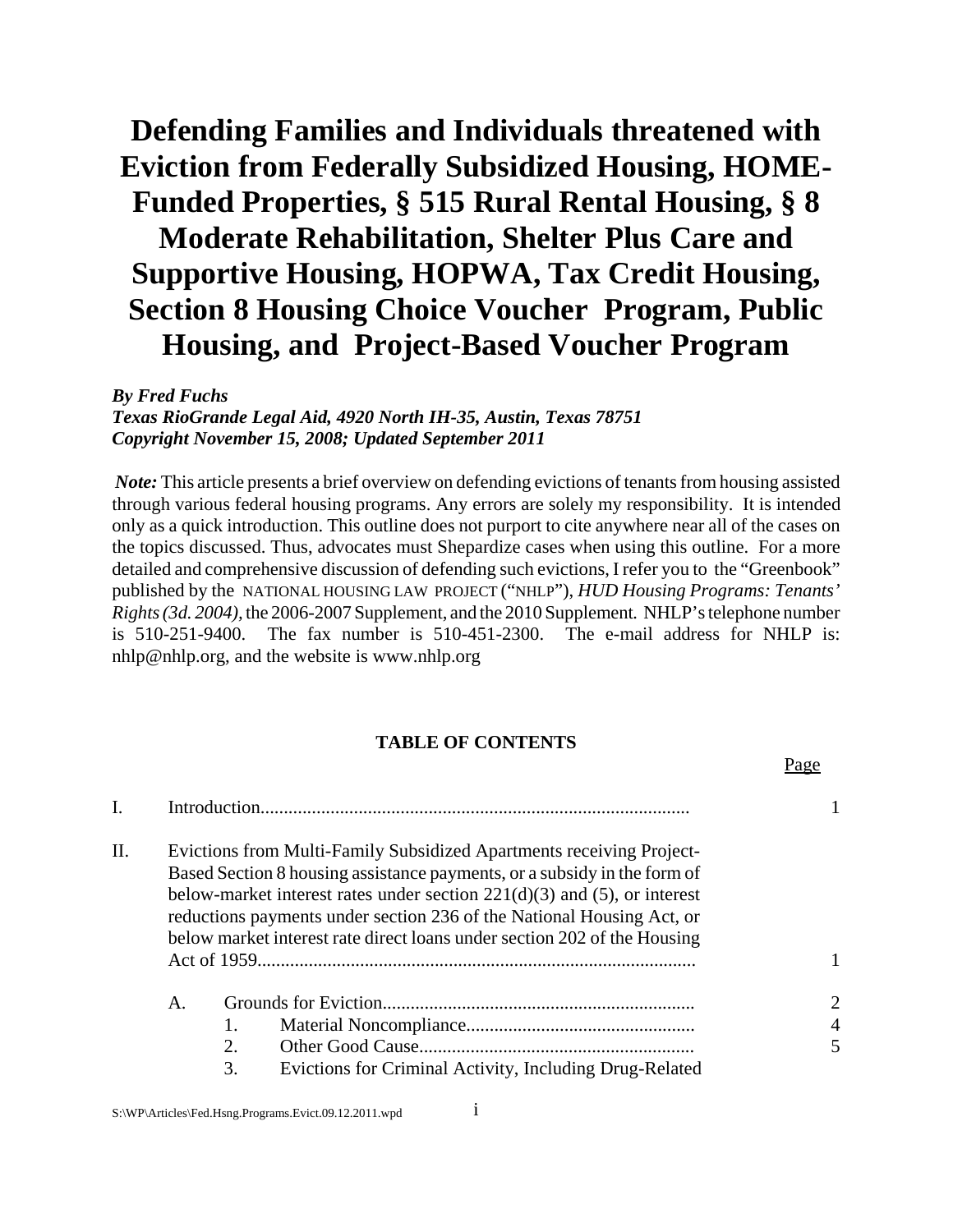# **Defending Families and Individuals threatened with Eviction from Federally Subsidized Housing, HOME-Funded Properties, § 515 Rural Rental Housing, § 8 Moderate Rehabilitation, Shelter Plus Care and Supportive Housing, HOPWA, Tax Credit Housing, Section 8 Housing Choice Voucher Program, Public Housing, and Project-Based Voucher Program**

*By Fred Fuchs*

*Texas RioGrande Legal Aid, 4920 North IH-35, Austin, Texas 78751 Copyright November 15, 2008; Updated September 2011*

 *Note:* This article presents a brief overview on defending evictions of tenants from housing assisted through various federal housing programs. Any errors are solely my responsibility. It is intended only as a quick introduction. This outline does not purport to cite anywhere near all of the cases on the topics discussed. Thus, advocates must Shepardize cases when using this outline. For a more detailed and comprehensive discussion of defending such evictions, I refer you to the "Greenbook" published by the NATIONAL HOUSING LAW PROJECT ("NHLP"), *HUD Housing Programs: Tenants' Rights (3d. 2004),* the 2006-2007 Supplement, and the 2010 Supplement*.* NHLP's telephone number is 510-251-9400. The fax number is 510-451-2300. The e-mail address for NHLP is: nhlp@nhlp.org, and the website is www.nhlp.org

# **TABLE OF CONTENTS**

Page

| П. | Evictions from Multi-Family Subsidized Apartments receiving Project-<br>Based Section 8 housing assistance payments, or a subsidy in the form of<br>below-market interest rates under section $221(d)(3)$ and (5), or interest<br>reductions payments under section 236 of the National Housing Act, or<br>below market interest rate direct loans under section 202 of the Housing |                                                                           |                          |
|----|-------------------------------------------------------------------------------------------------------------------------------------------------------------------------------------------------------------------------------------------------------------------------------------------------------------------------------------------------------------------------------------|---------------------------------------------------------------------------|--------------------------|
|    | $A_{\cdot}$                                                                                                                                                                                                                                                                                                                                                                         | 1.<br>2.<br>3.<br>Evictions for Criminal Activity, Including Drug-Related | 2<br>$\overline{4}$<br>5 |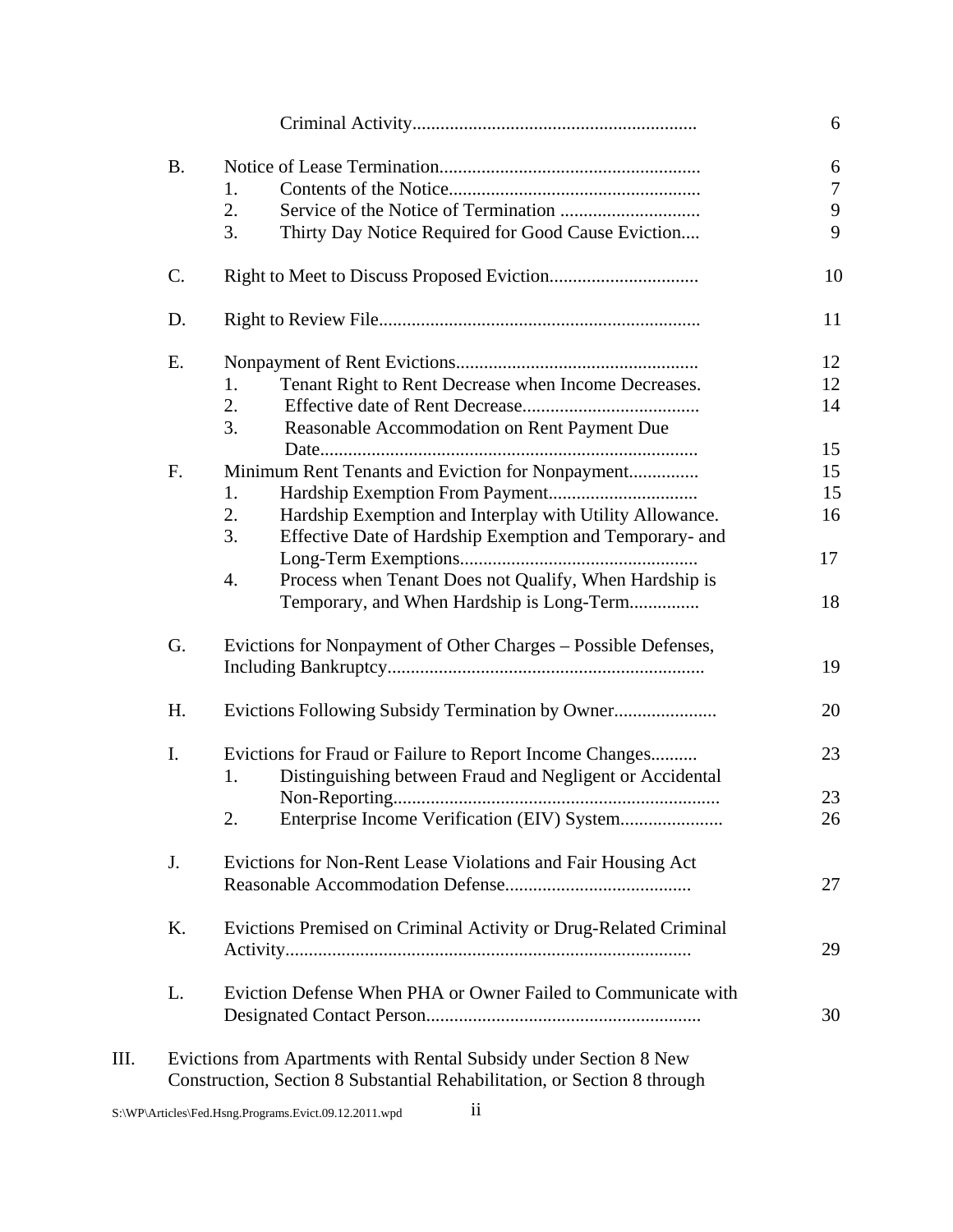| <b>B.</b> |                                                                  |  |
|-----------|------------------------------------------------------------------|--|
|           | 1.                                                               |  |
|           | 2.                                                               |  |
|           | 3.<br>Thirty Day Notice Required for Good Cause Eviction         |  |
| C.        |                                                                  |  |
| D.        |                                                                  |  |
| E.        |                                                                  |  |
|           | Tenant Right to Rent Decrease when Income Decreases.<br>1.       |  |
|           | 2.                                                               |  |
|           | 3.<br>Reasonable Accommodation on Rent Payment Due               |  |
|           |                                                                  |  |
| F.        | Minimum Rent Tenants and Eviction for Nonpayment                 |  |
|           | 1.                                                               |  |
|           | Hardship Exemption and Interplay with Utility Allowance.<br>2.   |  |
|           | 3.<br>Effective Date of Hardship Exemption and Temporary- and    |  |
|           |                                                                  |  |
|           | Process when Tenant Does not Qualify, When Hardship is<br>4.     |  |
|           | Temporary, and When Hardship is Long-Term                        |  |
| G.        | Evictions for Nonpayment of Other Charges - Possible Defenses,   |  |
|           |                                                                  |  |
| H.        |                                                                  |  |
| I.        | Evictions for Fraud or Failure to Report Income Changes          |  |
|           | Distinguishing between Fraud and Negligent or Accidental<br>1.   |  |
|           |                                                                  |  |
|           | 2.                                                               |  |
|           |                                                                  |  |
| J.        | Evictions for Non-Rent Lease Violations and Fair Housing Act     |  |
|           |                                                                  |  |
| Κ.        | Evictions Premised on Criminal Activity or Drug-Related Criminal |  |
|           |                                                                  |  |
| L.        | Eviction Defense When PHA or Owner Failed to Communicate with    |  |
|           |                                                                  |  |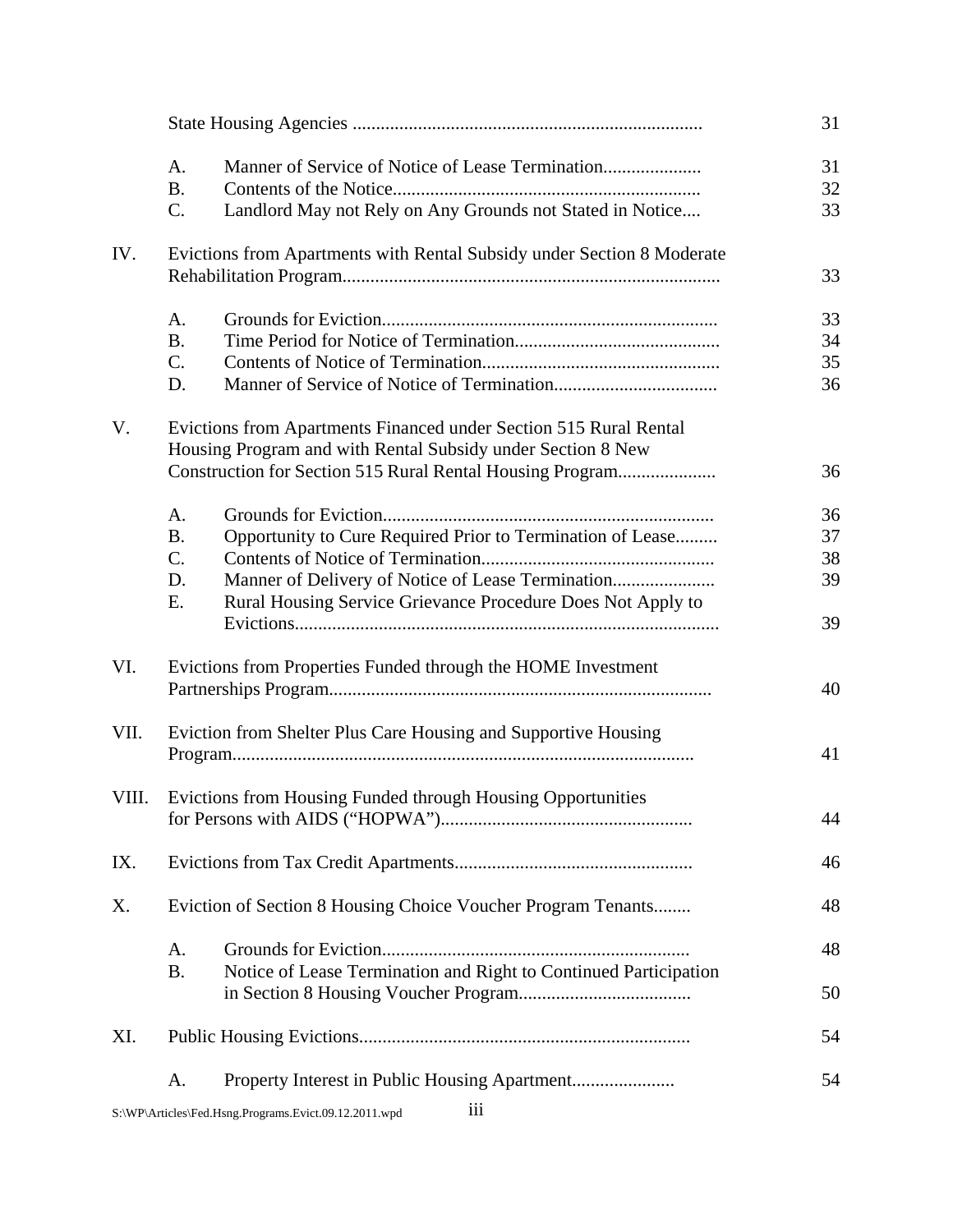|       |                                                                                                                                  |                                                                        | 31 |
|-------|----------------------------------------------------------------------------------------------------------------------------------|------------------------------------------------------------------------|----|
|       | A.                                                                                                                               |                                                                        | 31 |
|       | <b>B.</b>                                                                                                                        |                                                                        | 32 |
|       | C.                                                                                                                               | Landlord May not Rely on Any Grounds not Stated in Notice              | 33 |
| IV.   |                                                                                                                                  | Evictions from Apartments with Rental Subsidy under Section 8 Moderate | 33 |
|       |                                                                                                                                  |                                                                        |    |
|       | A.                                                                                                                               |                                                                        | 33 |
|       | <b>B.</b>                                                                                                                        |                                                                        | 34 |
|       | C.                                                                                                                               |                                                                        | 35 |
|       | D.                                                                                                                               |                                                                        | 36 |
| V.    | Evictions from Apartments Financed under Section 515 Rural Rental<br>Housing Program and with Rental Subsidy under Section 8 New |                                                                        |    |
|       |                                                                                                                                  | Construction for Section 515 Rural Rental Housing Program              | 36 |
|       | A.                                                                                                                               |                                                                        | 36 |
|       | <b>B.</b>                                                                                                                        | Opportunity to Cure Required Prior to Termination of Lease             | 37 |
|       | C.                                                                                                                               |                                                                        | 38 |
|       | D.                                                                                                                               | Manner of Delivery of Notice of Lease Termination                      | 39 |
|       | Ε.                                                                                                                               |                                                                        |    |
|       |                                                                                                                                  | Rural Housing Service Grievance Procedure Does Not Apply to            | 39 |
| VI.   |                                                                                                                                  | Evictions from Properties Funded through the HOME Investment           | 40 |
| VII.  | Eviction from Shelter Plus Care Housing and Supportive Housing                                                                   |                                                                        | 41 |
|       |                                                                                                                                  |                                                                        |    |
| VIII. |                                                                                                                                  | Evictions from Housing Funded through Housing Opportunities            |    |
|       |                                                                                                                                  |                                                                        | 44 |
| IX.   |                                                                                                                                  |                                                                        | 46 |
| Χ.    | Eviction of Section 8 Housing Choice Voucher Program Tenants                                                                     |                                                                        | 48 |
|       | A.                                                                                                                               |                                                                        | 48 |
|       | <b>B.</b>                                                                                                                        | Notice of Lease Termination and Right to Continued Participation       | 50 |
| XI.   |                                                                                                                                  |                                                                        | 54 |
|       | А.                                                                                                                               |                                                                        | 54 |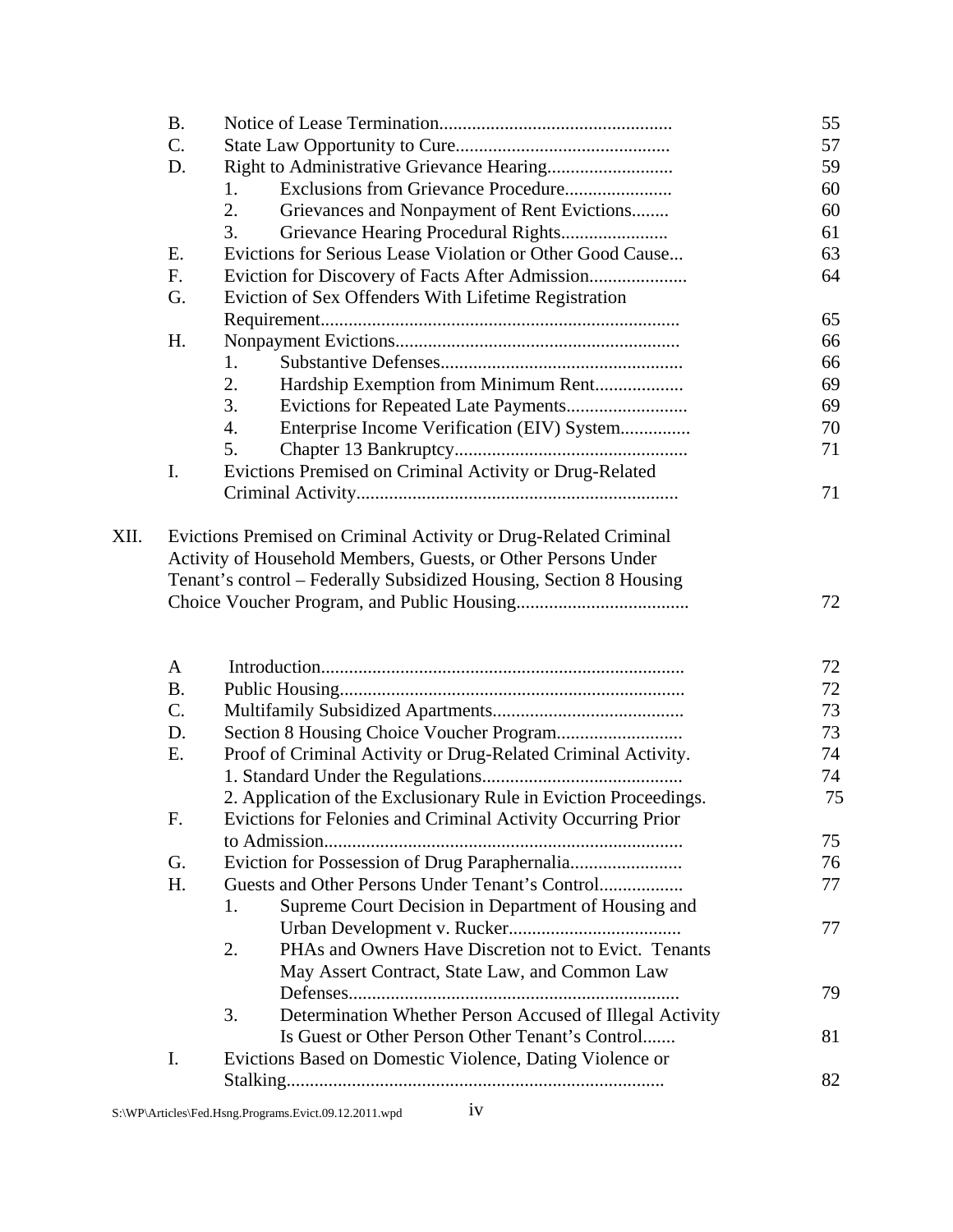| <b>B.</b> |                                                                    | 55 |
|-----------|--------------------------------------------------------------------|----|
| C.        |                                                                    | 57 |
| D.        |                                                                    | 59 |
|           | 1.                                                                 | 60 |
|           | 2.<br>Grievances and Nonpayment of Rent Evictions                  | 60 |
|           | 3.<br>Grievance Hearing Procedural Rights                          | 61 |
| Ε.        | Evictions for Serious Lease Violation or Other Good Cause          | 63 |
| F.        | Eviction for Discovery of Facts After Admission                    | 64 |
| G.        | Eviction of Sex Offenders With Lifetime Registration               |    |
|           |                                                                    | 65 |
| H.        |                                                                    | 66 |
|           | 1.                                                                 | 66 |
|           | 2.                                                                 | 69 |
|           | 3.                                                                 | 69 |
|           | 4.<br>Enterprise Income Verification (EIV) System                  | 70 |
|           | 5.                                                                 | 71 |
| I.        | Evictions Premised on Criminal Activity or Drug-Related            |    |
|           |                                                                    | 71 |
|           | Tenant's control - Federally Subsidized Housing, Section 8 Housing | 72 |
| A         |                                                                    | 72 |
| <b>B.</b> |                                                                    | 72 |
| C.        |                                                                    | 73 |
| D.        |                                                                    | 73 |
| Ε.        | Proof of Criminal Activity or Drug-Related Criminal Activity.      | 74 |
|           |                                                                    | 74 |
|           | 2. Application of the Exclusionary Rule in Eviction Proceedings.   | 75 |
| F.        | Evictions for Felonies and Criminal Activity Occurring Prior       |    |
|           |                                                                    | 75 |
| G.        |                                                                    | 76 |
| H.        | Guests and Other Persons Under Tenant's Control                    | 77 |
|           | Supreme Court Decision in Department of Housing and<br>1.          |    |
|           |                                                                    | 77 |
|           | PHAs and Owners Have Discretion not to Evict. Tenants<br>2.        |    |
|           | May Assert Contract, State Law, and Common Law                     |    |
|           |                                                                    | 79 |
|           | 3.<br>Determination Whether Person Accused of Illegal Activity     |    |
|           | Is Guest or Other Person Other Tenant's Control                    | 81 |
| I.        | Evictions Based on Domestic Violence, Dating Violence or           |    |
|           |                                                                    | 82 |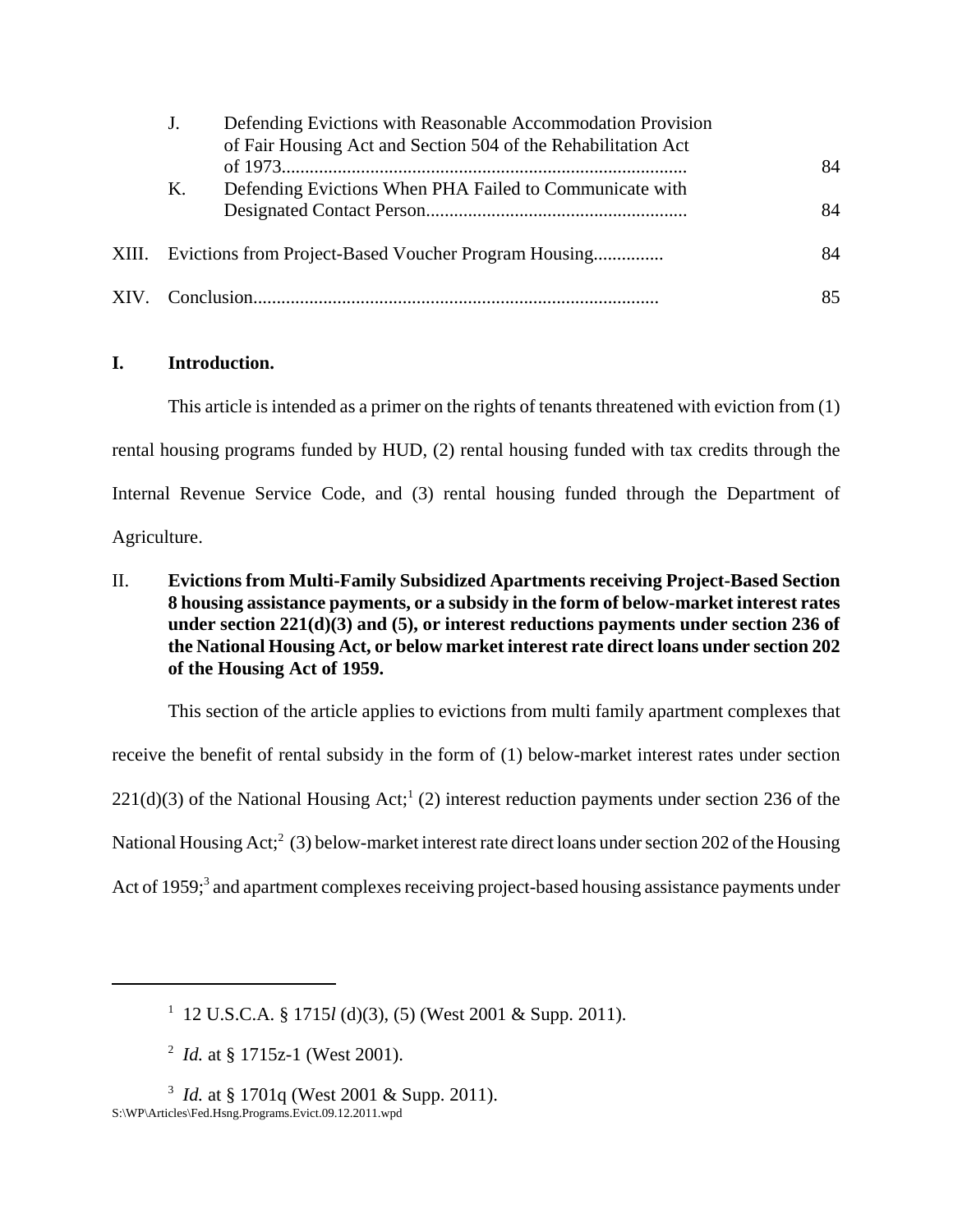|       |                                                      | Defending Evictions with Reasonable Accommodation Provision<br>of Fair Housing Act and Section 504 of the Rehabilitation Act |    |
|-------|------------------------------------------------------|------------------------------------------------------------------------------------------------------------------------------|----|
|       |                                                      |                                                                                                                              | 84 |
|       | Κ.                                                   | Defending Evictions When PHA Failed to Communicate with                                                                      |    |
|       |                                                      |                                                                                                                              | 84 |
| XIII. | Evictions from Project-Based Voucher Program Housing |                                                                                                                              | 84 |
|       |                                                      |                                                                                                                              | 85 |

# **I. Introduction.**

This article is intended as a primer on the rights of tenants threatened with eviction from (1) rental housing programs funded by HUD, (2) rental housing funded with tax credits through the Internal Revenue Service Code, and (3) rental housing funded through the Department of Agriculture.

II. **Evictions from Multi-Family Subsidized Apartments receiving Project-Based Section 8 housing assistance payments, or a subsidy in the form of below-market interest rates under section 221(d)(3) and (5), or interest reductions payments under section 236 of the National Housing Act, or below market interest rate direct loans under section 202 of the Housing Act of 1959.** 

This section of the article applies to evictions from multi family apartment complexes that receive the benefit of rental subsidy in the form of (1) below-market interest rates under section  $221(d)(3)$  of the National Housing Act;<sup>1</sup> (2) interest reduction payments under section 236 of the National Housing Act;<sup>2</sup> (3) below-market interest rate direct loans under section 202 of the Housing Act of 1959;<sup>3</sup> and apartment complexes receiving project-based housing assistance payments under

<sup>1</sup> 12 U.S.C.A. § 1715*l* (d)(3), (5) (West 2001 & Supp. 2011).

<sup>&</sup>lt;sup>2</sup> *Id.* at § 1715z-1 (West 2001).

<sup>&</sup>lt;sup>3</sup> *Id.* at § 1701q (West 2001 & Supp. 2011). S:\WP\Articles\Fed.Hsng.Programs.Evict.09.12.2011.wpd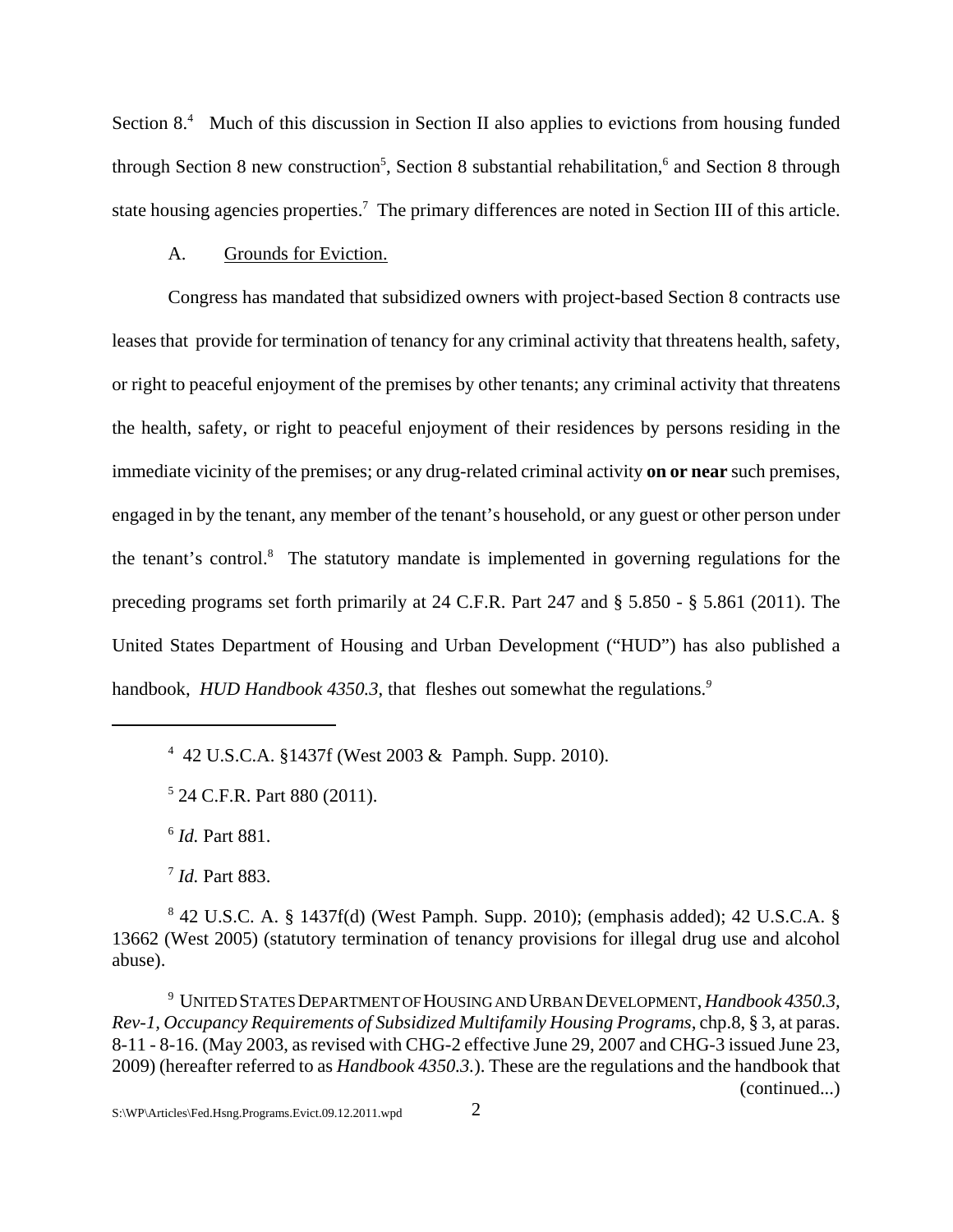Section 8.<sup>4</sup> Much of this discussion in Section II also applies to evictions from housing funded through Section 8 new construction<sup>5</sup>, Section 8 substantial rehabilitation,<sup>6</sup> and Section 8 through state housing agencies properties.<sup>7</sup> The primary differences are noted in Section III of this article.

#### A. Grounds for Eviction.

 Congress has mandated that subsidized owners with project-based Section 8 contracts use leases that provide for termination of tenancy for any criminal activity that threatens health, safety, or right to peaceful enjoyment of the premises by other tenants; any criminal activity that threatens the health, safety, or right to peaceful enjoyment of their residences by persons residing in the immediate vicinity of the premises; or any drug-related criminal activity **on or near** such premises, engaged in by the tenant, any member of the tenant's household, or any guest or other person under the tenant's control.<sup>8</sup> The statutory mandate is implemented in governing regulations for the preceding programs set forth primarily at 24 C.F.R. Part 247 and § 5.850 - § 5.861 (2011). The United States Department of Housing and Urban Development ("HUD") has also published a handbook, *HUD Handbook 4350.3*, that fleshes out somewhat the regulations.*9*

<sup>6</sup> *Id.* Part 881.

<sup>7</sup> *Id.* Part 883.

9 UNITED STATES DEPARTMENT OF HOUSING AND URBAN DEVELOPMENT, *Handbook 4350.3, Rev-1, Occupancy Requirements of Subsidized Multifamily Housing Programs*, chp.8, § 3, at paras. 8-11 - 8-16. (May 2003, as revised with CHG-2 effective June 29, 2007 and CHG-3 issued June 23, 2009) (hereafter referred to as *Handbook 4350.3.*). These are the regulations and the handbook that (continued...)

<sup>4</sup> 42 U.S.C.A. §1437f (West 2003 & Pamph. Supp. 2010).

<sup>5</sup> 24 C.F.R. Part 880 (2011).

 $8$  42 U.S.C. A. § 1437f(d) (West Pamph. Supp. 2010); (emphasis added); 42 U.S.C.A. § 13662 (West 2005) (statutory termination of tenancy provisions for illegal drug use and alcohol abuse).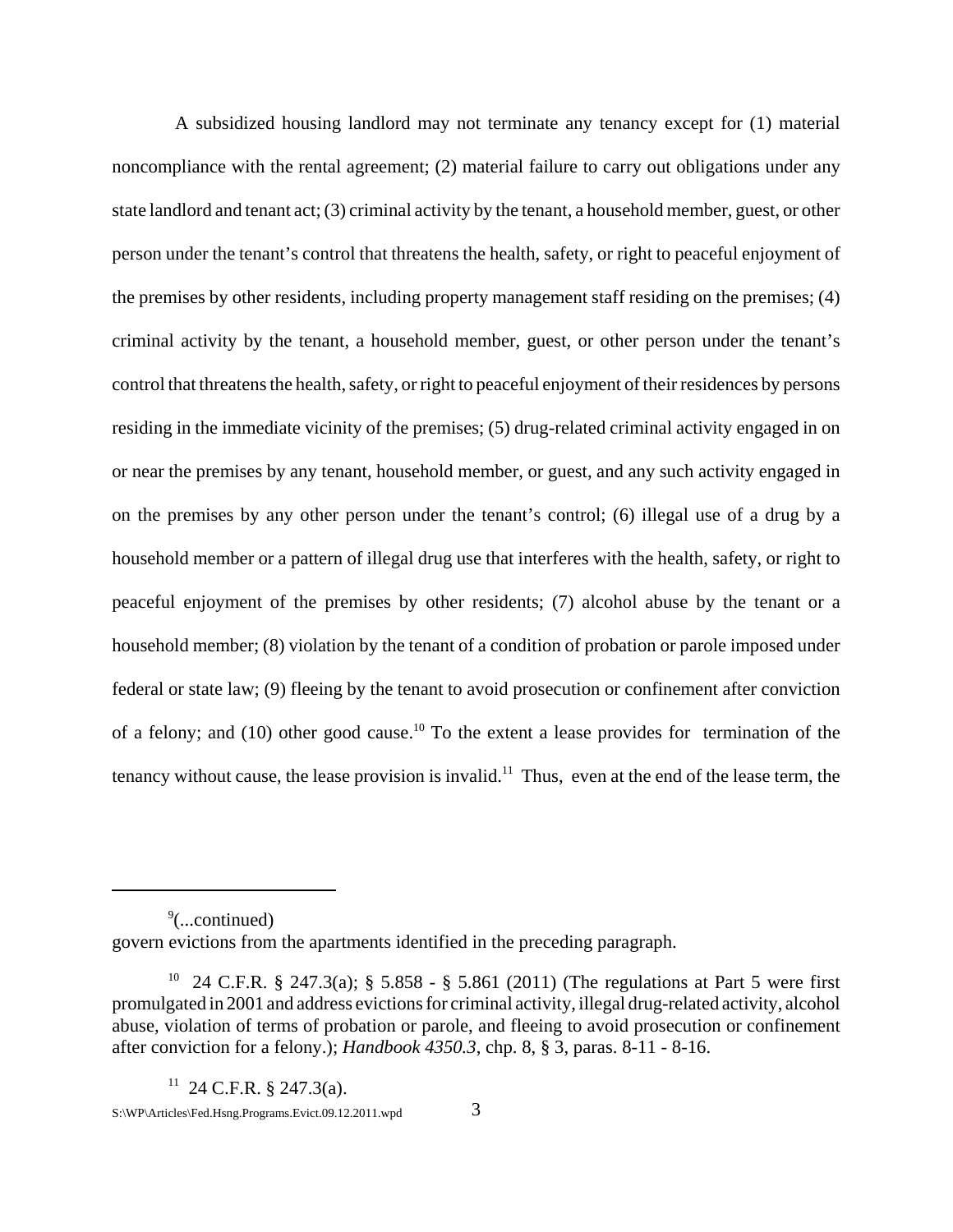A subsidized housing landlord may not terminate any tenancy except for (1) material noncompliance with the rental agreement; (2) material failure to carry out obligations under any state landlord and tenant act; (3) criminal activity by the tenant, a household member, guest, or other person under the tenant's control that threatens the health, safety, or right to peaceful enjoyment of the premises by other residents, including property management staff residing on the premises; (4) criminal activity by the tenant, a household member, guest, or other person under the tenant's control that threatens the health, safety, or right to peaceful enjoyment of their residences by persons residing in the immediate vicinity of the premises; (5) drug-related criminal activity engaged in on or near the premises by any tenant, household member, or guest, and any such activity engaged in on the premises by any other person under the tenant's control; (6) illegal use of a drug by a household member or a pattern of illegal drug use that interferes with the health, safety, or right to peaceful enjoyment of the premises by other residents; (7) alcohol abuse by the tenant or a household member; (8) violation by the tenant of a condition of probation or parole imposed under federal or state law; (9) fleeing by the tenant to avoid prosecution or confinement after conviction of a felony; and (10) other good cause.<sup>10</sup> To the extent a lease provides for termination of the tenancy without cause, the lease provision is invalid.<sup>11</sup> Thus, even at the end of the lease term, the

9 (...continued)

govern evictions from the apartments identified in the preceding paragraph.

<sup>10 24</sup> C.F.R. § 247.3(a); § 5.858 - § 5.861 (2011) (The regulations at Part 5 were first promulgated in 2001 and address evictions for criminal activity, illegal drug-related activity, alcohol abuse, violation of terms of probation or parole, and fleeing to avoid prosecution or confinement after conviction for a felony.); *Handbook 4350.3*, chp. 8, § 3, paras. 8-11 - 8-16.

 $11$  24 C.F.R. § 247.3(a).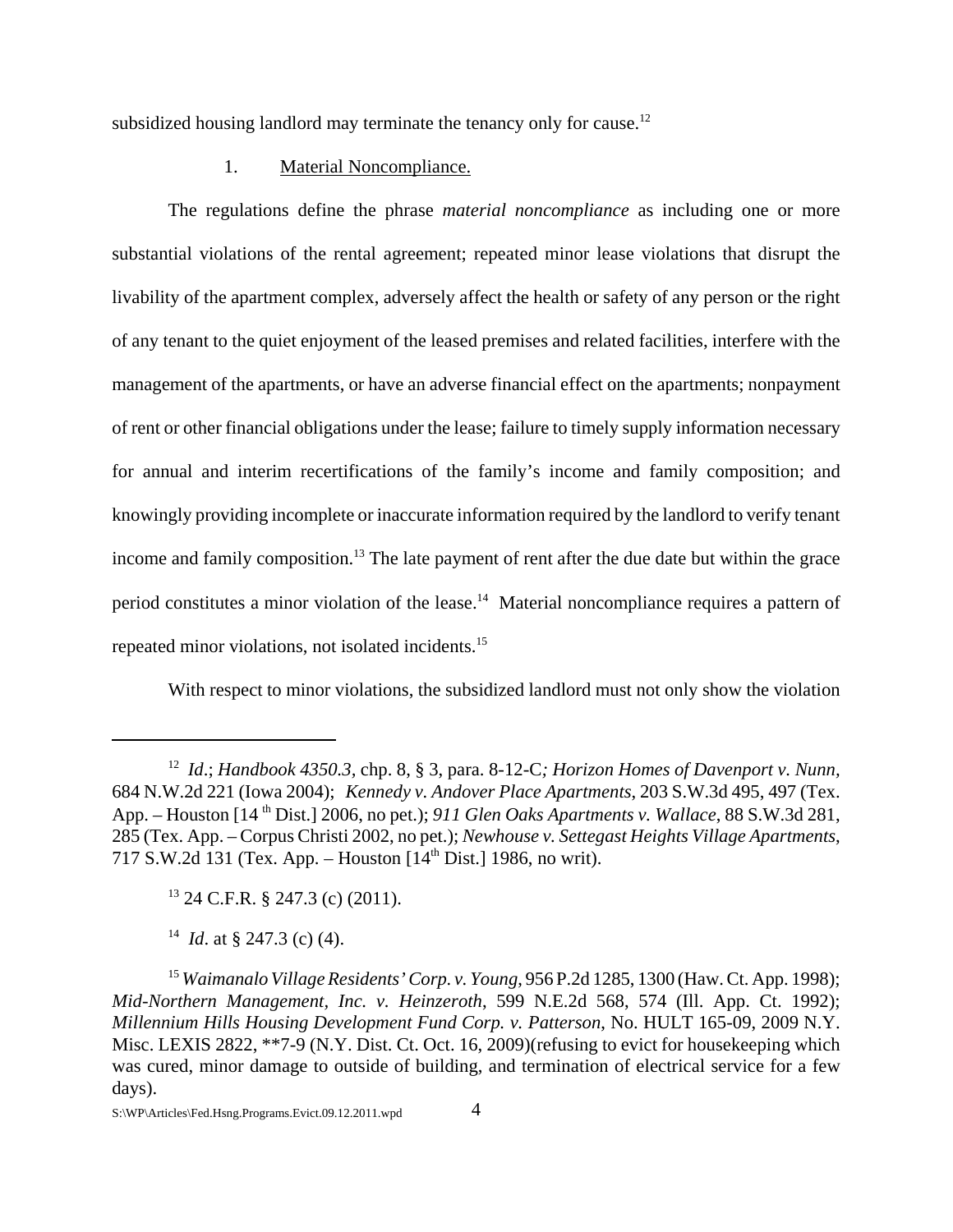subsidized housing landlord may terminate the tenancy only for cause.<sup>12</sup>

#### 1. Material Noncompliance.

The regulations define the phrase *material noncompliance* as including one or more substantial violations of the rental agreement; repeated minor lease violations that disrupt the livability of the apartment complex, adversely affect the health or safety of any person or the right of any tenant to the quiet enjoyment of the leased premises and related facilities, interfere with the management of the apartments, or have an adverse financial effect on the apartments; nonpayment of rent or other financial obligations under the lease; failure to timely supply information necessary for annual and interim recertifications of the family's income and family composition; and knowingly providing incomplete or inaccurate information required by the landlord to verify tenant income and family composition.<sup>13</sup> The late payment of rent after the due date but within the grace period constitutes a minor violation of the lease.14 Material noncompliance requires a pattern of repeated minor violations, not isolated incidents.15

With respect to minor violations, the subsidized landlord must not only show the violation

 $13$  24 C.F.R. § 247.3 (c) (2011).

14 *Id*. at § 247.3 (c) (4).

<sup>12</sup> *Id*.; *Handbook 4350.3,* chp. 8, § 3, para. 8-12-C*; Horizon Homes of Davenport v. Nunn,* 684 N.W.2d 221 (Iowa 2004); *Kennedy v. Andover Place Apartments*, 203 S.W.3d 495, 497 (Tex. App. – Houston [14 th Dist.] 2006, no pet.); *911 Glen Oaks Apartments v. Wallace*, 88 S.W.3d 281, 285 (Tex. App. – Corpus Christi 2002, no pet.); *Newhouse v. Settegast Heights Village Apartments*, 717 S.W.2d 131 (Tex. App. – Houston [14th Dist.] 1986, no writ).

<sup>15</sup> *Waimanalo Village Residents' Corp. v. Young*, 956 P.2d 1285, 1300 (Haw. Ct. App. 1998); *Mid-Northern Management, Inc. v. Heinzeroth*, 599 N.E.2d 568, 574 (Ill. App. Ct. 1992); *Millennium Hills Housing Development Fund Corp. v. Patterson*, No. HULT 165-09, 2009 N.Y. Misc. LEXIS 2822, \*\*7-9 (N.Y. Dist. Ct. Oct. 16, 2009)(refusing to evict for housekeeping which was cured, minor damage to outside of building, and termination of electrical service for a few days).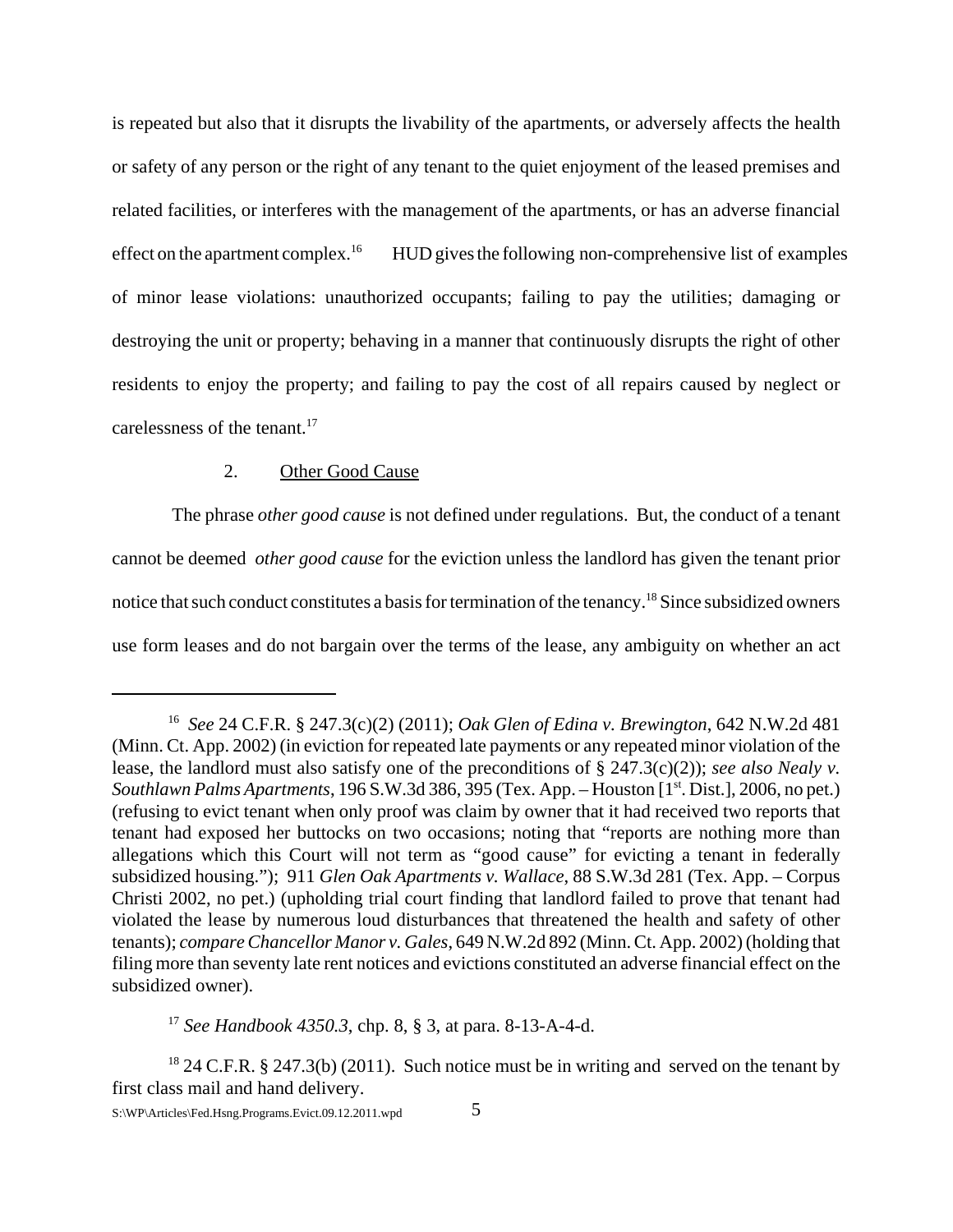is repeated but also that it disrupts the livability of the apartments, or adversely affects the health or safety of any person or the right of any tenant to the quiet enjoyment of the leased premises and related facilities, or interferes with the management of the apartments, or has an adverse financial effect on the apartment complex.<sup>16</sup> HUD gives the following non-comprehensive list of examples of minor lease violations: unauthorized occupants; failing to pay the utilities; damaging or destroying the unit or property; behaving in a manner that continuously disrupts the right of other residents to enjoy the property; and failing to pay the cost of all repairs caused by neglect or carelessness of the tenant. $17$ 

# 2. Other Good Cause

 The phrase *other good cause* is not defined under regulations. But, the conduct of a tenant cannot be deemed *other good cause* for the eviction unless the landlord has given the tenant prior notice that such conduct constitutes a basis for termination of the tenancy.18 Since subsidized owners use form leases and do not bargain over the terms of the lease, any ambiguity on whether an act

<sup>17</sup> *See Handbook 4350.3*, chp. 8, § 3, at para. 8-13-A-4-d.

<sup>16</sup> *See* 24 C.F.R. § 247.3(c)(2) (2011); *Oak Glen of Edina v. Brewington*, 642 N.W.2d 481 (Minn. Ct. App. 2002) (in eviction for repeated late payments or any repeated minor violation of the lease, the landlord must also satisfy one of the preconditions of § 247.3(c)(2)); *see also Nealy v. Southlawn Palms Apartments*, 196 S.W.3d 386, 395 (Tex. App. – Houston [1<sup>st</sup>. Dist.], 2006, no pet.) (refusing to evict tenant when only proof was claim by owner that it had received two reports that tenant had exposed her buttocks on two occasions; noting that "reports are nothing more than allegations which this Court will not term as "good cause" for evicting a tenant in federally subsidized housing."); 911 *Glen Oak Apartments v. Wallace*, 88 S.W.3d 281 (Tex. App. – Corpus Christi 2002, no pet.) (upholding trial court finding that landlord failed to prove that tenant had violated the lease by numerous loud disturbances that threatened the health and safety of other tenants); *compareChancellor Manor v. Gales*, 649 N.W.2d 892 (Minn. Ct. App. 2002) (holding that filing more than seventy late rent notices and evictions constituted an adverse financial effect on the subsidized owner).

<sup>&</sup>lt;sup>18</sup> 24 C.F.R. § 247.3(b) (2011). Such notice must be in writing and served on the tenant by first class mail and hand delivery.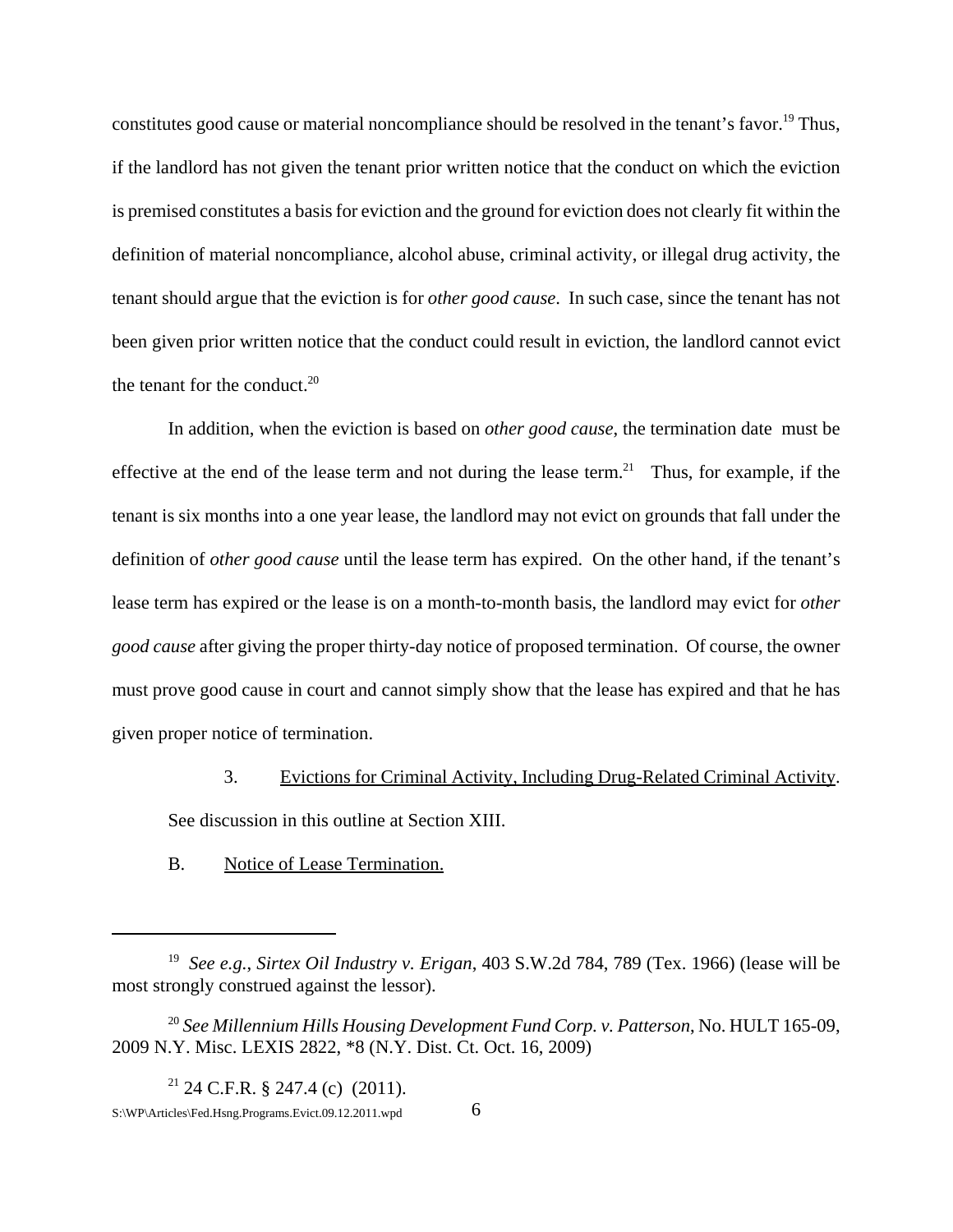constitutes good cause or material noncompliance should be resolved in the tenant's favor.<sup>19</sup> Thus, if the landlord has not given the tenant prior written notice that the conduct on which the eviction is premised constitutes a basis for eviction and the ground for eviction does not clearly fit within the definition of material noncompliance, alcohol abuse, criminal activity, or illegal drug activity, the tenant should argue that the eviction is for *other good cause*. In such case, since the tenant has not been given prior written notice that the conduct could result in eviction, the landlord cannot evict the tenant for the conduct. $20$ 

In addition, when the eviction is based on *other good cause*, the termination date must be effective at the end of the lease term and not during the lease term.<sup>21</sup> Thus, for example, if the tenant is six months into a one year lease, the landlord may not evict on grounds that fall under the definition of *other good cause* until the lease term has expired. On the other hand, if the tenant's lease term has expired or the lease is on a month-to-month basis, the landlord may evict for *other good cause* after giving the proper thirty-day notice of proposed termination. Of course, the owner must prove good cause in court and cannot simply show that the lease has expired and that he has given proper notice of termination.

3. Evictions for Criminal Activity, Including Drug-Related Criminal Activity.

See discussion in this outline at Section XIII.

B. Notice of Lease Termination.

<sup>19</sup> *See e.g.*, *Sirtex Oil Industry v. Erigan*, 403 S.W.2d 784, 789 (Tex. 1966) (lease will be most strongly construed against the lessor).

<sup>20</sup> *See Millennium Hills Housing Development Fund Corp. v. Patterson*, No. HULT 165-09, 2009 N.Y. Misc. LEXIS 2822, \*8 (N.Y. Dist. Ct. Oct. 16, 2009)

<sup>&</sup>lt;sup>21</sup> 24 C.F.R. § 247.4 (c)  $(2011)$ . S:\WP\Articles\Fed.Hsng.Programs.Evict.09.12.2011.wpd 6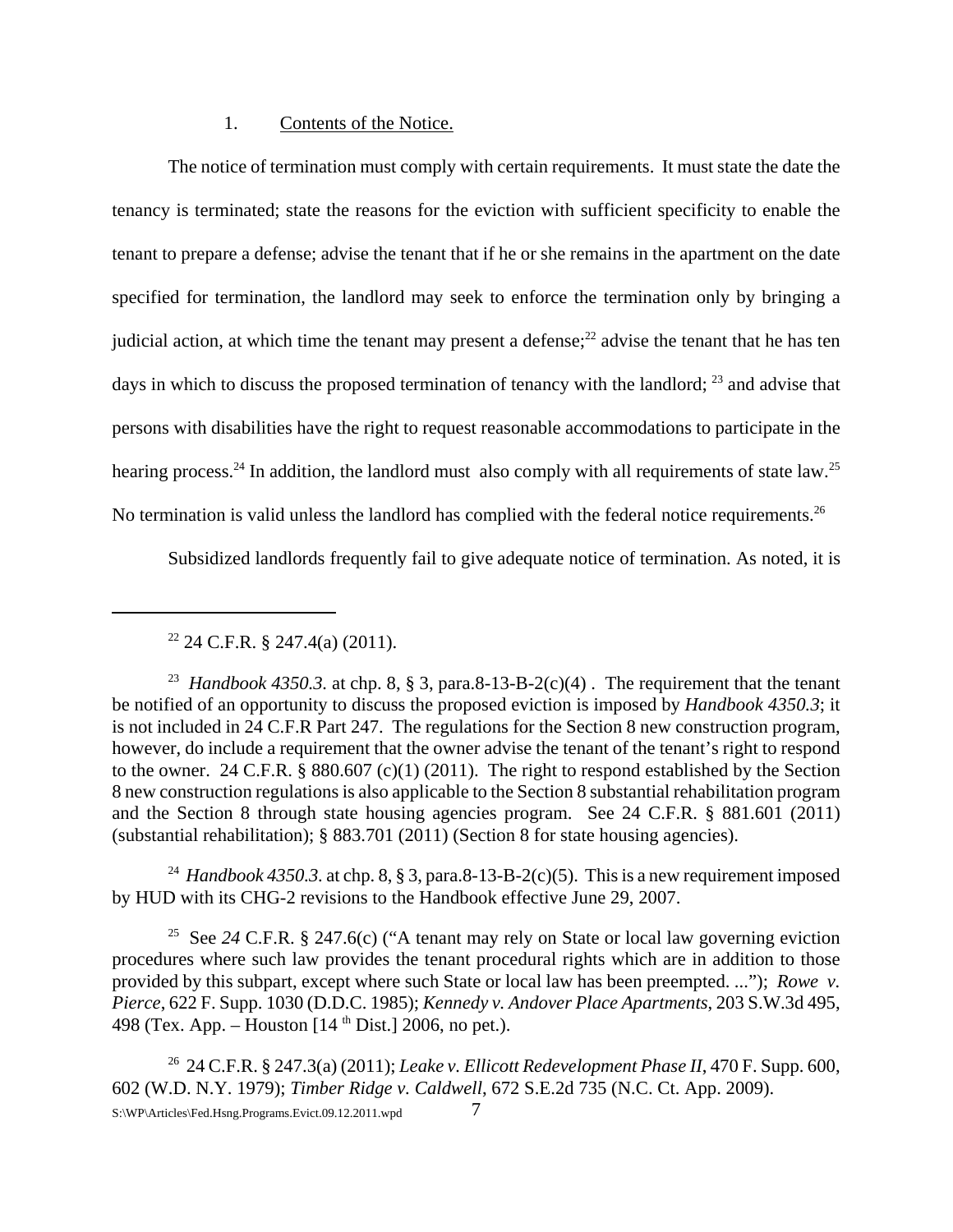#### 1. Contents of the Notice.

The notice of termination must comply with certain requirements. It must state the date the tenancy is terminated; state the reasons for the eviction with sufficient specificity to enable the tenant to prepare a defense; advise the tenant that if he or she remains in the apartment on the date specified for termination, the landlord may seek to enforce the termination only by bringing a judicial action, at which time the tenant may present a defense; $^{22}$  advise the tenant that he has ten days in which to discuss the proposed termination of tenancy with the landlord; <sup>23</sup> and advise that persons with disabilities have the right to request reasonable accommodations to participate in the hearing process.<sup>24</sup> In addition, the landlord must also comply with all requirements of state law.<sup>25</sup> No termination is valid unless the landlord has complied with the federal notice requirements.<sup>26</sup>

Subsidized landlords frequently fail to give adequate notice of termination. As noted, it is

<sup>23</sup> *Handbook 4350.3.* at chp. 8, § 3, para.8-13-B-2(c)(4). The requirement that the tenant be notified of an opportunity to discuss the proposed eviction is imposed by *Handbook 4350.3*; it is not included in 24 C.F.R Part 247. The regulations for the Section 8 new construction program, however, do include a requirement that the owner advise the tenant of the tenant's right to respond to the owner. 24 C.F.R. § 880.607 (c)(1) (2011). The right to respond established by the Section 8 new construction regulations is also applicable to the Section 8 substantial rehabilitation program and the Section 8 through state housing agencies program. See 24 C.F.R. § 881.601 (2011) (substantial rehabilitation); § 883.701 (2011) (Section 8 for state housing agencies).

<sup>24</sup> *Handbook 4350.3.* at chp. 8, § 3, para.8-13-B-2(c)(5). This is a new requirement imposed by HUD with its CHG-2 revisions to the Handbook effective June 29, 2007.

25 See *24* C.F.R. § 247.6(c) ("A tenant may rely on State or local law governing eviction procedures where such law provides the tenant procedural rights which are in addition to those provided by this subpart, except where such State or local law has been preempted. ..."); *Rowe v. Pierce*, 622 F. Supp. 1030 (D.D.C. 1985); *Kennedy v. Andover Place Apartments*, 203 S.W.3d 495, 498 (Tex. App. – Houston  $[14<sup>th</sup> Dist.]$  2006, no pet.).

26 24 C.F.R. § 247.3(a) (2011); *Leake v. Ellicott Redevelopment Phase II*, 470 F. Supp. 600, 602 (W.D. N.Y. 1979); *Timber Ridge v. Caldwell*, 672 S.E.2d 735 (N.C. Ct. App. 2009). S:\WP\Articles\Fed.Hsng.Programs.Evict.09.12.2011.wpd 7

 $22$  24 C.F.R. § 247.4(a) (2011).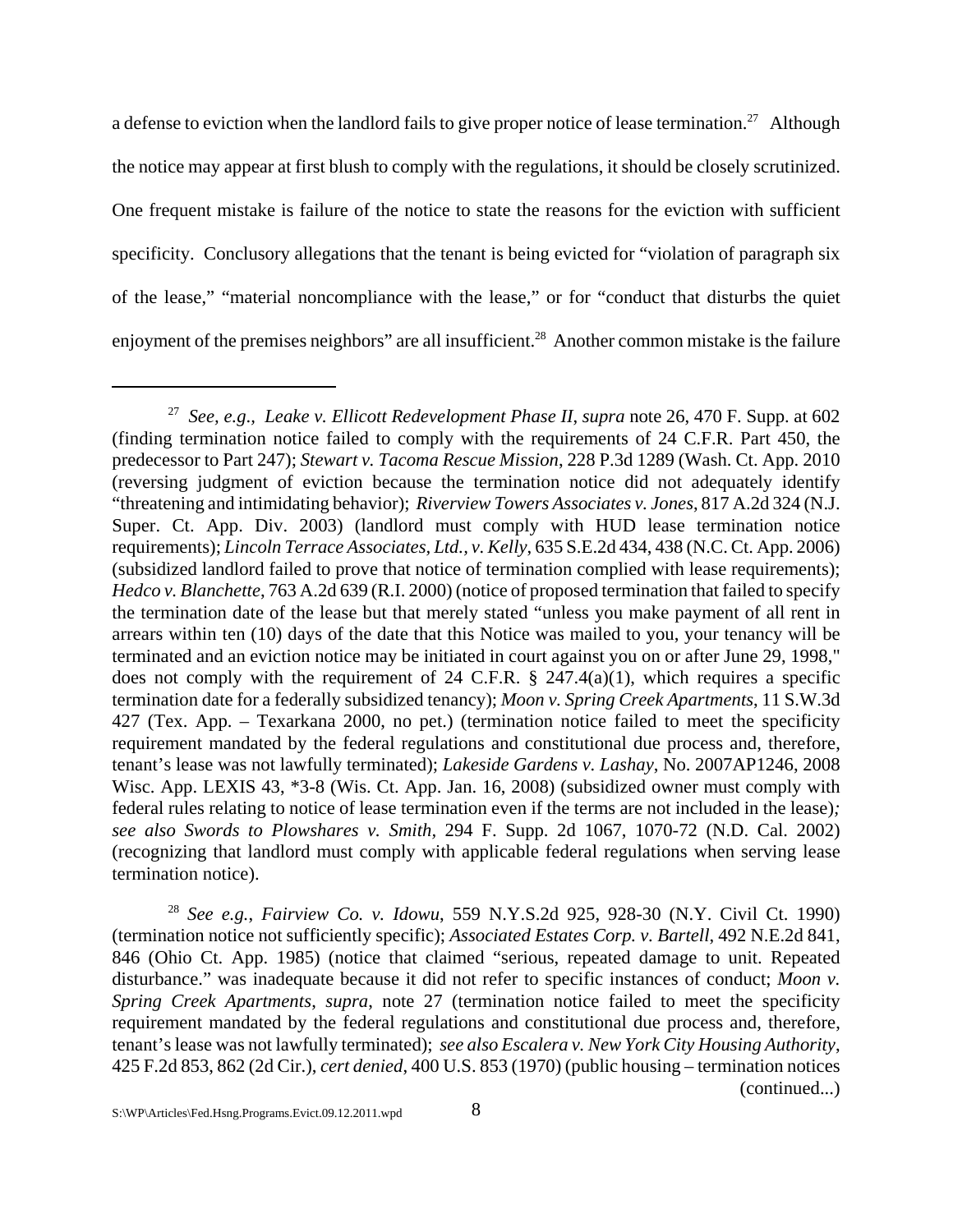a defense to eviction when the landlord fails to give proper notice of lease termination.<sup>27</sup> Although the notice may appear at first blush to comply with the regulations, it should be closely scrutinized. One frequent mistake is failure of the notice to state the reasons for the eviction with sufficient specificity. Conclusory allegations that the tenant is being evicted for "violation of paragraph six of the lease," "material noncompliance with the lease," or for "conduct that disturbs the quiet enjoyment of the premises neighbors" are all insufficient.<sup>28</sup> Another common mistake is the failure

<sup>28</sup> *See e.g.*, *Fairview Co. v. Idowu*, 559 N.Y.S.2d 925, 928-30 (N.Y. Civil Ct. 1990) (termination notice not sufficiently specific); *Associated Estates Corp. v. Bartell*, 492 N.E.2d 841, 846 (Ohio Ct. App. 1985) (notice that claimed "serious, repeated damage to unit. Repeated disturbance." was inadequate because it did not refer to specific instances of conduct; *Moon v. Spring Creek Apartments*, *supra*, note 27 (termination notice failed to meet the specificity requirement mandated by the federal regulations and constitutional due process and, therefore, tenant's lease was not lawfully terminated); *see also Escalera v. New York City Housing Authority*, 425 F.2d 853, 862 (2d Cir.), *cert denied*, 400 U.S. 853 (1970) (public housing – termination notices (continued...)

<sup>27</sup> *See, e.g*.*, Leake v. Ellicott Redevelopment Phase II*, *supra* note 26, 470 F. Supp. at 602 (finding termination notice failed to comply with the requirements of 24 C.F.R. Part 450, the predecessor to Part 247); *Stewart v. Tacoma Rescue Mission*, 228 P.3d 1289 (Wash. Ct. App. 2010 (reversing judgment of eviction because the termination notice did not adequately identify "threatening and intimidating behavior); *Riverview Towers Associates v. Jones*, 817 A.2d 324 (N.J. Super. Ct. App. Div. 2003) (landlord must comply with HUD lease termination notice requirements); *Lincoln Terrace Associates, Ltd., v. Kelly*, 635 S.E.2d 434, 438 (N.C. Ct. App. 2006) (subsidized landlord failed to prove that notice of termination complied with lease requirements); *Hedco v. Blanchette*, 763 A.2d 639 (R.I. 2000) (notice of proposed termination that failed to specify the termination date of the lease but that merely stated "unless you make payment of all rent in arrears within ten (10) days of the date that this Notice was mailed to you, your tenancy will be terminated and an eviction notice may be initiated in court against you on or after June 29, 1998," does not comply with the requirement of 24 C.F.R.  $\S$  247.4(a)(1), which requires a specific termination date for a federally subsidized tenancy); *Moon v. Spring Creek Apartments*, 11 S.W.3d 427 (Tex. App. – Texarkana 2000, no pet.) (termination notice failed to meet the specificity requirement mandated by the federal regulations and constitutional due process and, therefore, tenant's lease was not lawfully terminated); *Lakeside Gardens v. Lashay*, No. 2007AP1246, 2008 Wisc. App. LEXIS 43, \*3-8 (Wis. Ct. App. Jan. 16, 2008) (subsidized owner must comply with federal rules relating to notice of lease termination even if the terms are not included in the lease)*; see also Swords to Plowshares v. Smith,* 294 F. Supp. 2d 1067, 1070-72 (N.D. Cal. 2002) (recognizing that landlord must comply with applicable federal regulations when serving lease termination notice).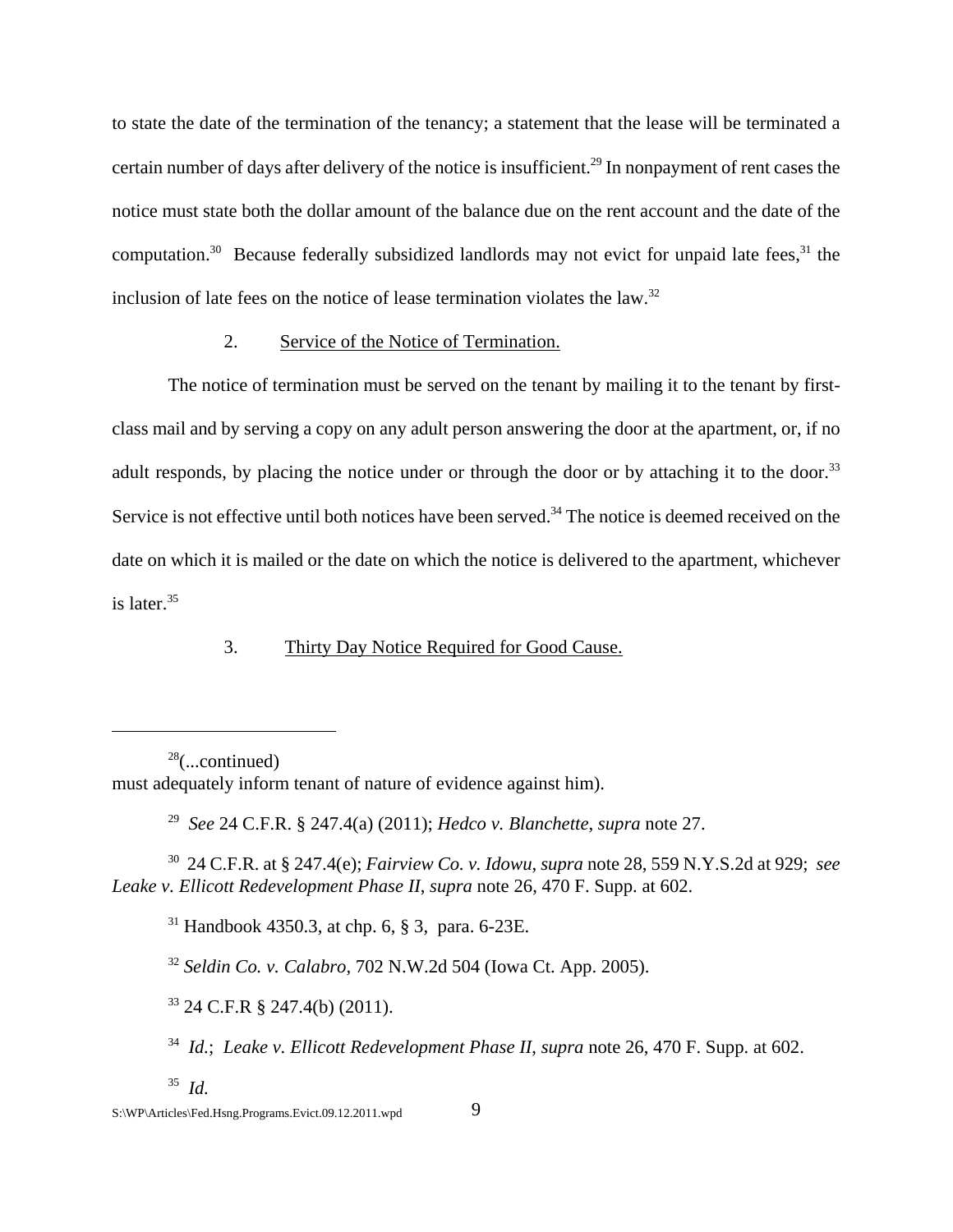to state the date of the termination of the tenancy; a statement that the lease will be terminated a certain number of days after delivery of the notice is insufficient.29 In nonpayment of rent cases the notice must state both the dollar amount of the balance due on the rent account and the date of the computation.<sup>30</sup> Because federally subsidized landlords may not evict for unpaid late fees,<sup>31</sup> the inclusion of late fees on the notice of lease termination violates the law. $32$ 

#### 2. Service of the Notice of Termination.

The notice of termination must be served on the tenant by mailing it to the tenant by firstclass mail and by serving a copy on any adult person answering the door at the apartment, or, if no adult responds, by placing the notice under or through the door or by attaching it to the door.<sup>33</sup> Service is not effective until both notices have been served.<sup>34</sup> The notice is deemed received on the date on which it is mailed or the date on which the notice is delivered to the apartment, whichever is later. $35$ 

## 3. Thirty Day Notice Required for Good Cause.

 $28$ (...continued)

must adequately inform tenant of nature of evidence against him).

29 *See* 24 C.F.R. § 247.4(a) (2011); *Hedco v. Blanchette*, *supra* note 27.

30 24 C.F.R. at § 247.4(e); *Fairview Co. v. Idowu*, *supra* note 28, 559 N.Y.S.2d at 929; *see Leake v. Ellicott Redevelopment Phase II*, *supra* note 26, 470 F. Supp. at 602.

 $31$  Handbook 4350.3, at chp. 6, § 3, para. 6-23E.

<sup>32</sup> *Seldin Co. v. Calabro,* 702 N.W.2d 504 (Iowa Ct. App. 2005).

<sup>33</sup> 24 C.F.R § 247.4(b) (2011).

34 *Id.*; *Leake v. Ellicott Redevelopment Phase II*, *supra* note 26, 470 F. Supp. at 602.

35 *Id.*

S:\WP\Articles\Fed.Hsng.Programs.Evict.09.12.2011.wpd 9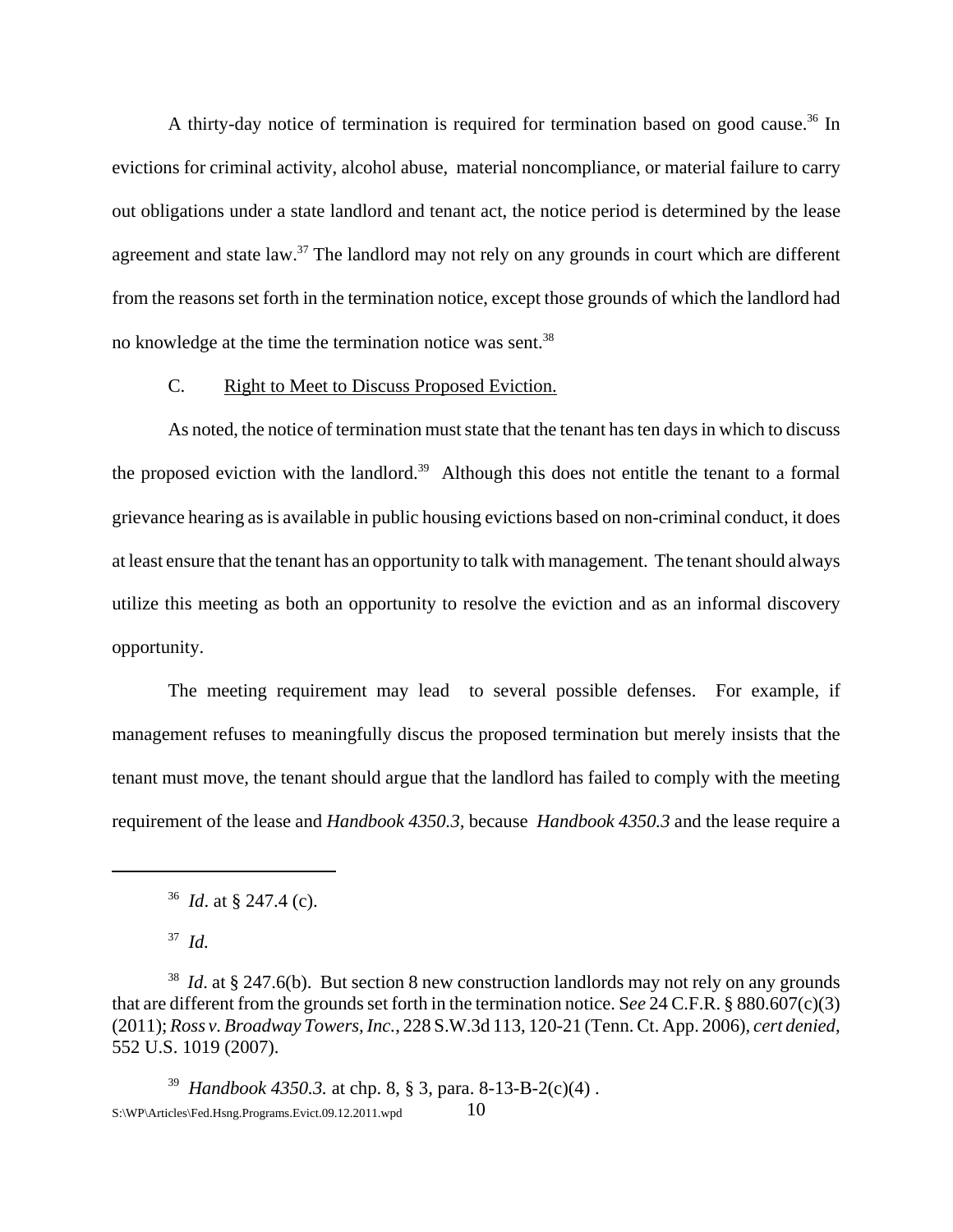A thirty-day notice of termination is required for termination based on good cause.<sup>36</sup> In evictions for criminal activity, alcohol abuse, material noncompliance, or material failure to carry out obligations under a state landlord and tenant act, the notice period is determined by the lease agreement and state law.<sup>37</sup> The landlord may not rely on any grounds in court which are different from the reasons set forth in the termination notice, except those grounds of which the landlord had no knowledge at the time the termination notice was sent.<sup>38</sup>

## C. Right to Meet to Discuss Proposed Eviction.

As noted, the notice of termination must state that the tenant has ten days in which to discuss the proposed eviction with the landlord.<sup>39</sup> Although this does not entitle the tenant to a formal grievance hearing as is available in public housing evictions based on non-criminal conduct, it does at least ensure that the tenant has an opportunity to talk with management. The tenant should always utilize this meeting as both an opportunity to resolve the eviction and as an informal discovery opportunity.

The meeting requirement may lead to several possible defenses. For example, if management refuses to meaningfully discus the proposed termination but merely insists that the tenant must move, the tenant should argue that the landlord has failed to comply with the meeting requirement of the lease and *Handbook 4350.3,* because *Handbook 4350.3* and the lease require a

37 *Id.*

39 *Handbook 4350.3.* at chp. 8, § 3, para. 8-13-B-2(c)(4) .  $S:\W{P\triangle^{\text{tricles}}}\text{Fed.}$ Hsng.Programs.Evict.09.12.2011.wpd  $10$ 

<sup>36</sup> *Id*. at § 247.4 (c).

<sup>38</sup> *Id*. at § 247.6(b). But section 8 new construction landlords may not rely on any grounds that are different from the grounds set forth in the termination notice. S*ee* 24 C.F.R. § 880.607(c)(3) (2011); *Ross v. Broadway Towers, Inc.*, 228 S.W.3d 113, 120-21 (Tenn. Ct. App. 2006), *cert denied*, 552 U.S. 1019 (2007).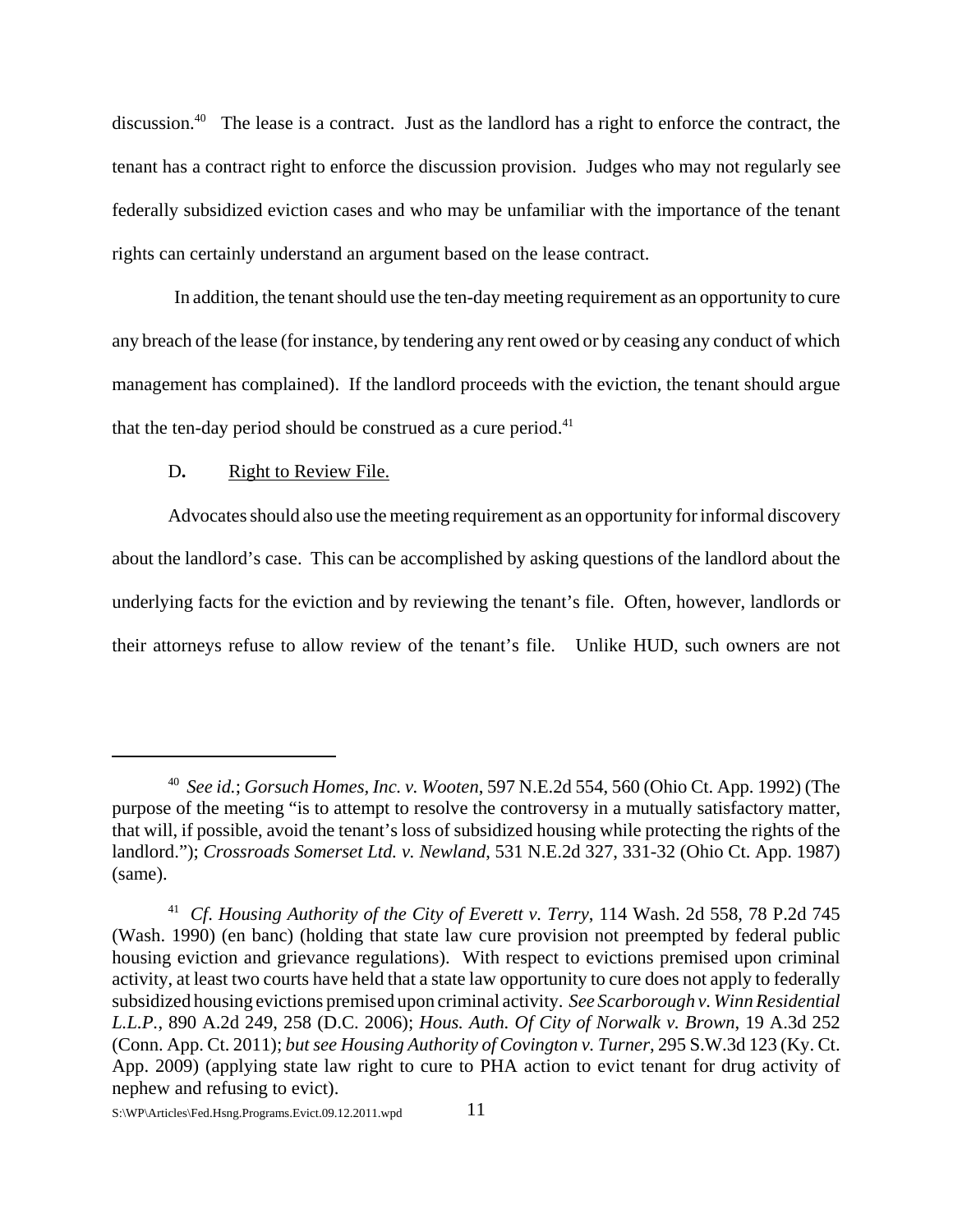discussion.<sup>40</sup> The lease is a contract. Just as the landlord has a right to enforce the contract, the tenant has a contract right to enforce the discussion provision. Judges who may not regularly see federally subsidized eviction cases and who may be unfamiliar with the importance of the tenant rights can certainly understand an argument based on the lease contract.

 In addition, the tenant should use the ten-day meeting requirement as an opportunity to cure any breach of the lease (for instance, by tendering any rent owed or by ceasing any conduct of which management has complained). If the landlord proceeds with the eviction, the tenant should argue that the ten-day period should be construed as a cure period. $41$ 

## D. **Right to Review File.**

Advocates should also use the meeting requirement as an opportunity for informal discovery about the landlord's case. This can be accomplished by asking questions of the landlord about the underlying facts for the eviction and by reviewing the tenant's file. Often, however, landlords or their attorneys refuse to allow review of the tenant's file. Unlike HUD, such owners are not

<sup>40</sup> *See id.*; *Gorsuch Homes, Inc. v. Wooten*, 597 N.E.2d 554, 560 (Ohio Ct. App. 1992) (The purpose of the meeting "is to attempt to resolve the controversy in a mutually satisfactory matter, that will, if possible, avoid the tenant's loss of subsidized housing while protecting the rights of the landlord."); *Crossroads Somerset Ltd. v. Newland*, 531 N.E.2d 327, 331-32 (Ohio Ct. App. 1987) (same).

<sup>41</sup> *Cf*. *Housing Authority of the City of Everett v. Terry*, 114 Wash. 2d 558, 78 P.2d 745 (Wash. 1990) (en banc) (holding that state law cure provision not preempted by federal public housing eviction and grievance regulations). With respect to evictions premised upon criminal activity, at least two courts have held that a state law opportunity to cure does not apply to federally subsidized housing evictions premised upon criminal activity. *See Scarborough v. Winn Residential L.L.P.*, 890 A.2d 249, 258 (D.C. 2006); *Hous. Auth. Of City of Norwalk v. Brown*, 19 A.3d 252 (Conn. App. Ct. 2011); *but see Housing Authority of Covington v. Turner*, 295 S.W.3d 123 (Ky. Ct. App. 2009) (applying state law right to cure to PHA action to evict tenant for drug activity of nephew and refusing to evict).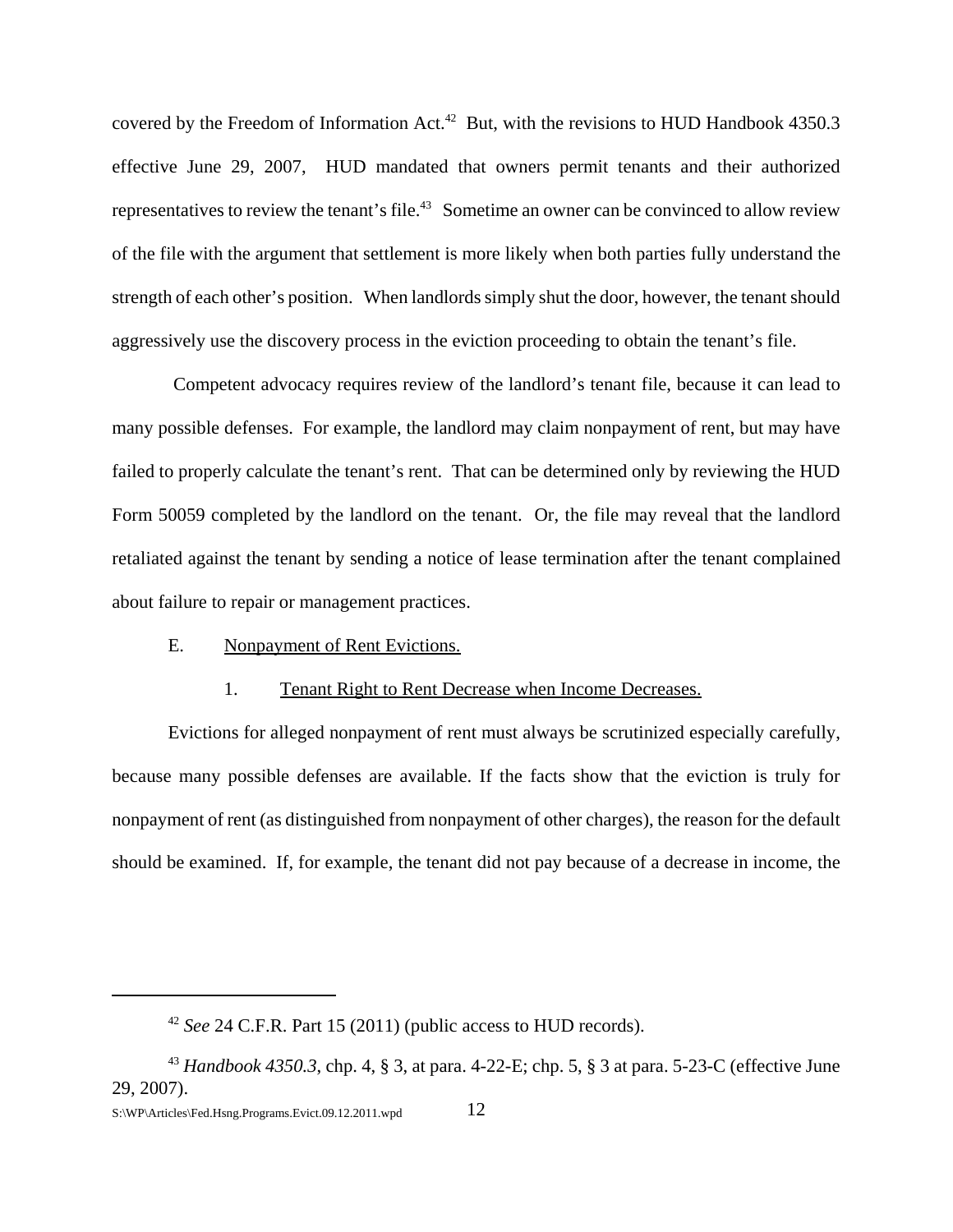covered by the Freedom of Information Act.<sup>42</sup> But, with the revisions to HUD Handbook  $4350.3$ effective June 29, 2007, HUD mandated that owners permit tenants and their authorized representatives to review the tenant's file.<sup>43</sup> Sometime an owner can be convinced to allow review of the file with the argument that settlement is more likely when both parties fully understand the strength of each other's position. When landlords simply shut the door, however, the tenant should aggressively use the discovery process in the eviction proceeding to obtain the tenant's file.

 Competent advocacy requires review of the landlord's tenant file, because it can lead to many possible defenses. For example, the landlord may claim nonpayment of rent, but may have failed to properly calculate the tenant's rent. That can be determined only by reviewing the HUD Form 50059 completed by the landlord on the tenant. Or, the file may reveal that the landlord retaliated against the tenant by sending a notice of lease termination after the tenant complained about failure to repair or management practices.

#### E. Nonpayment of Rent Evictions.

#### 1. Tenant Right to Rent Decrease when Income Decreases.

Evictions for alleged nonpayment of rent must always be scrutinized especially carefully, because many possible defenses are available. If the facts show that the eviction is truly for nonpayment of rent (as distinguished from nonpayment of other charges), the reason for the default should be examined. If, for example, the tenant did not pay because of a decrease in income, the

<sup>42</sup> *See* 24 C.F.R. Part 15 (2011) (public access to HUD records).

<sup>43</sup> *Handbook 4350.3*, chp. 4, § 3, at para. 4-22-E; chp. 5, § 3 at para. 5-23-C (effective June 29, 2007).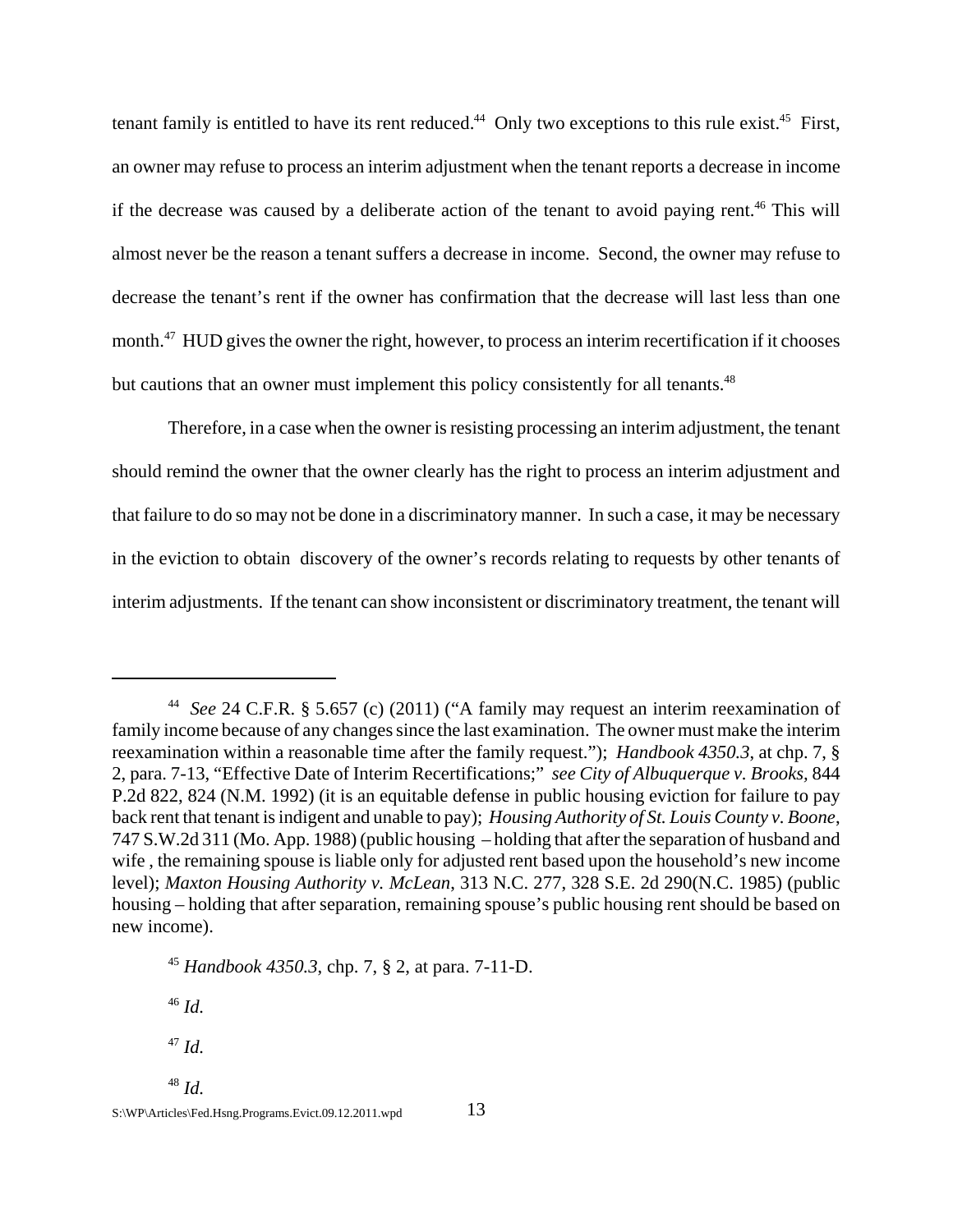tenant family is entitled to have its rent reduced.<sup>44</sup> Only two exceptions to this rule exist.<sup>45</sup> First, an owner may refuse to process an interim adjustment when the tenant reports a decrease in income if the decrease was caused by a deliberate action of the tenant to avoid paying rent.<sup>46</sup> This will almost never be the reason a tenant suffers a decrease in income. Second, the owner may refuse to decrease the tenant's rent if the owner has confirmation that the decrease will last less than one month.<sup>47</sup> HUD gives the owner the right, however, to process an interim recertification if it chooses but cautions that an owner must implement this policy consistently for all tenants.<sup>48</sup>

Therefore, in a case when the owner is resisting processing an interim adjustment, the tenant should remind the owner that the owner clearly has the right to process an interim adjustment and that failure to do so may not be done in a discriminatory manner. In such a case, it may be necessary in the eviction to obtain discovery of the owner's records relating to requests by other tenants of interim adjustments. If the tenant can show inconsistent or discriminatory treatment, the tenant will

<sup>46</sup> *Id.*

<sup>47</sup> *Id.*

<sup>48</sup> *Id.* 

<sup>44</sup> *See* 24 C.F.R. § 5.657 (c) (2011) ("A family may request an interim reexamination of family income because of any changes since the last examination. The owner must make the interim reexamination within a reasonable time after the family request."); *Handbook 4350.3*, at chp. 7, § 2, para. 7-13, "Effective Date of Interim Recertifications;" *see City of Albuquerque v. Brooks,* 844 P.2d 822, 824 (N.M. 1992) (it is an equitable defense in public housing eviction for failure to pay back rent that tenant is indigent and unable to pay); *Housing Authority of St. Louis County v. Boone*, 747 S.W.2d 311 (Mo. App. 1988) (public housing – holding that after the separation of husband and wife , the remaining spouse is liable only for adjusted rent based upon the household's new income level); *Maxton Housing Authority v. McLean*, 313 N.C. 277, 328 S.E. 2d 290(N.C. 1985) (public housing – holding that after separation, remaining spouse's public housing rent should be based on new income).

<sup>45</sup> *Handbook 4350.3*, chp. 7, § 2, at para. 7-11-D.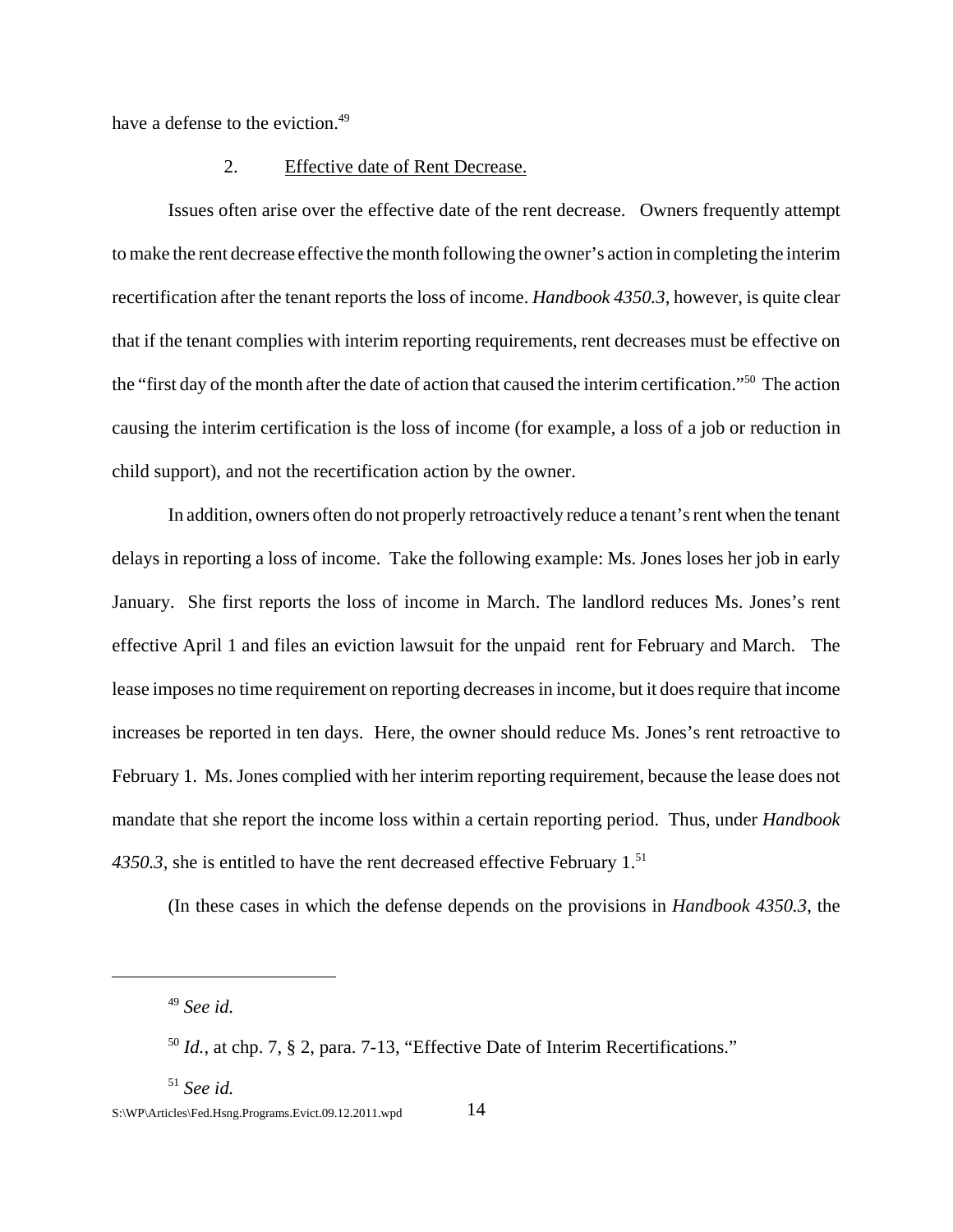have a defense to the eviction.<sup>49</sup>

#### 2. Effective date of Rent Decrease.

 Issues often arise over the effective date of the rent decrease. Owners frequently attempt to make the rent decrease effective the month following the owner's action in completing the interim recertification after the tenant reports the loss of income. *Handbook 4350.3*, however, is quite clear that if the tenant complies with interim reporting requirements, rent decreases must be effective on the "first day of the month after the date of action that caused the interim certification."50 The action causing the interim certification is the loss of income (for example, a loss of a job or reduction in child support), and not the recertification action by the owner.

In addition, owners often do not properly retroactively reduce a tenant's rent when the tenant delays in reporting a loss of income. Take the following example: Ms. Jones loses her job in early January. She first reports the loss of income in March. The landlord reduces Ms. Jones's rent effective April 1 and files an eviction lawsuit for the unpaid rent for February and March. The lease imposes no time requirement on reporting decreases in income, but it does require that income increases be reported in ten days. Here, the owner should reduce Ms. Jones's rent retroactive to February 1. Ms. Jones complied with her interim reporting requirement, because the lease does not mandate that she report the income loss within a certain reporting period. Thus, under *Handbook* 4350.3, she is entitled to have the rent decreased effective February 1.<sup>51</sup>

(In these cases in which the defense depends on the provisions in *Handbook 4350.3*, the

<sup>51</sup> *See id.*

<sup>49</sup> *See id.* 

 $50$  *Id.*, at chp. 7,  $\S$  2, para. 7-13, "Effective Date of Interim Recertifications."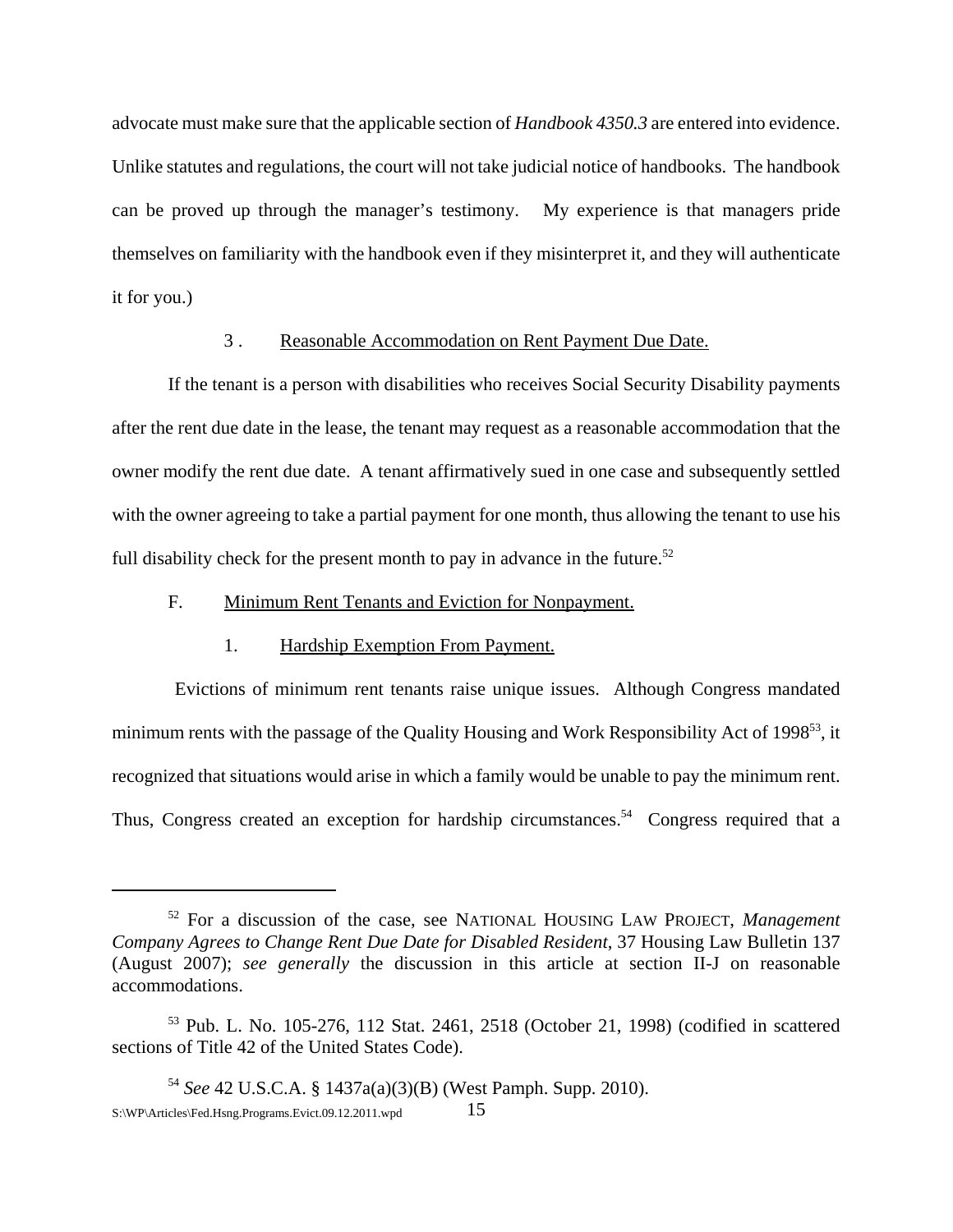advocate must make sure that the applicable section of *Handbook 4350.3* are entered into evidence. Unlike statutes and regulations, the court will not take judicial notice of handbooks. The handbook can be proved up through the manager's testimony. My experience is that managers pride themselves on familiarity with the handbook even if they misinterpret it, and they will authenticate it for you.)

#### 3 . Reasonable Accommodation on Rent Payment Due Date.

If the tenant is a person with disabilities who receives Social Security Disability payments after the rent due date in the lease, the tenant may request as a reasonable accommodation that the owner modify the rent due date. A tenant affirmatively sued in one case and subsequently settled with the owner agreeing to take a partial payment for one month, thus allowing the tenant to use his full disability check for the present month to pay in advance in the future.<sup>52</sup>

## F. Minimum Rent Tenants and Eviction for Nonpayment.

#### 1. Hardship Exemption From Payment.

 Evictions of minimum rent tenants raise unique issues. Although Congress mandated minimum rents with the passage of the Quality Housing and Work Responsibility Act of 1998<sup>53</sup>, it recognized that situations would arise in which a family would be unable to pay the minimum rent. Thus, Congress created an exception for hardship circumstances.<sup>54</sup> Congress required that a

<sup>52</sup> For a discussion of the case, see NATIONAL HOUSING LAW PROJECT, *Management Company Agrees to Change Rent Due Date for Disabled Resident*, 37 Housing Law Bulletin 137 (August 2007); *see generally* the discussion in this article at section II-J on reasonable accommodations.

<sup>53</sup> Pub. L. No. 105-276, 112 Stat. 2461, 2518 (October 21, 1998) (codified in scattered sections of Title 42 of the United States Code).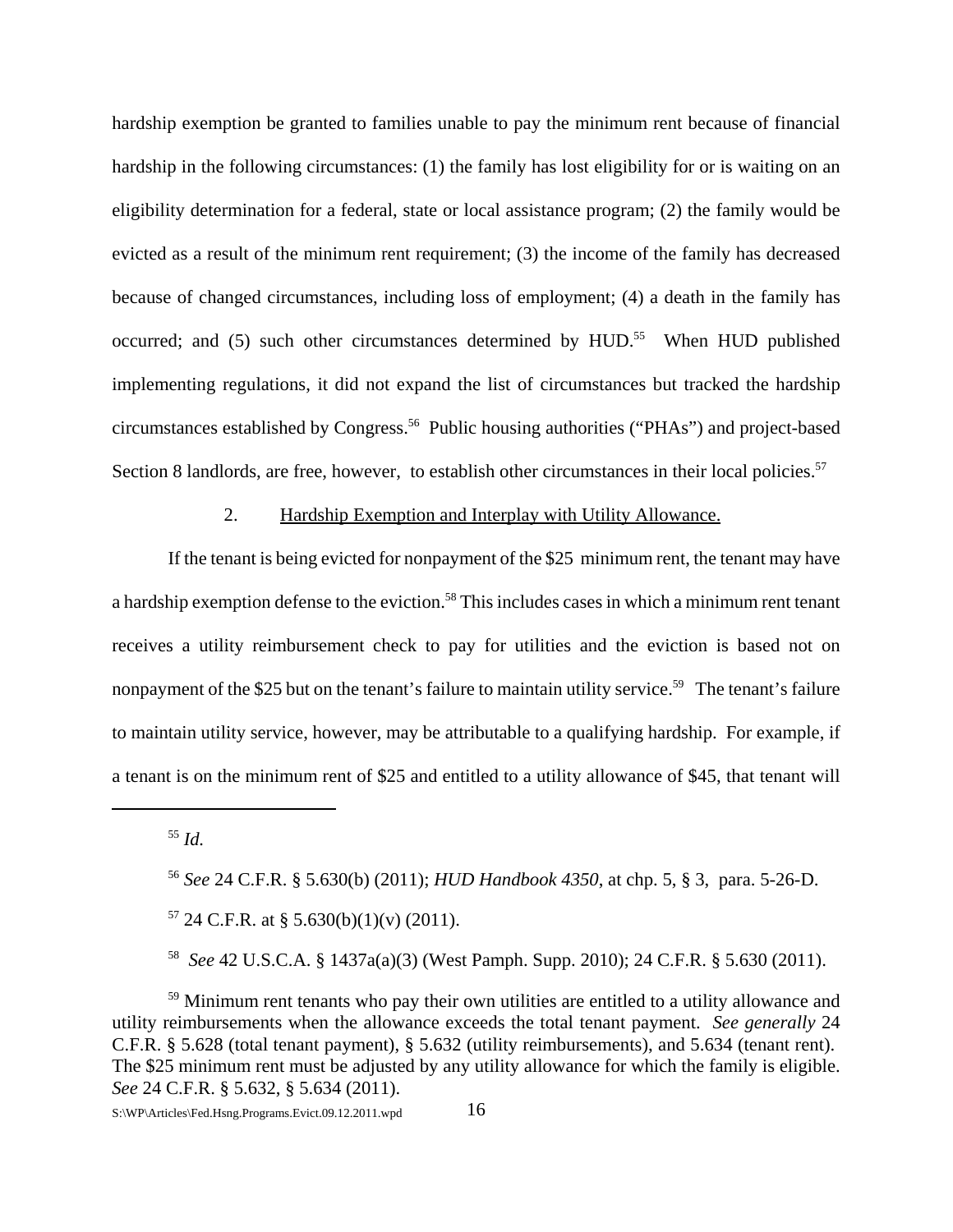hardship exemption be granted to families unable to pay the minimum rent because of financial hardship in the following circumstances: (1) the family has lost eligibility for or is waiting on an eligibility determination for a federal, state or local assistance program; (2) the family would be evicted as a result of the minimum rent requirement; (3) the income of the family has decreased because of changed circumstances, including loss of employment; (4) a death in the family has occurred; and  $(5)$  such other circumstances determined by HUD.<sup>55</sup> When HUD published implementing regulations, it did not expand the list of circumstances but tracked the hardship circumstances established by Congress.<sup>56</sup> Public housing authorities ("PHAs") and project-based Section 8 landlords, are free, however, to establish other circumstances in their local policies.<sup>57</sup>

## 2. Hardship Exemption and Interplay with Utility Allowance.

If the tenant is being evicted for nonpayment of the \$25 minimum rent, the tenant may have a hardship exemption defense to the eviction.<sup>58</sup> This includes cases in which a minimum rent tenant receives a utility reimbursement check to pay for utilities and the eviction is based not on nonpayment of the \$25 but on the tenant's failure to maintain utility service.<sup>59</sup> The tenant's failure to maintain utility service, however, may be attributable to a qualifying hardship. For example, if a tenant is on the minimum rent of \$25 and entitled to a utility allowance of \$45, that tenant will

<sup>59</sup> Minimum rent tenants who pay their own utilities are entitled to a utility allowance and utility reimbursements when the allowance exceeds the total tenant payment. *See generally* 24 C.F.R. § 5.628 (total tenant payment), § 5.632 (utility reimbursements), and 5.634 (tenant rent). The \$25 minimum rent must be adjusted by any utility allowance for which the family is eligible. *See* 24 C.F.R. § 5.632, § 5.634 (2011).

<sup>55</sup> *Id.*

<sup>56</sup> *See* 24 C.F.R. § 5.630(b) (2011); *HUD Handbook 4350*, at chp. 5, § 3, para. 5-26-D.

 $57$  24 C.F.R. at § 5.630(b)(1)(v) (2011).

<sup>58</sup> *See* 42 U.S.C.A. § 1437a(a)(3) (West Pamph. Supp. 2010); 24 C.F.R. § 5.630 (2011).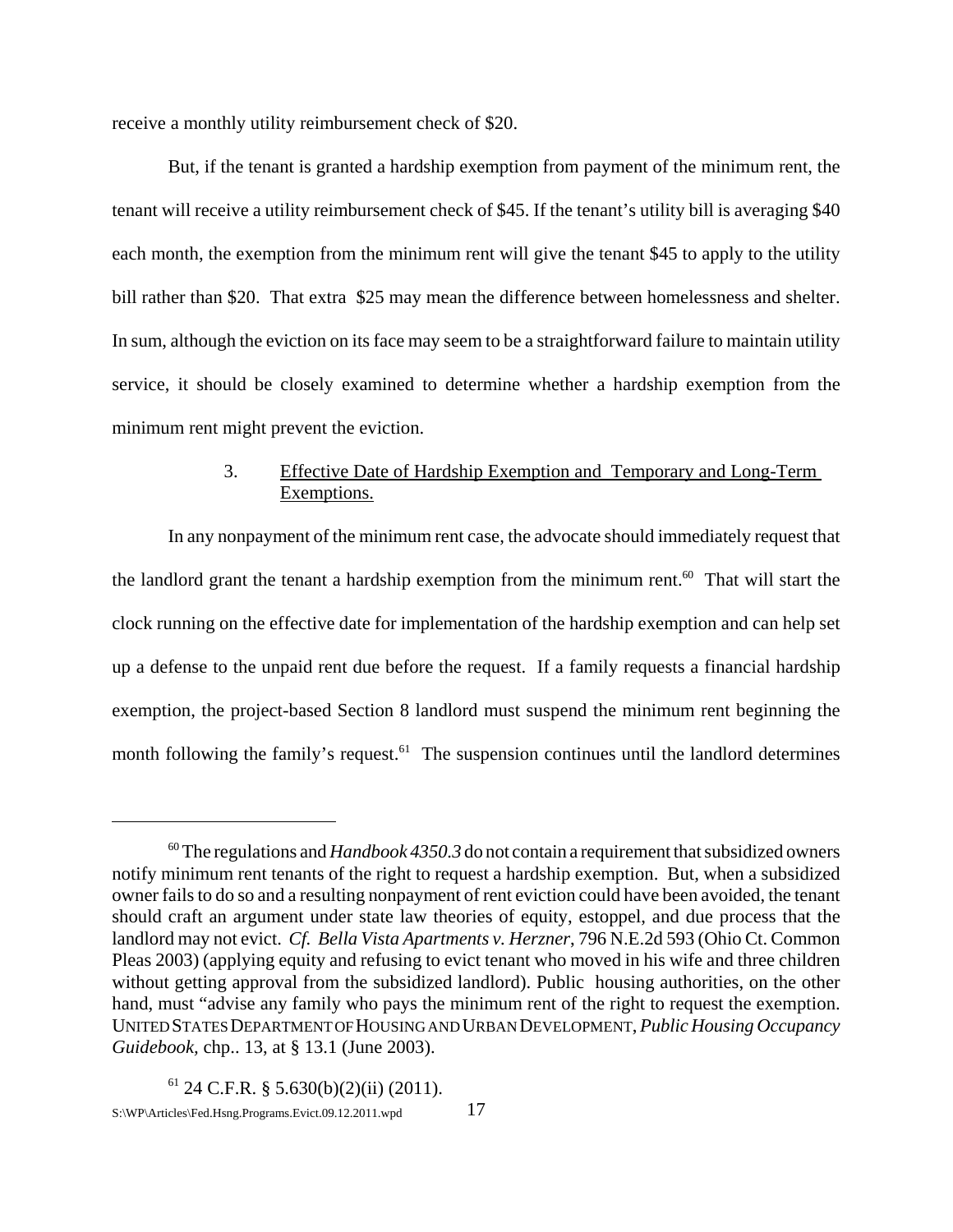receive a monthly utility reimbursement check of \$20.

But, if the tenant is granted a hardship exemption from payment of the minimum rent, the tenant will receive a utility reimbursement check of \$45. If the tenant's utility bill is averaging \$40 each month, the exemption from the minimum rent will give the tenant \$45 to apply to the utility bill rather than \$20. That extra \$25 may mean the difference between homelessness and shelter. In sum, although the eviction on its face may seem to be a straightforward failure to maintain utility service, it should be closely examined to determine whether a hardship exemption from the minimum rent might prevent the eviction.

# 3. Effective Date of Hardship Exemption and Temporary and Long-Term Exemptions.

In any nonpayment of the minimum rent case, the advocate should immediately request that the landlord grant the tenant a hardship exemption from the minimum rent. $^{60}$  That will start the clock running on the effective date for implementation of the hardship exemption and can help set up a defense to the unpaid rent due before the request. If a family requests a financial hardship exemption, the project-based Section 8 landlord must suspend the minimum rent beginning the month following the family's request. $61$  The suspension continues until the landlord determines

<sup>60</sup> The regulations and *Handbook 4350.3* do not contain a requirement that subsidized owners notify minimum rent tenants of the right to request a hardship exemption. But, when a subsidized owner fails to do so and a resulting nonpayment of rent eviction could have been avoided, the tenant should craft an argument under state law theories of equity, estoppel, and due process that the landlord may not evict. *Cf. Bella Vista Apartments v. Herzner*, 796 N.E.2d 593 (Ohio Ct. Common Pleas 2003) (applying equity and refusing to evict tenant who moved in his wife and three children without getting approval from the subsidized landlord). Public housing authorities, on the other hand, must "advise any family who pays the minimum rent of the right to request the exemption. UNITED STATES DEPARTMENT OF HOUSING AND URBAN DEVELOPMENT, *Public Housing Occupancy Guidebook,* chp.. 13, at § 13.1 (June 2003).

 $61$  24 C.F.R. § 5.630(b)(2)(ii) (2011).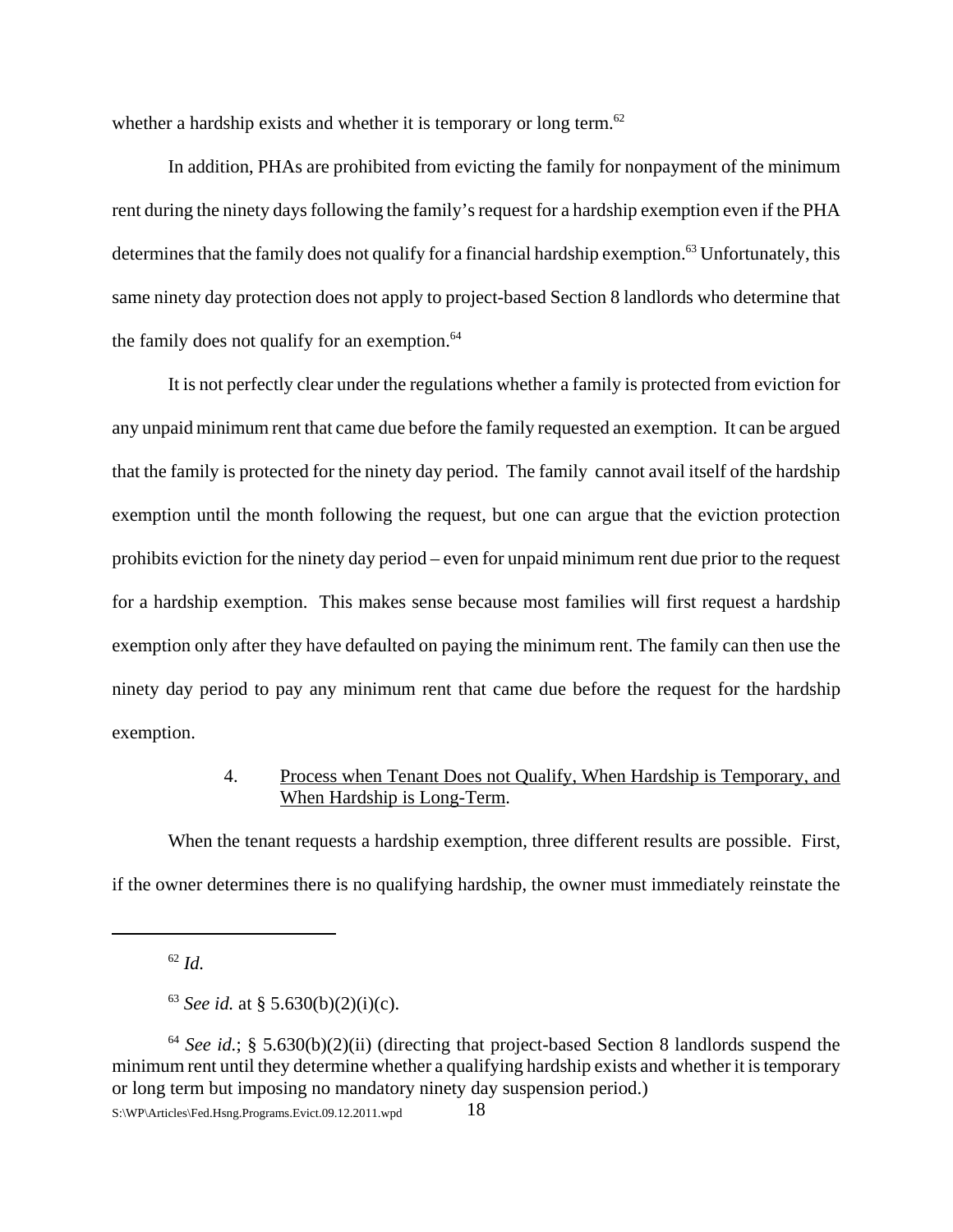whether a hardship exists and whether it is temporary or long term. $62$ 

In addition, PHAs are prohibited from evicting the family for nonpayment of the minimum rent during the ninety days following the family's request for a hardship exemption even if the PHA determines that the family does not qualify for a financial hardship exemption.<sup>63</sup> Unfortunately, this same ninety day protection does not apply to project-based Section 8 landlords who determine that the family does not qualify for an exemption. $64$ 

It is not perfectly clear under the regulations whether a family is protected from eviction for any unpaid minimum rent that came due before the family requested an exemption. It can be argued that the family is protected for the ninety day period. The family cannot avail itself of the hardship exemption until the month following the request, but one can argue that the eviction protection prohibits eviction for the ninety day period – even for unpaid minimum rent due prior to the request for a hardship exemption. This makes sense because most families will first request a hardship exemption only after they have defaulted on paying the minimum rent. The family can then use the ninety day period to pay any minimum rent that came due before the request for the hardship exemption.

# 4. Process when Tenant Does not Qualify, When Hardship is Temporary, and When Hardship is Long-Term.

When the tenant requests a hardship exemption, three different results are possible. First, if the owner determines there is no qualifying hardship, the owner must immediately reinstate the

<sup>62</sup> *Id.*

<sup>&</sup>lt;sup>63</sup> *See id.* at § 5.630(b)(2)(i)(c).

<sup>&</sup>lt;sup>64</sup> *See id.*; § 5.630(b)(2)(ii) (directing that project-based Section 8 landlords suspend the minimum rent until they determine whether a qualifying hardship exists and whether it is temporary or long term but imposing no mandatory ninety day suspension period.)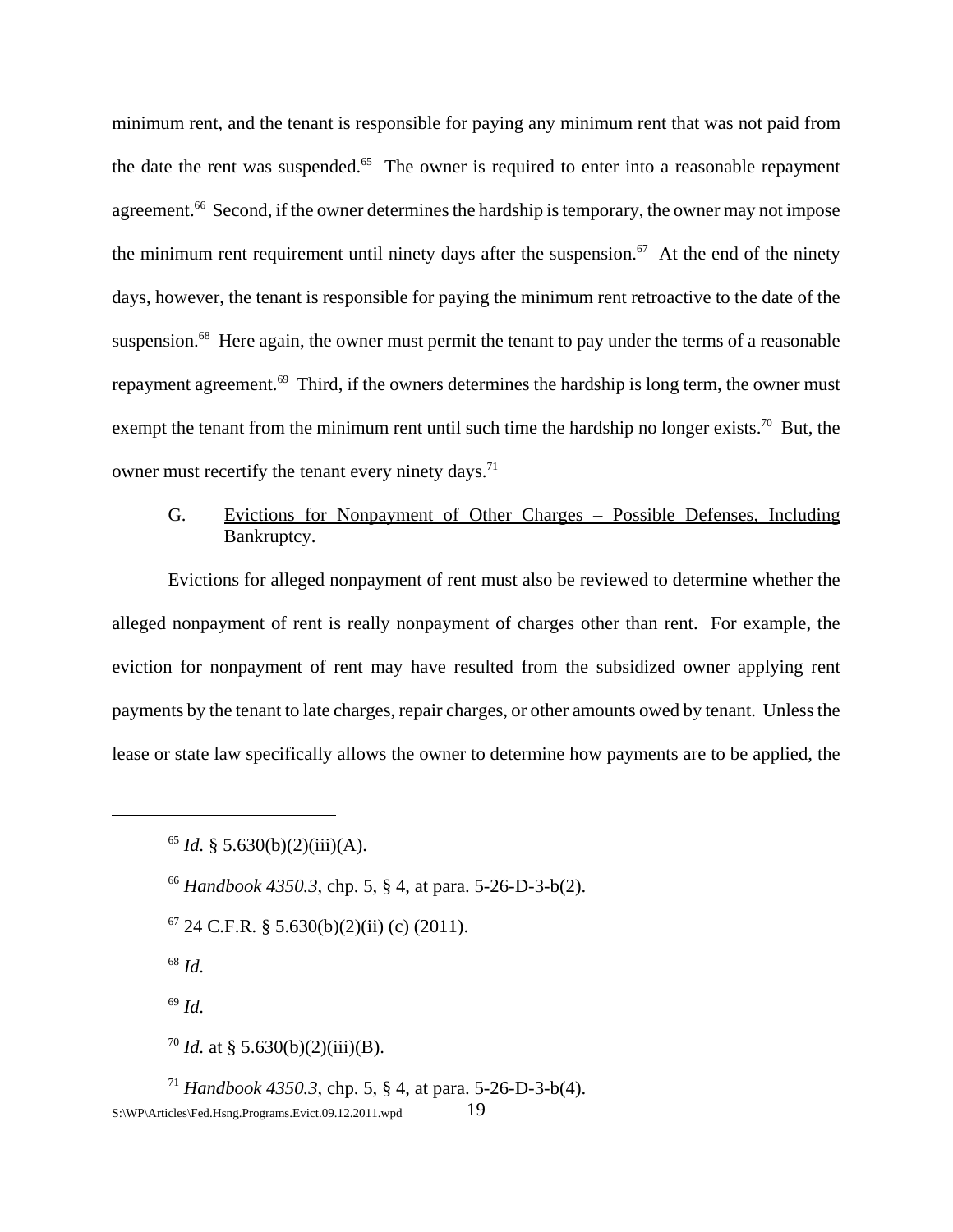minimum rent, and the tenant is responsible for paying any minimum rent that was not paid from the date the rent was suspended. $65$  The owner is required to enter into a reasonable repayment agreement.<sup>66</sup> Second, if the owner determines the hardship is temporary, the owner may not impose the minimum rent requirement until ninety days after the suspension.<sup>67</sup> At the end of the ninety days, however, the tenant is responsible for paying the minimum rent retroactive to the date of the suspension.<sup>68</sup> Here again, the owner must permit the tenant to pay under the terms of a reasonable repayment agreement.<sup>69</sup> Third, if the owners determines the hardship is long term, the owner must exempt the tenant from the minimum rent until such time the hardship no longer exists.<sup>70</sup> But, the owner must recertify the tenant every ninety days.<sup>71</sup>

# G. Evictions for Nonpayment of Other Charges – Possible Defenses, Including Bankruptcy.

Evictions for alleged nonpayment of rent must also be reviewed to determine whether the alleged nonpayment of rent is really nonpayment of charges other than rent. For example, the eviction for nonpayment of rent may have resulted from the subsidized owner applying rent payments by the tenant to late charges, repair charges, or other amounts owed by tenant. Unless the lease or state law specifically allows the owner to determine how payments are to be applied, the

- $67$  24 C.F.R. § 5.630(b)(2)(ii) (c) (2011).
- <sup>68</sup> *Id.*
- <sup>69</sup> *Id.*

<sup>70</sup> *Id.* at § 5.630(b)(2)(iii)(B).

<sup>71</sup> *Handbook 4350.3*, chp. 5, § 4, at para. 5-26-D-3-b(4). S:\WP\Articles\Fed.Hsng.Programs.Evict.09.12.2011.wpd 19

 $65$  *Id.* § 5.630(b)(2)(iii)(A).

<sup>66</sup> *Handbook 4350.3*, chp. 5, § 4, at para. 5-26-D-3-b(2).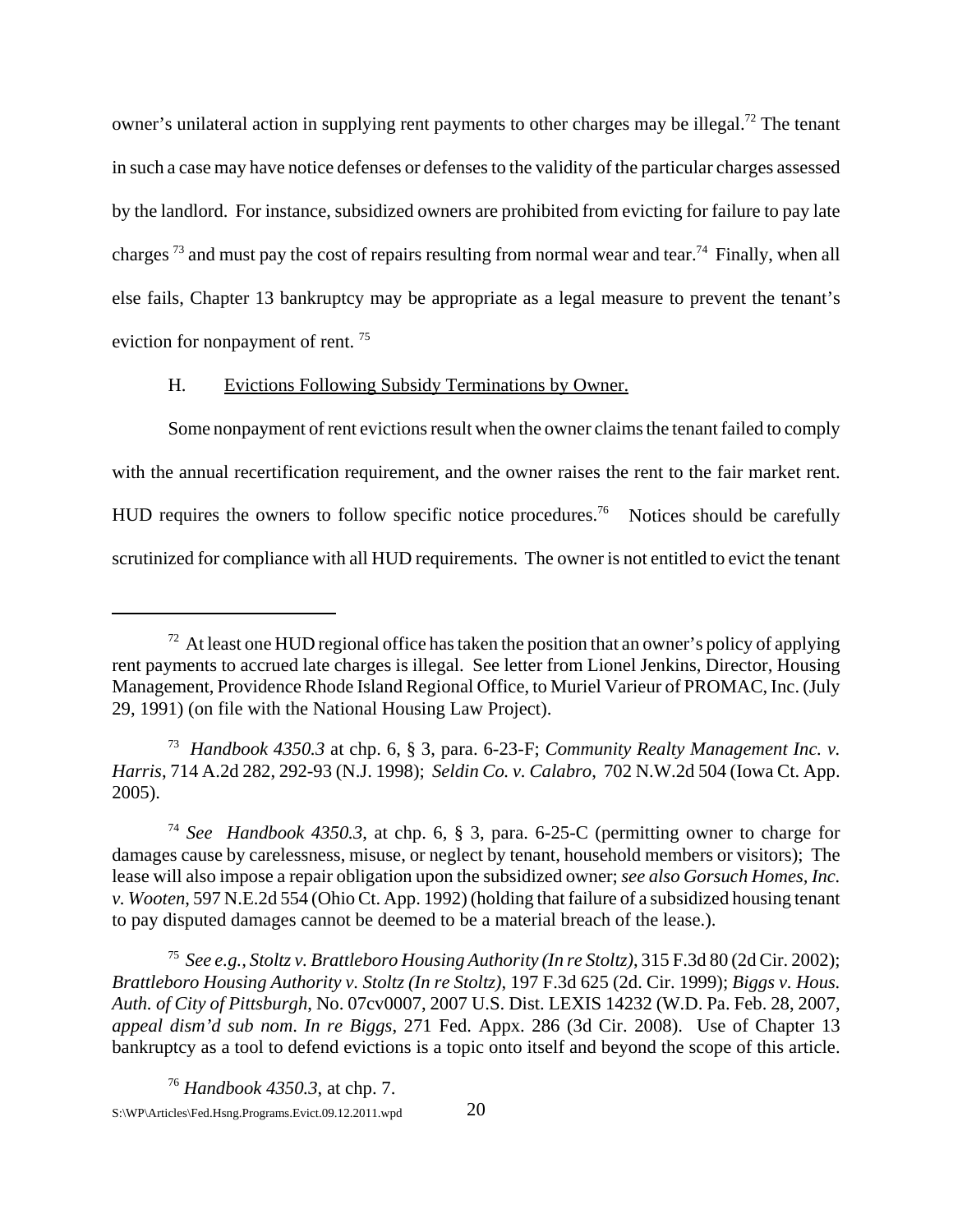owner's unilateral action in supplying rent payments to other charges may be illegal.<sup>72</sup> The tenant in such a case may have notice defenses or defenses to the validity of the particular charges assessed by the landlord. For instance, subsidized owners are prohibited from evicting for failure to pay late charges<sup>73</sup> and must pay the cost of repairs resulting from normal wear and tear.<sup>74</sup> Finally, when all else fails, Chapter 13 bankruptcy may be appropriate as a legal measure to prevent the tenant's eviction for nonpayment of rent. 75

## H. Evictions Following Subsidy Terminations by Owner.

Some nonpayment of rent evictions result when the owner claims the tenant failed to comply with the annual recertification requirement, and the owner raises the rent to the fair market rent. HUD requires the owners to follow specific notice procedures.<sup>76</sup> Notices should be carefully scrutinized for compliance with all HUD requirements. The owner is not entitled to evict the tenant

75 *See e.g., Stoltz v. Brattleboro Housing Authority (In re Stoltz)*, 315 F.3d 80 (2d Cir. 2002); *Brattleboro Housing Authority v. Stoltz (In re Stoltz)*, 197 F.3d 625 (2d. Cir. 1999); *Biggs v. Hous. Auth. of City of Pittsburgh*, No. 07cv0007, 2007 U.S. Dist. LEXIS 14232 (W.D. Pa. Feb. 28, 2007, *appeal dism'd sub nom*. *In re Biggs*, 271 Fed. Appx. 286 (3d Cir. 2008). Use of Chapter 13 bankruptcy as a tool to defend evictions is a topic onto itself and beyond the scope of this article.

 $72$  At least one HUD regional office has taken the position that an owner's policy of applying rent payments to accrued late charges is illegal. See letter from Lionel Jenkins, Director, Housing Management, Providence Rhode Island Regional Office, to Muriel Varieur of PROMAC, Inc. (July 29, 1991) (on file with the National Housing Law Project).

<sup>73</sup> *Handbook 4350.3* at chp. 6, § 3, para. 6-23-F; *Community Realty Management Inc. v. Harris*, 714 A.2d 282, 292-93 (N.J. 1998); *Seldin Co. v. Calabro*, 702 N.W.2d 504 (Iowa Ct. App. 2005).

<sup>74</sup> *See Handbook 4350.3*, at chp. 6, § 3, para. 6-25-C (permitting owner to charge for damages cause by carelessness, misuse, or neglect by tenant, household members or visitors); The lease will also impose a repair obligation upon the subsidized owner; *see also Gorsuch Homes, Inc. v. Wooten*, 597 N.E.2d 554 (Ohio Ct. App. 1992) (holding that failure of a subsidized housing tenant to pay disputed damages cannot be deemed to be a material breach of the lease.).

<sup>76</sup> *Handbook 4350.3*, at chp. 7. S:\WP\Articles\Fed.Hsng.Programs.Evict.09.12.2011.wpd 20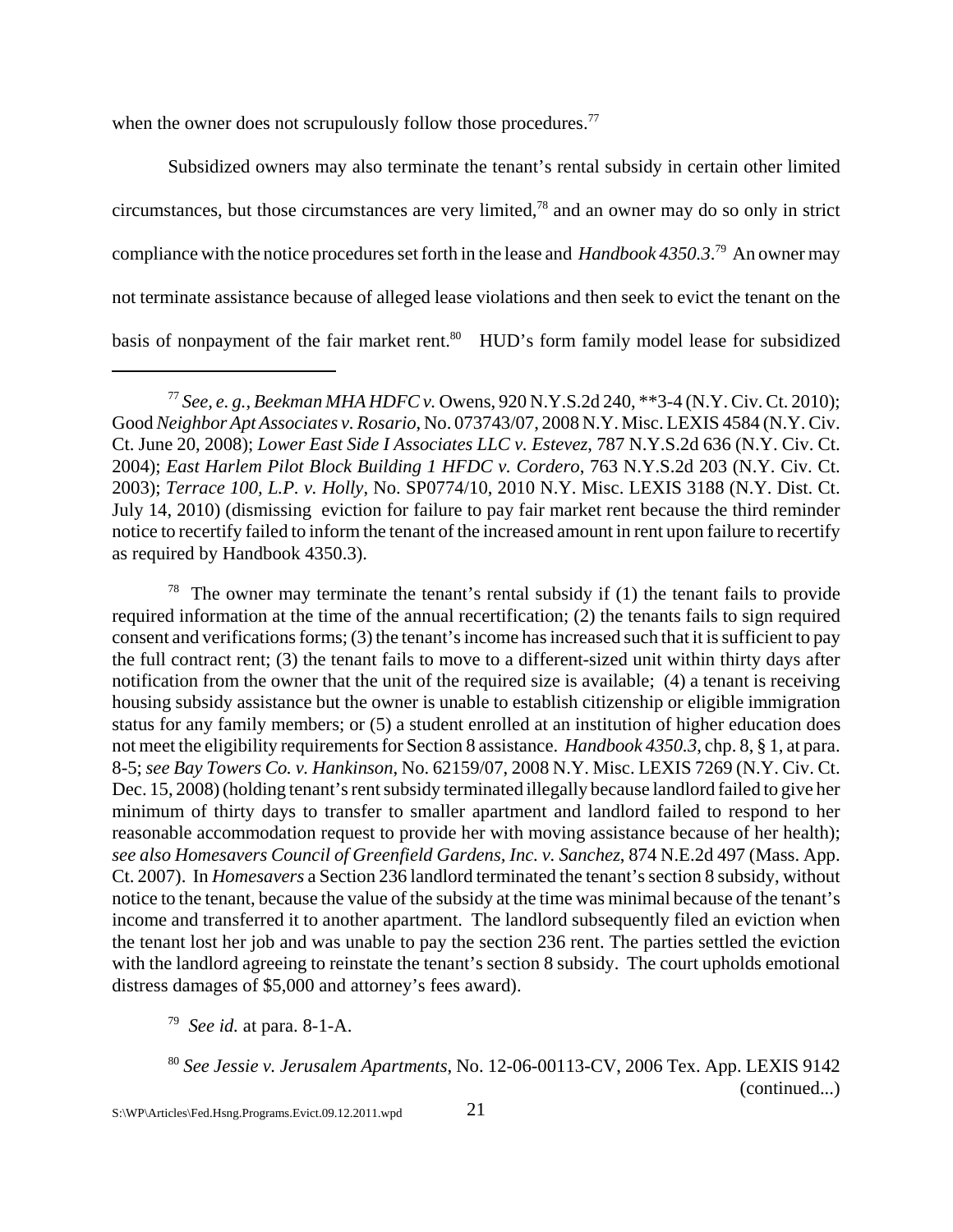when the owner does not scrupulously follow those procedures.<sup>77</sup>

Subsidized owners may also terminate the tenant's rental subsidy in certain other limited circumstances, but those circumstances are very limited,78 and an owner may do so only in strict compliance with the notice procedures set forth in the lease and *Handbook 4350.3*. 79 An owner may not terminate assistance because of alleged lease violations and then seek to evict the tenant on the basis of nonpayment of the fair market rent.<sup>80</sup> HUD's form family model lease for subsidized

<sup>78</sup> The owner may terminate the tenant's rental subsidy if (1) the tenant fails to provide required information at the time of the annual recertification; (2) the tenants fails to sign required consent and verifications forms; (3) the tenant's income has increased such that it is sufficient to pay the full contract rent; (3) the tenant fails to move to a different-sized unit within thirty days after notification from the owner that the unit of the required size is available; (4) a tenant is receiving housing subsidy assistance but the owner is unable to establish citizenship or eligible immigration status for any family members; or (5) a student enrolled at an institution of higher education does not meet the eligibility requirements for Section 8 assistance. *Handbook 4350.3*, chp. 8, § 1, at para. 8-5; *see Bay Towers Co. v. Hankinson*, No. 62159/07, 2008 N.Y. Misc. LEXIS 7269 (N.Y. Civ. Ct. Dec. 15, 2008) (holding tenant's rent subsidy terminated illegally because landlord failed to give her minimum of thirty days to transfer to smaller apartment and landlord failed to respond to her reasonable accommodation request to provide her with moving assistance because of her health); *see also Homesavers Council of Greenfield Gardens, Inc. v. Sanchez*, 874 N.E.2d 497 (Mass. App. Ct. 2007). In *Homesavers* a Section 236 landlord terminated the tenant's section 8 subsidy, without notice to the tenant, because the value of the subsidy at the time was minimal because of the tenant's income and transferred it to another apartment. The landlord subsequently filed an eviction when the tenant lost her job and was unable to pay the section 236 rent. The parties settled the eviction with the landlord agreeing to reinstate the tenant's section 8 subsidy. The court upholds emotional distress damages of \$5,000 and attorney's fees award).

<sup>77</sup> *See, e. g., Beekman MHA HDFC v.* Owens, 920 N.Y.S.2d 240, \*\*3-4 (N.Y. Civ. Ct. 2010); Good *Neighbor Apt Associates v. Rosario*, No. 073743/07, 2008 N.Y. Misc. LEXIS 4584 (N.Y. Civ. Ct. June 20, 2008); *Lower East Side I Associates LLC v. Estevez*, 787 N.Y.S.2d 636 (N.Y. Civ. Ct. 2004); *East Harlem Pilot Block Building 1 HFDC v. Cordero*, 763 N.Y.S.2d 203 (N.Y. Civ. Ct. 2003); *Terrace 100, L.P. v. Holly*, No. SP0774/10, 2010 N.Y. Misc. LEXIS 3188 (N.Y. Dist. Ct. July 14, 2010) (dismissing eviction for failure to pay fair market rent because the third reminder notice to recertify failed to inform the tenant of the increased amount in rent upon failure to recertify as required by Handbook 4350.3).

<sup>79</sup> *See id.* at para. 8-1-A.

<sup>80</sup> *See Jessie v. Jerusalem Apartments*, No. 12-06-00113-CV, 2006 Tex. App. LEXIS 9142 (continued...)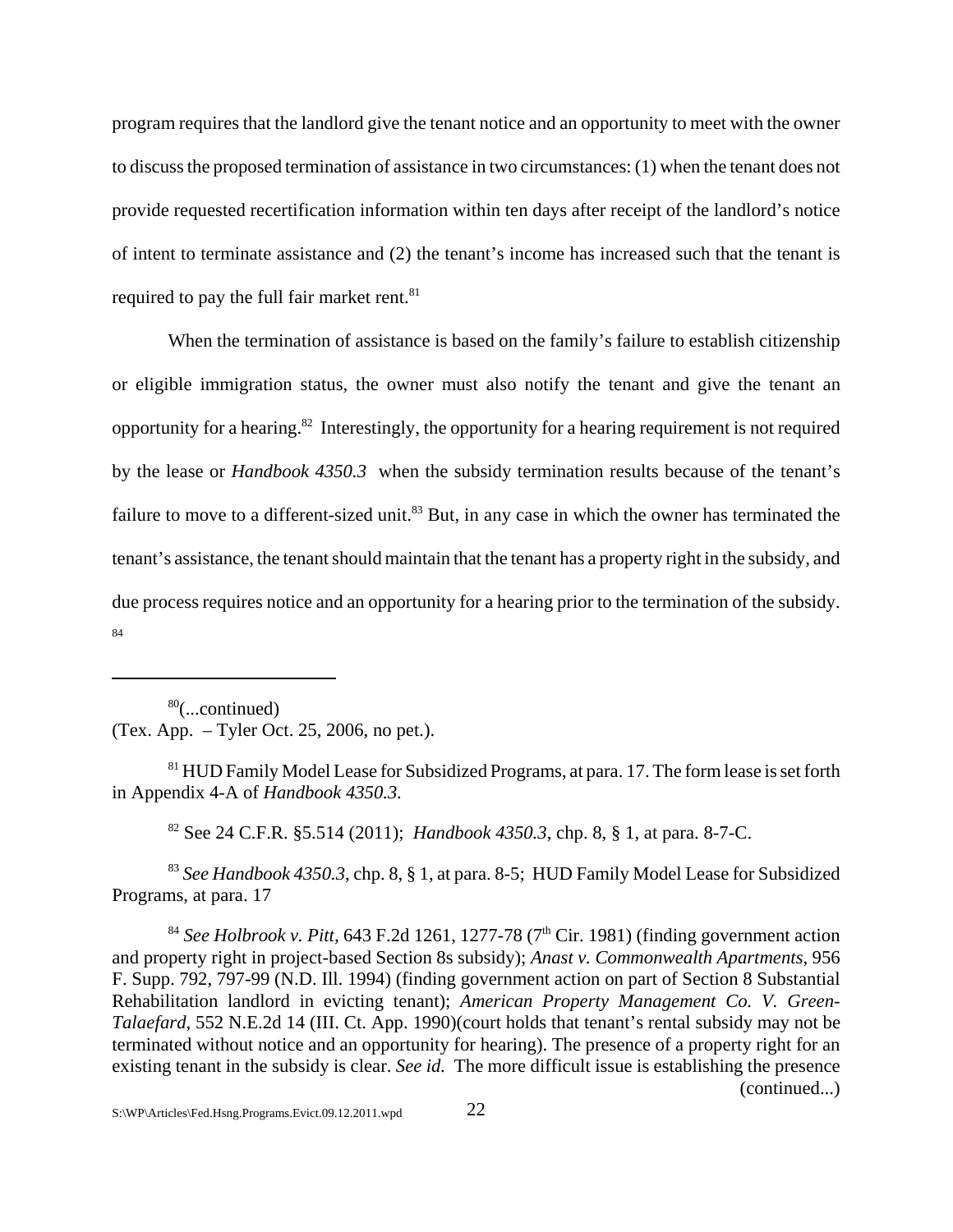program requires that the landlord give the tenant notice and an opportunity to meet with the owner to discuss the proposed termination of assistance in two circumstances: (1) when the tenant does not provide requested recertification information within ten days after receipt of the landlord's notice of intent to terminate assistance and (2) the tenant's income has increased such that the tenant is required to pay the full fair market rent.<sup>81</sup>

When the termination of assistance is based on the family's failure to establish citizenship or eligible immigration status, the owner must also notify the tenant and give the tenant an opportunity for a hearing.82 Interestingly, the opportunity for a hearing requirement is not required by the lease or *Handbook 4350.3* when the subsidy termination results because of the tenant's failure to move to a different-sized unit.<sup>83</sup> But, in any case in which the owner has terminated the tenant's assistance, the tenant should maintain that the tenant has a property right in the subsidy, and due process requires notice and an opportunity for a hearing prior to the termination of the subsidy. 84

80(...continued) (Tex. App. – Tyler Oct. 25, 2006, no pet.).

<sup>81</sup> HUD Family Model Lease for Subsidized Programs, at para. 17. The form lease is set forth in Appendix 4-A of *Handbook 4350.3.*

82 See 24 C.F.R. §5.514 (2011); *Handbook 4350.3*, chp. 8, § 1, at para. 8-7-C.

<sup>83</sup> *See Handbook 4350.3*, chp. 8, § 1, at para. 8-5; HUD Family Model Lease for Subsidized Programs, at para. 17

 $84$  *See Holbrook v. Pitt,* 643 F.2d 1261, 1277-78 ( $7<sup>th</sup>$  Cir. 1981) (finding government action and property right in project-based Section 8s subsidy); *Anast v. Commonwealth Apartments*, 956 F. Supp. 792, 797-99 (N.D. Ill. 1994) (finding government action on part of Section 8 Substantial Rehabilitation landlord in evicting tenant); *American Property Management Co. V. Green-Talaefard*, 552 N.E.2d 14 (III. Ct. App. 1990)(court holds that tenant's rental subsidy may not be terminated without notice and an opportunity for hearing). The presence of a property right for an existing tenant in the subsidy is clear. *See id.* The more difficult issue is establishing the presence (continued...)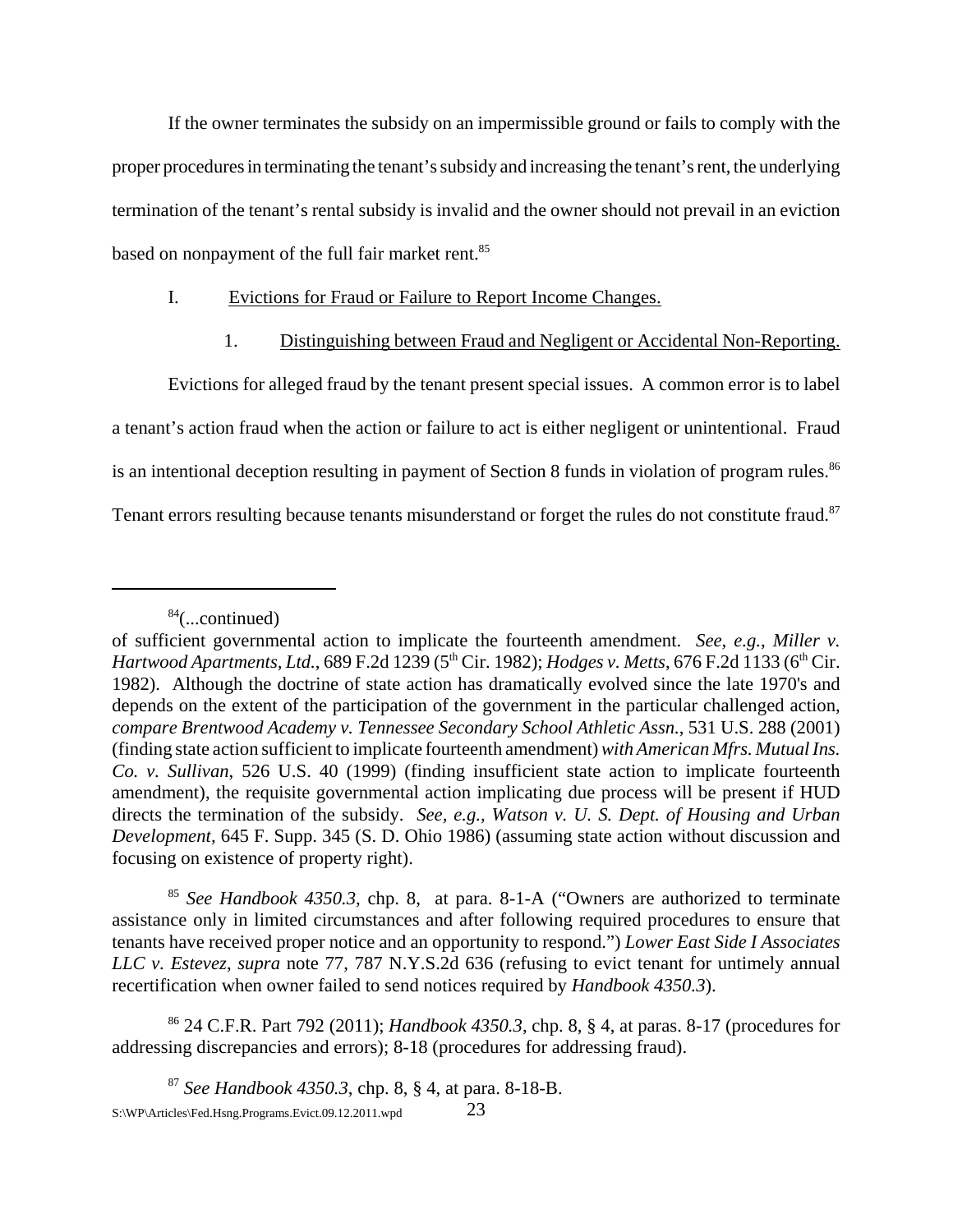If the owner terminates the subsidy on an impermissible ground or fails to comply with the proper procedures in terminating the tenant's subsidy and increasing the tenant's rent, the underlying termination of the tenant's rental subsidy is invalid and the owner should not prevail in an eviction based on nonpayment of the full fair market rent.<sup>85</sup>

## I. Evictions for Fraud or Failure to Report Income Changes.

# 1. Distinguishing between Fraud and Negligent or Accidental Non-Reporting.

Evictions for alleged fraud by the tenant present special issues. A common error is to label a tenant's action fraud when the action or failure to act is either negligent or unintentional. Fraud is an intentional deception resulting in payment of Section 8 funds in violation of program rules.<sup>86</sup> Tenant errors resulting because tenants misunderstand or forget the rules do not constitute fraud.<sup>87</sup>

<sup>85</sup> *See Handbook 4350.3,* chp. 8, at para. 8-1-A ("Owners are authorized to terminate assistance only in limited circumstances and after following required procedures to ensure that tenants have received proper notice and an opportunity to respond.") *Lower East Side I Associates LLC v. Estevez*, *supra* note 77, 787 N.Y.S.2d 636 (refusing to evict tenant for untimely annual recertification when owner failed to send notices required by *Handbook 4350.3*).

86 24 C.F.R. Part 792 (2011); *Handbook 4350.3*, chp. 8, § 4, at paras. 8-17 (procedures for addressing discrepancies and errors); 8-18 (procedures for addressing fraud).

<sup>87</sup> *See Handbook 4350.3*, chp. 8, § 4, at para. 8-18-B. S:\WP\Articles\Fed.Hsng.Programs.Evict.09.12.2011.wpd 23

 $84$ (...continued)

of sufficient governmental action to implicate the fourteenth amendment. *See, e.g.*, *Miller v. Hartwood Apartments, Ltd., 689 F.2d 1239 (5<sup>th</sup> Cir. 1982); <i>Hodges v. Metts, 676 F.2d 1133 (6<sup>th</sup> Cir.* 1982). Although the doctrine of state action has dramatically evolved since the late 1970's and depends on the extent of the participation of the government in the particular challenged action, *compare Brentwood Academy v. Tennessee Secondary School Athletic Assn.*, 531 U.S. 288 (2001) (finding state action sufficient to implicate fourteenth amendment) *with American Mfrs. Mutual Ins. Co. v. Sullivan*, 526 U.S. 40 (1999) (finding insufficient state action to implicate fourteenth amendment), the requisite governmental action implicating due process will be present if HUD directs the termination of the subsidy. *See, e.g., Watson v. U. S. Dept. of Housing and Urban Development,* 645 F. Supp. 345 (S. D. Ohio 1986) (assuming state action without discussion and focusing on existence of property right).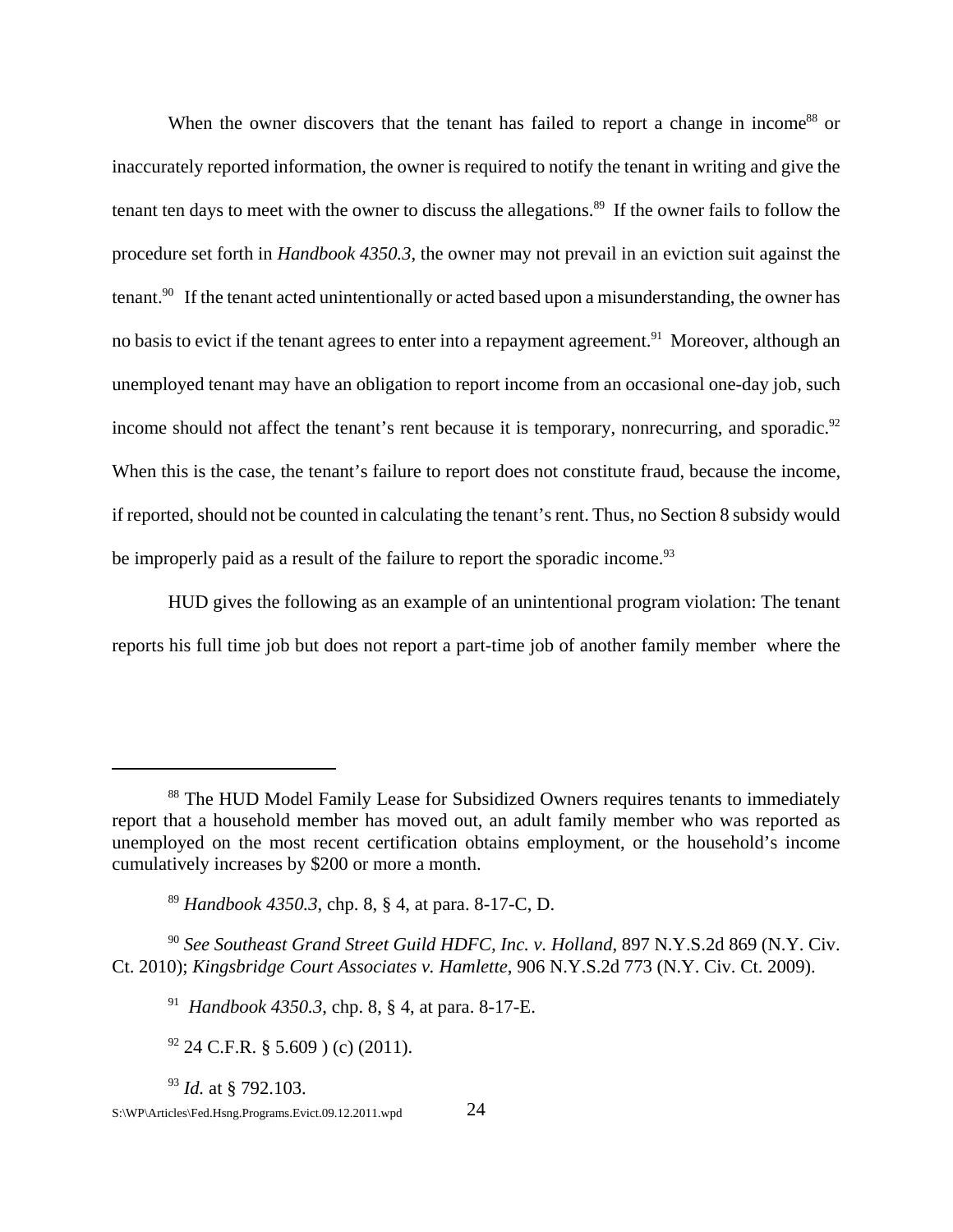When the owner discovers that the tenant has failed to report a change in income<sup>88</sup> or inaccurately reported information, the owner is required to notify the tenant in writing and give the tenant ten days to meet with the owner to discuss the allegations.<sup>89</sup> If the owner fails to follow the procedure set forth in *Handbook 4350.3*, the owner may not prevail in an eviction suit against the tenant.<sup>90</sup> If the tenant acted unintentionally or acted based upon a misunderstanding, the owner has no basis to evict if the tenant agrees to enter into a repayment agreement.<sup>91</sup> Moreover, although an unemployed tenant may have an obligation to report income from an occasional one-day job, such income should not affect the tenant's rent because it is temporary, nonrecurring, and sporadic. $92$ When this is the case, the tenant's failure to report does not constitute fraud, because the income, if reported, should not be counted in calculating the tenant's rent. Thus, no Section 8 subsidy would be improperly paid as a result of the failure to report the sporadic income.<sup>93</sup>

HUD gives the following as an example of an unintentional program violation: The tenant reports his full time job but does not report a part-time job of another family member where the

<sup>93</sup> *Id.* at § 792.103.

<sup>&</sup>lt;sup>88</sup> The HUD Model Family Lease for Subsidized Owners requires tenants to immediately report that a household member has moved out, an adult family member who was reported as unemployed on the most recent certification obtains employment, or the household's income cumulatively increases by \$200 or more a month.

<sup>89</sup> *Handbook 4350.3*, chp. 8, § 4, at para. 8-17-C, D.

<sup>90</sup> *See Southeast Grand Street Guild HDFC, Inc. v. Holland*, 897 N.Y.S.2d 869 (N.Y. Civ. Ct. 2010); *Kingsbridge Court Associates v. Hamlette*, 906 N.Y.S.2d 773 (N.Y. Civ. Ct. 2009).

<sup>91</sup> *Handbook 4350.3*, chp. 8, § 4, at para. 8-17-E.

 $92$  24 C.F.R. § 5.609 ) (c) (2011).

S:\WP\Articles\Fed.Hsng.Programs.Evict.09.12.2011.wpd 24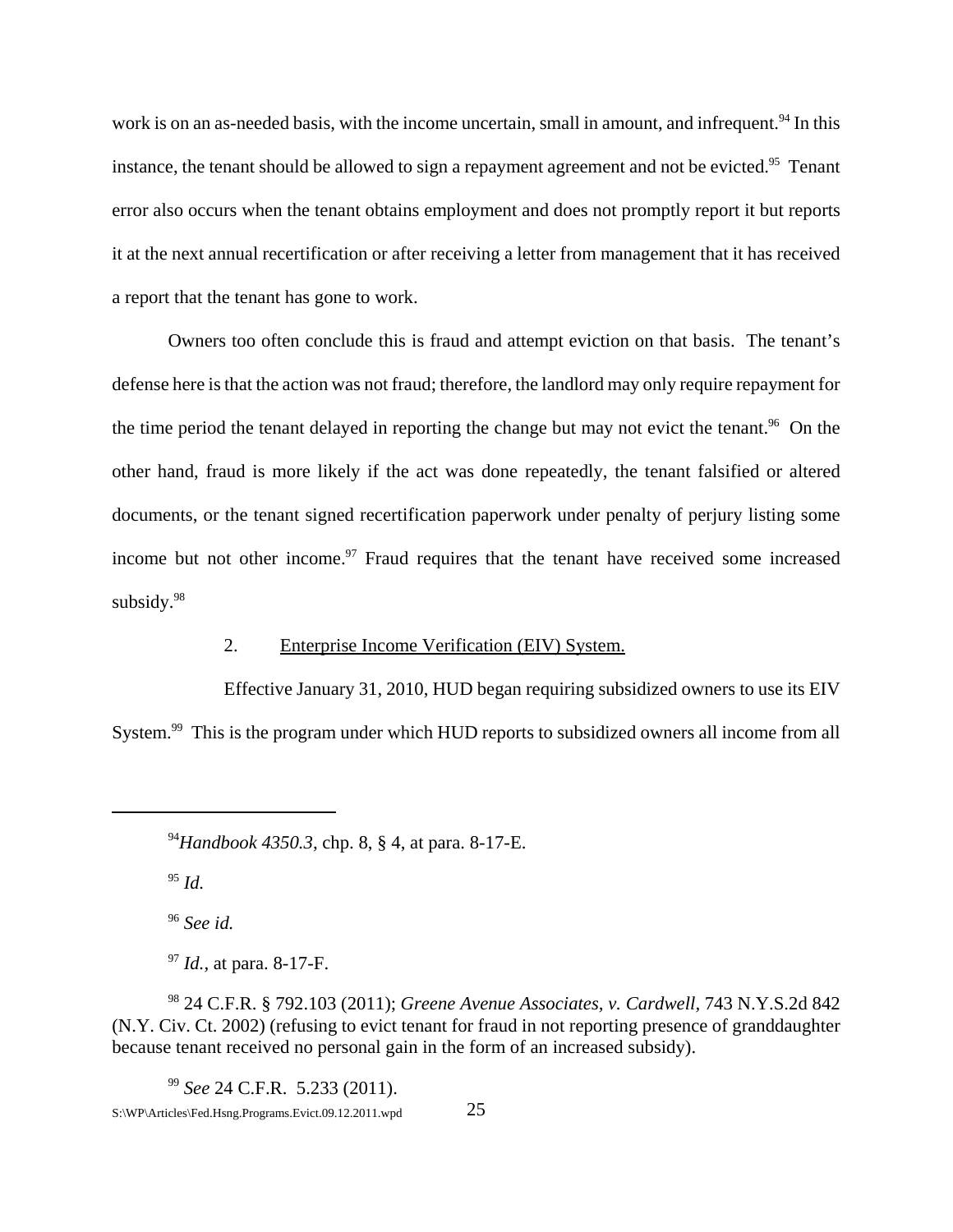work is on an as-needed basis, with the income uncertain, small in amount, and infrequent.<sup>94</sup> In this instance, the tenant should be allowed to sign a repayment agreement and not be evicted.<sup>95</sup> Tenant error also occurs when the tenant obtains employment and does not promptly report it but reports it at the next annual recertification or after receiving a letter from management that it has received a report that the tenant has gone to work.

Owners too often conclude this is fraud and attempt eviction on that basis. The tenant's defense here is that the action was not fraud; therefore, the landlord may only require repayment for the time period the tenant delayed in reporting the change but may not evict the tenant.<sup>96</sup> On the other hand, fraud is more likely if the act was done repeatedly, the tenant falsified or altered documents, or the tenant signed recertification paperwork under penalty of perjury listing some income but not other income.<sup>97</sup> Fraud requires that the tenant have received some increased subsidy.<sup>98</sup>

#### 2. Enterprise Income Verification (EIV) System.

Effective January 31, 2010, HUD began requiring subsidized owners to use its EIV System.<sup>99</sup> This is the program under which HUD reports to subsidized owners all income from all

<sup>95</sup> *Id.*

<sup>96</sup> *See id.*

<sup>97</sup> *Id.,* at para. 8-17-F.

98 24 C.F.R. § 792.103 (2011); *Greene Avenue Associates, v. Cardwell,* 743 N.Y.S.2d 842 (N.Y. Civ. Ct. 2002) (refusing to evict tenant for fraud in not reporting presence of granddaughter because tenant received no personal gain in the form of an increased subsidy).

<sup>99</sup> *See* 24 C.F.R. 5.233 (2011).

<sup>94</sup>*Handbook 4350.3*, chp. 8, § 4, at para. 8-17-E.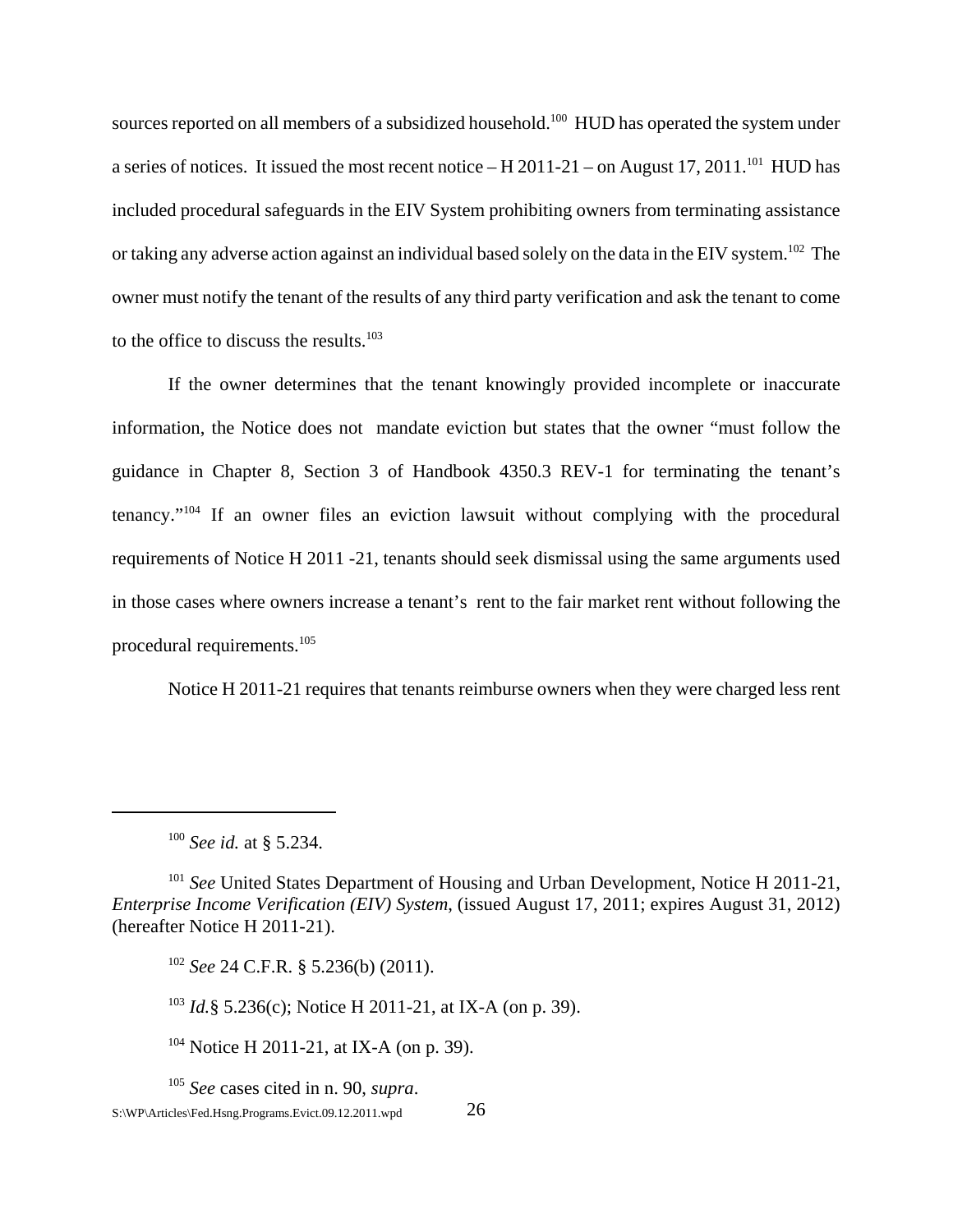sources reported on all members of a subsidized household.<sup>100</sup> HUD has operated the system under a series of notices. It issued the most recent notice – H 2011-21 – on August 17, 2011.<sup>101</sup> HUD has included procedural safeguards in the EIV System prohibiting owners from terminating assistance or taking any adverse action against an individual based solely on the data in the EIV system.<sup>102</sup> The owner must notify the tenant of the results of any third party verification and ask the tenant to come to the office to discuss the results.<sup>103</sup>

If the owner determines that the tenant knowingly provided incomplete or inaccurate information, the Notice does not mandate eviction but states that the owner "must follow the guidance in Chapter 8, Section 3 of Handbook 4350.3 REV-1 for terminating the tenant's tenancy."104 If an owner files an eviction lawsuit without complying with the procedural requirements of Notice H 2011 -21, tenants should seek dismissal using the same arguments used in those cases where owners increase a tenant's rent to the fair market rent without following the procedural requirements.105

Notice H 2011-21 requires that tenants reimburse owners when they were charged less rent

<sup>103</sup> *Id.*§ 5.236(c); Notice H 2011-21, at IX-A (on p. 39).

<sup>104</sup> Notice H 2011-21, at IX-A (on p. 39).

<sup>105</sup> *See* cases cited in n. 90, *supra*.  $S:\W{P\}$ Articles\Fed.Hsng.Programs.Evict.09.12.2011.wpd  $26$ 

<sup>100</sup> *See id.* at § 5.234.

<sup>101</sup> *See* United States Department of Housing and Urban Development, Notice H 2011-21, *Enterprise Income Verification (EIV) System*, (issued August 17, 2011; expires August 31, 2012) (hereafter Notice H 2011-21).

<sup>102</sup> *See* 24 C.F.R. § 5.236(b) (2011).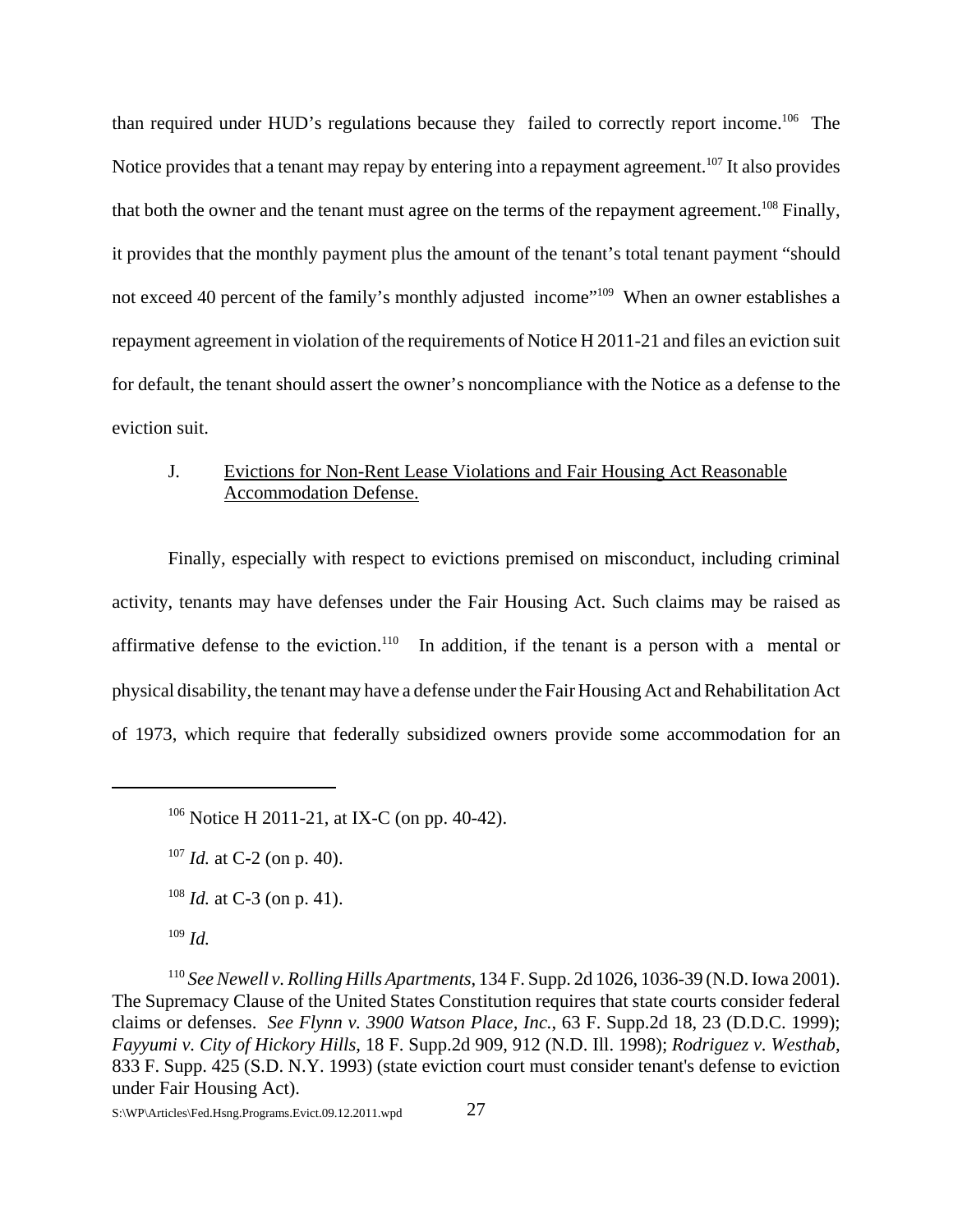than required under HUD's regulations because they failed to correctly report income.106 The Notice provides that a tenant may repay by entering into a repayment agreement.<sup>107</sup> It also provides that both the owner and the tenant must agree on the terms of the repayment agreement.<sup>108</sup> Finally, it provides that the monthly payment plus the amount of the tenant's total tenant payment "should not exceed 40 percent of the family's monthly adjusted income"<sup>109</sup> When an owner establishes a repayment agreement in violation of the requirements of Notice H 2011-21 and files an eviction suit for default, the tenant should assert the owner's noncompliance with the Notice as a defense to the eviction suit.

# J. Evictions for Non-Rent Lease Violations and Fair Housing Act Reasonable Accommodation Defense.

Finally, especially with respect to evictions premised on misconduct, including criminal activity, tenants may have defenses under the Fair Housing Act. Such claims may be raised as affirmative defense to the eviction.<sup>110</sup> In addition, if the tenant is a person with a mental or physical disability, the tenant may have a defense under the Fair Housing Act and Rehabilitation Act of 1973, which require that federally subsidized owners provide some accommodation for an

<sup>107</sup> *Id.* at C-2 (on p. 40).

<sup>106</sup> Notice H 2011-21, at IX-C (on pp. 40-42).

<sup>108</sup> *Id.* at C-3 (on p. 41).

<sup>109</sup> *Id.*

<sup>110</sup> *See Newell v. Rolling Hills Apartments*, 134 F. Supp. 2d 1026, 1036-39 (N.D. Iowa 2001). The Supremacy Clause of the United States Constitution requires that state courts consider federal claims or defenses. *See Flynn v. 3900 Watson Place, Inc.*, 63 F. Supp.2d 18, 23 (D.D.C. 1999); *Fayyumi v. City of Hickory Hills*, 18 F. Supp.2d 909, 912 (N.D. Ill. 1998); *Rodriguez v. Westhab*, 833 F. Supp. 425 (S.D. N.Y. 1993) (state eviction court must consider tenant's defense to eviction under Fair Housing Act).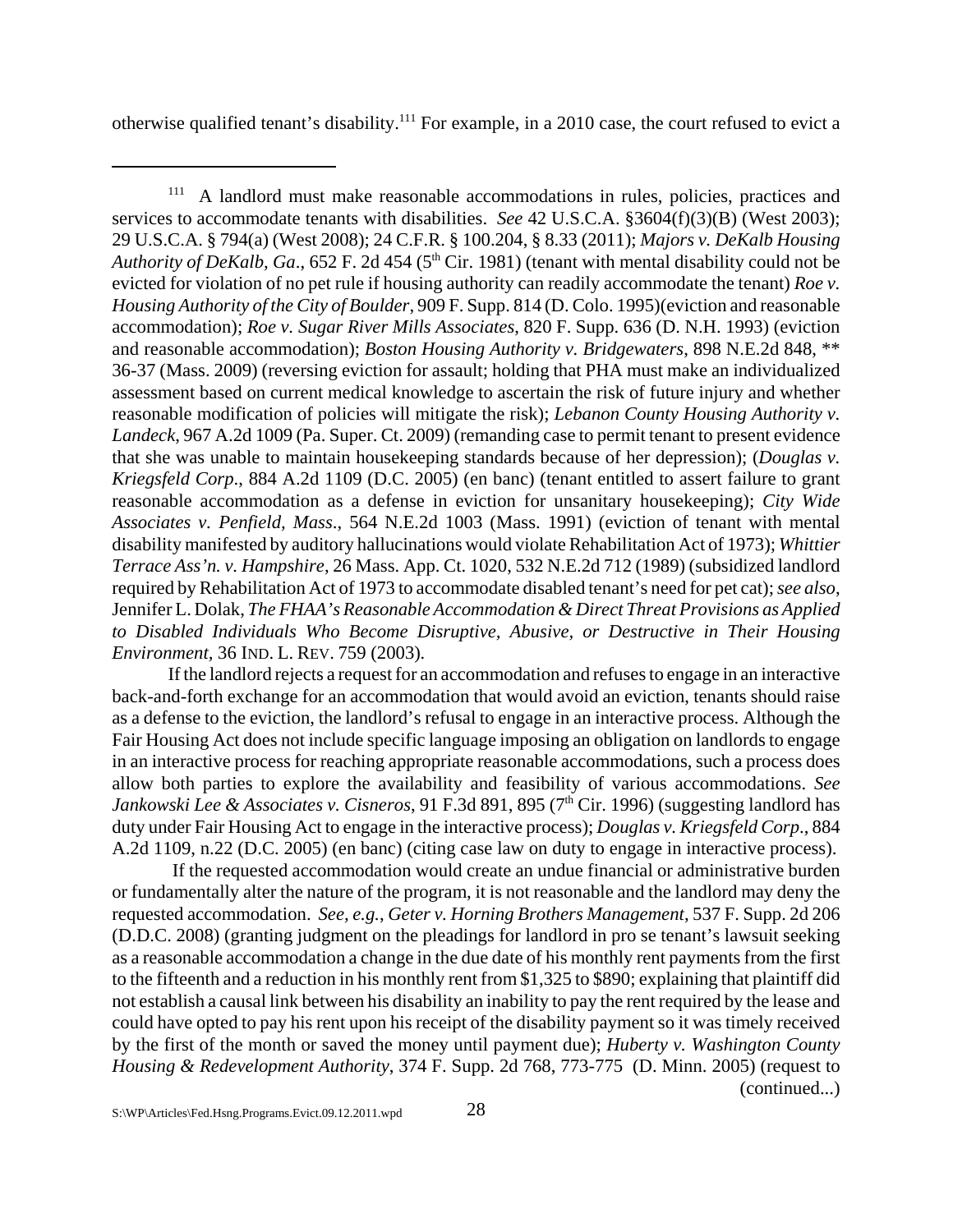otherwise qualified tenant's disability.111 For example, in a 2010 case, the court refused to evict a

If the landlord rejects a request for an accommodation and refuses to engage in an interactive back-and-forth exchange for an accommodation that would avoid an eviction, tenants should raise as a defense to the eviction, the landlord's refusal to engage in an interactive process. Although the Fair Housing Act does not include specific language imposing an obligation on landlords to engage in an interactive process for reaching appropriate reasonable accommodations, such a process does allow both parties to explore the availability and feasibility of various accommodations. *See Jankowski Lee & Associates v. Cisneros*, 91 F.3d 891, 895 (7<sup>th</sup> Cir. 1996) (suggesting landlord has duty under Fair Housing Act to engage in the interactive process); *Douglas v. Kriegsfeld Corp*., 884 A.2d 1109, n.22 (D.C. 2005) (en banc) (citing case law on duty to engage in interactive process).

 If the requested accommodation would create an undue financial or administrative burden or fundamentally alter the nature of the program, it is not reasonable and the landlord may deny the requested accommodation. *See, e.g.*, *Geter v. Horning Brothers Management*, 537 F. Supp. 2d 206 (D.D.C. 2008) (granting judgment on the pleadings for landlord in pro se tenant's lawsuit seeking as a reasonable accommodation a change in the due date of his monthly rent payments from the first to the fifteenth and a reduction in his monthly rent from \$1,325 to \$890; explaining that plaintiff did not establish a causal link between his disability an inability to pay the rent required by the lease and could have opted to pay his rent upon his receipt of the disability payment so it was timely received by the first of the month or saved the money until payment due); *Huberty v. Washington County Housing & Redevelopment Authority*, 374 F. Supp. 2d 768, 773-775 (D. Minn. 2005) (request to (continued...)

<sup>&</sup>lt;sup>111</sup> A landlord must make reasonable accommodations in rules, policies, practices and services to accommodate tenants with disabilities. *See* 42 U.S.C.A. §3604(f)(3)(B) (West 2003); 29 U.S.C.A. § 794(a) (West 2008); 24 C.F.R. § 100.204, § 8.33 (2011); *Majors v. DeKalb Housing Authority of DeKalb, Ga., 652 F. 2d 454 (5<sup>th</sup> Cir. 1981) (tenant with mental disability could not be* evicted for violation of no pet rule if housing authority can readily accommodate the tenant) *Roe v. Housing Authority of the City of Boulder*, 909 F. Supp. 814 (D. Colo. 1995)(eviction and reasonable accommodation); *Roe v. Sugar River Mills Associates*, 820 F. Supp. 636 (D. N.H. 1993) (eviction and reasonable accommodation); *Boston Housing Authority v. Bridgewaters*, 898 N.E.2d 848, \*\* 36-37 (Mass. 2009) (reversing eviction for assault; holding that PHA must make an individualized assessment based on current medical knowledge to ascertain the risk of future injury and whether reasonable modification of policies will mitigate the risk); *Lebanon County Housing Authority v. Landeck*, 967 A.2d 1009 (Pa. Super. Ct. 2009) (remanding case to permit tenant to present evidence that she was unable to maintain housekeeping standards because of her depression); (*Douglas v. Kriegsfeld Corp*., 884 A.2d 1109 (D.C. 2005) (en banc) (tenant entitled to assert failure to grant reasonable accommodation as a defense in eviction for unsanitary housekeeping); *City Wide Associates v. Penfield, Mass*., 564 N.E.2d 1003 (Mass. 1991) (eviction of tenant with mental disability manifested by auditory hallucinations would violate Rehabilitation Act of 1973); *Whittier Terrace Ass'n. v. Hampshire*, 26 Mass. App. Ct. 1020, 532 N.E.2d 712 (1989) (subsidized landlord required by Rehabilitation Act of 1973 to accommodate disabled tenant's need for pet cat); *see also*, Jennifer L. Dolak, *The FHAA's Reasonable Accommodation & Direct Threat Provisions as Applied to Disabled Individuals Who Become Disruptive, Abusive, or Destructive in Their Housing Environment,* 36 IND. L. REV. 759 (2003)*.*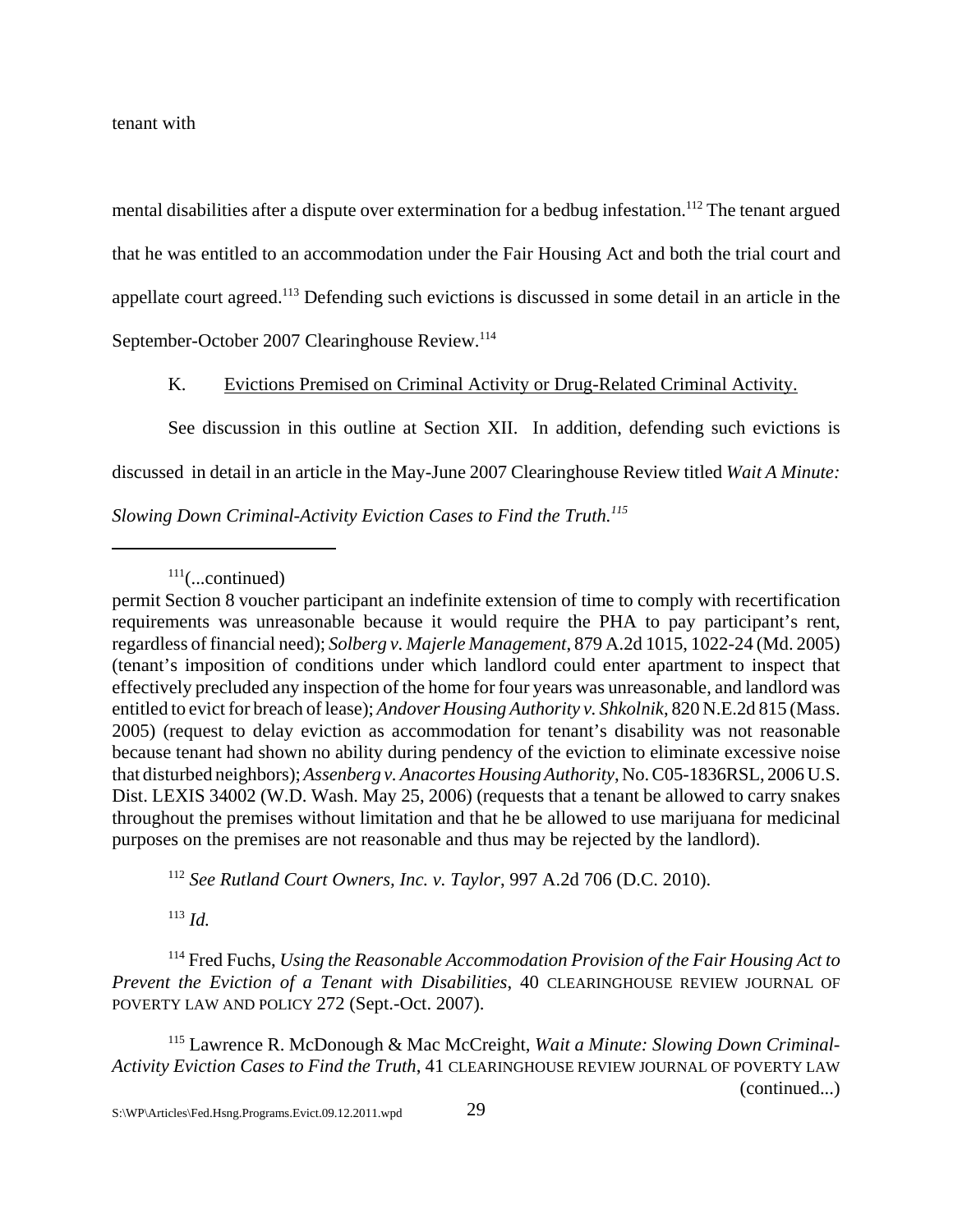tenant with

mental disabilities after a dispute over extermination for a bedbug infestation.<sup>112</sup> The tenant argued that he was entitled to an accommodation under the Fair Housing Act and both the trial court and appellate court agreed.113 Defending such evictions is discussed in some detail in an article in the September-October 2007 Clearinghouse Review.<sup>114</sup>

K. Evictions Premised on Criminal Activity or Drug-Related Criminal Activity.

See discussion in this outline at Section XII. In addition, defending such evictions is discussed in detail in an article in the May-June 2007 Clearinghouse Review titled *Wait A Minute: Slowing Down Criminal-Activity Eviction Cases to Find the Truth.115*

 $111$ (...continued)

<sup>112</sup> *See Rutland Court Owners, Inc. v. Taylor*, 997 A.2d 706 (D.C. 2010).

<sup>113</sup> *Id.*

114 Fred Fuchs, *Using the Reasonable Accommodation Provision of the Fair Housing Act to Prevent the Eviction of a Tenant with Disabilities*, 40 CLEARINGHOUSE REVIEW JOURNAL OF POVERTY LAW AND POLICY 272 (Sept.-Oct. 2007).

115 Lawrence R. McDonough & Mac McCreight, *Wait a Minute: Slowing Down Criminal-Activity Eviction Cases to Find the Truth*, 41 CLEARINGHOUSE REVIEW JOURNAL OF POVERTY LAW (continued...)

permit Section 8 voucher participant an indefinite extension of time to comply with recertification requirements was unreasonable because it would require the PHA to pay participant's rent, regardless of financial need); *Solberg v. Majerle Management*, 879 A.2d 1015, 1022-24 (Md. 2005) (tenant's imposition of conditions under which landlord could enter apartment to inspect that effectively precluded any inspection of the home for four years was unreasonable, and landlord was entitled to evict for breach of lease); *Andover Housing Authority v. Shkolnik*, 820 N.E.2d 815 (Mass. 2005) (request to delay eviction as accommodation for tenant's disability was not reasonable because tenant had shown no ability during pendency of the eviction to eliminate excessive noise that disturbed neighbors); *Assenberg v. Anacortes Housing Authority*, No. C05-1836RSL, 2006 U.S. Dist. LEXIS 34002 (W.D. Wash. May 25, 2006) (requests that a tenant be allowed to carry snakes throughout the premises without limitation and that he be allowed to use marijuana for medicinal purposes on the premises are not reasonable and thus may be rejected by the landlord).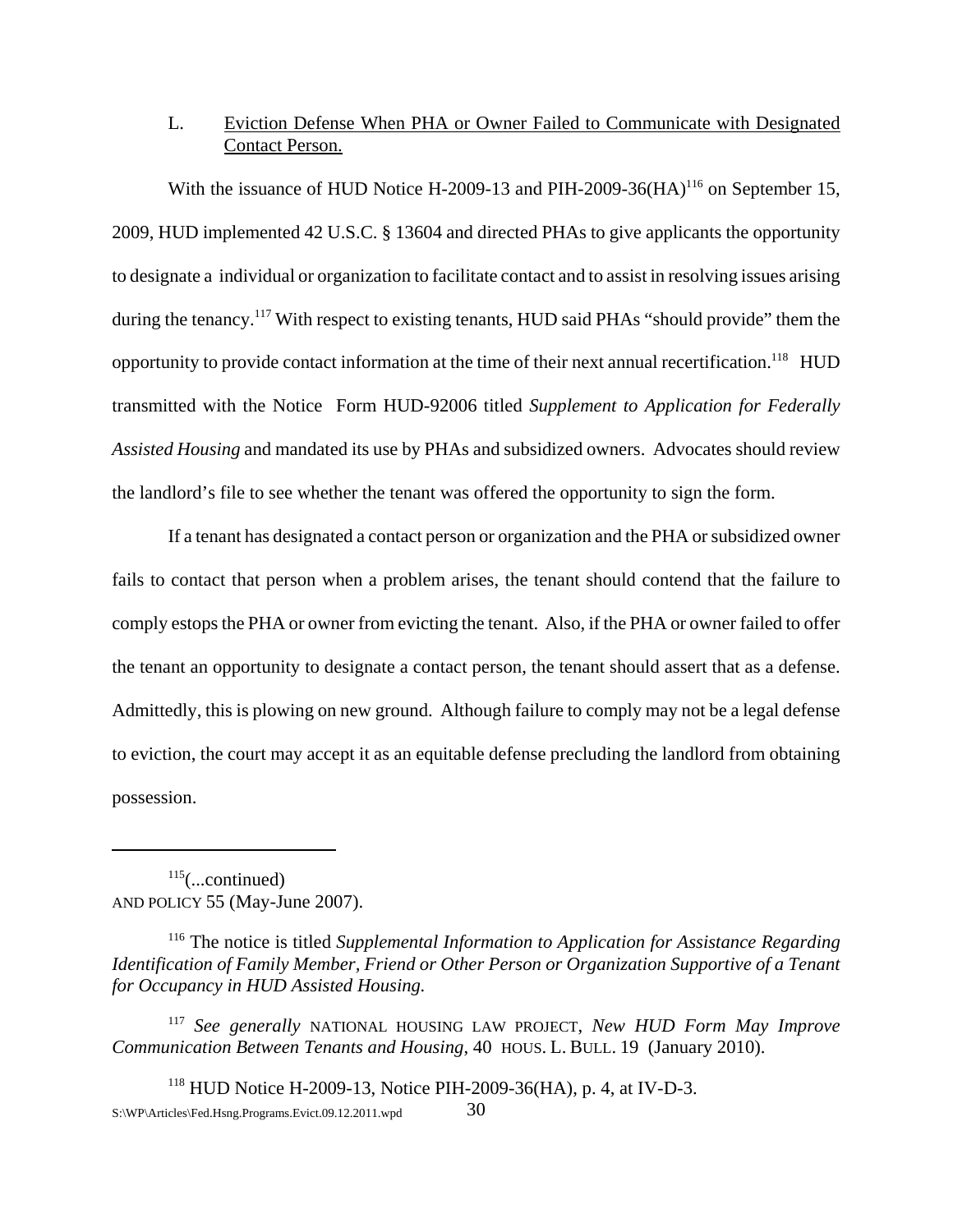# L. Eviction Defense When PHA or Owner Failed to Communicate with Designated Contact Person.

With the issuance of HUD Notice H-2009-13 and PIH-2009-36(HA)<sup>116</sup> on September 15, 2009, HUD implemented 42 U.S.C. § 13604 and directed PHAs to give applicants the opportunity to designate a individual or organization to facilitate contact and to assist in resolving issues arising during the tenancy.<sup>117</sup> With respect to existing tenants, HUD said PHAs "should provide" them the opportunity to provide contact information at the time of their next annual recertification.<sup>118</sup> HUD transmitted with the Notice Form HUD-92006 titled *Supplement to Application for Federally Assisted Housing* and mandated its use by PHAs and subsidized owners. Advocates should review the landlord's file to see whether the tenant was offered the opportunity to sign the form.

If a tenant has designated a contact person or organization and the PHA or subsidized owner fails to contact that person when a problem arises, the tenant should contend that the failure to comply estops the PHA or owner from evicting the tenant. Also, if the PHA or owner failed to offer the tenant an opportunity to designate a contact person, the tenant should assert that as a defense. Admittedly, this is plowing on new ground. Although failure to comply may not be a legal defense to eviction, the court may accept it as an equitable defense precluding the landlord from obtaining possession.

 $115$ (...continued) AND POLICY 55 (May-June 2007).

116 The notice is titled *Supplemental Information to Application for Assistance Regarding Identification of Family Member, Friend or Other Person or Organization Supportive of a Tenant for Occupancy in HUD Assisted Housing.* 

<sup>117</sup> *See generally* NATIONAL HOUSING LAW PROJECT, *New HUD Form May Improve Communication Between Tenants and Housing*, 40 HOUS. L. BULL. 19 (January 2010).

118 HUD Notice H-2009-13, Notice PIH-2009-36(HA), p. 4, at IV-D-3.  $S:\W{P\Afterticles\Fed.Hsng.Programs.Evict.09.12.2011.wpd}$  30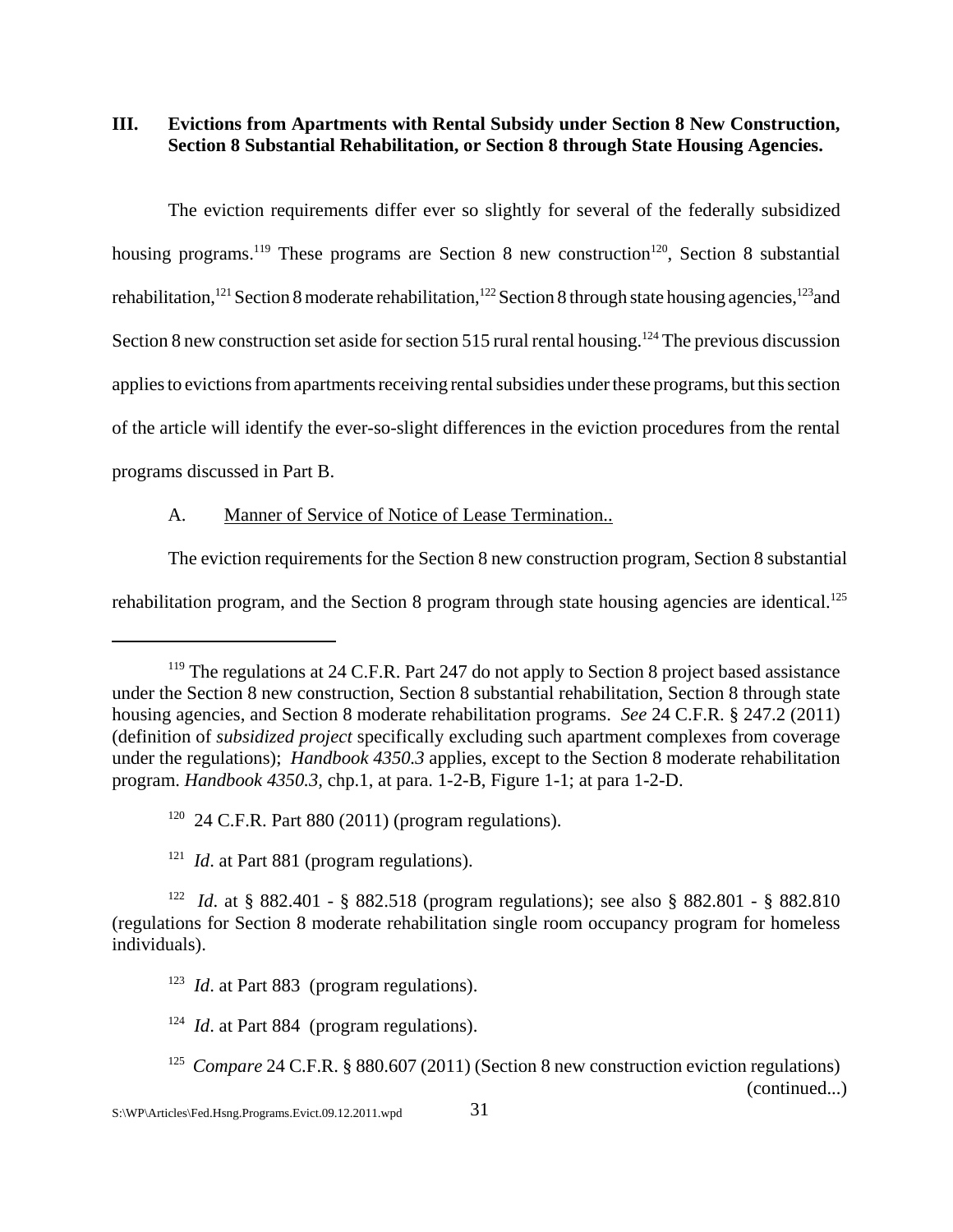**III. Evictions from Apartments with Rental Subsidy under Section 8 New Construction, Section 8 Substantial Rehabilitation, or Section 8 through State Housing Agencies.**

The eviction requirements differ ever so slightly for several of the federally subsidized housing programs.<sup>119</sup> These programs are Section 8 new construction<sup>120</sup>, Section 8 substantial rehabilitation,<sup>121</sup> Section 8 moderate rehabilitation,<sup>122</sup> Section 8 through state housing agencies,<sup>123</sup> and Section 8 new construction set aside for section 515 rural rental housing.<sup>124</sup> The previous discussion applies to evictions from apartments receiving rental subsidies under these programs, but this section of the article will identify the ever-so-slight differences in the eviction procedures from the rental programs discussed in Part B.

## A. Manner of Service of Notice of Lease Termination..

The eviction requirements for the Section 8 new construction program, Section 8 substantial rehabilitation program, and the Section 8 program through state housing agencies are identical.<sup>125</sup>

<sup>&</sup>lt;sup>119</sup> The regulations at 24 C.F.R. Part 247 do not apply to Section 8 project based assistance under the Section 8 new construction, Section 8 substantial rehabilitation, Section 8 through state housing agencies, and Section 8 moderate rehabilitation programs. *See* 24 C.F.R. § 247.2 (2011) (definition of *subsidized project* specifically excluding such apartment complexes from coverage under the regulations); *Handbook 4350.3* applies, except to the Section 8 moderate rehabilitation program. *Handbook 4350.3,* chp.1, at para. 1-2-B, Figure 1-1; at para 1-2-D.

 $120$  24 C.F.R. Part 880 (2011) (program regulations).

<sup>&</sup>lt;sup>121</sup> *Id.* at Part 881 (program regulations).

<sup>122</sup> *Id*. at § 882.401 - § 882.518 (program regulations); see also § 882.801 - § 882.810 (regulations for Section 8 moderate rehabilitation single room occupancy program for homeless individuals).

<sup>&</sup>lt;sup>123</sup> *Id.* at Part 883 (program regulations).

<sup>&</sup>lt;sup>124</sup> *Id.* at Part 884 (program regulations).

<sup>&</sup>lt;sup>125</sup> *Compare* 24 C.F.R. § 880.607 (2011) (Section 8 new construction eviction regulations) (continued...)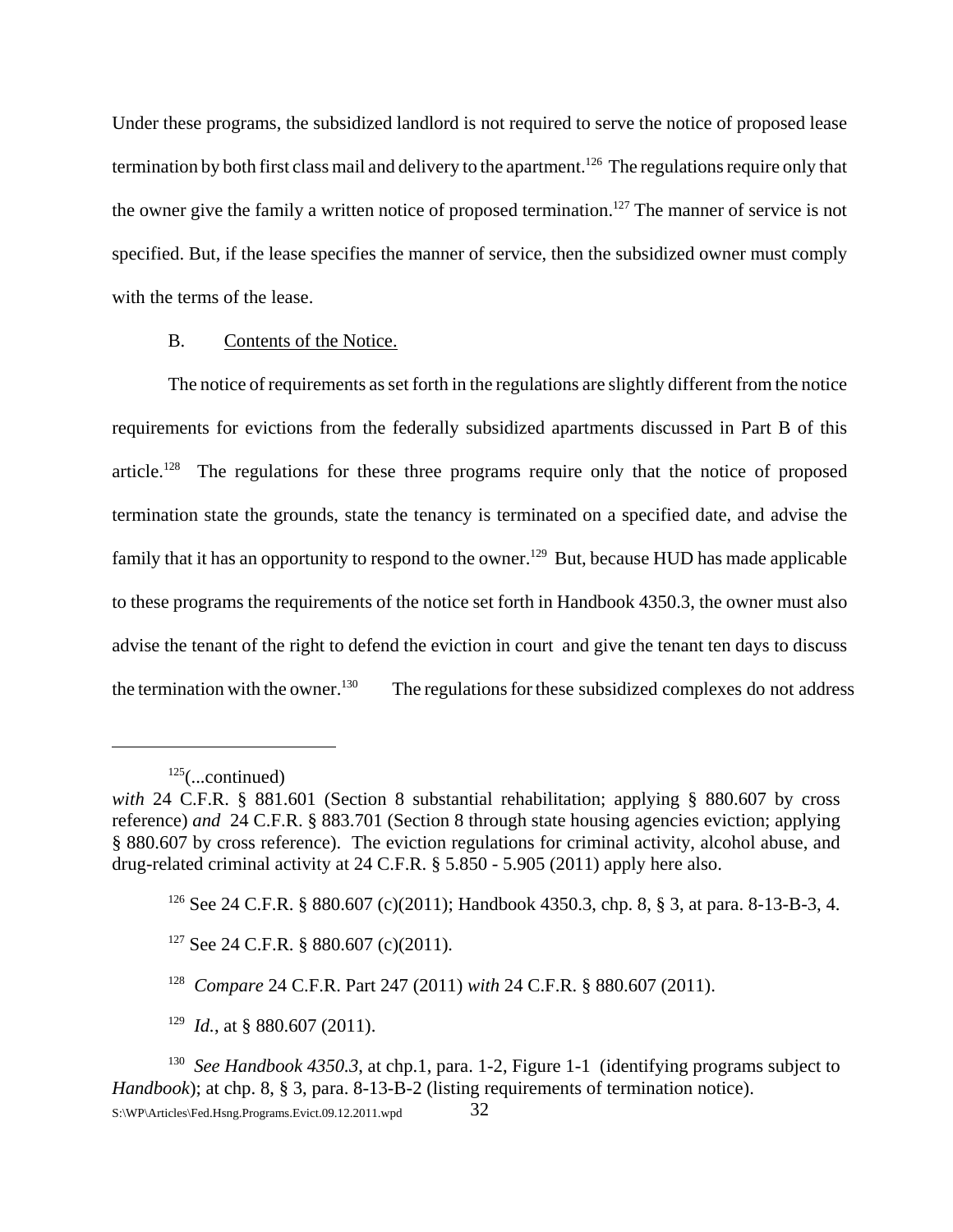Under these programs, the subsidized landlord is not required to serve the notice of proposed lease termination by both first class mail and delivery to the apartment.<sup>126</sup> The regulations require only that the owner give the family a written notice of proposed termination.<sup>127</sup> The manner of service is not specified. But, if the lease specifies the manner of service, then the subsidized owner must comply with the terms of the lease.

#### B. Contents of the Notice.

The notice of requirements as set forth in the regulations are slightly different from the notice requirements for evictions from the federally subsidized apartments discussed in Part B of this article.<sup>128</sup> The regulations for these three programs require only that the notice of proposed termination state the grounds, state the tenancy is terminated on a specified date, and advise the family that it has an opportunity to respond to the owner.<sup>129</sup> But, because HUD has made applicable to these programs the requirements of the notice set forth in Handbook 4350.3, the owner must also advise the tenant of the right to defend the eviction in court and give the tenant ten days to discuss the termination with the owner.<sup>130</sup> The regulations for these subsidized complexes do not address

<sup>129</sup> *Id.*, at § 880.607 (2011).

 $125$ (...continued)

*with* 24 C.F.R. § 881.601 (Section 8 substantial rehabilitation; applying § 880.607 by cross reference) *and* 24 C.F.R. § 883.701 (Section 8 through state housing agencies eviction; applying § 880.607 by cross reference). The eviction regulations for criminal activity, alcohol abuse, and drug-related criminal activity at 24 C.F.R. § 5.850 - 5.905 (2011) apply here also.

<sup>126</sup> See 24 C.F.R. § 880.607 (c)(2011); Handbook 4350.3, chp. 8, § 3, at para. 8-13-B-3, 4.

<sup>127</sup> See 24 C.F.R. § 880.607 (c)(2011)*.*

<sup>128</sup> *Compare* 24 C.F.R. Part 247 (2011) *with* 24 C.F.R. § 880.607 (2011).

<sup>&</sup>lt;sup>130</sup> *See Handbook 4350.3*, at chp.1, para. 1-2, Figure 1-1 (identifying programs subject to *Handbook*); at chp. 8, § 3, para. 8-13-B-2 (listing requirements of termination notice). S:\WP\Articles\Fed.Hsng.Programs.Evict.09.12.2011.wpd 32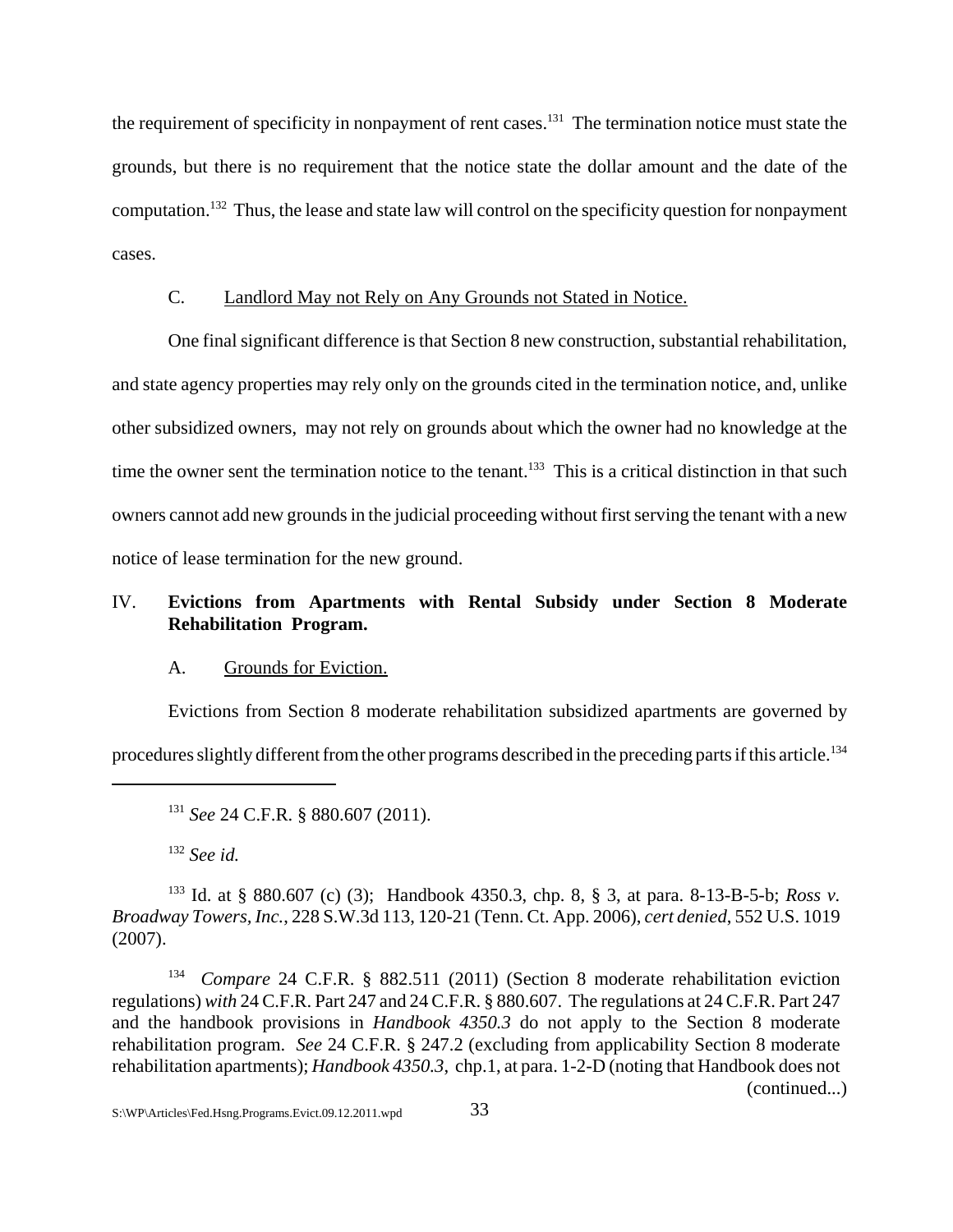the requirement of specificity in nonpayment of rent cases.<sup>131</sup> The termination notice must state the grounds, but there is no requirement that the notice state the dollar amount and the date of the computation.132 Thus, the lease and state law will control on the specificity question for nonpayment cases.

#### C. Landlord May not Rely on Any Grounds not Stated in Notice.

One final significant difference is that Section 8 new construction, substantial rehabilitation, and state agency properties may rely only on the grounds cited in the termination notice, and, unlike other subsidized owners, may not rely on grounds about which the owner had no knowledge at the time the owner sent the termination notice to the tenant.<sup>133</sup> This is a critical distinction in that such owners cannot add new grounds in the judicial proceeding without first serving the tenant with a new notice of lease termination for the new ground.

# IV. **Evictions from Apartments with Rental Subsidy under Section 8 Moderate Rehabilitation Program.**

### A. Grounds for Eviction.

Evictions from Section 8 moderate rehabilitation subsidized apartments are governed by procedures slightly different from the other programs described in the preceding parts if this article.<sup>134</sup>

<sup>132</sup> *See id.*

<sup>133</sup> Id. at § 880.607 (c) (3); Handbook 4350.3, chp. 8, § 3, at para. 8-13-B-5-b; *Ross v. Broadway Towers, Inc.*, 228 S.W.3d 113, 120-21 (Tenn. Ct. App. 2006), *cert denied*, 552 U.S. 1019 (2007).

134 *Compare* 24 C.F.R. § 882.511 (2011) (Section 8 moderate rehabilitation eviction regulations) *with* 24 C.F.R. Part 247 and 24 C.F.R. § 880.607. The regulations at 24 C.F.R. Part 247 and the handbook provisions in *Handbook 4350.3* do not apply to the Section 8 moderate rehabilitation program. *See* 24 C.F.R. § 247.2 (excluding from applicability Section 8 moderate rehabilitation apartments); *Handbook 4350.3*, chp.1, at para. 1-2-D (noting that Handbook does not (continued...)

<sup>131</sup> *See* 24 C.F.R. § 880.607 (2011).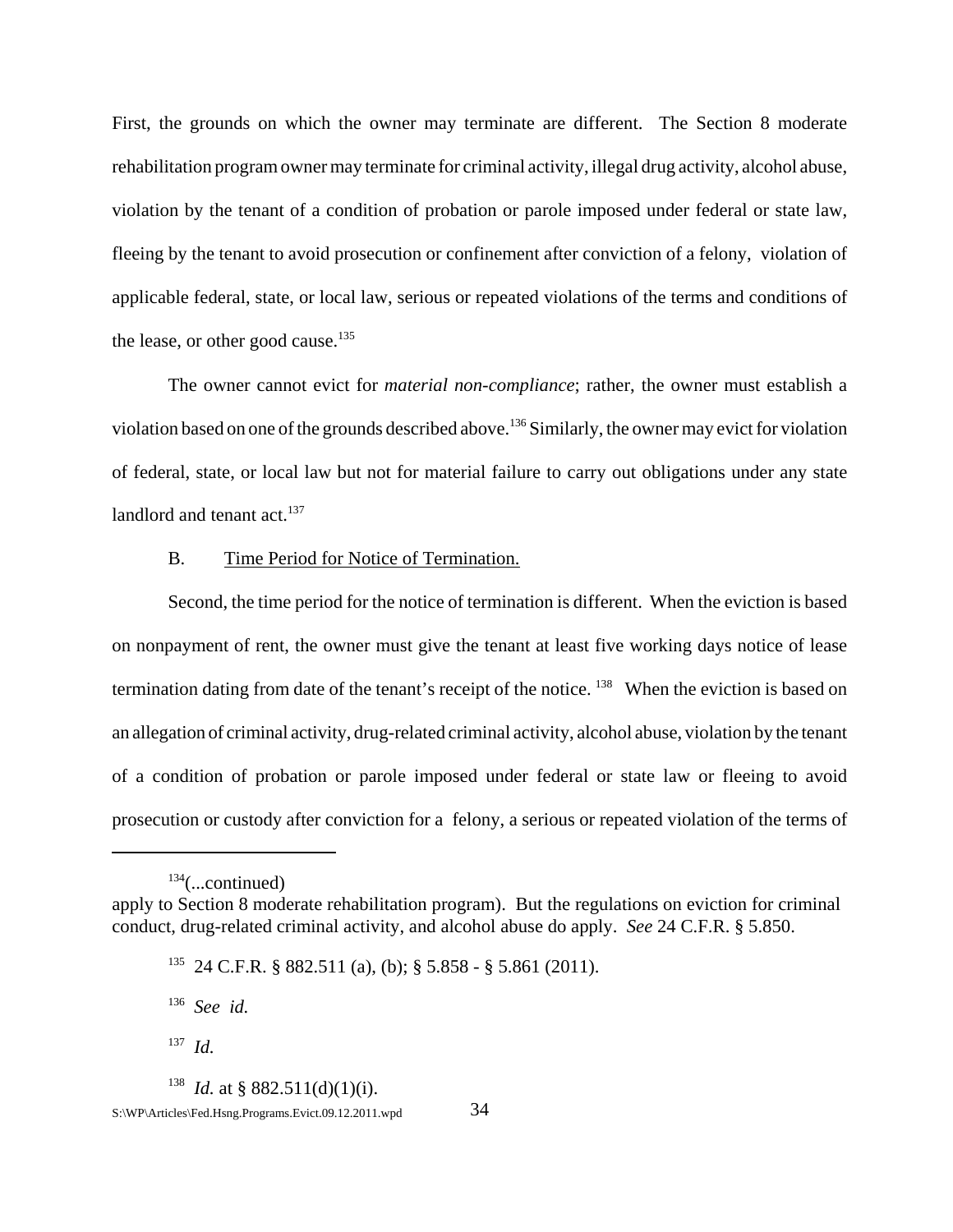First, the grounds on which the owner may terminate are different. The Section 8 moderate rehabilitation program owner may terminate for criminal activity, illegal drug activity, alcohol abuse, violation by the tenant of a condition of probation or parole imposed under federal or state law, fleeing by the tenant to avoid prosecution or confinement after conviction of a felony, violation of applicable federal, state, or local law, serious or repeated violations of the terms and conditions of the lease, or other good cause.<sup>135</sup>

The owner cannot evict for *material non-compliance*; rather, the owner must establish a violation based on one of the grounds described above.136 Similarly, the owner may evict for violation of federal, state, or local law but not for material failure to carry out obligations under any state landlord and tenant  $act.<sup>137</sup>$ 

### B. Time Period for Notice of Termination.

Second, the time period for the notice of termination is different. When the eviction is based on nonpayment of rent, the owner must give the tenant at least five working days notice of lease termination dating from date of the tenant's receipt of the notice. <sup>138</sup> When the eviction is based on an allegation of criminal activity, drug-related criminal activity, alcohol abuse, violation by the tenant of a condition of probation or parole imposed under federal or state law or fleeing to avoid prosecution or custody after conviction for a felony, a serious or repeated violation of the terms of

136 *See id.*

<sup>138</sup> *Id.* at § 882.511(d)(1)(i).

 $134$ (...continued)

apply to Section 8 moderate rehabilitation program). But the regulations on eviction for criminal conduct, drug-related criminal activity, and alcohol abuse do apply. *See* 24 C.F.R. § 5.850.

<sup>135 24</sup> C.F.R. § 882.511 (a), (b); § 5.858 - § 5.861 (2011).

<sup>137</sup> *Id.*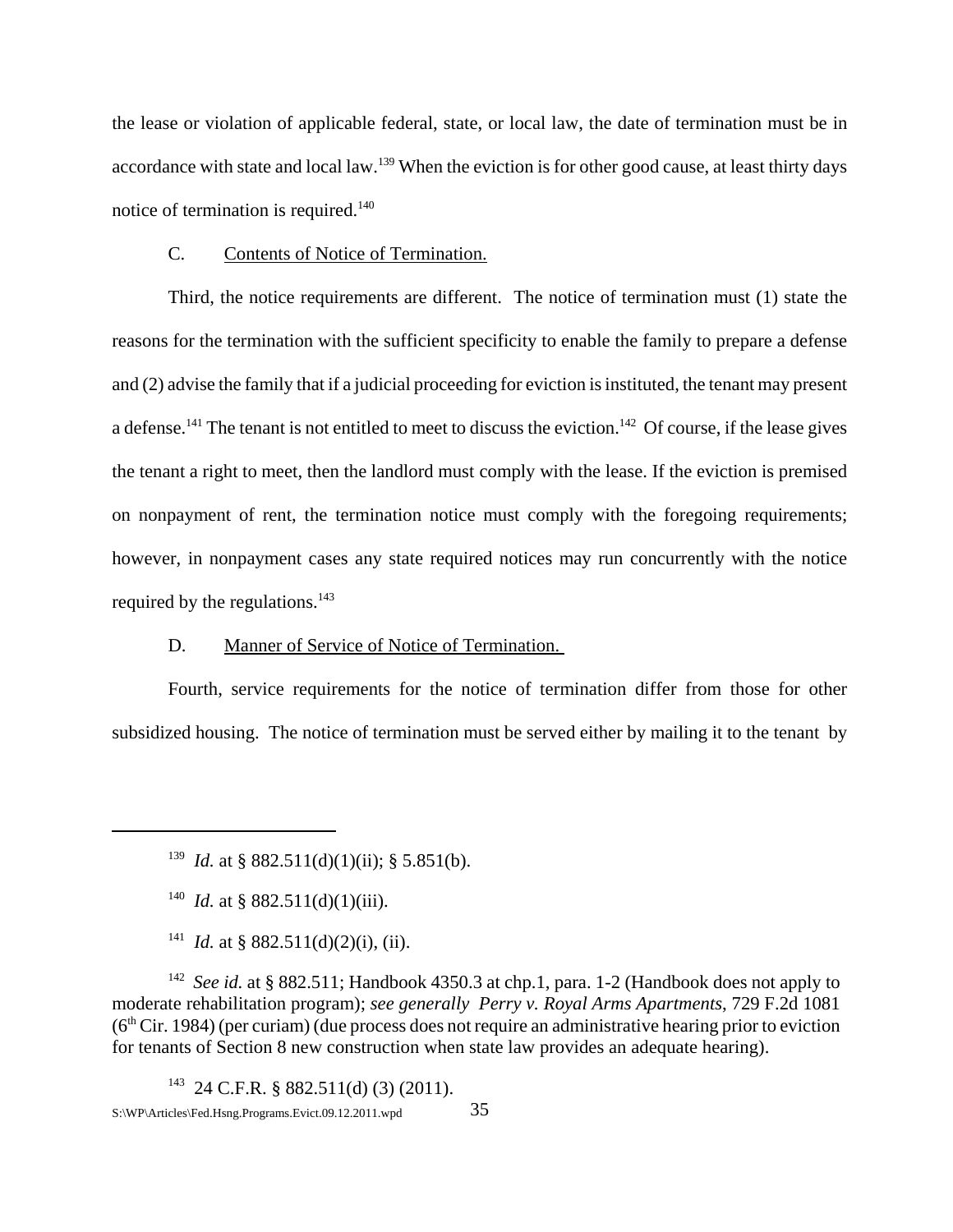the lease or violation of applicable federal, state, or local law, the date of termination must be in accordance with state and local law.<sup>139</sup> When the eviction is for other good cause, at least thirty days notice of termination is required.<sup>140</sup>

#### C. Contents of Notice of Termination.

Third, the notice requirements are different. The notice of termination must (1) state the reasons for the termination with the sufficient specificity to enable the family to prepare a defense and (2) advise the family that if a judicial proceeding for eviction is instituted, the tenant may present a defense.<sup>141</sup> The tenant is not entitled to meet to discuss the eviction.<sup>142</sup> Of course, if the lease gives the tenant a right to meet, then the landlord must comply with the lease. If the eviction is premised on nonpayment of rent, the termination notice must comply with the foregoing requirements; however, in nonpayment cases any state required notices may run concurrently with the notice required by the regulations.<sup>143</sup>

### D. Manner of Service of Notice of Termination.

Fourth, service requirements for the notice of termination differ from those for other subsidized housing. The notice of termination must be served either by mailing it to the tenant by

<sup>141</sup> *Id.* at § 882.511(d)(2)(i), (ii).

<sup>142</sup> *See id.* at § 882.511; Handbook 4350.3 at chp.1, para. 1-2 (Handbook does not apply to moderate rehabilitation program); *see generally Perry v. Royal Arms Apartments*, 729 F.2d 1081  $(6<sup>th</sup> Cir. 1984)$  (per curiam) (due process does not require an administrative hearing prior to eviction for tenants of Section 8 new construction when state law provides an adequate hearing).

 $143$  24 C.F.R. § 882.511(d) (3) (2011).

<sup>&</sup>lt;sup>139</sup> *Id.* at § 882.511(d)(1)(ii); § 5.851(b).

<sup>&</sup>lt;sup>140</sup> *Id.* at § 882.511(d)(1)(iii).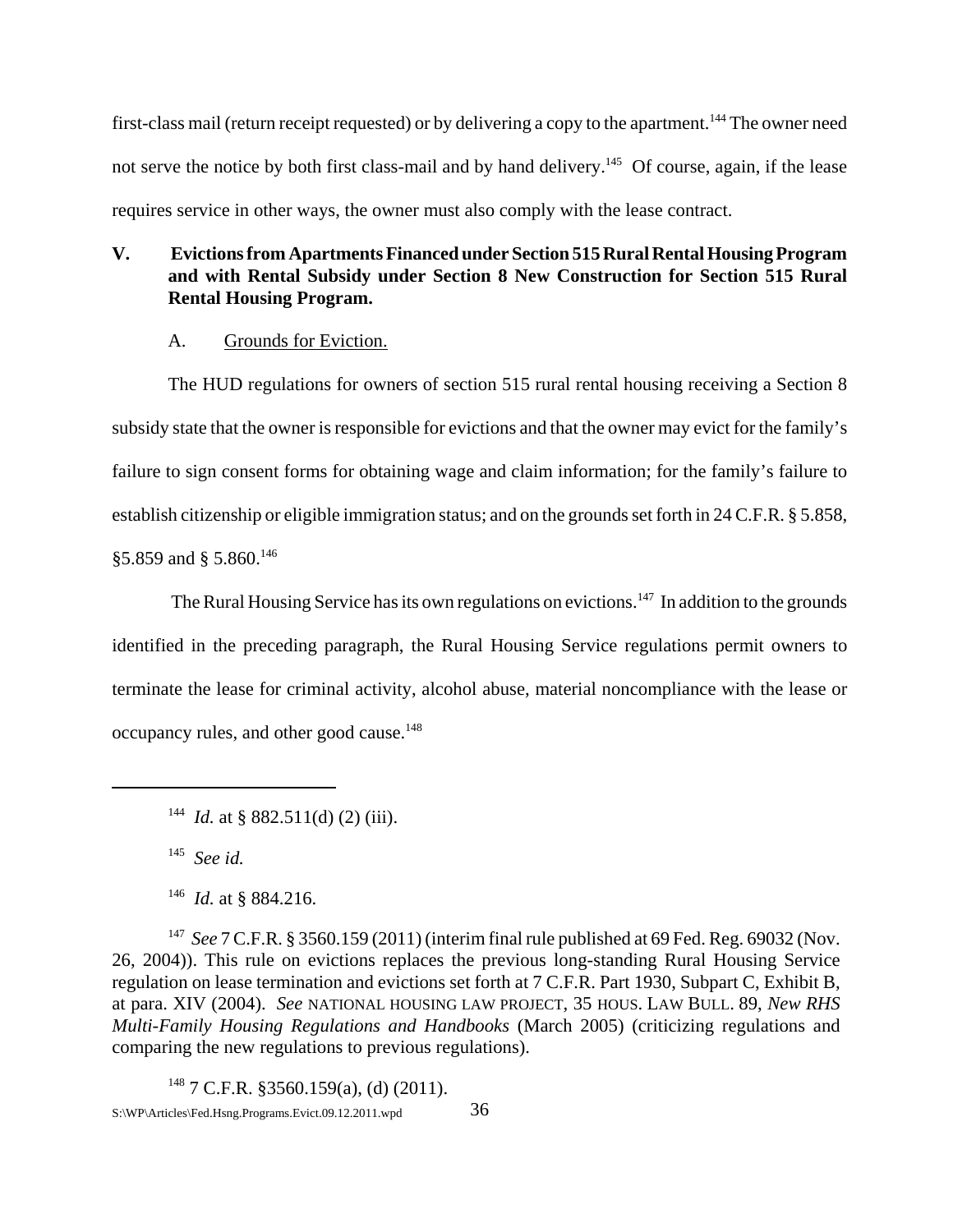first-class mail (return receipt requested) or by delivering a copy to the apartment.<sup>144</sup> The owner need not serve the notice by both first class-mail and by hand delivery.<sup>145</sup> Of course, again, if the lease requires service in other ways, the owner must also comply with the lease contract.

# **V. Evictions from Apartments Financed under Section 515 Rural Rental Housing Program and with Rental Subsidy under Section 8 New Construction for Section 515 Rural Rental Housing Program.**

## A. Grounds for Eviction.

The HUD regulations for owners of section 515 rural rental housing receiving a Section 8 subsidy state that the owner is responsible for evictions and that the owner may evict for the family's failure to sign consent forms for obtaining wage and claim information; for the family's failure to establish citizenship or eligible immigration status; and on the grounds set forth in 24 C.F.R. § 5.858, §5.859 and § 5.860.146

The Rural Housing Service has its own regulations on evictions.<sup>147</sup> In addition to the grounds identified in the preceding paragraph, the Rural Housing Service regulations permit owners to terminate the lease for criminal activity, alcohol abuse, material noncompliance with the lease or occupancy rules, and other good cause.148

145 *See id.*

147 *See* 7 C.F.R. § 3560.159 (2011) (interim final rule published at 69 Fed. Reg. 69032 (Nov. 26, 2004)). This rule on evictions replaces the previous long-standing Rural Housing Service regulation on lease termination and evictions set forth at 7 C.F.R. Part 1930, Subpart C, Exhibit B, at para. XIV (2004). *See* NATIONAL HOUSING LAW PROJECT, 35 HOUS. LAW BULL. 89, *New RHS Multi-Family Housing Regulations and Handbooks* (March 2005) (criticizing regulations and comparing the new regulations to previous regulations).

 $148$  7 C.F.R. §3560.159(a), (d) (2011). S:\WP\Articles\Fed.Hsng.Programs.Evict.09.12.2011.wpd 36

<sup>&</sup>lt;sup>144</sup> *Id.* at § 882.511(d) (2) (iii).

<sup>146</sup> *Id.* at § 884.216.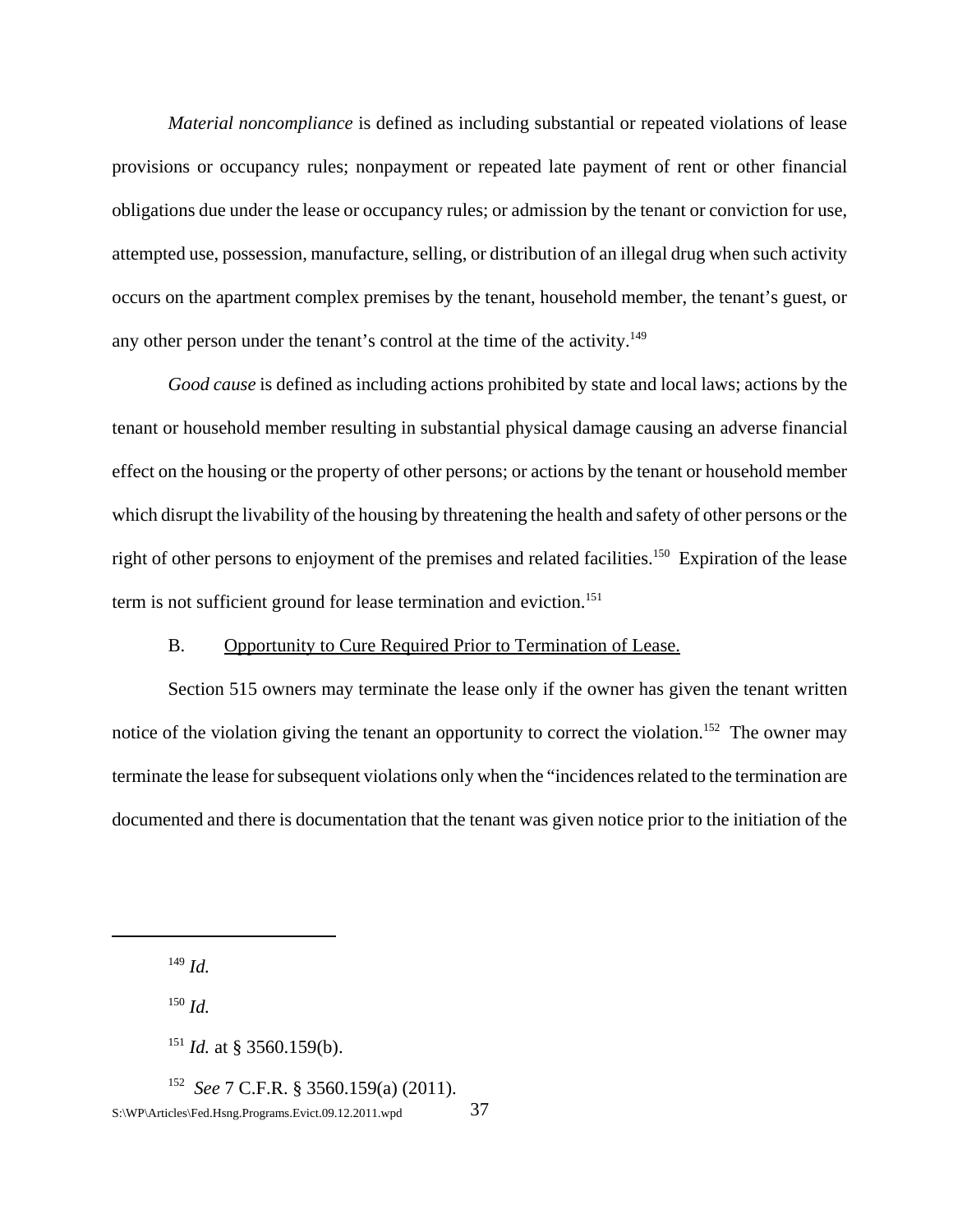*Material noncompliance* is defined as including substantial or repeated violations of lease provisions or occupancy rules; nonpayment or repeated late payment of rent or other financial obligations due under the lease or occupancy rules; or admission by the tenant or conviction for use, attempted use, possession, manufacture, selling, or distribution of an illegal drug when such activity occurs on the apartment complex premises by the tenant, household member, the tenant's guest, or any other person under the tenant's control at the time of the activity.<sup>149</sup>

*Good cause* is defined as including actions prohibited by state and local laws; actions by the tenant or household member resulting in substantial physical damage causing an adverse financial effect on the housing or the property of other persons; or actions by the tenant or household member which disrupt the livability of the housing by threatening the health and safety of other persons or the right of other persons to enjoyment of the premises and related facilities.<sup>150</sup> Expiration of the lease term is not sufficient ground for lease termination and eviction.<sup>151</sup>

### B. Opportunity to Cure Required Prior to Termination of Lease.

Section 515 owners may terminate the lease only if the owner has given the tenant written notice of the violation giving the tenant an opportunity to correct the violation.<sup>152</sup> The owner may terminate the lease for subsequent violations only when the "incidences related to the termination are documented and there is documentation that the tenant was given notice prior to the initiation of the

<sup>149</sup> *Id.*

<sup>150</sup> *Id.*

<sup>151</sup> *Id.* at § 3560.159(b).

152 *See* 7 C.F.R. § 3560.159(a) (2011). S:\WP\Articles\Fed.Hsng.Programs.Evict.09.12.2011.wpd 37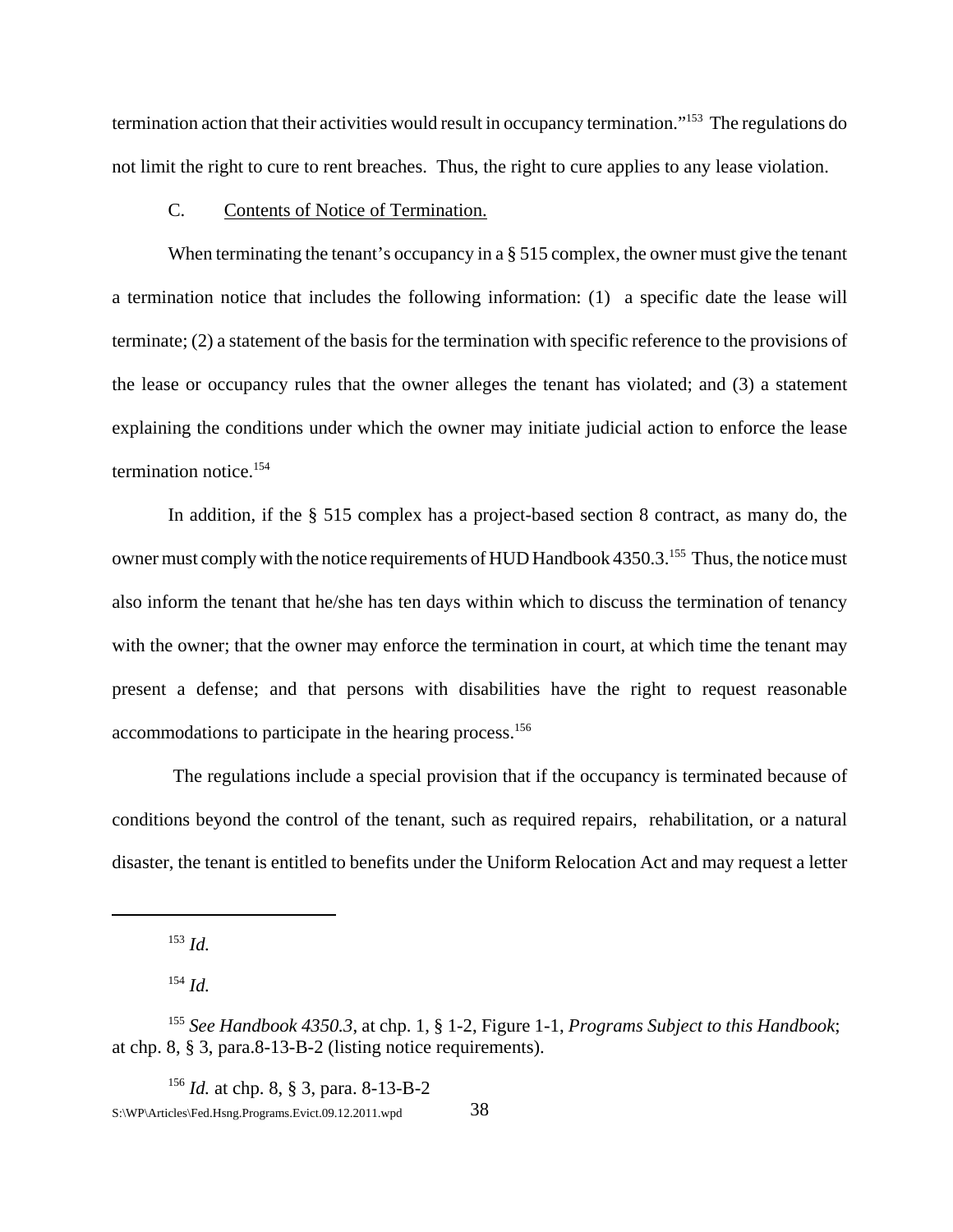termination action that their activities would result in occupancy termination."153 The regulations do not limit the right to cure to rent breaches. Thus, the right to cure applies to any lease violation.

#### C. Contents of Notice of Termination.

When terminating the tenant's occupancy in a § 515 complex, the owner must give the tenant a termination notice that includes the following information: (1) a specific date the lease will terminate; (2) a statement of the basis for the termination with specific reference to the provisions of the lease or occupancy rules that the owner alleges the tenant has violated; and (3) a statement explaining the conditions under which the owner may initiate judicial action to enforce the lease termination notice.<sup>154</sup>

In addition, if the § 515 complex has a project-based section 8 contract, as many do, the owner must comply with the notice requirements of HUD Handbook 4350.3.<sup>155</sup> Thus, the notice must also inform the tenant that he/she has ten days within which to discuss the termination of tenancy with the owner; that the owner may enforce the termination in court, at which time the tenant may present a defense; and that persons with disabilities have the right to request reasonable accommodations to participate in the hearing process.156

 The regulations include a special provision that if the occupancy is terminated because of conditions beyond the control of the tenant, such as required repairs, rehabilitation, or a natural disaster, the tenant is entitled to benefits under the Uniform Relocation Act and may request a letter

<sup>153</sup> *Id.*

<sup>154</sup> *Id.*

<sup>156</sup> *Id.* at chp. 8, § 3, para. 8-13-B-2 S:\WP\Articles\Fed.Hsng.Programs.Evict.09.12.2011.wpd 38

<sup>155</sup> *See Handbook 4350.3*, at chp. 1, § 1-2, Figure 1-1, *Programs Subject to this Handbook*; at chp. 8, § 3, para.8-13-B-2 (listing notice requirements).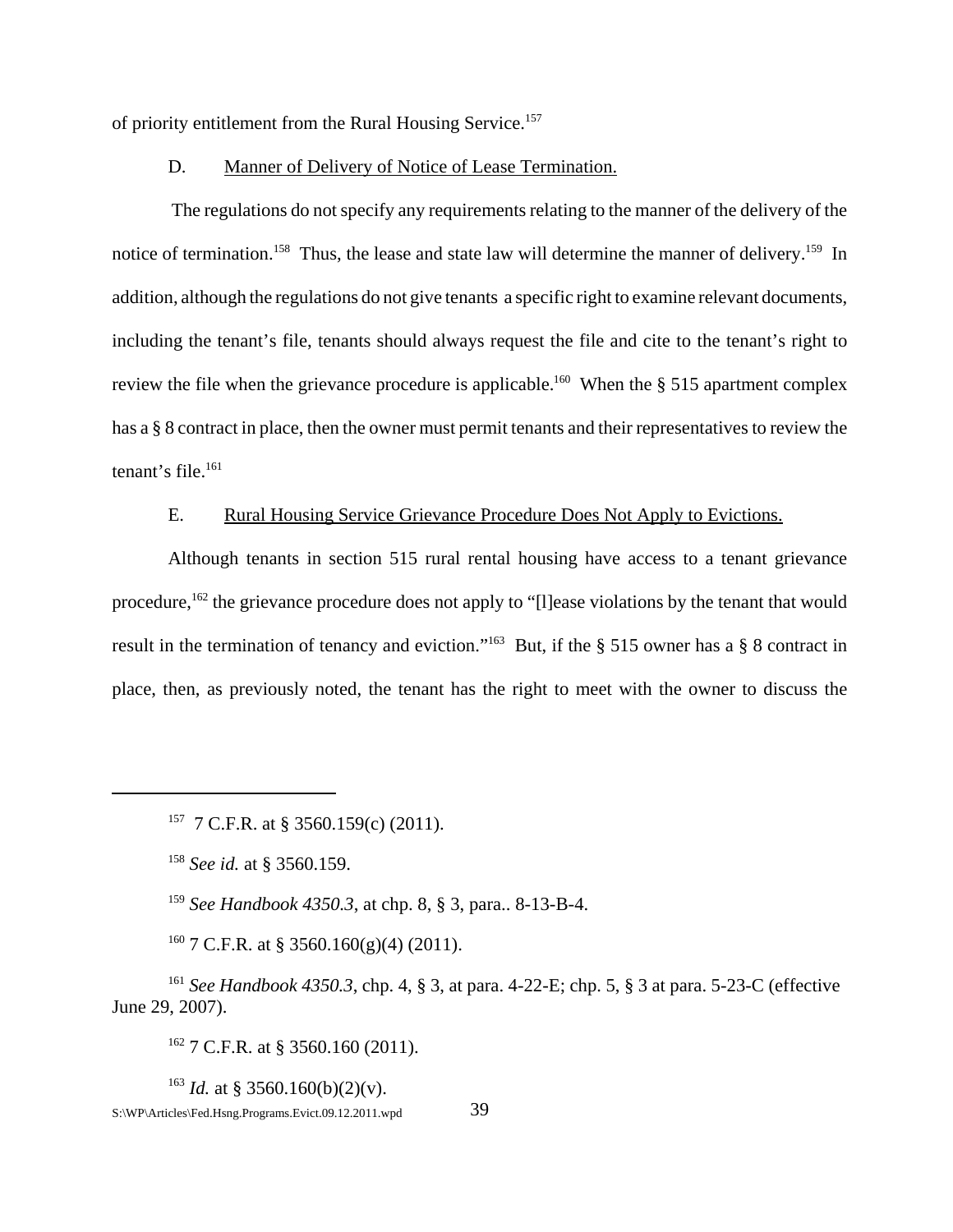of priority entitlement from the Rural Housing Service.157

### D. Manner of Delivery of Notice of Lease Termination.

 The regulations do not specify any requirements relating to the manner of the delivery of the notice of termination.<sup>158</sup> Thus, the lease and state law will determine the manner of delivery.<sup>159</sup> In addition, although the regulations do not give tenants a specific right to examine relevant documents, including the tenant's file, tenants should always request the file and cite to the tenant's right to review the file when the grievance procedure is applicable.<sup>160</sup> When the § 515 apartment complex has a § 8 contract in place, then the owner must permit tenants and their representatives to review the tenant's file.<sup>161</sup>

### E. Rural Housing Service Grievance Procedure Does Not Apply to Evictions.

Although tenants in section 515 rural rental housing have access to a tenant grievance procedure,162 the grievance procedure does not apply to "[l]ease violations by the tenant that would result in the termination of tenancy and eviction."163 But, if the § 515 owner has a § 8 contract in place, then, as previously noted, the tenant has the right to meet with the owner to discuss the

<sup>157</sup> 7 C.F.R. at § 3560.159(c) (2011).

<sup>158</sup> *See id.* at § 3560.159.

<sup>159</sup> *See Handbook 4350.3*, at chp. 8, § 3, para.. 8-13-B-4.

 $160$  7 C.F.R. at § 3560.160(g)(4) (2011).

<sup>161</sup> *See Handbook 4350.3*, chp. 4, § 3, at para. 4-22-E; chp. 5, § 3 at para. 5-23-C (effective June 29, 2007).

 $162$  7 C.F.R. at § 3560.160 (2011).

<sup>163</sup> *Id.* at § 3560.160(b)(2)(y). S:\WP\Articles\Fed.Hsng.Programs.Evict.09.12.2011.wpd 39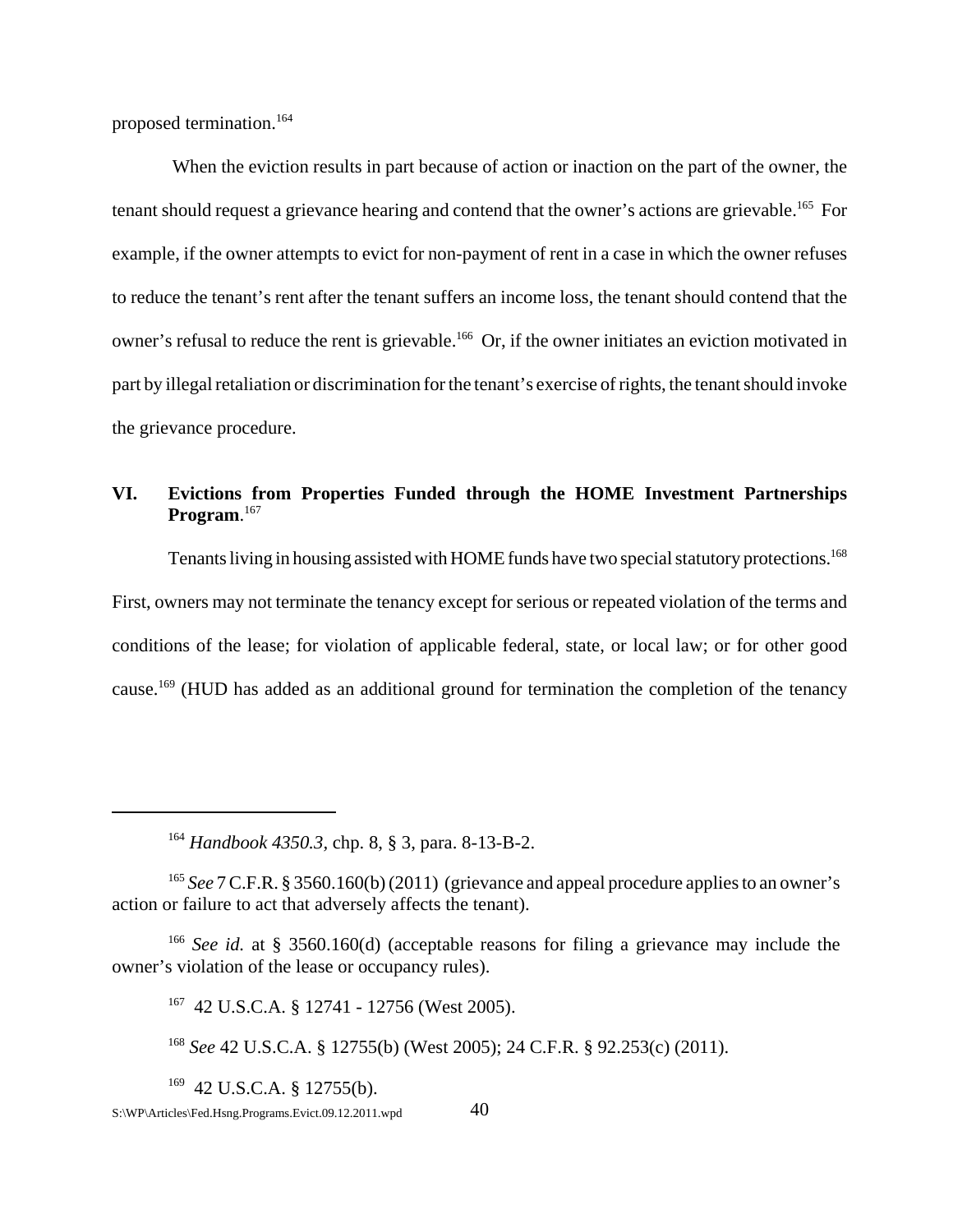proposed termination.164

 When the eviction results in part because of action or inaction on the part of the owner, the tenant should request a grievance hearing and contend that the owner's actions are grievable.<sup>165</sup> For example, if the owner attempts to evict for non-payment of rent in a case in which the owner refuses to reduce the tenant's rent after the tenant suffers an income loss, the tenant should contend that the owner's refusal to reduce the rent is grievable.166 Or, if the owner initiates an eviction motivated in part by illegal retaliation or discrimination for the tenant's exercise of rights, the tenant should invoke the grievance procedure.

# **VI. Evictions from Properties Funded through the HOME Investment Partnerships Program**. 167

Tenants living in housing assisted with HOME funds have two special statutory protections.<sup>168</sup> First, owners may not terminate the tenancy except for serious or repeated violation of the terms and conditions of the lease; for violation of applicable federal, state, or local law; or for other good cause.169 (HUD has added as an additional ground for termination the completion of the tenancy

<sup>164</sup> *Handbook 4350.3,* chp. 8, § 3, para. 8-13-B-2.

<sup>&</sup>lt;sup>165</sup> *See* 7 C.F.R. § 3560.160(b) (2011) (grievance and appeal procedure applies to an owner's action or failure to act that adversely affects the tenant).

<sup>&</sup>lt;sup>166</sup> *See id.* at § 3560.160(d) (acceptable reasons for filing a grievance may include the owner's violation of the lease or occupancy rules).

<sup>167 42</sup> U.S.C.A. § 12741 - 12756 (West 2005).

<sup>168</sup> *See* 42 U.S.C.A. § 12755(b) (West 2005); 24 C.F.R. § 92.253(c) (2011).

 $169$  42 U.S.C.A. § 12755(b).

 $S:\W{P\}$ Articles\Fed.Hsng.Programs.Evict.09.12.2011.wpd 40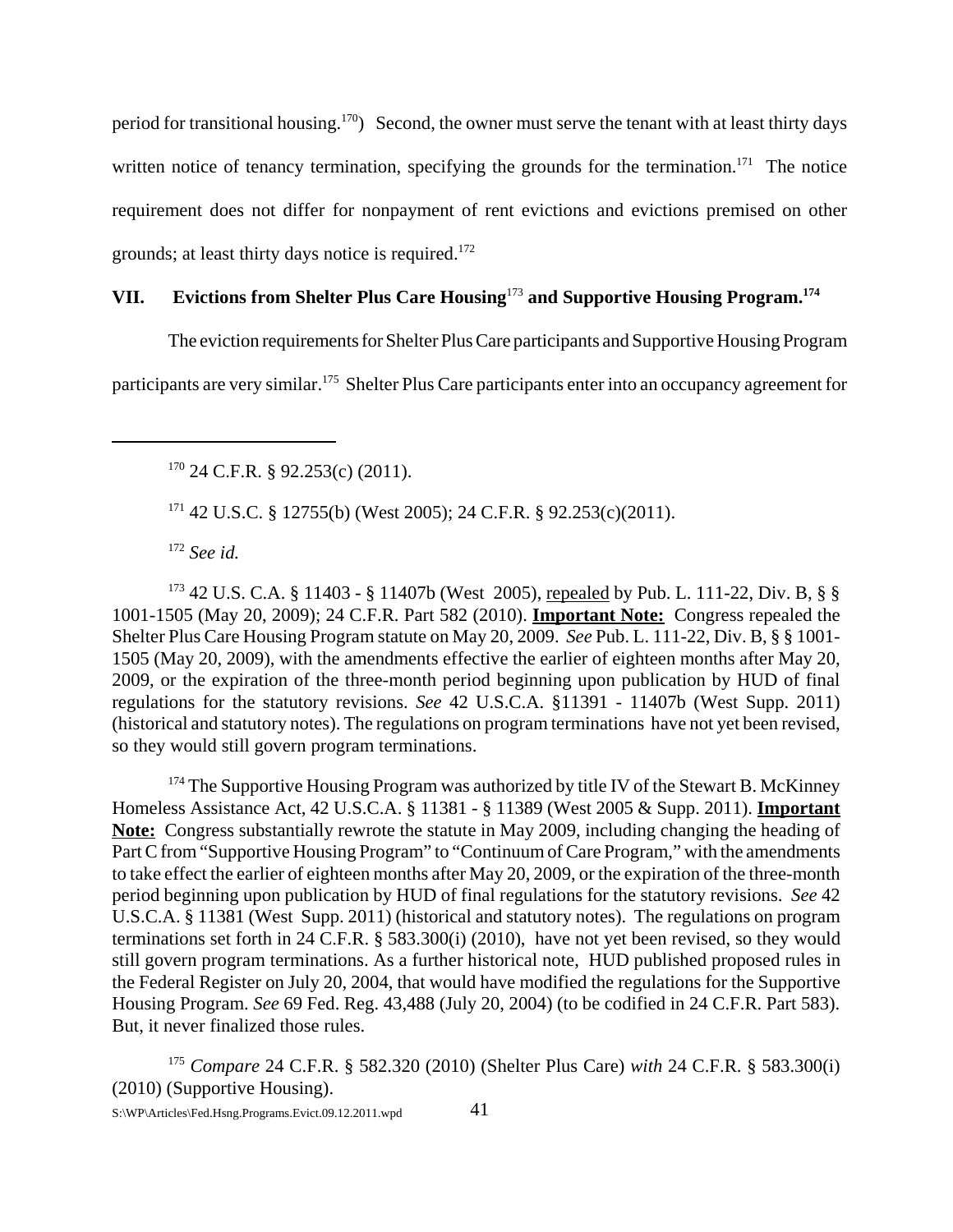period for transitional housing.170) Second, the owner must serve the tenant with at least thirty days written notice of tenancy termination, specifying the grounds for the termination.<sup>171</sup> The notice requirement does not differ for nonpayment of rent evictions and evictions premised on other grounds; at least thirty days notice is required.<sup>172</sup>

# **VII. Evictions from Shelter Plus Care Housing**<sup>173</sup> **and Supportive Housing Program.174**

The eviction requirements for Shelter Plus Care participants and Supportive Housing Program

participants are very similar.175 Shelter Plus Care participants enter into an occupancy agreement for

 $170$  24 C.F.R. § 92.253(c) (2011).

171 42 U.S.C. § 12755(b) (West 2005); 24 C.F.R. § 92.253(c)(2011).

<sup>172</sup> *See id.*

173 42 U.S. C.A. § 11403 - § 11407b (West 2005), repealed by Pub. L. 111-22, Div. B, § § 1001-1505 (May 20, 2009); 24 C.F.R. Part 582 (2010). **Important Note:** Congress repealed the Shelter Plus Care Housing Program statute on May 20, 2009. *See* Pub. L. 111-22, Div. B, § § 1001- 1505 (May 20, 2009), with the amendments effective the earlier of eighteen months after May 20, 2009, or the expiration of the three-month period beginning upon publication by HUD of final regulations for the statutory revisions. *See* 42 U.S.C.A. §11391 - 11407b (West Supp. 2011) (historical and statutory notes). The regulations on program terminations have not yet been revised, so they would still govern program terminations.

<sup>174</sup> The Supportive Housing Program was authorized by title IV of the Stewart B. McKinney Homeless Assistance Act, 42 U.S.C.A. § 11381 - § 11389 (West 2005 & Supp. 2011). **Important Note:** Congress substantially rewrote the statute in May 2009, including changing the heading of Part C from "Supportive Housing Program" to "Continuum of Care Program," with the amendments to take effect the earlier of eighteen months after May 20, 2009, or the expiration of the three-month period beginning upon publication by HUD of final regulations for the statutory revisions. *See* 42 U.S.C.A. § 11381 (West Supp. 2011) (historical and statutory notes). The regulations on program terminations set forth in 24 C.F.R. § 583.300(i) (2010), have not yet been revised, so they would still govern program terminations. As a further historical note, HUD published proposed rules in the Federal Register on July 20, 2004, that would have modified the regulations for the Supportive Housing Program. *See* 69 Fed. Reg. 43,488 (July 20, 2004) (to be codified in 24 C.F.R. Part 583). But, it never finalized those rules.

<sup>175</sup> *Compare* 24 C.F.R. § 582.320 (2010) (Shelter Plus Care) *with* 24 C.F.R. § 583.300(i) (2010) (Supportive Housing).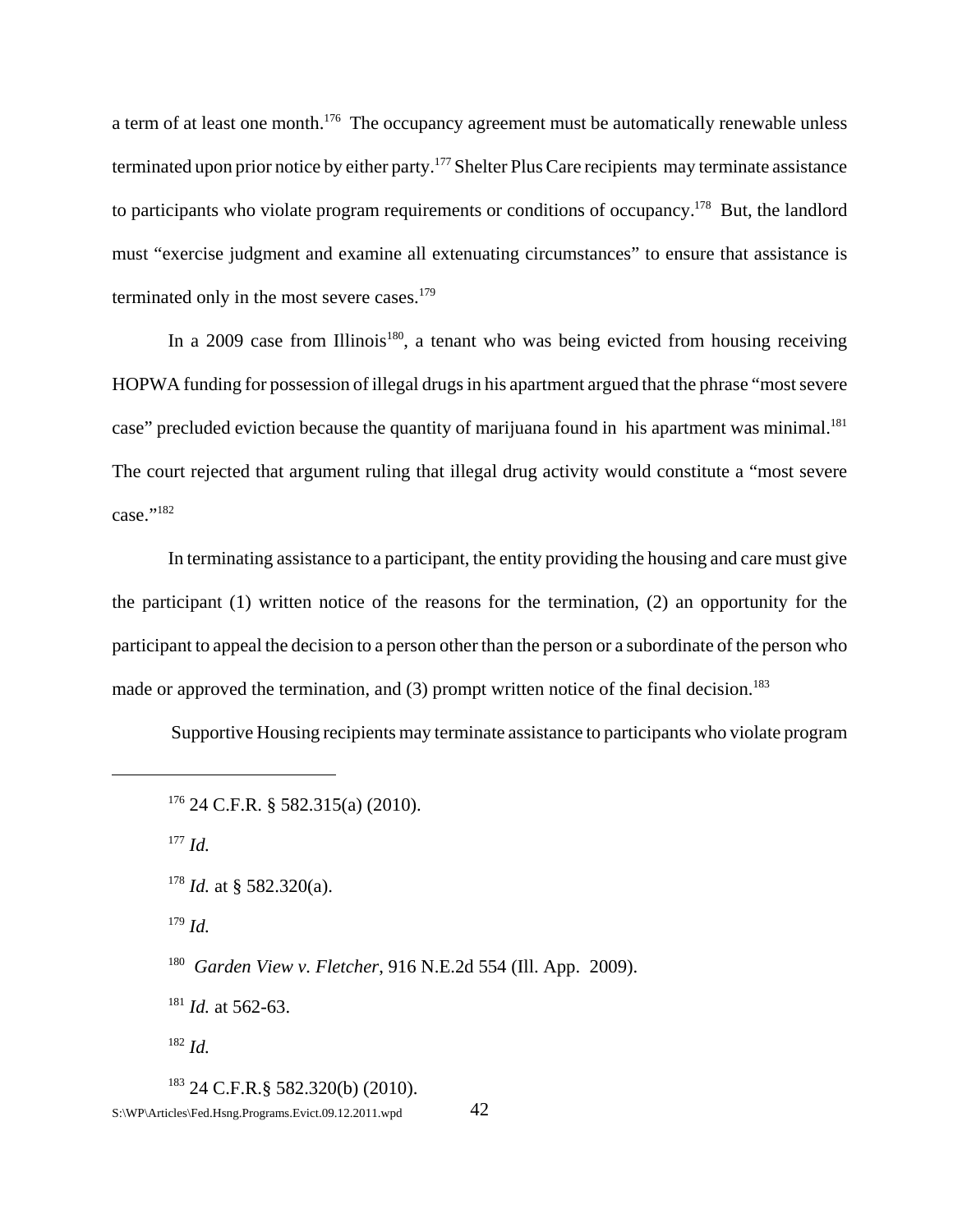a term of at least one month.<sup>176</sup> The occupancy agreement must be automatically renewable unless terminated upon prior notice by either party.<sup>177</sup> Shelter Plus Care recipients may terminate assistance to participants who violate program requirements or conditions of occupancy.<sup>178</sup> But, the landlord must "exercise judgment and examine all extenuating circumstances" to ensure that assistance is terminated only in the most severe cases. $179$ 

In a 2009 case from Illinois<sup>180</sup>, a tenant who was being evicted from housing receiving HOPWA funding for possession of illegal drugs in his apartment argued that the phrase "most severe case" precluded eviction because the quantity of marijuana found in his apartment was minimal.<sup>181</sup> The court rejected that argument ruling that illegal drug activity would constitute a "most severe case."<sup>182</sup>

In terminating assistance to a participant, the entity providing the housing and care must give the participant (1) written notice of the reasons for the termination, (2) an opportunity for the participant to appeal the decision to a person other than the person or a subordinate of the person who made or approved the termination, and  $(3)$  prompt written notice of the final decision.<sup>183</sup>

Supportive Housing recipients may terminate assistance to participants who violate program

<sup>177</sup> *Id.*

<sup>179</sup> *Id.*

180 *Garden View v. Fletcher*, 916 N.E.2d 554 (Ill. App. 2009).

<sup>181</sup> *Id.* at 562-63.

<sup>182</sup> *Id.*

183 24 C.F.R.§ 582.320(b) (2010). S:\WP\Articles\Fed.Hsng.Programs.Evict.09.12.2011.wpd 42

 $176$  24 C.F.R. § 582.315(a) (2010).

<sup>&</sup>lt;sup>178</sup> *Id.* at § 582.320(a).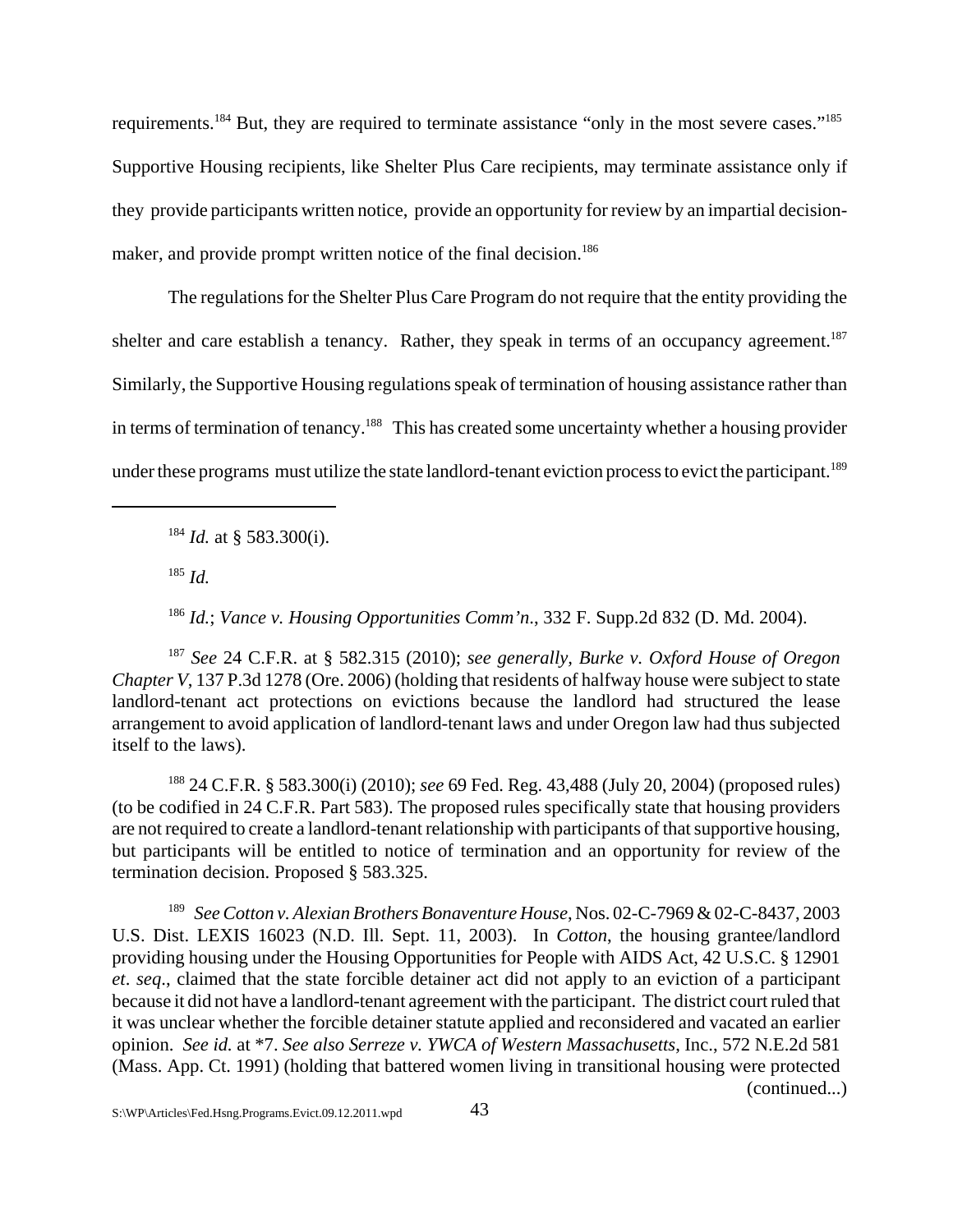requirements.<sup>184</sup> But, they are required to terminate assistance "only in the most severe cases."<sup>185</sup> Supportive Housing recipients, like Shelter Plus Care recipients, may terminate assistance only if they provide participants written notice, provide an opportunity for review by an impartial decisionmaker, and provide prompt written notice of the final decision.<sup>186</sup>

The regulations for the Shelter Plus Care Program do not require that the entity providing the shelter and care establish a tenancy. Rather, they speak in terms of an occupancy agreement.<sup>187</sup> Similarly, the Supportive Housing regulations speak of termination of housing assistance rather than in terms of termination of tenancy.<sup>188</sup> This has created some uncertainty whether a housing provider under these programs must utilize the state landlord-tenant eviction process to evict the participant.<sup>189</sup>

<sup>184</sup> *Id.* at § 583.300(i).

 $185$  *Id.* 

<sup>186</sup> *Id.*; *Vance v. Housing Opportunities Comm'n*., 332 F. Supp.2d 832 (D. Md. 2004).

<sup>187</sup> *See* 24 C.F.R. at § 582.315 (2010); *see generally, Burke v. Oxford House of Oregon Chapter V*, 137 P.3d 1278 (Ore. 2006) (holding that residents of halfway house were subject to state landlord-tenant act protections on evictions because the landlord had structured the lease arrangement to avoid application of landlord-tenant laws and under Oregon law had thus subjected itself to the laws).

188 24 C.F.R. § 583.300(i) (2010); *see* 69 Fed. Reg. 43,488 (July 20, 2004) (proposed rules) (to be codified in 24 C.F.R. Part 583). The proposed rules specifically state that housing providers are not required to create a landlord-tenant relationship with participants of that supportive housing, but participants will be entitled to notice of termination and an opportunity for review of the termination decision. Proposed § 583.325.

<sup>189</sup> *See Cotton v. Alexian Brothers Bonaventure House*, Nos. 02-C-7969 & 02-C-8437, 2003 U.S. Dist. LEXIS 16023 (N.D. Ill. Sept. 11, 2003). In *Cotton*, the housing grantee/landlord providing housing under the Housing Opportunities for People with AIDS Act, 42 U.S.C. § 12901 *et*. *seq*., claimed that the state forcible detainer act did not apply to an eviction of a participant because it did not have a landlord-tenant agreement with the participant. The district court ruled that it was unclear whether the forcible detainer statute applied and reconsidered and vacated an earlier opinion. *See id.* at \*7. *See also Serreze v. YWCA of Western Massachusetts*, Inc., 572 N.E.2d 581 (Mass. App. Ct. 1991) (holding that battered women living in transitional housing were protected (continued...)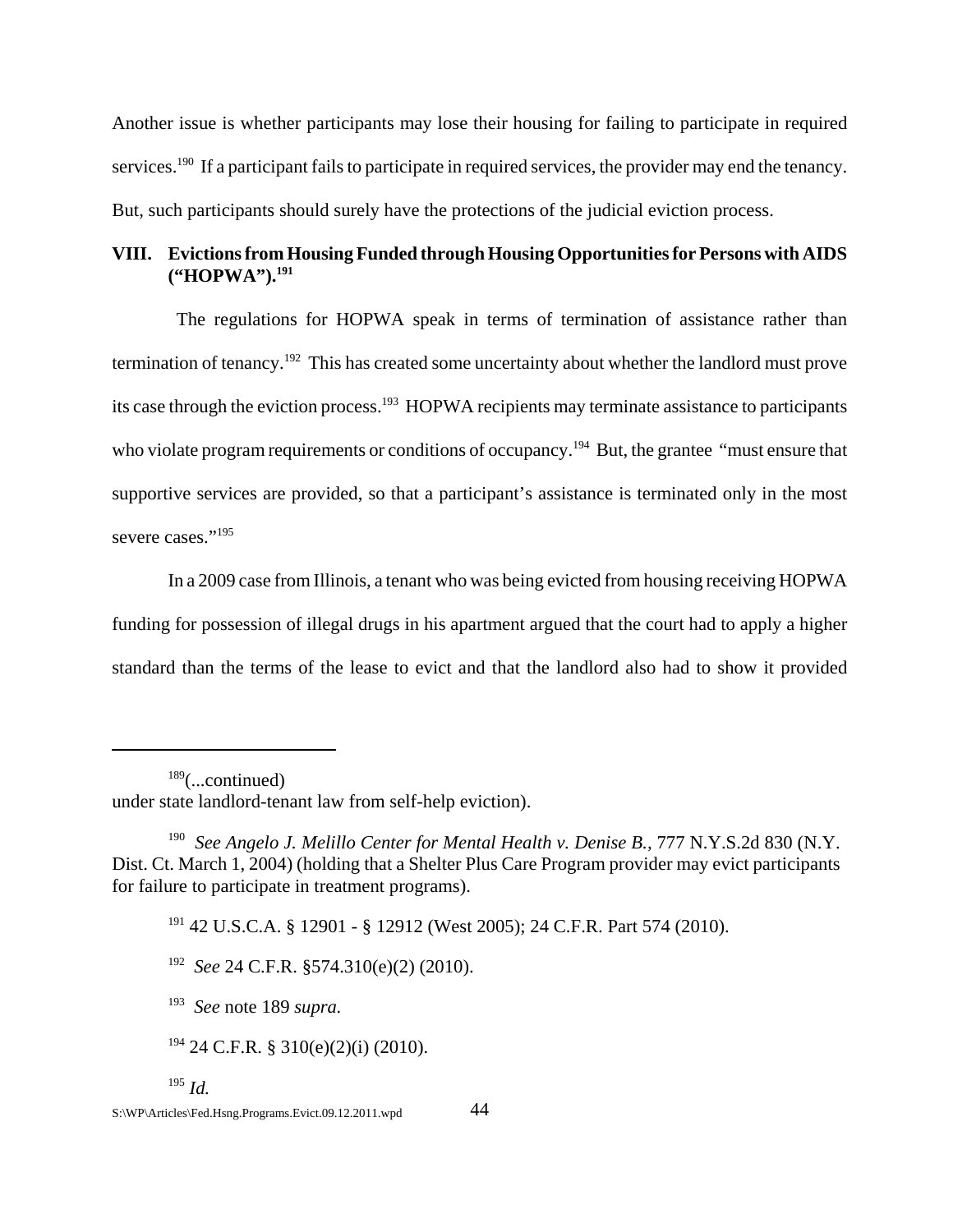Another issue is whether participants may lose their housing for failing to participate in required services.<sup>190</sup> If a participant fails to participate in required services, the provider may end the tenancy. But, such participants should surely have the protections of the judicial eviction process.

# **VIII. Evictions from Housing Funded through Housing Opportunities for Persons with AIDS ("HOPWA").191**

 The regulations for HOPWA speak in terms of termination of assistance rather than termination of tenancy.<sup>192</sup> This has created some uncertainty about whether the landlord must prove its case through the eviction process.<sup>193</sup> HOPWA recipients may terminate assistance to participants who violate program requirements or conditions of occupancy.<sup>194</sup> But, the grantee "must ensure that supportive services are provided, so that a participant's assistance is terminated only in the most severe cases."<sup>195</sup>

In a 2009 case from Illinois, a tenant who was being evicted from housing receiving HOPWA funding for possession of illegal drugs in his apartment argued that the court had to apply a higher standard than the terms of the lease to evict and that the landlord also had to show it provided

191 42 U.S.C.A. § 12901 - § 12912 (West 2005); 24 C.F.R. Part 574 (2010).

<sup>192</sup> *See* 24 C.F.R. §574.310(e)(2) (2010).

 $194$  24 C.F.R. § 310(e)(2)(i) (2010).

 $189$ (...continued)

under state landlord-tenant law from self-help eviction).

<sup>&</sup>lt;sup>190</sup> *See Angelo J. Melillo Center for Mental Health v. Denise B., 777 N.Y.S.2d 830 (N.Y.* Dist. Ct. March 1, 2004) (holding that a Shelter Plus Care Program provider may evict participants for failure to participate in treatment programs).

<sup>193</sup> *See* note 189 *supra.*

<sup>195</sup> *Id.*

S:\WP\Articles\Fed.Hsng.Programs.Evict.09.12.2011.wpd 44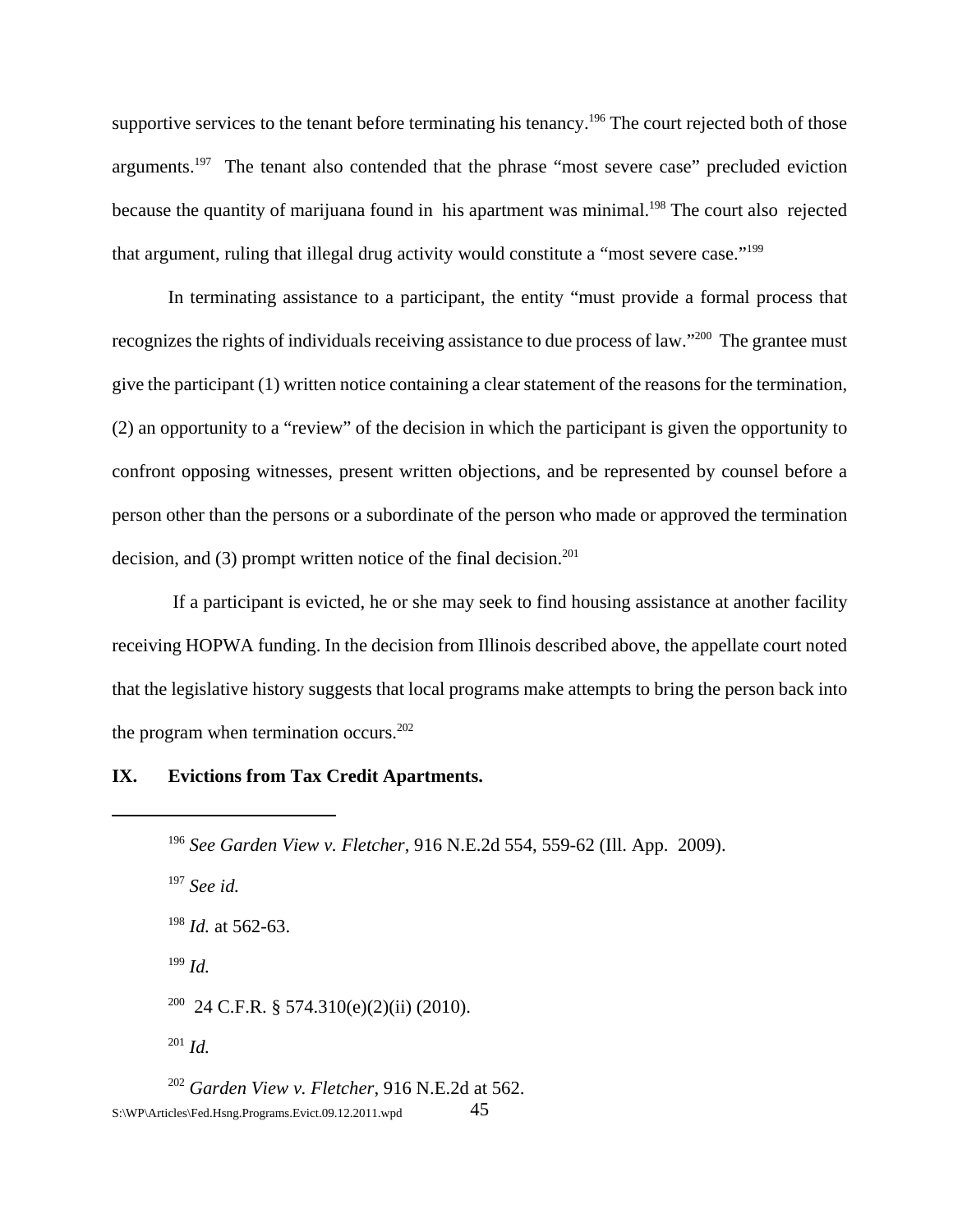supportive services to the tenant before terminating his tenancy.<sup>196</sup> The court rejected both of those arguments.<sup>197</sup> The tenant also contended that the phrase "most severe case" precluded eviction because the quantity of marijuana found in his apartment was minimal.<sup>198</sup> The court also rejected that argument, ruling that illegal drug activity would constitute a "most severe case."199

In terminating assistance to a participant, the entity "must provide a formal process that recognizes the rights of individuals receiving assistance to due process of law."<sup>200</sup> The grantee must give the participant (1) written notice containing a clear statement of the reasons for the termination, (2) an opportunity to a "review" of the decision in which the participant is given the opportunity to confront opposing witnesses, present written objections, and be represented by counsel before a person other than the persons or a subordinate of the person who made or approved the termination decision, and  $(3)$  prompt written notice of the final decision.<sup>201</sup>

 If a participant is evicted, he or she may seek to find housing assistance at another facility receiving HOPWA funding. In the decision from Illinois described above, the appellate court noted that the legislative history suggests that local programs make attempts to bring the person back into the program when termination occurs. $202$ 

### **IX. Evictions from Tax Credit Apartments.**

<sup>197</sup> *See id.*

<sup>198</sup> *Id.* at 562-63.

<sup>199</sup> *Id.*

<sup>200</sup> 24 C.F.R. § 574.310(e)(2)(ii) (2010).

<sup>201</sup> *Id.*

<sup>202</sup> *Garden View v. Fletcher*, 916 N.E.2d at 562.  $S:\W{P\} \text{Articles} \rightarrow \text{45}$ 

<sup>196</sup> *See Garden View v. Fletcher*, 916 N.E.2d 554, 559-62 (Ill. App. 2009).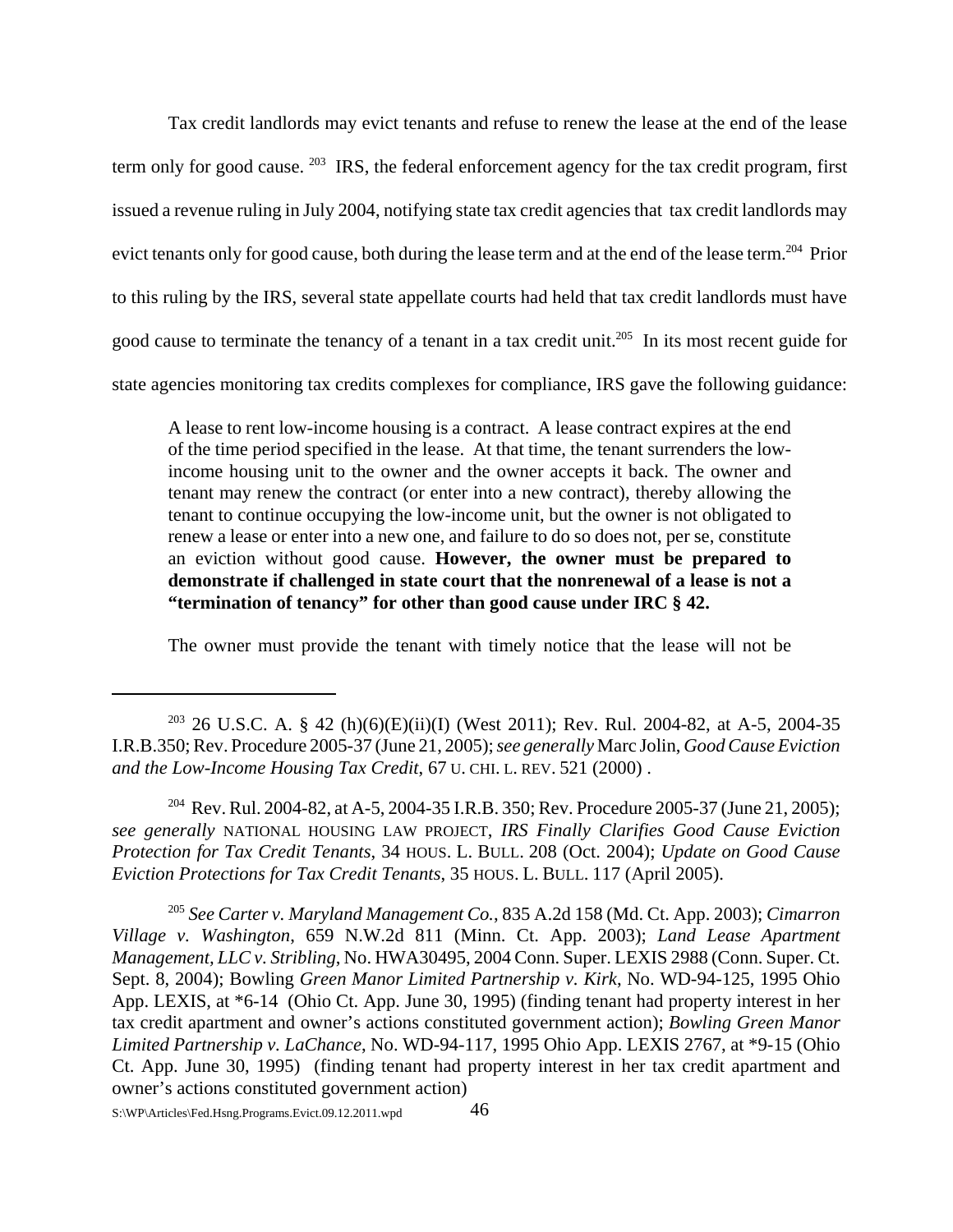Tax credit landlords may evict tenants and refuse to renew the lease at the end of the lease term only for good cause. <sup>203</sup> IRS, the federal enforcement agency for the tax credit program, first issued a revenue ruling in July 2004, notifying state tax credit agencies that tax credit landlords may evict tenants only for good cause, both during the lease term and at the end of the lease term.204 Prior to this ruling by the IRS, several state appellate courts had held that tax credit landlords must have good cause to terminate the tenancy of a tenant in a tax credit unit.<sup>205</sup> In its most recent guide for state agencies monitoring tax credits complexes for compliance, IRS gave the following guidance:

A lease to rent low-income housing is a contract. A lease contract expires at the end of the time period specified in the lease. At that time, the tenant surrenders the lowincome housing unit to the owner and the owner accepts it back. The owner and tenant may renew the contract (or enter into a new contract), thereby allowing the tenant to continue occupying the low-income unit, but the owner is not obligated to renew a lease or enter into a new one, and failure to do so does not, per se, constitute an eviction without good cause. **However, the owner must be prepared to demonstrate if challenged in state court that the nonrenewal of a lease is not a "termination of tenancy" for other than good cause under IRC § 42.**

The owner must provide the tenant with timely notice that the lease will not be

<sup>204</sup> Rev. Rul. 2004-82, at A-5, 2004-35 I.R.B. 350; Rev. Procedure 2005-37 (June 21, 2005); *see generally* NATIONAL HOUSING LAW PROJECT, *IRS Finally Clarifies Good Cause Eviction Protection for Tax Credit Tenants*, 34 HOUS. L. BULL. 208 (Oct. 2004); *Update on Good Cause Eviction Protections for Tax Credit Tenants*, 35 HOUS. L. BULL. 117 (April 2005).

<sup>205</sup> *See Carter v. Maryland Management Co.*, 835 A.2d 158 (Md. Ct. App. 2003); *Cimarron Village v. Washington*, 659 N.W.2d 811 (Minn. Ct. App. 2003); *Land Lease Apartment Management, LLC v. Stribling*, No. HWA30495, 2004 Conn. Super. LEXIS 2988 (Conn. Super. Ct. Sept. 8, 2004); Bowling *Green Manor Limited Partnership v. Kirk*, No. WD-94-125, 1995 Ohio App. LEXIS, at \*6-14 (Ohio Ct. App. June 30, 1995) (finding tenant had property interest in her tax credit apartment and owner's actions constituted government action); *Bowling Green Manor Limited Partnership v. LaChance*, No. WD-94-117, 1995 Ohio App. LEXIS 2767, at \*9-15 (Ohio Ct. App. June 30, 1995) (finding tenant had property interest in her tax credit apartment and owner's actions constituted government action)

<sup>&</sup>lt;sup>203</sup> 26 U.S.C. A. § 42 (h)(6)(E)(ii)(I) (West 2011); Rev. Rul. 2004-82, at A-5, 2004-35 I.R.B.350; Rev. Procedure 2005-37 (June 21, 2005); *see generally* Marc Jolin, *Good Cause Eviction and the Low-Income Housing Tax Credit*, 67 U. CHI. L. REV. 521 (2000) .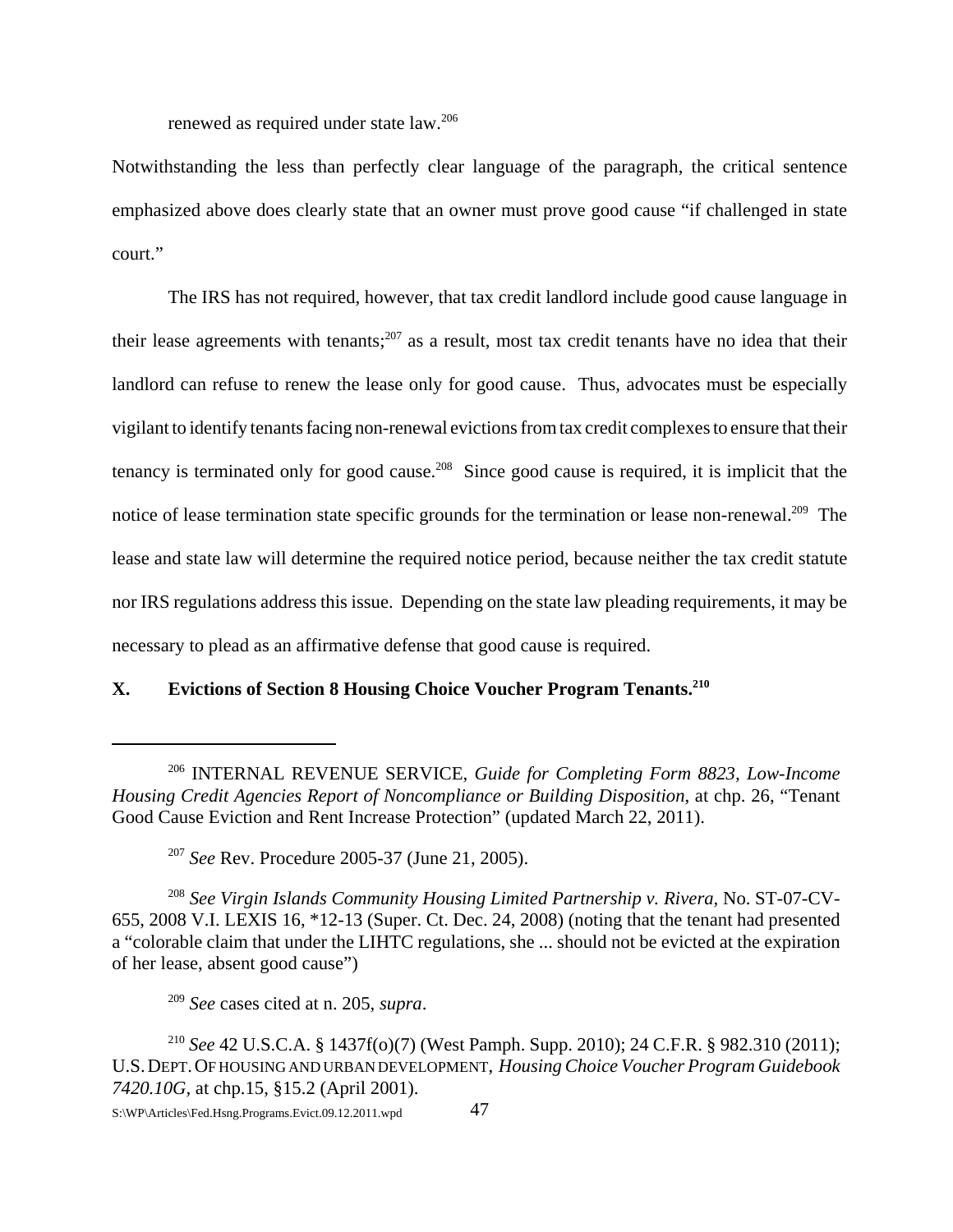renewed as required under state law.206

Notwithstanding the less than perfectly clear language of the paragraph, the critical sentence emphasized above does clearly state that an owner must prove good cause "if challenged in state court."

The IRS has not required, however, that tax credit landlord include good cause language in their lease agreements with tenants;<sup>207</sup> as a result, most tax credit tenants have no idea that their landlord can refuse to renew the lease only for good cause. Thus, advocates must be especially vigilant to identify tenants facing non-renewal evictions from tax credit complexes to ensure that their tenancy is terminated only for good cause.<sup>208</sup> Since good cause is required, it is implicit that the notice of lease termination state specific grounds for the termination or lease non-renewal.<sup>209</sup> The lease and state law will determine the required notice period, because neither the tax credit statute nor IRS regulations address this issue. Depending on the state law pleading requirements, it may be necessary to plead as an affirmative defense that good cause is required.

# **X. Evictions of Section 8 Housing Choice Voucher Program Tenants.210**

<sup>208</sup> See Virgin Islands Community Housing Limited Partnership v. Rivera, No. ST-07-CV-655, 2008 V.I. LEXIS 16, \*12-13 (Super. Ct. Dec. 24, 2008) (noting that the tenant had presented a "colorable claim that under the LIHTC regulations, she ... should not be evicted at the expiration of her lease, absent good cause")

<sup>209</sup> *See* cases cited at n. 205, *supra*.

<sup>206</sup> INTERNAL REVENUE SERVICE, *Guide for Completing Form 8823, Low-Income Housing Credit Agencies Report of Noncompliance or Building Disposition*, at chp. 26, "Tenant Good Cause Eviction and Rent Increase Protection" (updated March 22, 2011).

<sup>207</sup> *See* Rev. Procedure 2005-37 (June 21, 2005).

<sup>210</sup> *See* 42 U.S.C.A. § 1437f(o)(7) (West Pamph. Supp. 2010); 24 C.F.R. § 982.310 (2011); U.S.DEPT.OF HOUSING AND URBAN DEVELOPMENT, *Housing Choice Voucher Program Guidebook 7420.10G,* at chp.15, §15.2 (April 2001).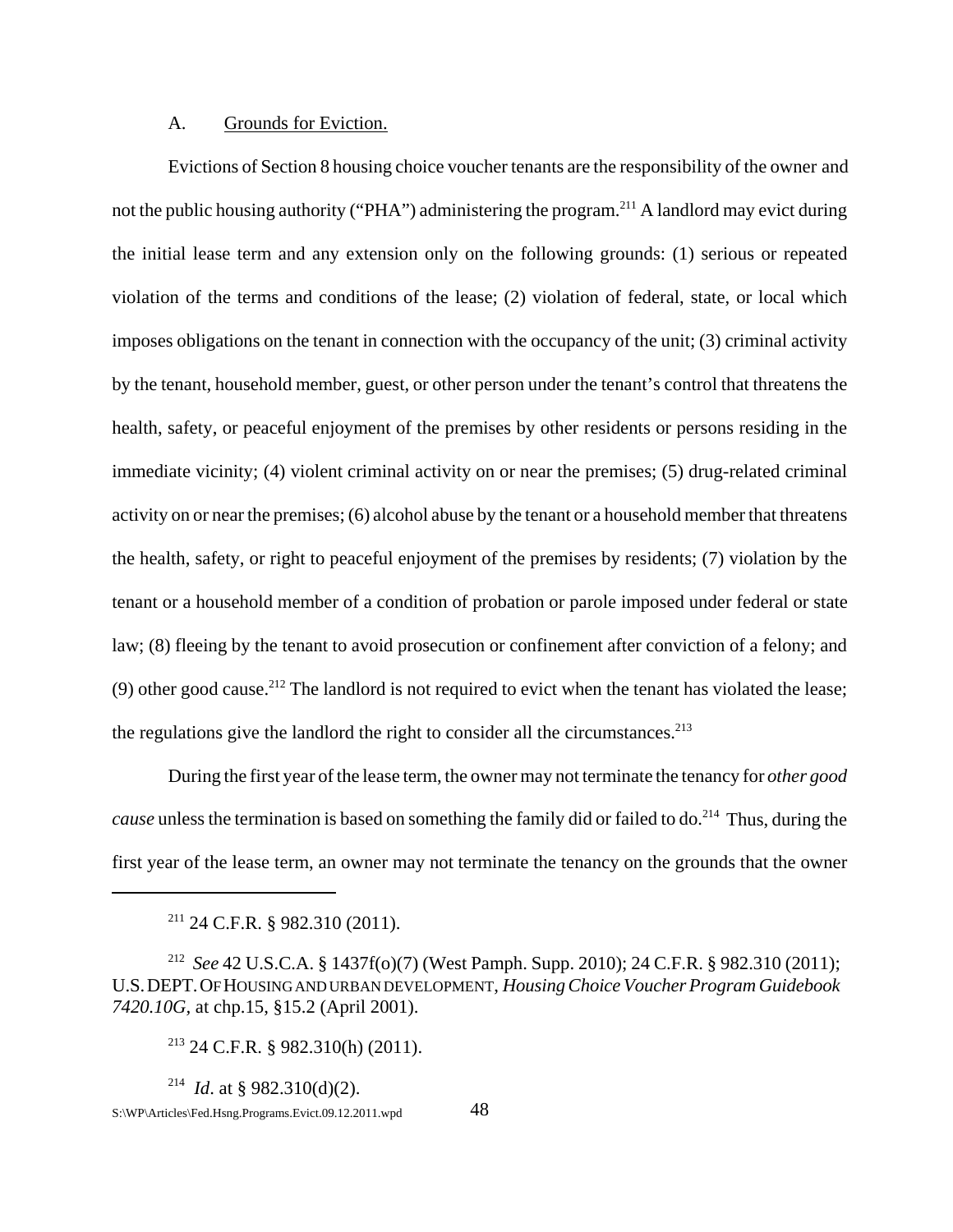### A. Grounds for Eviction.

 Evictions of Section 8 housing choice voucher tenants are the responsibility of the owner and not the public housing authority ("PHA") administering the program.<sup>211</sup> A landlord may evict during the initial lease term and any extension only on the following grounds: (1) serious or repeated violation of the terms and conditions of the lease; (2) violation of federal, state, or local which imposes obligations on the tenant in connection with the occupancy of the unit; (3) criminal activity by the tenant, household member, guest, or other person under the tenant's control that threatens the health, safety, or peaceful enjoyment of the premises by other residents or persons residing in the immediate vicinity; (4) violent criminal activity on or near the premises; (5) drug-related criminal activity on or near the premises; (6) alcohol abuse by the tenant or a household member that threatens the health, safety, or right to peaceful enjoyment of the premises by residents; (7) violation by the tenant or a household member of a condition of probation or parole imposed under federal or state law; (8) fleeing by the tenant to avoid prosecution or confinement after conviction of a felony; and (9) other good cause.<sup>212</sup> The landlord is not required to evict when the tenant has violated the lease; the regulations give the landlord the right to consider all the circumstances. $213$ 

During the first year of the lease term, the owner may not terminate the tenancy for *other good cause* unless the termination is based on something the family did or failed to do.<sup>214</sup> Thus, during the first year of the lease term, an owner may not terminate the tenancy on the grounds that the owner

 $211$  24 C.F.R. § 982.310 (2011).

<sup>212</sup> *See* 42 U.S.C.A. § 1437f(o)(7) (West Pamph. Supp. 2010); 24 C.F.R. § 982.310 (2011); U.S.DEPT.OF HOUSING AND URBAN DEVELOPMENT, *Housing Choice Voucher Program Guidebook 7420.10G,* at chp.15, §15.2 (April 2001).

 $213$  24 C.F.R. § 982.310(h) (2011).

<sup>214</sup> *Id*. at § 982.310(d)(2).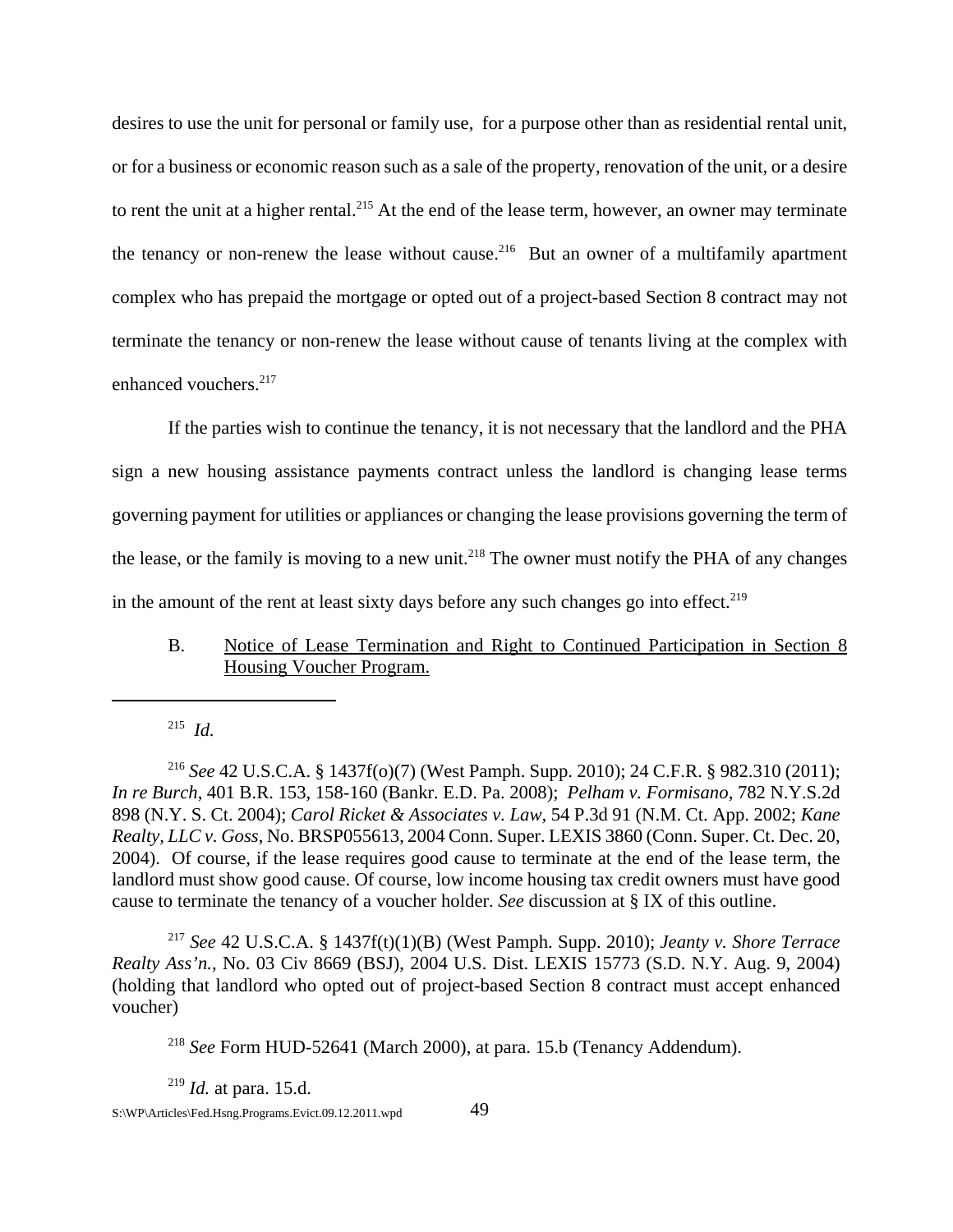desires to use the unit for personal or family use, for a purpose other than as residential rental unit, or for a business or economic reason such as a sale of the property, renovation of the unit, or a desire to rent the unit at a higher rental.<sup>215</sup> At the end of the lease term, however, an owner may terminate the tenancy or non-renew the lease without cause.<sup>216</sup> But an owner of a multifamily apartment complex who has prepaid the mortgage or opted out of a project-based Section 8 contract may not terminate the tenancy or non-renew the lease without cause of tenants living at the complex with enhanced vouchers.<sup>217</sup>

If the parties wish to continue the tenancy, it is not necessary that the landlord and the PHA sign a new housing assistance payments contract unless the landlord is changing lease terms governing payment for utilities or appliances or changing the lease provisions governing the term of the lease, or the family is moving to a new unit.<sup>218</sup> The owner must notify the PHA of any changes in the amount of the rent at least sixty days before any such changes go into effect.<sup>219</sup>

# B. Notice of Lease Termination and Right to Continued Participation in Section 8 Housing Voucher Program.

215 *Id.*

<sup>216</sup> *See* 42 U.S.C.A. § 1437f(o)(7) (West Pamph. Supp. 2010); 24 C.F.R. § 982.310 (2011); *In re Burch*, 401 B.R. 153, 158-160 (Bankr. E.D. Pa. 2008); *Pelham v. Formisano*, 782 N.Y.S.2d 898 (N.Y. S. Ct. 2004); *Carol Ricket & Associates v. Law*, 54 P.3d 91 (N.M. Ct. App. 2002; *Kane Realty, LLC v. Goss*, No. BRSP055613, 2004 Conn. Super. LEXIS 3860 (Conn. Super. Ct. Dec. 20, 2004). Of course, if the lease requires good cause to terminate at the end of the lease term, the landlord must show good cause. Of course, low income housing tax credit owners must have good cause to terminate the tenancy of a voucher holder. *See* discussion at § IX of this outline.

<sup>217</sup> *See* 42 U.S.C.A. § 1437f(t)(1)(B) (West Pamph. Supp. 2010); *Jeanty v. Shore Terrace Realty Ass'n.*, No. 03 Civ 8669 (BSJ), 2004 U.S. Dist. LEXIS 15773 (S.D. N.Y. Aug. 9, 2004) (holding that landlord who opted out of project-based Section 8 contract must accept enhanced voucher)

<sup>218</sup> *See* Form HUD-52641 (March 2000), at para. 15.b (Tenancy Addendum).

<sup>219</sup> *Id.* at para. 15.d.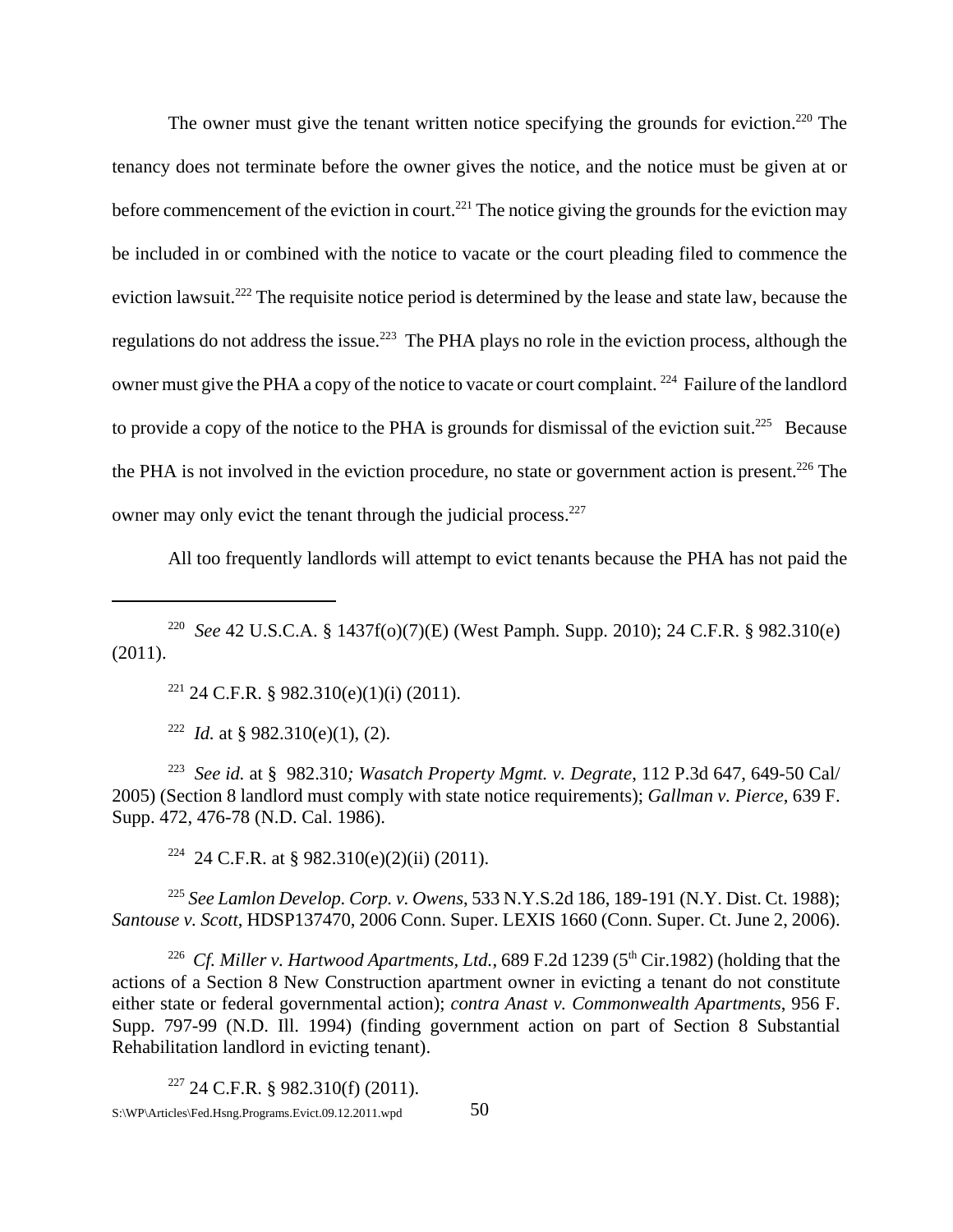The owner must give the tenant written notice specifying the grounds for eviction.<sup>220</sup> The tenancy does not terminate before the owner gives the notice, and the notice must be given at or before commencement of the eviction in court.<sup>221</sup> The notice giving the grounds for the eviction may be included in or combined with the notice to vacate or the court pleading filed to commence the eviction lawsuit.222 The requisite notice period is determined by the lease and state law, because the regulations do not address the issue.<sup>223</sup> The PHA plays no role in the eviction process, although the owner must give the PHA a copy of the notice to vacate or court complaint. 224 Failure of the landlord to provide a copy of the notice to the PHA is grounds for dismissal of the eviction suit.<sup>225</sup> Because the PHA is not involved in the eviction procedure, no state or government action is present.<sup>226</sup> The owner may only evict the tenant through the judicial process.<sup>227</sup>

All too frequently landlords will attempt to evict tenants because the PHA has not paid the

<sup>221</sup> 24 C.F.R. § 982.310(e)(1)(i) (2011).

<sup>222</sup> *Id.* at § 982.310(e)(1), (2).

223 *See id.* at § 982.310*; Wasatch Property Mgmt. v. Degrate*, 112 P.3d 647, 649-50 Cal/ 2005) (Section 8 landlord must comply with state notice requirements); *Gallman v. Pierce*, 639 F. Supp. 472, 476-78 (N.D. Cal. 1986).

<sup>224</sup> 24 C.F.R. at § 982.310(e)(2)(ii) (2011).

<sup>225</sup> *See Lamlon Develop. Corp. v. Owens*, 533 N.Y.S.2d 186, 189-191 (N.Y. Dist. Ct. 1988); *Santouse v. Scott*, HDSP137470, 2006 Conn. Super. LEXIS 1660 (Conn. Super. Ct. June 2, 2006).

<sup>226</sup> *Cf. Miller v. Hartwood Apartments, Ltd.*, 689 F.2d 1239 ( $5<sup>th</sup> Cir.1982$ ) (holding that the actions of a Section 8 New Construction apartment owner in evicting a tenant do not constitute either state or federal governmental action); *contra Anast v. Commonwealth Apartments*, 956 F. Supp. 797-99 (N.D. Ill. 1994) (finding government action on part of Section 8 Substantial Rehabilitation landlord in evicting tenant).

 $227$  24 C.F.R. § 982.310(f) (2011).  $S:\W{P\}$ Articles\Fed.Hsng.Programs.Evict.09.12.2011.wpd 50

<sup>220</sup> *See* 42 U.S.C.A. § 1437f(o)(7)(E) (West Pamph. Supp. 2010); 24 C.F.R. § 982.310(e) (2011).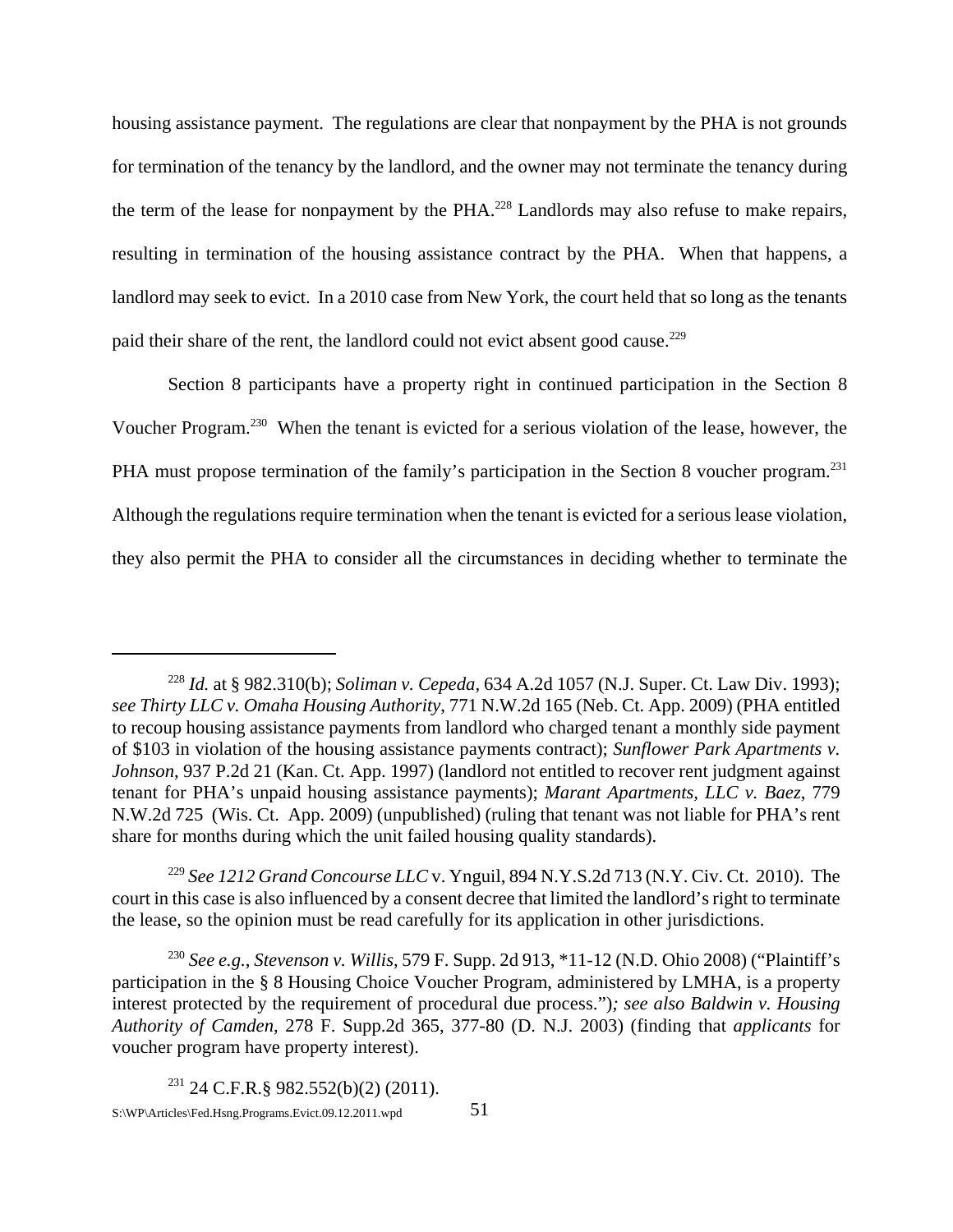housing assistance payment. The regulations are clear that nonpayment by the PHA is not grounds for termination of the tenancy by the landlord, and the owner may not terminate the tenancy during the term of the lease for nonpayment by the PHA.<sup>228</sup> Landlords may also refuse to make repairs, resulting in termination of the housing assistance contract by the PHA. When that happens, a landlord may seek to evict. In a 2010 case from New York, the court held that so long as the tenants paid their share of the rent, the landlord could not evict absent good cause.<sup>229</sup>

Section 8 participants have a property right in continued participation in the Section 8 Voucher Program.230 When the tenant is evicted for a serious violation of the lease, however, the PHA must propose termination of the family's participation in the Section 8 voucher program.<sup>231</sup> Although the regulations require termination when the tenant is evicted for a serious lease violation, they also permit the PHA to consider all the circumstances in deciding whether to terminate the

<sup>228</sup> *Id.* at § 982.310(b); *Soliman v. Cepeda*, 634 A.2d 1057 (N.J. Super. Ct. Law Div. 1993); *see Thirty LLC v. Omaha Housing Authority*, 771 N.W.2d 165 (Neb. Ct. App. 2009) (PHA entitled to recoup housing assistance payments from landlord who charged tenant a monthly side payment of \$103 in violation of the housing assistance payments contract); *Sunflower Park Apartments v. Johnson*, 937 P.2d 21 (Kan. Ct. App. 1997) (landlord not entitled to recover rent judgment against tenant for PHA's unpaid housing assistance payments); *Marant Apartments, LLC v. Baez*, 779 N.W.2d 725 (Wis. Ct. App. 2009) (unpublished) (ruling that tenant was not liable for PHA's rent share for months during which the unit failed housing quality standards).

<sup>229</sup> *See 1212 Grand Concourse LLC* v. Ynguil, 894 N.Y.S.2d 713 (N.Y. Civ. Ct. 2010). The court in this case is also influenced by a consent decree that limited the landlord's right to terminate the lease, so the opinion must be read carefully for its application in other jurisdictions.

<sup>230</sup> *See e.g.*, *Stevenson v. Willis*, 579 F. Supp. 2d 913, \*11-12 (N.D. Ohio 2008) ("Plaintiff's participation in the § 8 Housing Choice Voucher Program, administered by LMHA, is a property interest protected by the requirement of procedural due process.")*; see also Baldwin v. Housing Authority of Camden*, 278 F. Supp.2d 365, 377-80 (D. N.J. 2003) (finding that *applicants* for voucher program have property interest).

 $231$  24 C.F.R.§ 982.552(b)(2) (2011). S:\WP\Articles\Fed.Hsng.Programs.Evict.09.12.2011.wpd 51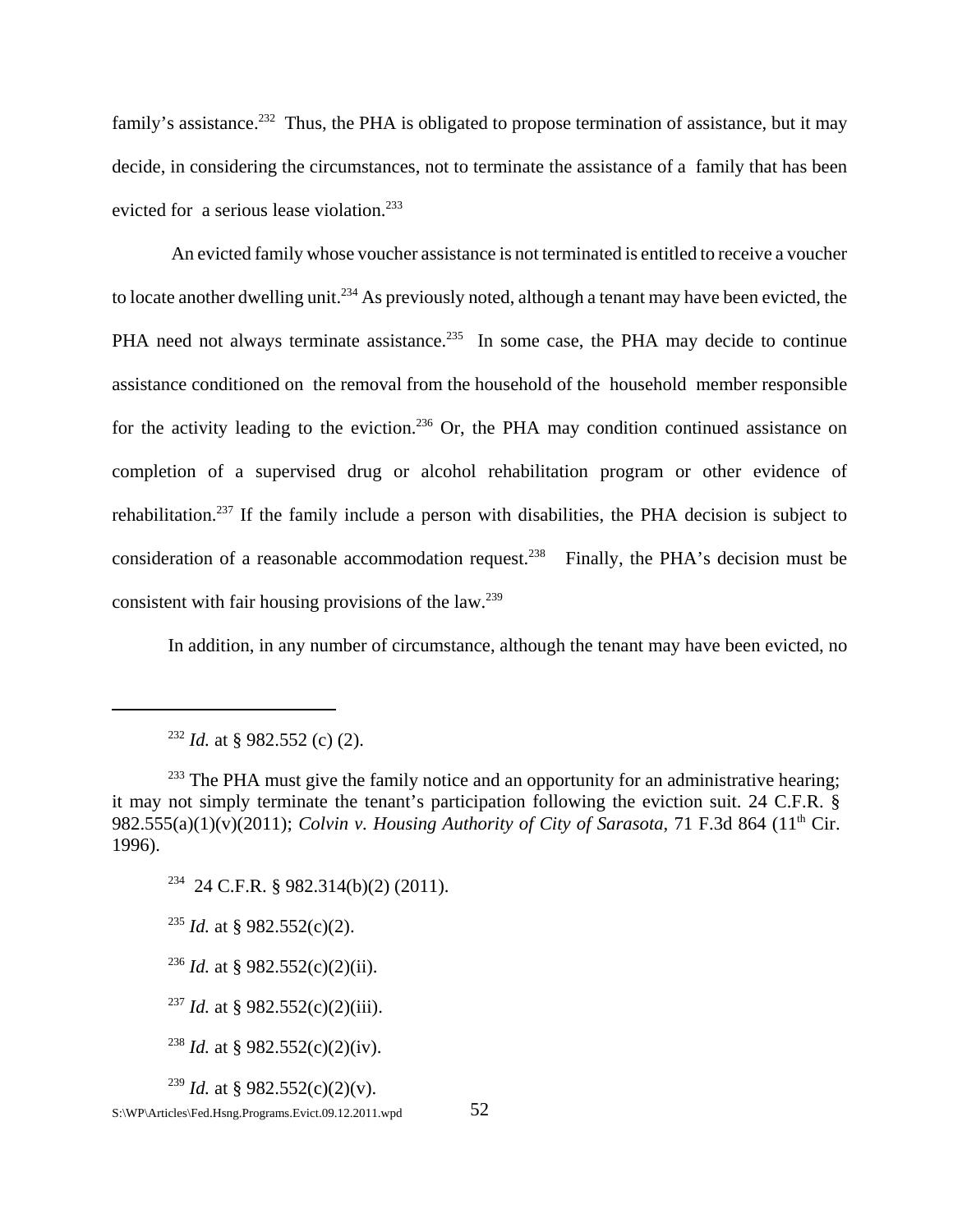family's assistance.<sup>232</sup> Thus, the PHA is obligated to propose termination of assistance, but it may decide, in considering the circumstances, not to terminate the assistance of a family that has been evicted for a serious lease violation.<sup>233</sup>

 An evicted family whose voucher assistance is not terminated is entitled to receive a voucher to locate another dwelling unit.<sup>234</sup> As previously noted, although a tenant may have been evicted, the PHA need not always terminate assistance.<sup>235</sup> In some case, the PHA may decide to continue assistance conditioned on the removal from the household of the household member responsible for the activity leading to the eviction.<sup>236</sup> Or, the PHA may condition continued assistance on completion of a supervised drug or alcohol rehabilitation program or other evidence of rehabilitation.237 If the family include a person with disabilities, the PHA decision is subject to consideration of a reasonable accommodation request.<sup>238</sup> Finally, the PHA's decision must be consistent with fair housing provisions of the  $law.^{239}$ 

In addition, in any number of circumstance, although the tenant may have been evicted, no

 $234$  24 C.F.R. § 982.314(b)(2) (2011).

<sup>235</sup> *Id.* at § 982.552(c)(2).

<sup>236</sup> *Id.* at § 982.552(c)(2)(ii).

<sup>237</sup> *Id.* at § 982.552(c)(2)(iii).

<sup>238</sup> *Id.* at § 982.552(c)(2)(iv).

<sup>239</sup> *Id.* at § 982.552(c)(2)(y).

<sup>232</sup> *Id.* at § 982.552 (c) (2).

<sup>&</sup>lt;sup>233</sup> The PHA must give the family notice and an opportunity for an administrative hearing; it may not simply terminate the tenant's participation following the eviction suit. 24 C.F.R. § 982.555(a)(1)(v)(2011); *Colvin v. Housing Authority of City of Sarasota*, 71 F.3d 864 (11th Cir. 1996).

S:\WP\Articles\Fed.Hsng.Programs.Evict.09.12.2011.wpd 52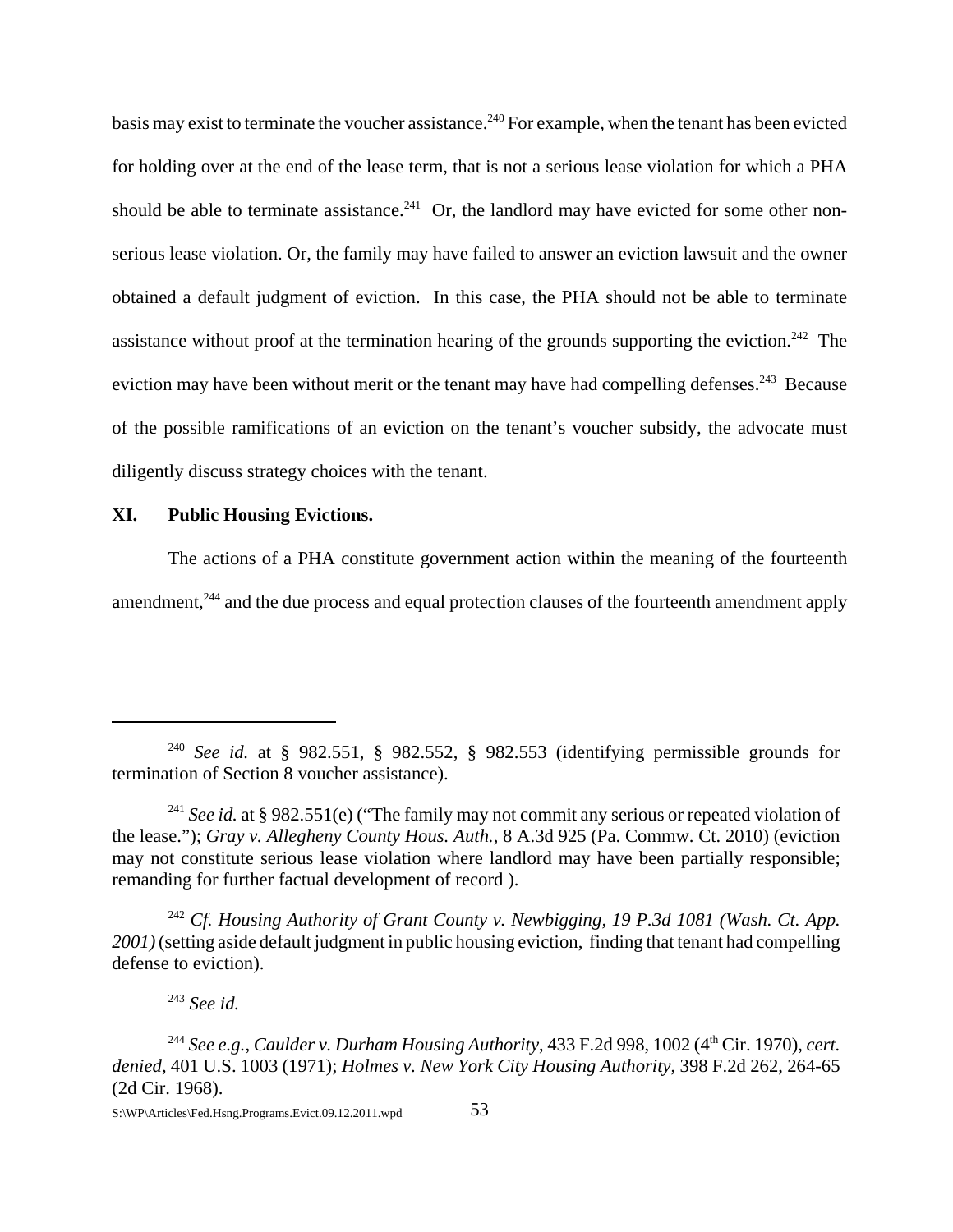basis may exist to terminate the voucher assistance.<sup>240</sup> For example, when the tenant has been evicted for holding over at the end of the lease term, that is not a serious lease violation for which a PHA should be able to terminate assistance.<sup>241</sup> Or, the landlord may have evicted for some other nonserious lease violation. Or, the family may have failed to answer an eviction lawsuit and the owner obtained a default judgment of eviction. In this case, the PHA should not be able to terminate assistance without proof at the termination hearing of the grounds supporting the eviction.<sup>242</sup> The eviction may have been without merit or the tenant may have had compelling defenses.<sup>243</sup> Because of the possible ramifications of an eviction on the tenant's voucher subsidy, the advocate must diligently discuss strategy choices with the tenant.

### **XI. Public Housing Evictions.**

The actions of a PHA constitute government action within the meaning of the fourteenth amendment,<sup>244</sup> and the due process and equal protection clauses of the fourteenth amendment apply

<sup>242</sup> *Cf. Housing Authority of Grant County v. Newbigging, 19 P.3d 1081 (Wash. Ct. App. 2001)* (setting aside default judgment in public housing eviction, finding that tenant had compelling defense to eviction).

<sup>240</sup> *See id.* at § 982.551, § 982.552, § 982.553 (identifying permissible grounds for termination of Section 8 voucher assistance).

<sup>&</sup>lt;sup>241</sup> *See id.* at § 982.551(e) ("The family may not commit any serious or repeated violation of the lease."); *Gray v. Allegheny County Hous. Auth.*, 8 A.3d 925 (Pa. Commw. Ct. 2010) (eviction may not constitute serious lease violation where landlord may have been partially responsible; remanding for further factual development of record ).

<sup>243</sup> *See id.*

<sup>&</sup>lt;sup>244</sup> See e.g., Caulder v. Durham Housing Authority, 433 F.2d 998, 1002 (4<sup>th</sup> Cir. 1970), cert. *denied*, 401 U.S. 1003 (1971); *Holmes v. New York City Housing Authority*, 398 F.2d 262, 264-65 (2d Cir. 1968).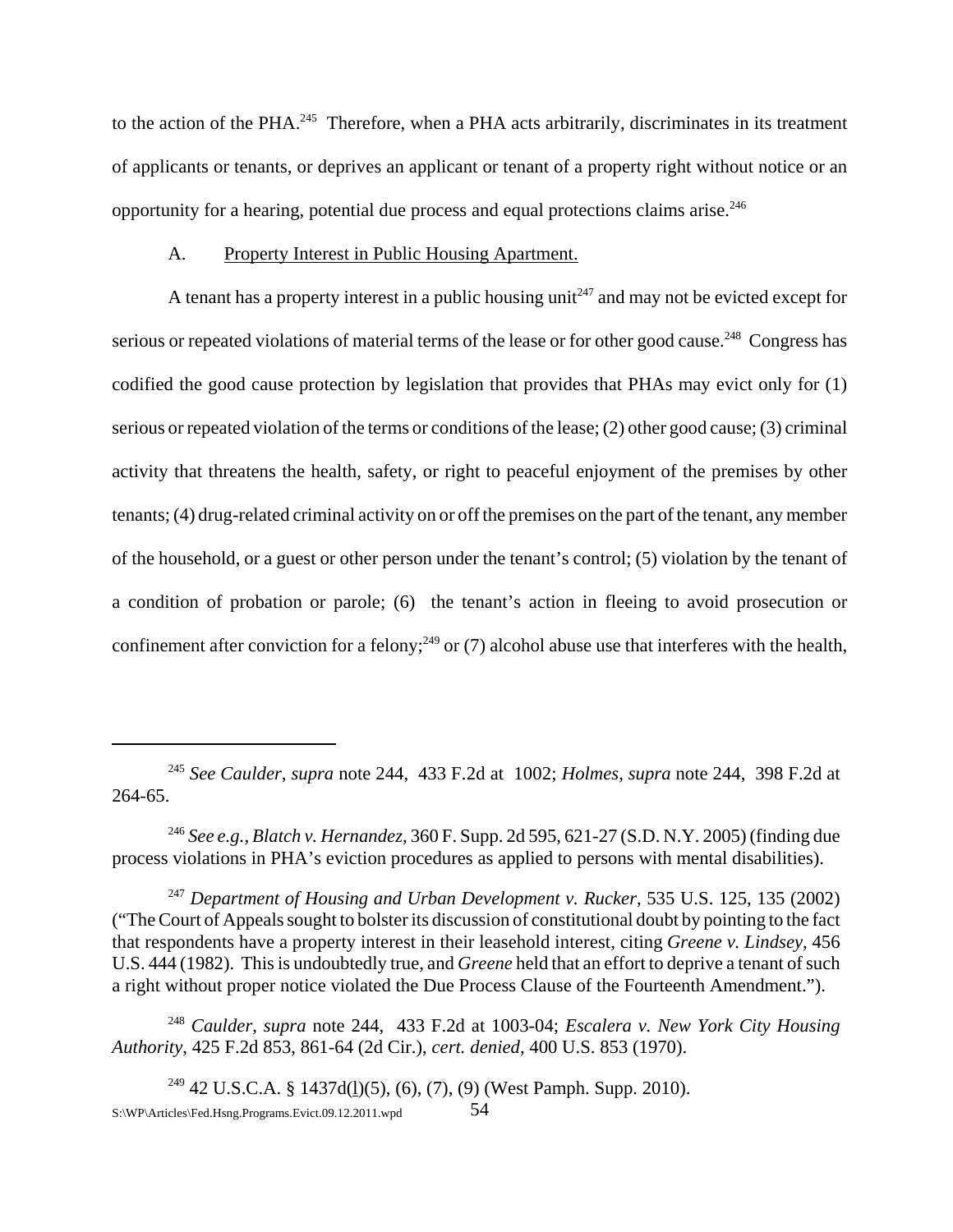to the action of the PHA.<sup>245</sup> Therefore, when a PHA acts arbitrarily, discriminates in its treatment of applicants or tenants, or deprives an applicant or tenant of a property right without notice or an opportunity for a hearing, potential due process and equal protections claims arise.246

#### A. Property Interest in Public Housing Apartment.

A tenant has a property interest in a public housing unit<sup> $247$ </sup> and may not be evicted except for serious or repeated violations of material terms of the lease or for other good cause.<sup>248</sup> Congress has codified the good cause protection by legislation that provides that PHAs may evict only for (1) serious or repeated violation of the terms or conditions of the lease; (2) other good cause; (3) criminal activity that threatens the health, safety, or right to peaceful enjoyment of the premises by other tenants; (4) drug-related criminal activity on or off the premises on the part of the tenant, any member of the household, or a guest or other person under the tenant's control; (5) violation by the tenant of a condition of probation or parole; (6) the tenant's action in fleeing to avoid prosecution or confinement after conviction for a felony;<sup>249</sup> or (7) alcohol abuse use that interferes with the health,

<sup>245</sup> *See Caulder*, *supra* note 244, 433 F.2d at 1002; *Holmes*, *supra* note 244, 398 F.2d at 264-65.

<sup>246</sup> *See e.g., Blatch v. Hernandez,* 360 F. Supp. 2d 595, 621-27 (S.D. N.Y. 2005) (finding due process violations in PHA's eviction procedures as applied to persons with mental disabilities).

<sup>247</sup> *Department of Housing and Urban Development v. Rucker*, 535 U.S. 125, 135 (2002) ("The Court of Appeals sought to bolster its discussion of constitutional doubt by pointing to the fact that respondents have a property interest in their leasehold interest, citing *Greene v. Lindsey*, 456 U.S. 444 (1982). This is undoubtedly true, and *Greene* held that an effort to deprive a tenant of such a right without proper notice violated the Due Process Clause of the Fourteenth Amendment.").

<sup>248</sup> *Caulder*, *supra* note 244, 433 F.2d at 1003-04; *Escalera v. New York City Housing Authority*, 425 F.2d 853, 861-64 (2d Cir.), *cert. denied*, 400 U.S. 853 (1970).

<sup>&</sup>lt;sup>249</sup> 42 U.S.C.A. § 1437d(<u>l</u>)(5), (6), (7), (9) (West Pamph. Supp. 2010). S:\WP\Articles\Fed.Hsng.Programs.Evict.09.12.2011.wpd 54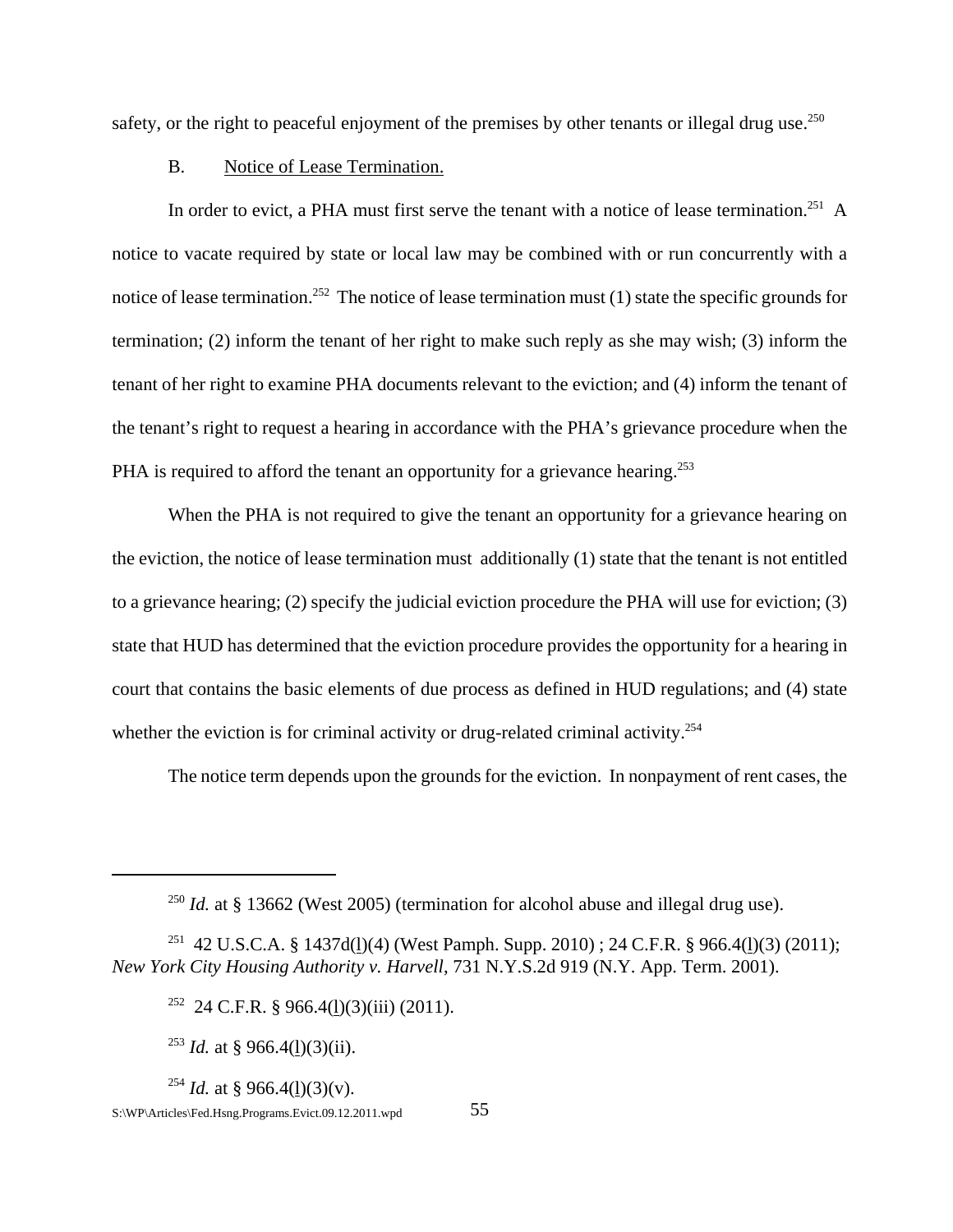safety, or the right to peaceful enjoyment of the premises by other tenants or illegal drug use.<sup>250</sup>

### B. Notice of Lease Termination.

In order to evict, a PHA must first serve the tenant with a notice of lease termination.<sup>251</sup> A notice to vacate required by state or local law may be combined with or run concurrently with a notice of lease termination.<sup>252</sup> The notice of lease termination must  $(1)$  state the specific grounds for termination; (2) inform the tenant of her right to make such reply as she may wish; (3) inform the tenant of her right to examine PHA documents relevant to the eviction; and (4) inform the tenant of the tenant's right to request a hearing in accordance with the PHA's grievance procedure when the PHA is required to afford the tenant an opportunity for a grievance hearing.<sup>253</sup>

When the PHA is not required to give the tenant an opportunity for a grievance hearing on the eviction, the notice of lease termination must additionally (1) state that the tenant is not entitled to a grievance hearing; (2) specify the judicial eviction procedure the PHA will use for eviction; (3) state that HUD has determined that the eviction procedure provides the opportunity for a hearing in court that contains the basic elements of due process as defined in HUD regulations; and (4) state whether the eviction is for criminal activity or drug-related criminal activity.<sup>254</sup>

The notice term depends upon the grounds for the eviction. In nonpayment of rent cases, the

<sup>253</sup> *Id.* at § 966.4(l)(3)(ii).

<sup>254</sup> *Id.* at § 966.4(1)(3)(y).

<sup>&</sup>lt;sup>250</sup> *Id.* at § 13662 (West 2005) (termination for alcohol abuse and illegal drug use).

<sup>&</sup>lt;sup>251</sup> 42 U.S.C.A. § 1437d(1)(4) (West Pamph. Supp. 2010) ; 24 C.F.R. § 966.4(1)(3) (2011); *New York City Housing Authority v. Harvell*, 731 N.Y.S.2d 919 (N.Y. App. Term. 2001).

<sup>&</sup>lt;sup>252</sup> 24 C.F.R. § 966.4(1)(3)(iii) (2011).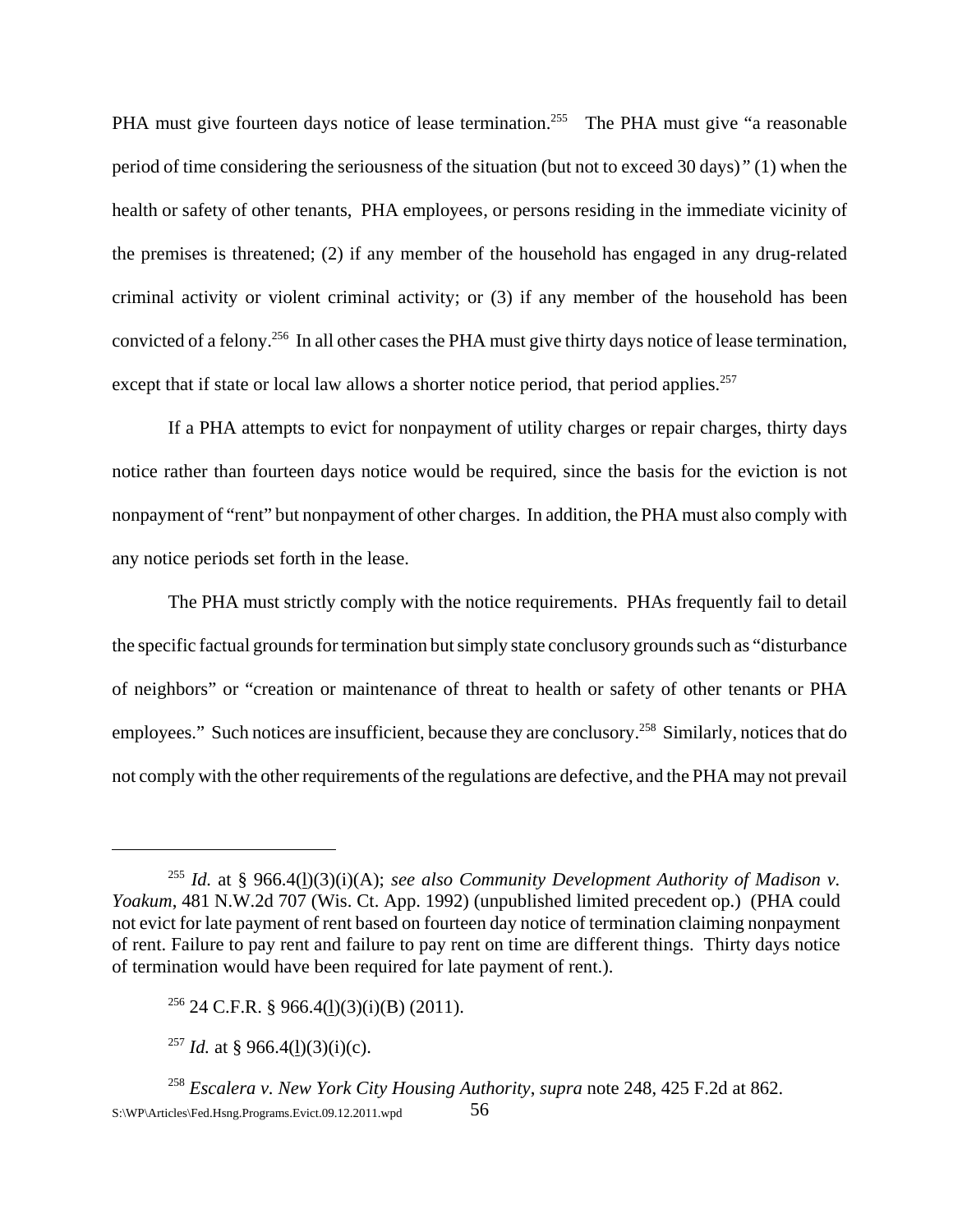PHA must give fourteen days notice of lease termination.<sup>255</sup> The PHA must give "a reasonable" period of time considering the seriousness of the situation (but not to exceed 30 days)*"* (1) when the health or safety of other tenants, PHA employees, or persons residing in the immediate vicinity of the premises is threatened; (2) if any member of the household has engaged in any drug-related criminal activity or violent criminal activity; or (3) if any member of the household has been convicted of a felony.256 In all other cases the PHA must give thirty days notice of lease termination, except that if state or local law allows a shorter notice period, that period applies.<sup>257</sup>

If a PHA attempts to evict for nonpayment of utility charges or repair charges, thirty days notice rather than fourteen days notice would be required, since the basis for the eviction is not nonpayment of "rent" but nonpayment of other charges. In addition, the PHA must also comply with any notice periods set forth in the lease.

The PHA must strictly comply with the notice requirements. PHAs frequently fail to detail the specific factual grounds for termination but simply state conclusory grounds such as "disturbance of neighbors" or "creation or maintenance of threat to health or safety of other tenants or PHA employees." Such notices are insufficient, because they are conclusory.<sup>258</sup> Similarly, notices that do not comply with the other requirements of the regulations are defective, and the PHA may not prevail

<sup>&</sup>lt;sup>255</sup> *Id.* at § 966.4(<u>l</u>)(3)(i)(A); *see also Community Development Authority of Madison v. Yoakum*, 481 N.W.2d 707 (Wis. Ct. App. 1992) (unpublished limited precedent op.) (PHA could not evict for late payment of rent based on fourteen day notice of termination claiming nonpayment of rent. Failure to pay rent and failure to pay rent on time are different things. Thirty days notice of termination would have been required for late payment of rent.).

 $256$  24 C.F.R. § 966.4(1)(3)(i)(B) (2011).

<sup>&</sup>lt;sup>257</sup> *Id.* at § 966.4(1)(3)(i)(c).

<sup>258</sup> *Escalera v. New York City Housing Authority*, *supra* note 248, 425 F.2d at 862. S: $\W{P\}$ Articles $\text{Fed.Hsng.Programs}$ . Evict.09.12.2011.wpd 56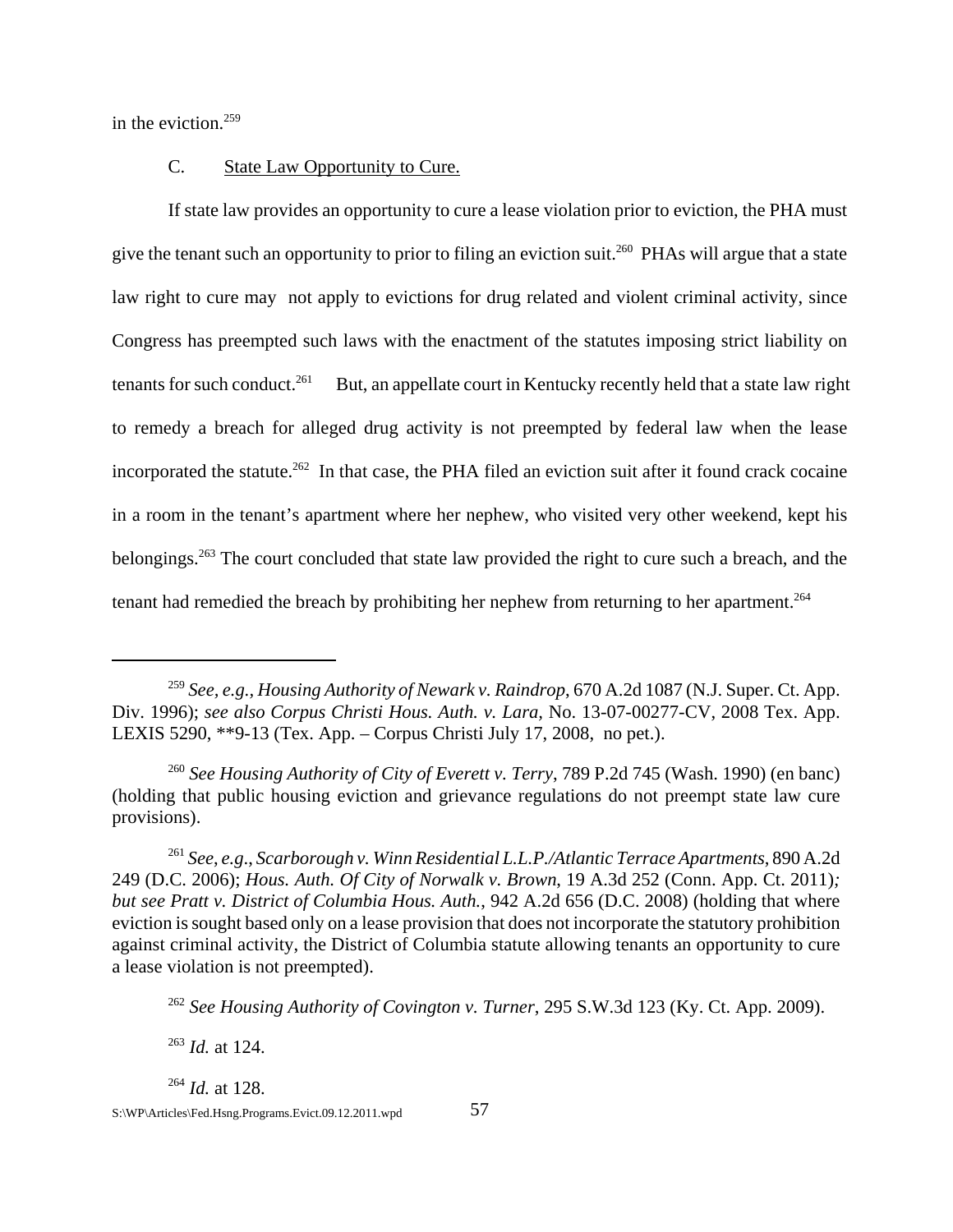in the eviction. $259$ 

### C. State Law Opportunity to Cure.

If state law provides an opportunity to cure a lease violation prior to eviction, the PHA must give the tenant such an opportunity to prior to filing an eviction suit.<sup>260</sup> PHAs will argue that a state law right to cure may not apply to evictions for drug related and violent criminal activity, since Congress has preempted such laws with the enactment of the statutes imposing strict liability on tenants for such conduct.<sup>261</sup> But, an appellate court in Kentucky recently held that a state law right to remedy a breach for alleged drug activity is not preempted by federal law when the lease incorporated the statute.<sup>262</sup> In that case, the PHA filed an eviction suit after it found crack cocaine in a room in the tenant's apartment where her nephew, who visited very other weekend, kept his belongings.263 The court concluded that state law provided the right to cure such a breach, and the tenant had remedied the breach by prohibiting her nephew from returning to her apartment.<sup>264</sup>

<sup>262</sup> *See Housing Authority of Covington v. Turner*, 295 S.W.3d 123 (Ky. Ct. App. 2009).

<sup>263</sup> *Id.* at 124.

<sup>264</sup> *Id.* at 128.

<sup>259</sup> *See, e.g., Housing Authority of Newark v. Raindrop*, 670 A.2d 1087 (N.J. Super. Ct. App. Div. 1996); *see also Corpus Christi Hous. Auth. v. Lara,* No. 13-07-00277-CV, 2008 Tex. App. LEXIS 5290, \*\*9-13 (Tex. App. – Corpus Christi July 17, 2008, no pet.).

<sup>260</sup> *See Housing Authority of City of Everett v. Terry*, 789 P.2d 745 (Wash. 1990) (en banc) (holding that public housing eviction and grievance regulations do not preempt state law cure provisions).

<sup>261</sup> *See*, *e.g*., *Scarborough v. Winn Residential L.L.P./Atlantic Terrace Apartments*, 890 A.2d 249 (D.C. 2006); *Hous. Auth. Of City of Norwalk v. Brown*, 19 A.3d 252 (Conn. App. Ct. 2011)*; but see Pratt v. District of Columbia Hous. Auth.*, 942 A.2d 656 (D.C. 2008) (holding that where eviction is sought based only on a lease provision that does not incorporate the statutory prohibition against criminal activity, the District of Columbia statute allowing tenants an opportunity to cure a lease violation is not preempted).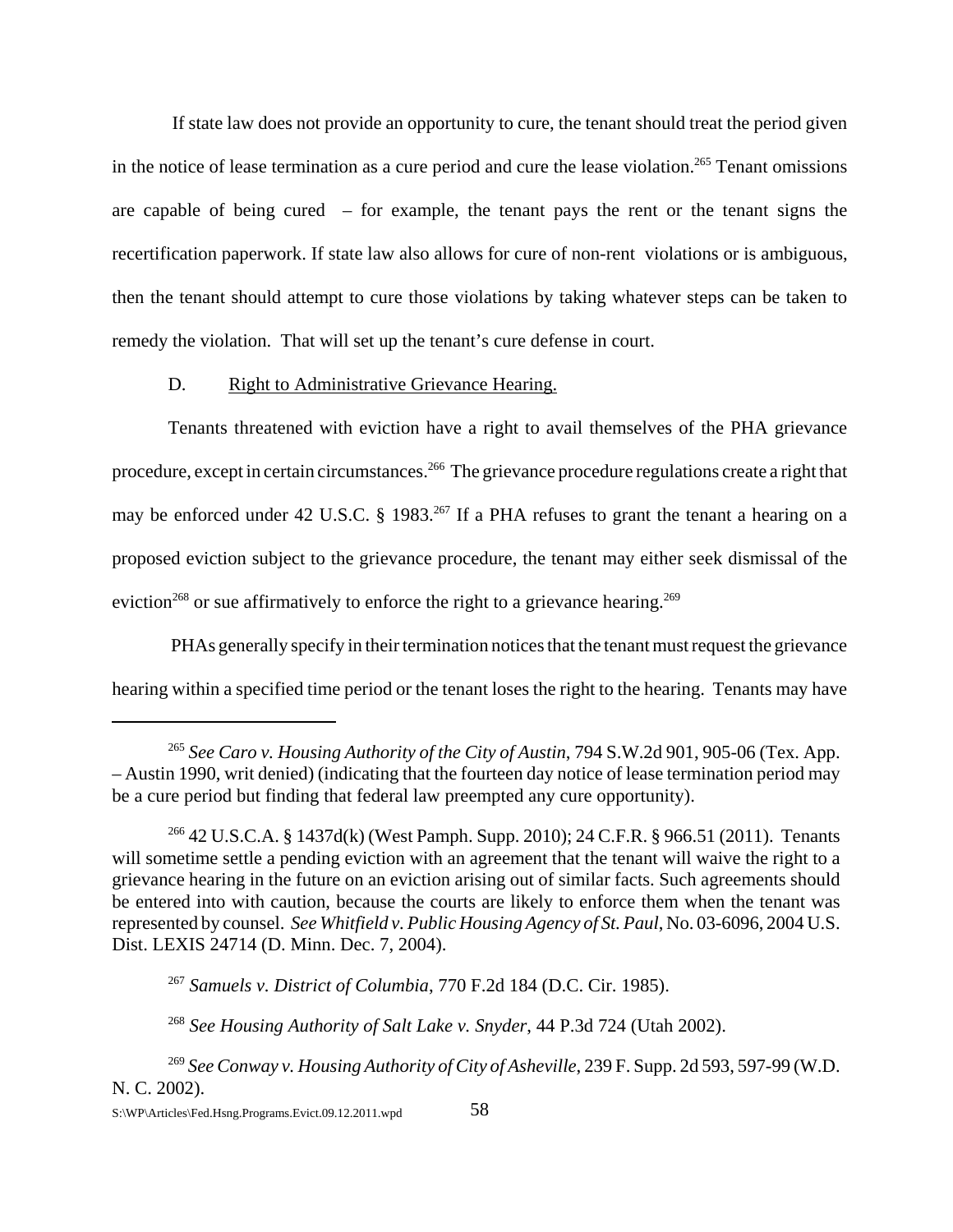If state law does not provide an opportunity to cure, the tenant should treat the period given in the notice of lease termination as a cure period and cure the lease violation.<sup>265</sup> Tenant omissions are capable of being cured – for example, the tenant pays the rent or the tenant signs the recertification paperwork. If state law also allows for cure of non-rent violations or is ambiguous, then the tenant should attempt to cure those violations by taking whatever steps can be taken to remedy the violation. That will set up the tenant's cure defense in court.

### D. Right to Administrative Grievance Hearing.

Tenants threatened with eviction have a right to avail themselves of the PHA grievance procedure, except in certain circumstances.266 The grievance procedure regulations create a right that may be enforced under 42 U.S.C. § 1983.<sup>267</sup> If a PHA refuses to grant the tenant a hearing on a proposed eviction subject to the grievance procedure, the tenant may either seek dismissal of the eviction<sup>268</sup> or sue affirmatively to enforce the right to a grievance hearing.<sup>269</sup>

 PHAs generally specify in their termination notices that the tenant must request the grievance hearing within a specified time period or the tenant loses the right to the hearing. Tenants may have

<sup>265</sup> *See Caro v. Housing Authority of the City of Austin*, 794 S.W.2d 901, 905-06 (Tex. App. – Austin 1990, writ denied) (indicating that the fourteen day notice of lease termination period may be a cure period but finding that federal law preempted any cure opportunity).

<sup>266 42</sup> U.S.C.A. § 1437d(k) (West Pamph. Supp. 2010); 24 C.F.R. § 966.51 (2011). Tenants will sometime settle a pending eviction with an agreement that the tenant will waive the right to a grievance hearing in the future on an eviction arising out of similar facts. Such agreements should be entered into with caution, because the courts are likely to enforce them when the tenant was represented by counsel. *See Whitfield v. Public Housing Agency of St. Paul*, No. 03-6096, 2004 U.S. Dist. LEXIS 24714 (D. Minn. Dec. 7, 2004).

<sup>267</sup> *Samuels v. District of Columbia*, 770 F.2d 184 (D.C. Cir. 1985).

<sup>268</sup> *See Housing Authority of Salt Lake v. Snyder*, 44 P.3d 724 (Utah 2002).

<sup>269</sup> *See Conway v. Housing Authority of City of Asheville*, 239 F. Supp. 2d 593, 597-99 (W.D. N. C. 2002).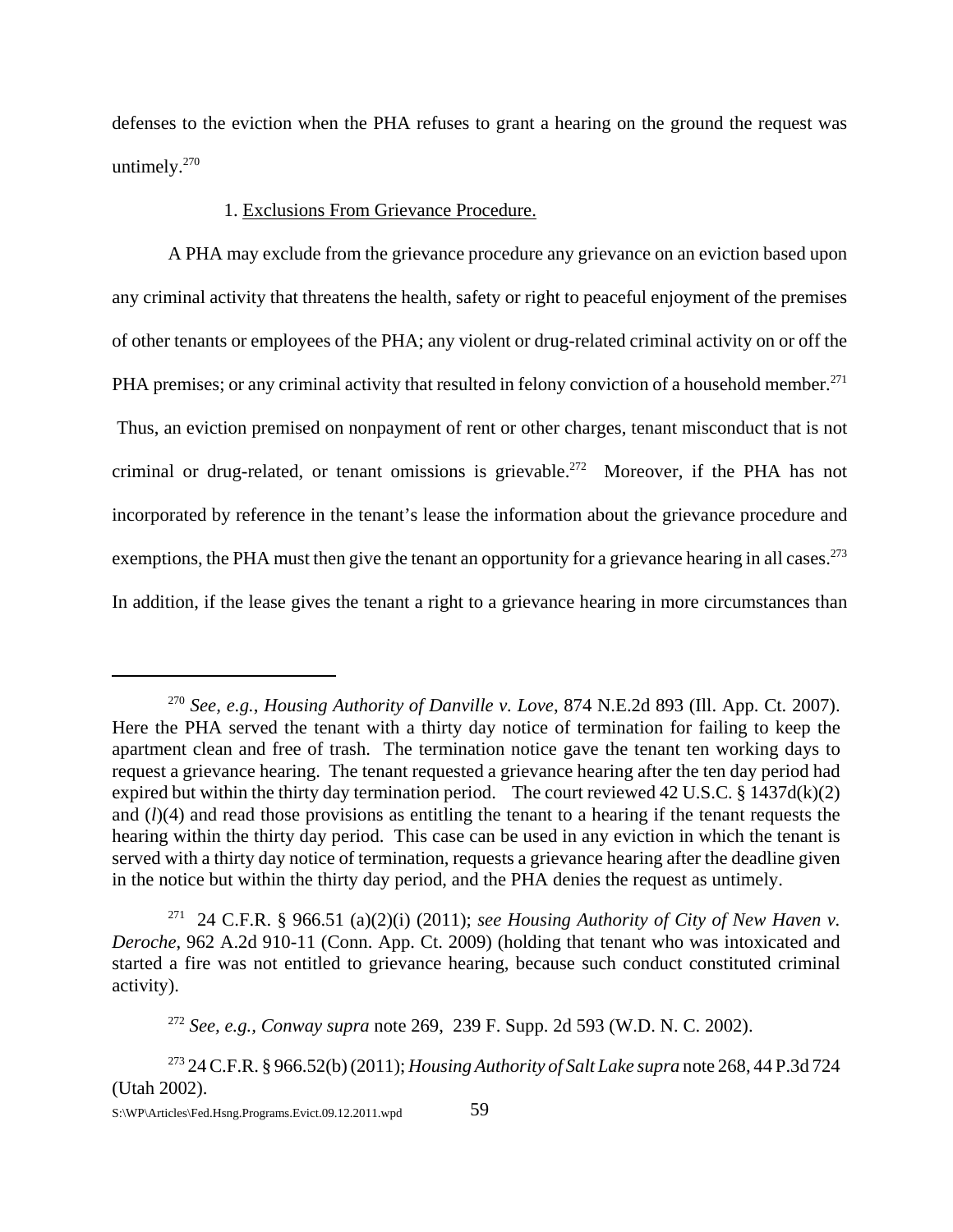defenses to the eviction when the PHA refuses to grant a hearing on the ground the request was untimely.<sup>270</sup>

#### 1. Exclusions From Grievance Procedure.

A PHA may exclude from the grievance procedure any grievance on an eviction based upon any criminal activity that threatens the health, safety or right to peaceful enjoyment of the premises of other tenants or employees of the PHA; any violent or drug-related criminal activity on or off the PHA premises; or any criminal activity that resulted in felony conviction of a household member.<sup>271</sup> Thus, an eviction premised on nonpayment of rent or other charges, tenant misconduct that is not criminal or drug-related, or tenant omissions is grievable.<sup>272</sup> Moreover, if the PHA has not incorporated by reference in the tenant's lease the information about the grievance procedure and exemptions, the PHA must then give the tenant an opportunity for a grievance hearing in all cases.<sup>273</sup> In addition, if the lease gives the tenant a right to a grievance hearing in more circumstances than

<sup>270</sup> *See, e.g.*, *Housing Authority of Danville v. Love*, 874 N.E.2d 893 (Ill. App. Ct. 2007). Here the PHA served the tenant with a thirty day notice of termination for failing to keep the apartment clean and free of trash. The termination notice gave the tenant ten working days to request a grievance hearing. The tenant requested a grievance hearing after the ten day period had expired but within the thirty day termination period. The court reviewed 42 U.S.C.  $\S 1437d(k)(2)$ and (*l*)(4) and read those provisions as entitling the tenant to a hearing if the tenant requests the hearing within the thirty day period. This case can be used in any eviction in which the tenant is served with a thirty day notice of termination, requests a grievance hearing after the deadline given in the notice but within the thirty day period, and the PHA denies the request as untimely.

<sup>&</sup>lt;sup>271</sup> 24 C.F.R. § 966.51 (a)(2)(i) (2011); *see Housing Authority of City of New Haven v. Deroche*, 962 A.2d 910-11 (Conn. App. Ct. 2009) (holding that tenant who was intoxicated and started a fire was not entitled to grievance hearing, because such conduct constituted criminal activity).

<sup>272</sup> *See, e.g., Conway supra* note 269, 239 F. Supp. 2d 593 (W.D. N. C. 2002).

<sup>273 24</sup> C.F.R. § 966.52(b) (2011); *Housing Authority of Salt Lake supra* note 268, 44 P.3d 724 (Utah 2002).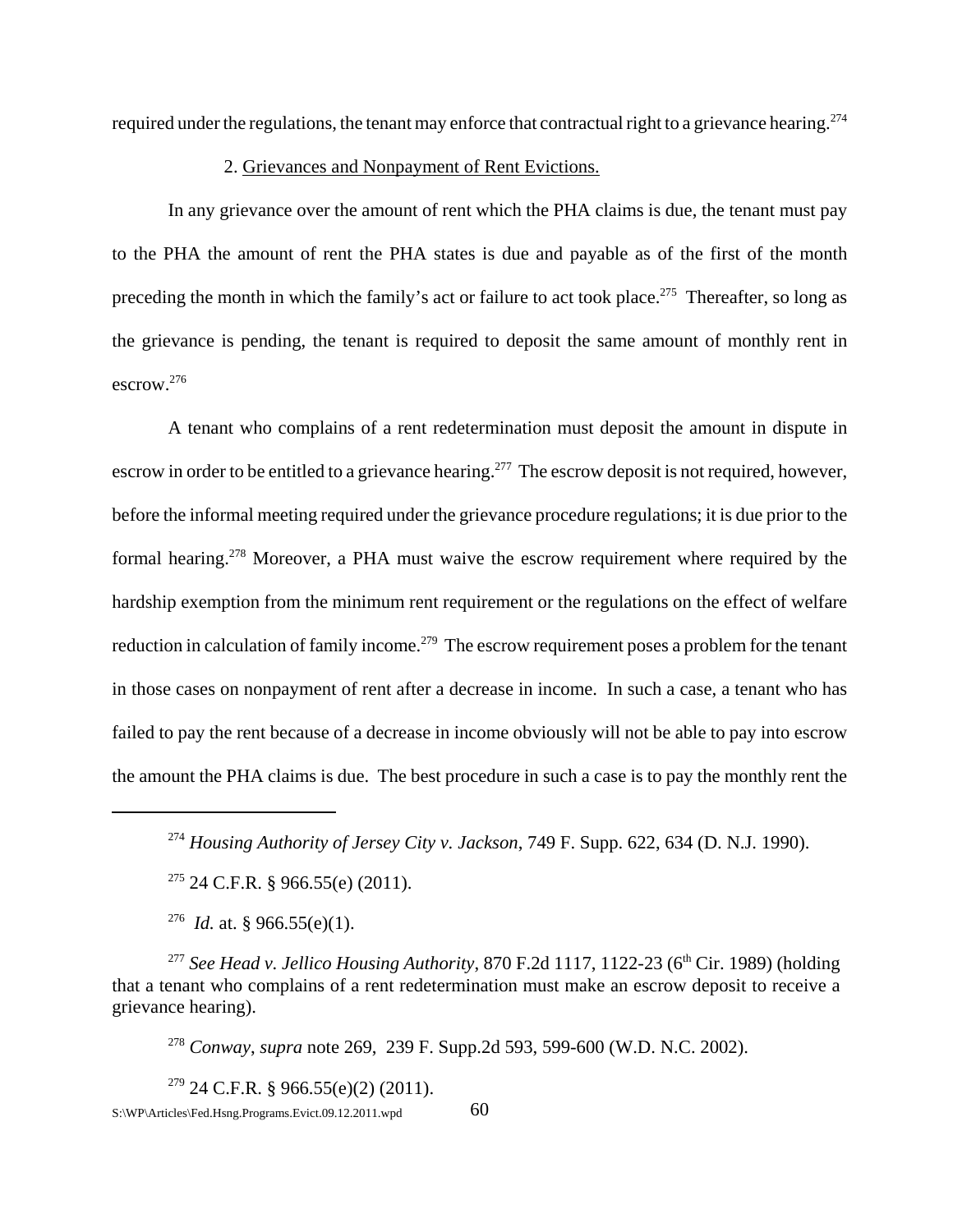required under the regulations, the tenant may enforce that contractual right to a grievance hearing.<sup>274</sup>

#### 2. Grievances and Nonpayment of Rent Evictions.

 In any grievance over the amount of rent which the PHA claims is due, the tenant must pay to the PHA the amount of rent the PHA states is due and payable as of the first of the month preceding the month in which the family's act or failure to act took place.<sup>275</sup> Thereafter, so long as the grievance is pending, the tenant is required to deposit the same amount of monthly rent in escrow.276

A tenant who complains of a rent redetermination must deposit the amount in dispute in escrow in order to be entitled to a grievance hearing.<sup>277</sup> The escrow deposit is not required, however, before the informal meeting required under the grievance procedure regulations; it is due prior to the formal hearing.278 Moreover, a PHA must waive the escrow requirement where required by the hardship exemption from the minimum rent requirement or the regulations on the effect of welfare reduction in calculation of family income.<sup>279</sup> The escrow requirement poses a problem for the tenant in those cases on nonpayment of rent after a decrease in income. In such a case, a tenant who has failed to pay the rent because of a decrease in income obviously will not be able to pay into escrow the amount the PHA claims is due. The best procedure in such a case is to pay the monthly rent the

<sup>278</sup> *Conway*, *supra* note 269, 239 F. Supp.2d 593, 599-600 (W.D. N.C. 2002).

 $279$  24 C.F.R. § 966.55(e)(2) (2011).  $S:\W{P\triangle}$ rticles\Fed.Hsng.Programs.Evict.09.12.2011.wpd 60

<sup>274</sup> *Housing Authority of Jersey City v. Jackson*, 749 F. Supp. 622, 634 (D. N.J. 1990).

 $275$  24 C.F.R. § 966.55(e) (2011).

<sup>276</sup> *Id.* at. § 966.55(e)(1).

<sup>&</sup>lt;sup>277</sup> *See Head v. Jellico Housing Authority*, 870 F.2d 1117, 1122-23 ( $6<sup>th</sup> Cir.$  1989) (holding that a tenant who complains of a rent redetermination must make an escrow deposit to receive a grievance hearing).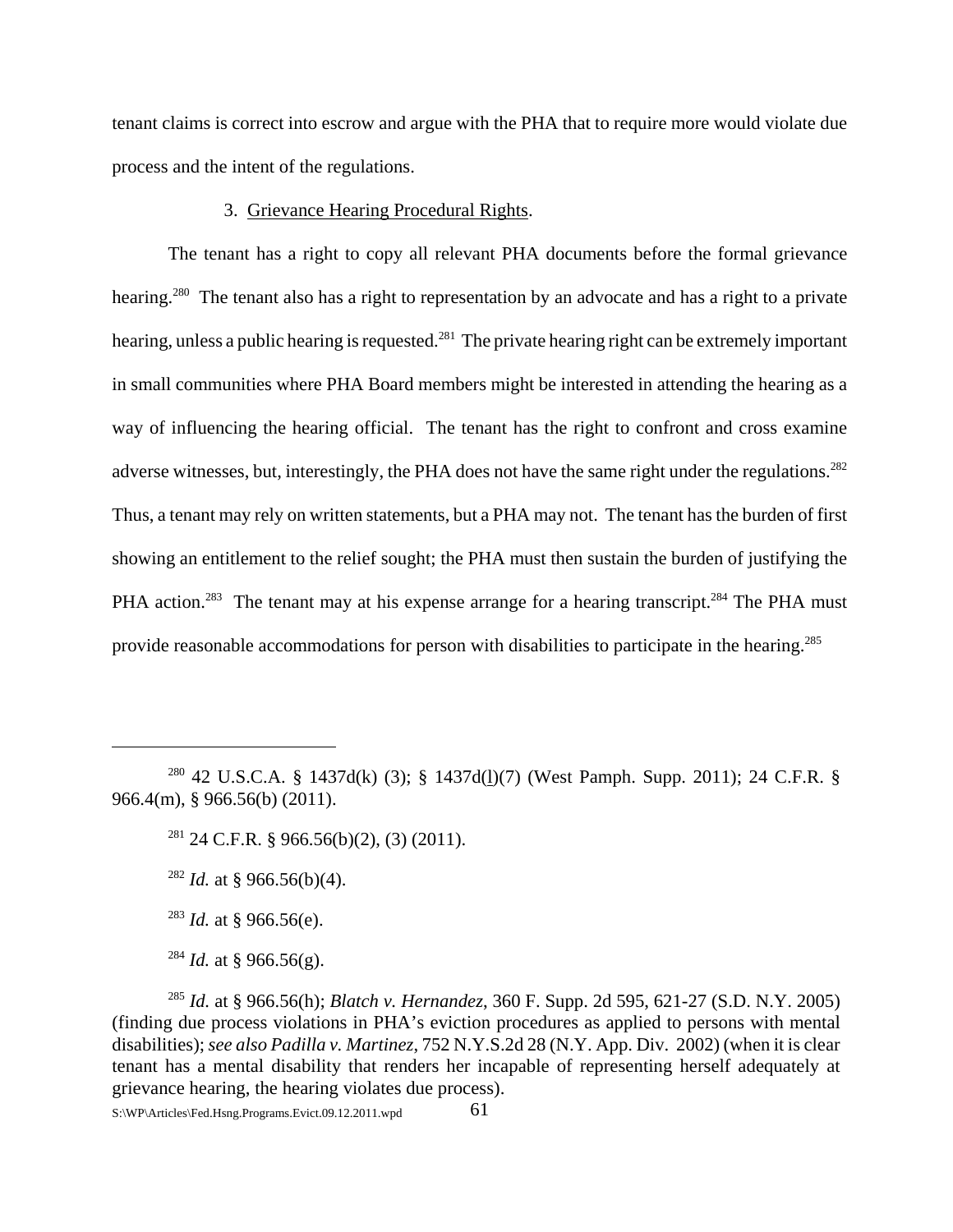tenant claims is correct into escrow and argue with the PHA that to require more would violate due process and the intent of the regulations.

#### 3. Grievance Hearing Procedural Rights.

The tenant has a right to copy all relevant PHA documents before the formal grievance hearing.<sup>280</sup> The tenant also has a right to representation by an advocate and has a right to a private hearing, unless a public hearing is requested.<sup>281</sup> The private hearing right can be extremely important in small communities where PHA Board members might be interested in attending the hearing as a way of influencing the hearing official. The tenant has the right to confront and cross examine adverse witnesses, but, interestingly, the PHA does not have the same right under the regulations.<sup>282</sup> Thus, a tenant may rely on written statements, but a PHA may not. The tenant has the burden of first showing an entitlement to the relief sought; the PHA must then sustain the burden of justifying the PHA action.<sup>283</sup> The tenant may at his expense arrange for a hearing transcript.<sup>284</sup> The PHA must provide reasonable accommodations for person with disabilities to participate in the hearing.<sup>285</sup>

- <sup>282</sup> *Id.* at § 966.56(b)(4).
- <sup>283</sup> *Id.* at § 966.56(e).
- $^{284}$  *Id.* at § 966.56(g).

<sup>280 42</sup> U.S.C.A. § 1437d(k) (3); § 1437d(l)(7) (West Pamph. Supp. 2011); 24 C.F.R. § 966.4(m), § 966.56(b) (2011).

<sup>&</sup>lt;sup>281</sup> 24 C.F.R. § 966.56(b)(2), (3) (2011).

<sup>285</sup> *Id.* at § 966.56(h); *Blatch v. Hernandez*, 360 F. Supp. 2d 595, 621-27 (S.D. N.Y. 2005) (finding due process violations in PHA's eviction procedures as applied to persons with mental disabilities); *see also Padilla v. Martinez*, 752 N.Y.S.2d 28 (N.Y. App. Div. 2002) (when it is clear tenant has a mental disability that renders her incapable of representing herself adequately at grievance hearing, the hearing violates due process).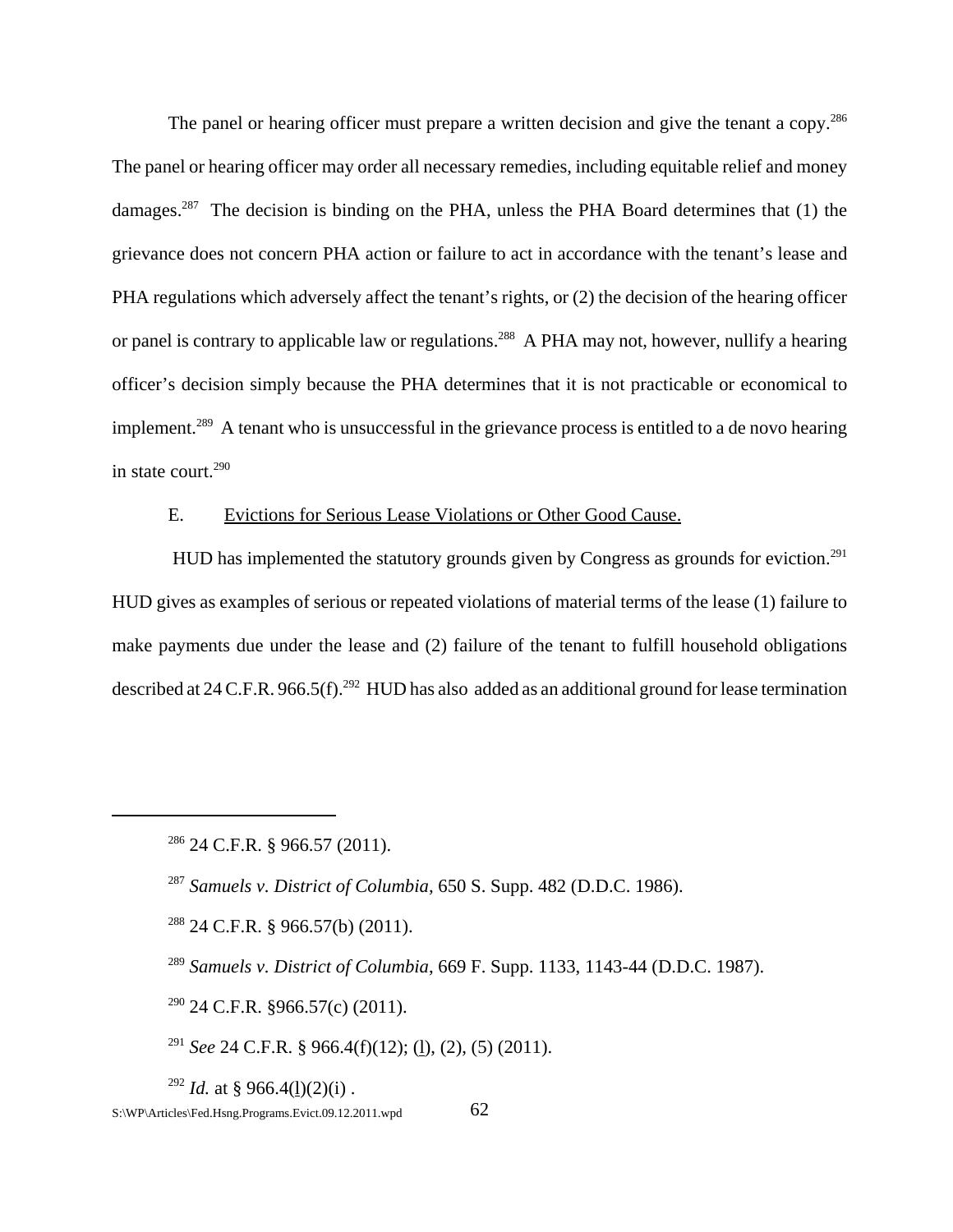The panel or hearing officer must prepare a written decision and give the tenant a copy.<sup>286</sup> The panel or hearing officer may order all necessary remedies, including equitable relief and money damages.<sup>287</sup> The decision is binding on the PHA, unless the PHA Board determines that (1) the grievance does not concern PHA action or failure to act in accordance with the tenant's lease and PHA regulations which adversely affect the tenant's rights, or (2) the decision of the hearing officer or panel is contrary to applicable law or regulations.<sup>288</sup> A PHA may not, however, nullify a hearing officer's decision simply because the PHA determines that it is not practicable or economical to implement.<sup>289</sup> A tenant who is unsuccessful in the grievance process is entitled to a de novo hearing in state court.<sup>290</sup>

### E. Evictions for Serious Lease Violations or Other Good Cause.

HUD has implemented the statutory grounds given by Congress as grounds for eviction.<sup>291</sup> HUD gives as examples of serious or repeated violations of material terms of the lease (1) failure to make payments due under the lease and (2) failure of the tenant to fulfill household obligations described at 24 C.F.R. 966.5(f).<sup>292</sup> HUD has also added as an additional ground for lease termination

 $290$  24 C.F.R. §966.57(c) (2011).

<sup>291</sup> *See* 24 C.F.R. § 966.4(f)(12); (l), (2), (5) (2011).

<sup>292</sup> *Id.* at § 966.4(1)(2)(i).

 $286$  24 C.F.R. § 966.57 (2011).

<sup>287</sup> *Samuels v. District of Columbia,* 650 S. Supp. 482 (D.D.C. 1986).

<sup>288 24</sup> C.F.R. § 966.57(b) (2011).

<sup>289</sup> *Samuels v. District of Columbia*, 669 F. Supp. 1133, 1143-44 (D.D.C. 1987).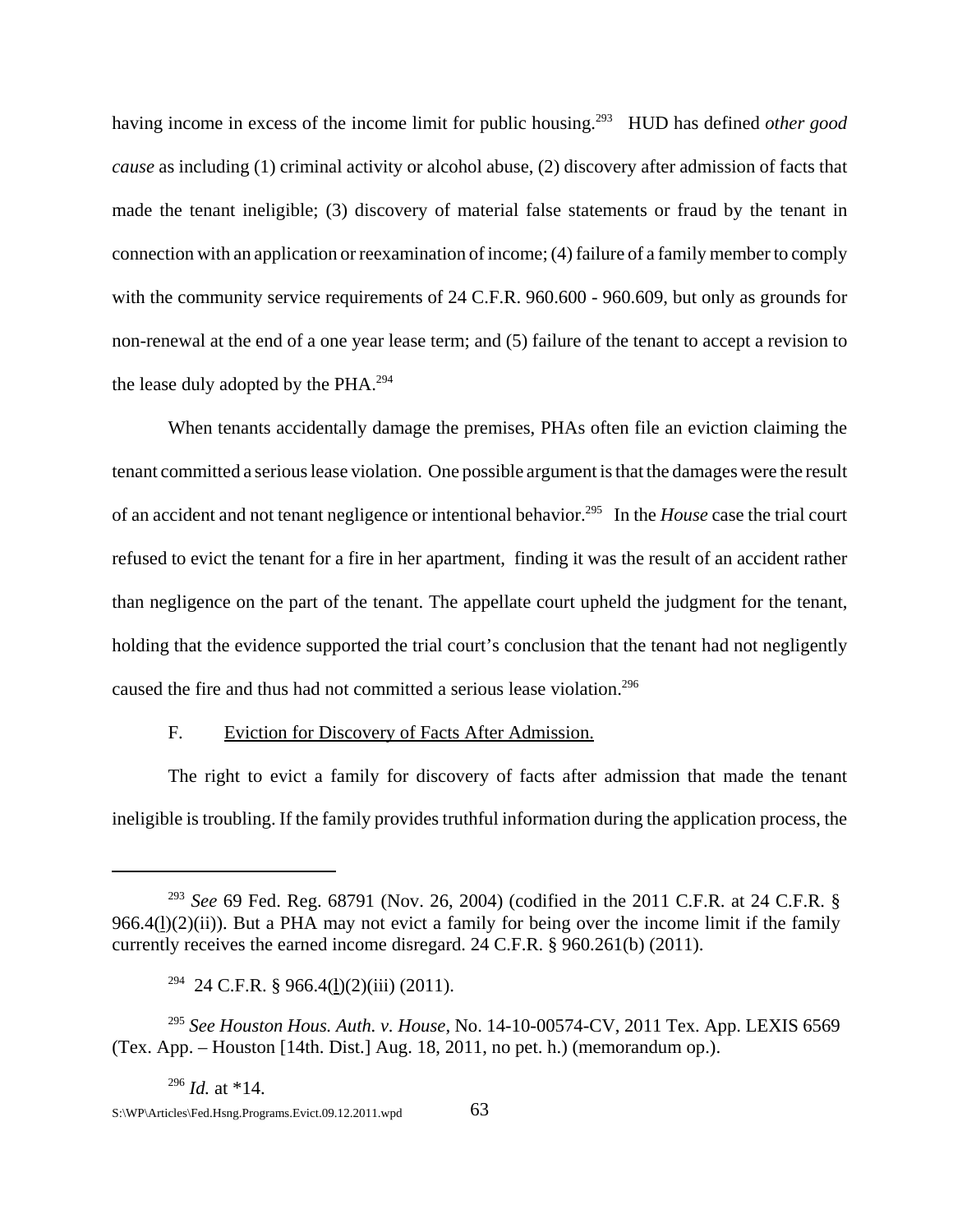having income in excess of the income limit for public housing.<sup>293</sup> HUD has defined *other good cause* as including (1) criminal activity or alcohol abuse, (2) discovery after admission of facts that made the tenant ineligible; (3) discovery of material false statements or fraud by the tenant in connection with an application or reexamination of income; (4) failure of a family member to comply with the community service requirements of 24 C.F.R. 960.600 - 960.609, but only as grounds for non-renewal at the end of a one year lease term; and (5) failure of the tenant to accept a revision to the lease duly adopted by the PHA.<sup>294</sup>

When tenants accidentally damage the premises, PHAs often file an eviction claiming the tenant committed a serious lease violation. One possible argument is that the damages were the result of an accident and not tenant negligence or intentional behavior.295 In the *House* case the trial court refused to evict the tenant for a fire in her apartment, finding it was the result of an accident rather than negligence on the part of the tenant. The appellate court upheld the judgment for the tenant, holding that the evidence supported the trial court's conclusion that the tenant had not negligently caused the fire and thus had not committed a serious lease violation.<sup>296</sup>

### F. Eviction for Discovery of Facts After Admission.

The right to evict a family for discovery of facts after admission that made the tenant ineligible is troubling. If the family provides truthful information during the application process, the

<sup>293</sup> *See* 69 Fed. Reg. 68791 (Nov. 26, 2004) (codified in the 2011 C.F.R. at 24 C.F.R. §  $966.4(1)(2)(ii)$ ). But a PHA may not evict a family for being over the income limit if the family currently receives the earned income disregard. 24 C.F.R. § 960.261(b) (2011).

 $294$  24 C.F.R. § 966.4(1)(2)(iii) (2011).

<sup>295</sup> *See Houston Hous. Auth. v. House*, No. 14-10-00574-CV, 2011 Tex. App. LEXIS 6569 (Tex. App. – Houston [14th. Dist.] Aug. 18, 2011, no pet. h.) (memorandum op.).

<sup>296</sup> *Id.* at \*14.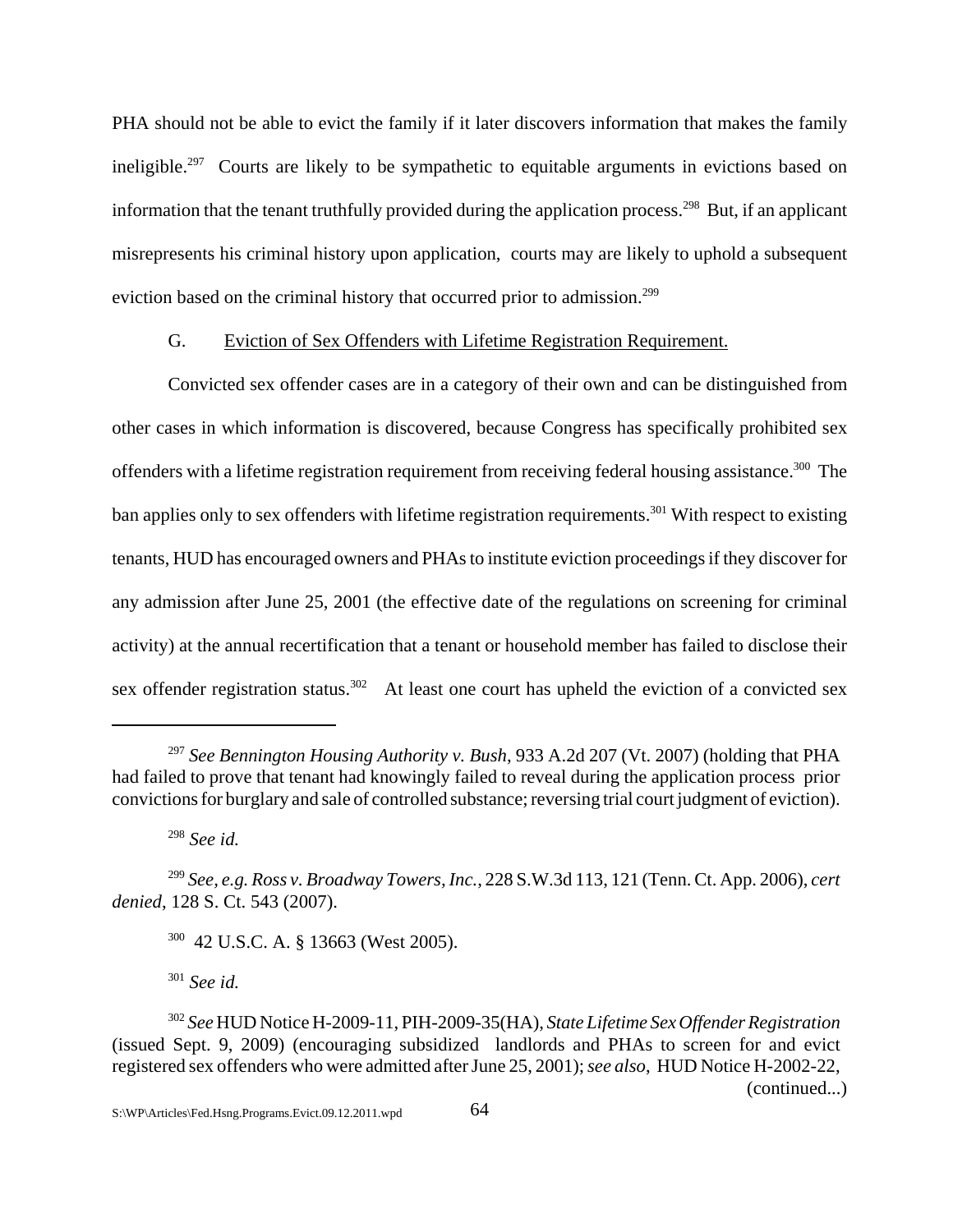PHA should not be able to evict the family if it later discovers information that makes the family ineligible.<sup>297</sup> Courts are likely to be sympathetic to equitable arguments in evictions based on information that the tenant truthfully provided during the application process.<sup>298</sup> But, if an applicant misrepresents his criminal history upon application, courts may are likely to uphold a subsequent eviction based on the criminal history that occurred prior to admission.<sup>299</sup>

### G. Eviction of Sex Offenders with Lifetime Registration Requirement.

Convicted sex offender cases are in a category of their own and can be distinguished from other cases in which information is discovered, because Congress has specifically prohibited sex offenders with a lifetime registration requirement from receiving federal housing assistance.<sup>300</sup> The ban applies only to sex offenders with lifetime registration requirements.<sup>301</sup> With respect to existing tenants, HUD has encouraged owners and PHAs to institute eviction proceedings if they discover for any admission after June 25, 2001 (the effective date of the regulations on screening for criminal activity) at the annual recertification that a tenant or household member has failed to disclose their sex offender registration status.<sup>302</sup> At least one court has upheld the eviction of a convicted sex

300 42 U.S.C. A. § 13663 (West 2005).

<sup>301</sup> *See id.*

<sup>297</sup> *See Bennington Housing Authority v. Bush*, 933 A.2d 207 (Vt. 2007) (holding that PHA had failed to prove that tenant had knowingly failed to reveal during the application process prior convictions for burglary and sale of controlled substance; reversing trial court judgment of eviction).

<sup>298</sup> *See id.*

<sup>299</sup> *See, e.g. Ross v. Broadway Towers, Inc.*, 228 S.W.3d 113, 121 (Tenn. Ct. App. 2006), *cert denied*, 128 S. Ct. 543 (2007).

<sup>302</sup> *See* HUD Notice H-2009-11, PIH-2009-35(HA), *State Lifetime Sex Offender Registration* (issued Sept. 9, 2009) (encouraging subsidized landlords and PHAs to screen for and evict registered sex offenders who were admitted after June 25, 2001); *see also*, HUD Notice H-2002-22, (continued...)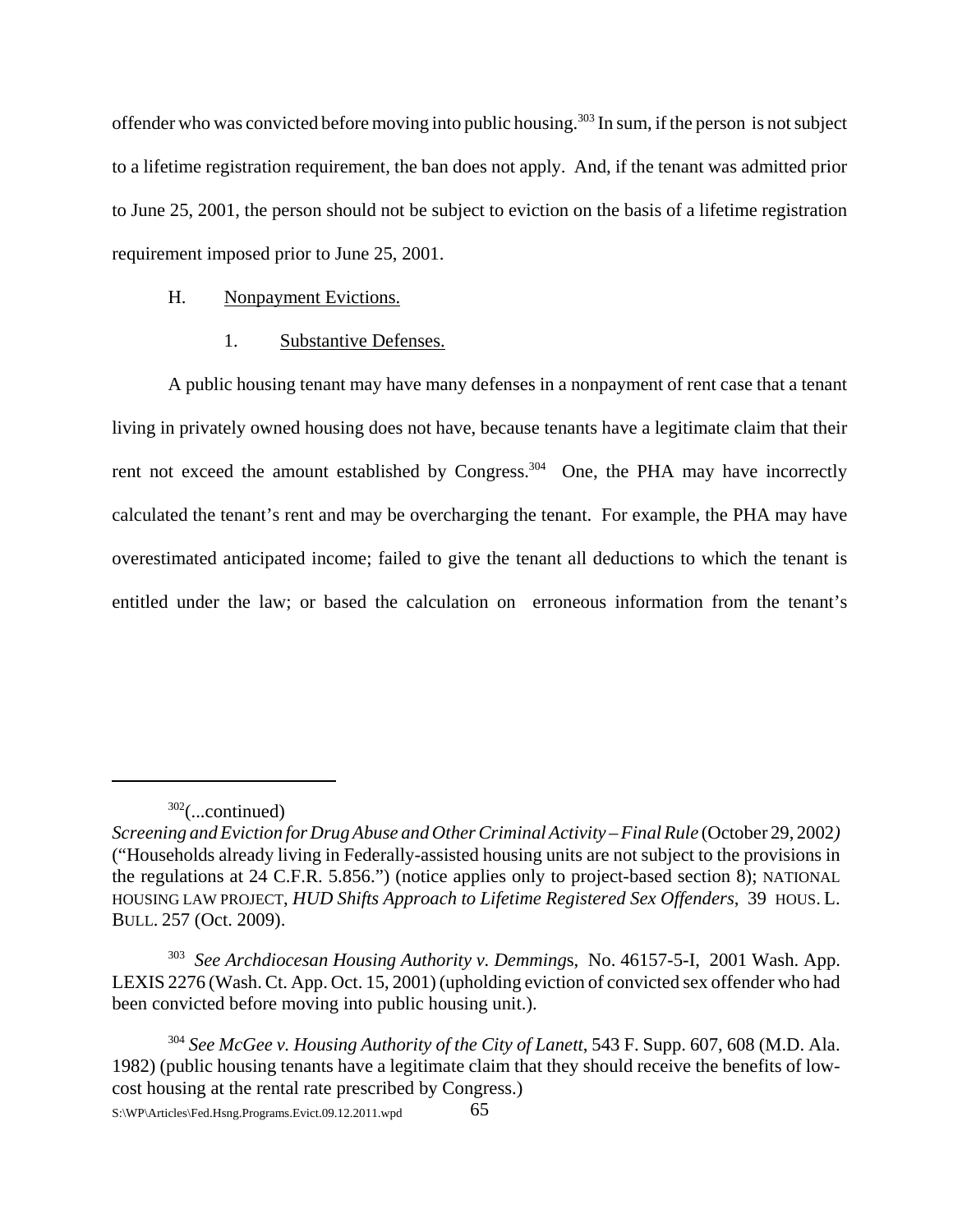offender who was convicted before moving into public housing.<sup>303</sup> In sum, if the person is not subject to a lifetime registration requirement, the ban does not apply. And, if the tenant was admitted prior to June 25, 2001, the person should not be subject to eviction on the basis of a lifetime registration requirement imposed prior to June 25, 2001.

## H. Nonpayment Evictions.

# 1. Substantive Defenses.

A public housing tenant may have many defenses in a nonpayment of rent case that a tenant living in privately owned housing does not have, because tenants have a legitimate claim that their rent not exceed the amount established by Congress.<sup>304</sup> One, the PHA may have incorrectly calculated the tenant's rent and may be overcharging the tenant. For example, the PHA may have overestimated anticipated income; failed to give the tenant all deductions to which the tenant is entitled under the law; or based the calculation on erroneous information from the tenant's

<sup>302(...</sup>continued)

*Screening and Eviction for Drug Abuse and Other Criminal Activity – Final Rule* (October 29, 2002) ("Households already living in Federally-assisted housing units are not subject to the provisions in the regulations at 24 C.F.R. 5.856.") (notice applies only to project-based section 8); NATIONAL HOUSING LAW PROJECT, *HUD Shifts Approach to Lifetime Registered Sex Offenders*, 39 HOUS. L. BULL. 257 (Oct. 2009).

<sup>303</sup> *See Archdiocesan Housing Authority v. Demming*s, No. 46157-5-I, 2001 Wash. App. LEXIS 2276 (Wash. Ct. App. Oct. 15, 2001) (upholding eviction of convicted sex offender who had been convicted before moving into public housing unit.).

<sup>304</sup> *See McGee v. Housing Authority of the City of Lanett*, 543 F. Supp. 607, 608 (M.D. Ala. 1982) (public housing tenants have a legitimate claim that they should receive the benefits of lowcost housing at the rental rate prescribed by Congress.)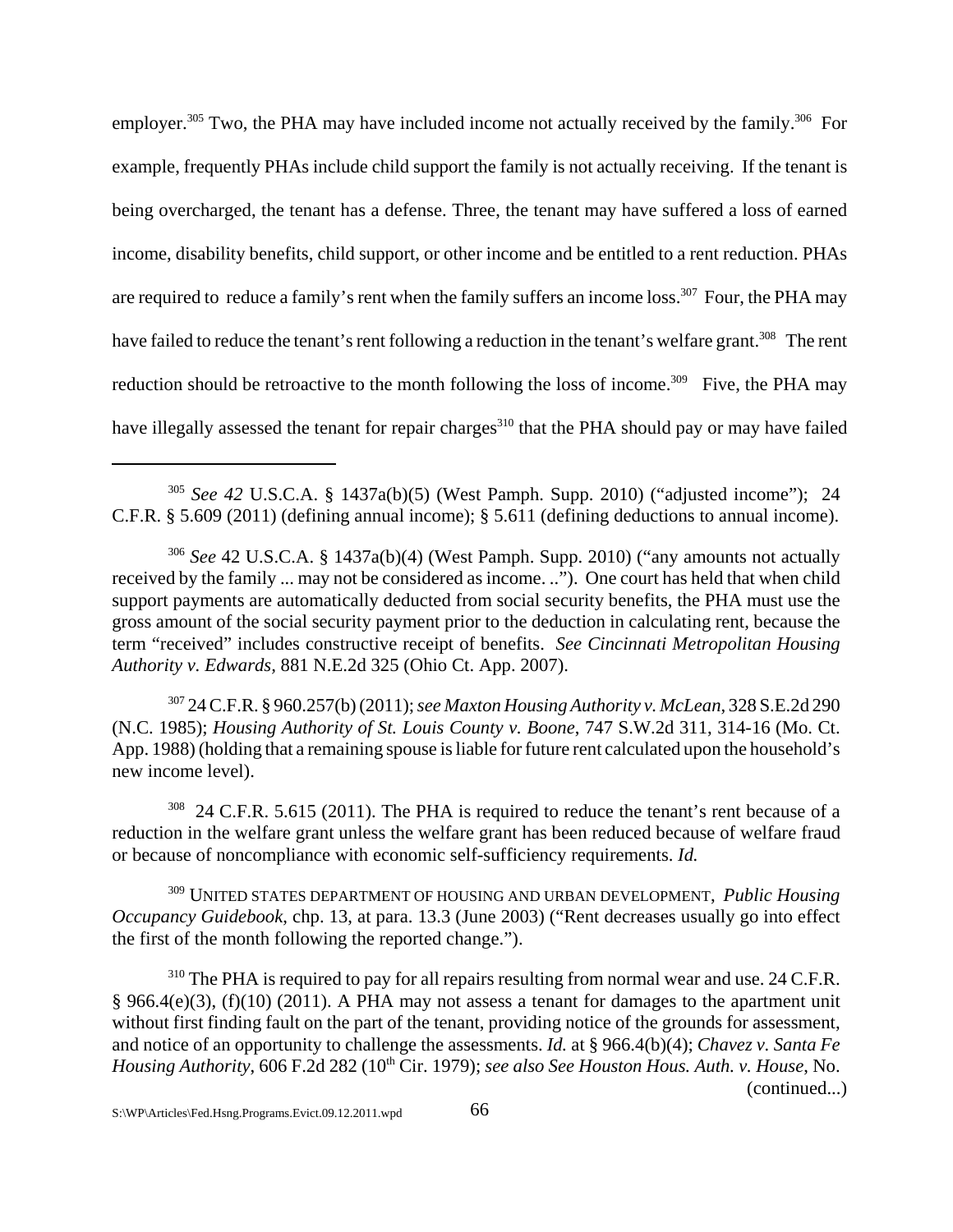employer.<sup>305</sup> Two, the PHA may have included income not actually received by the family.<sup>306</sup> For example, frequently PHAs include child support the family is not actually receiving. If the tenant is being overcharged, the tenant has a defense. Three, the tenant may have suffered a loss of earned income, disability benefits, child support, or other income and be entitled to a rent reduction. PHAs are required to reduce a family's rent when the family suffers an income loss.<sup>307</sup> Four, the PHA may have failed to reduce the tenant's rent following a reduction in the tenant's welfare grant.<sup>308</sup> The rent reduction should be retroactive to the month following the loss of income.<sup>309</sup> Five, the PHA may have illegally assessed the tenant for repair charges<sup>310</sup> that the PHA should pay or may have failed

<sup>305</sup> *See 42* U.S.C.A. § 1437a(b)(5) (West Pamph. Supp. 2010) ("adjusted income");24 C.F.R. § 5.609 (2011) (defining annual income); § 5.611 (defining deductions to annual income).

<sup>306</sup> *See* 42 U.S.C.A. § 1437a(b)(4) (West Pamph. Supp. 2010) ("any amounts not actually received by the family ... may not be considered as income. .."). One court has held that when child support payments are automatically deducted from social security benefits, the PHA must use the gross amount of the social security payment prior to the deduction in calculating rent, because the term "received" includes constructive receipt of benefits. *See Cincinnati Metropolitan Housing Authority v. Edwards,* 881 N.E.2d 325 (Ohio Ct. App. 2007).

<sup>307</sup> 24 C.F.R. § 960.257(b) (2011); *see Maxton Housing Authority v. McLean*, 328 S.E.2d 290 (N.C. 1985); *Housing Authority of St. Louis County v. Boone*, 747 S.W.2d 311, 314-16 (Mo. Ct. App. 1988) (holding that a remaining spouse is liable for future rent calculated upon the household's new income level).

<sup>308</sup> 24 C.F.R. 5.615 (2011). The PHA is required to reduce the tenant's rent because of a reduction in the welfare grant unless the welfare grant has been reduced because of welfare fraud or because of noncompliance with economic self-sufficiency requirements. *Id.* 

309 UNITED STATES DEPARTMENT OF HOUSING AND URBAN DEVELOPMENT, *Public Housing Occupancy Guidebook*, chp. 13, at para. 13.3 (June 2003) ("Rent decreases usually go into effect the first of the month following the reported change.").

<sup>310</sup> The PHA is required to pay for all repairs resulting from normal wear and use. 24 C.F.R. § 966.4(e)(3), (f)(10) (2011). A PHA may not assess a tenant for damages to the apartment unit without first finding fault on the part of the tenant, providing notice of the grounds for assessment, and notice of an opportunity to challenge the assessments. *Id.* at § 966.4(b)(4); *Chavez v. Santa Fe Housing Authority*, 606 F.2d 282 (10<sup>th</sup> Cir. 1979); *see also See Houston Hous. Auth. v. House*, No. (continued...)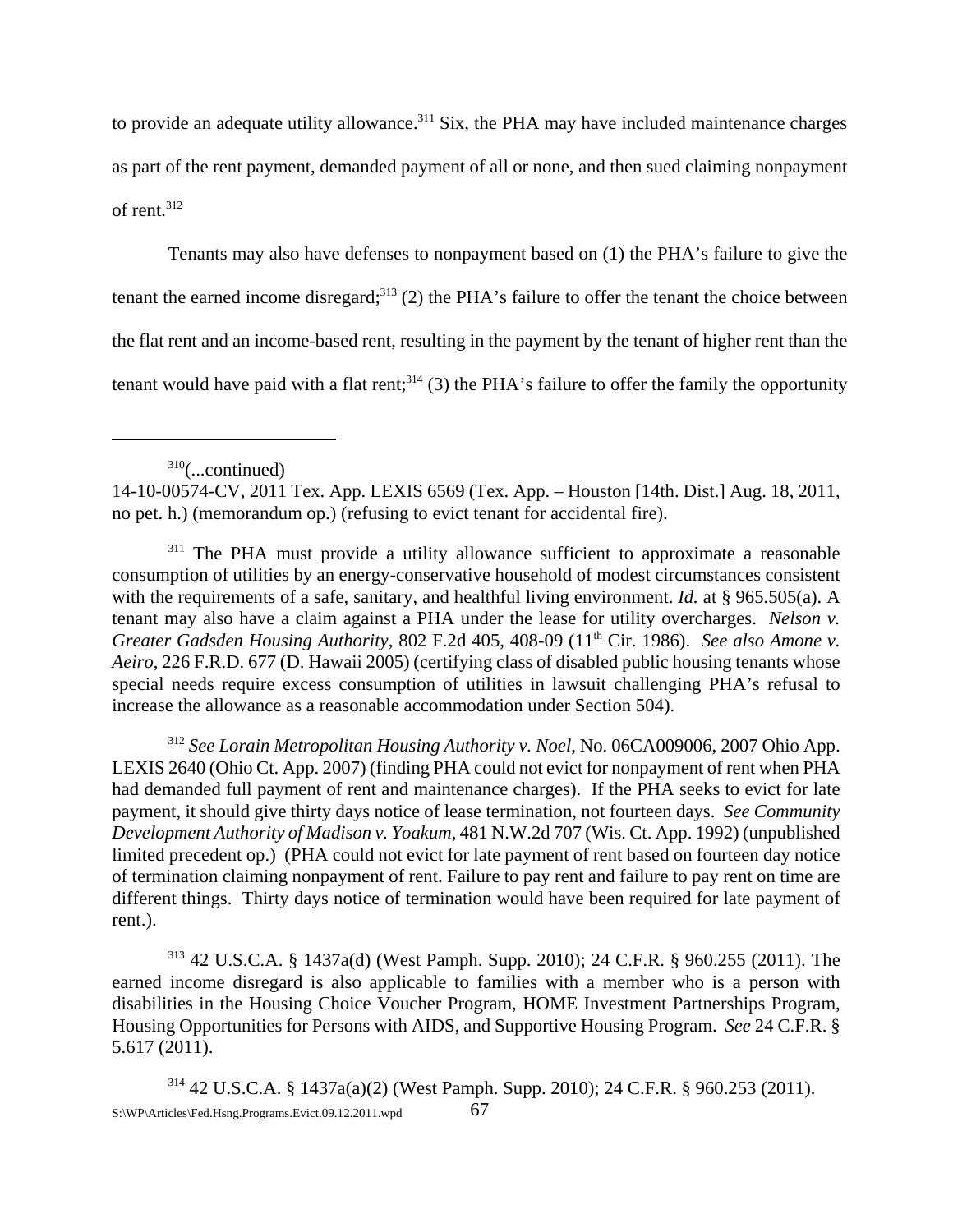to provide an adequate utility allowance.<sup>311</sup> Six, the PHA may have included maintenance charges as part of the rent payment, demanded payment of all or none, and then sued claiming nonpayment of rent.312

Tenants may also have defenses to nonpayment based on (1) the PHA's failure to give the tenant the earned income disregard;<sup>313</sup> (2) the PHA's failure to offer the tenant the choice between the flat rent and an income-based rent, resulting in the payment by the tenant of higher rent than the tenant would have paid with a flat rent; $314$  (3) the PHA's failure to offer the family the opportunity

<sup>312</sup> *See Lorain Metropolitan Housing Authority v. Noel*, No. 06CA009006, 2007 Ohio App. LEXIS 2640 (Ohio Ct. App. 2007) (finding PHA could not evict for nonpayment of rent when PHA had demanded full payment of rent and maintenance charges). If the PHA seeks to evict for late payment, it should give thirty days notice of lease termination, not fourteen days. *See Community Development Authority of Madison v. Yoakum*, 481 N.W.2d 707 (Wis. Ct. App. 1992) (unpublished limited precedent op.) (PHA could not evict for late payment of rent based on fourteen day notice of termination claiming nonpayment of rent. Failure to pay rent and failure to pay rent on time are different things. Thirty days notice of termination would have been required for late payment of rent.).

313 42 U.S.C.A. § 1437a(d) (West Pamph. Supp. 2010); 24 C.F.R. § 960.255 (2011). The earned income disregard is also applicable to families with a member who is a person with disabilities in the Housing Choice Voucher Program, HOME Investment Partnerships Program, Housing Opportunities for Persons with AIDS, and Supportive Housing Program. *See* 24 C.F.R. § 5.617 (2011).

 $310$ (...continued)

<sup>14-10-00574-</sup>CV, 2011 Tex. App. LEXIS 6569 (Tex. App. – Houston [14th. Dist.] Aug. 18, 2011, no pet. h.) (memorandum op.) (refusing to evict tenant for accidental fire).

<sup>&</sup>lt;sup>311</sup> The PHA must provide a utility allowance sufficient to approximate a reasonable consumption of utilities by an energy-conservative household of modest circumstances consistent with the requirements of a safe, sanitary, and healthful living environment. *Id.* at § 965.505(a). A tenant may also have a claim against a PHA under the lease for utility overcharges. *Nelson v. Greater Gadsden Housing Authority*, 802 F.2d 405, 408-09 (11<sup>th</sup> Cir. 1986). *See also Amone v. Aeiro*, 226 F.R.D. 677 (D. Hawaii 2005) (certifying class of disabled public housing tenants whose special needs require excess consumption of utilities in lawsuit challenging PHA's refusal to increase the allowance as a reasonable accommodation under Section 504).

<sup>314 42</sup> U.S.C.A. § 1437a(a)(2) (West Pamph. Supp. 2010); 24 C.F.R. § 960.253 (2011). S:\WP\Articles\Fed.Hsng.Programs.Evict.09.12.2011.wpd 67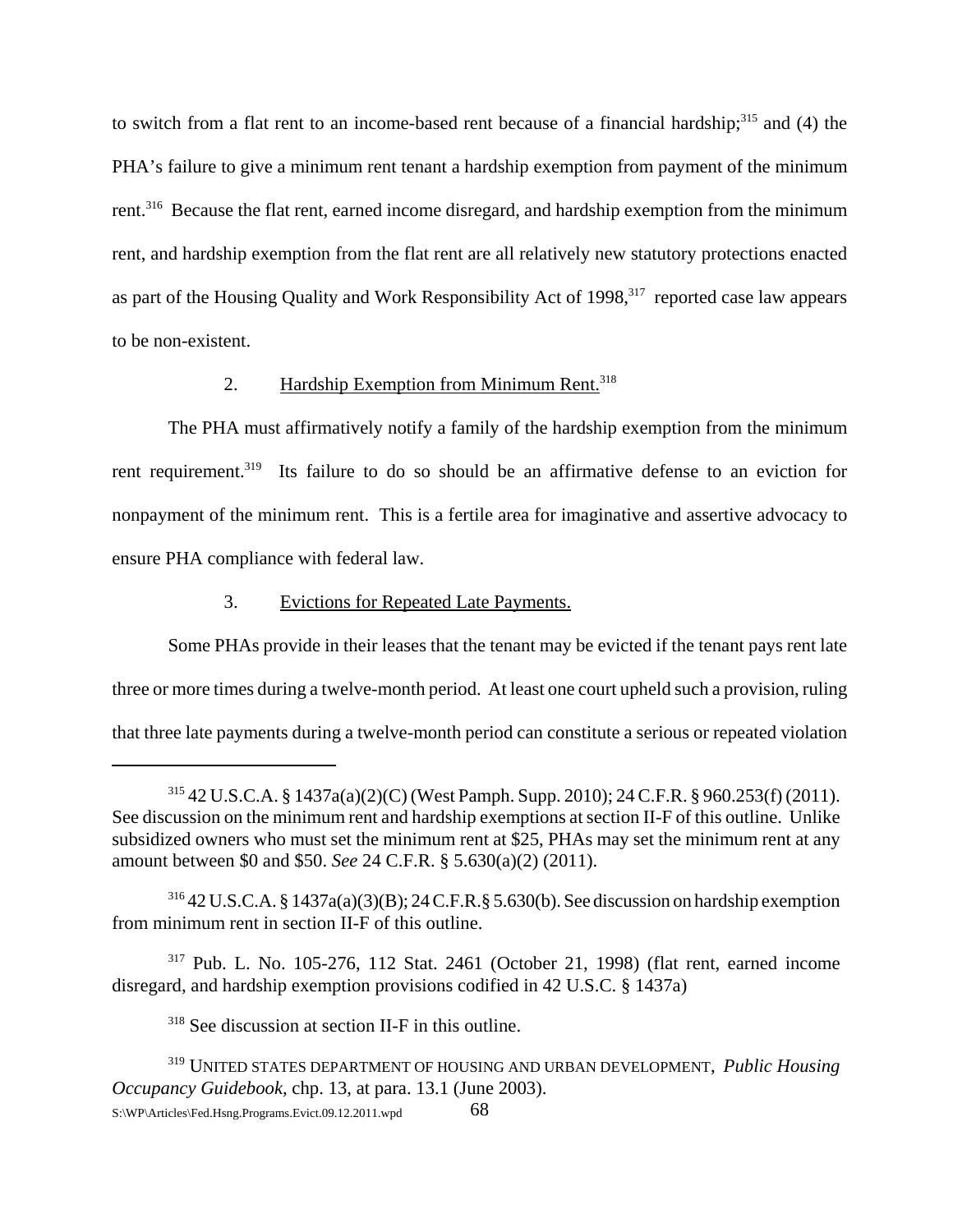to switch from a flat rent to an income-based rent because of a financial hardship; $315$  and (4) the PHA's failure to give a minimum rent tenant a hardship exemption from payment of the minimum rent.<sup>316</sup> Because the flat rent, earned income disregard, and hardship exemption from the minimum rent, and hardship exemption from the flat rent are all relatively new statutory protections enacted as part of the Housing Quality and Work Responsibility Act of 1998,<sup>317</sup> reported case law appears to be non-existent.

## 2. Hardship Exemption from Minimum Rent.<sup>318</sup>

The PHA must affirmatively notify a family of the hardship exemption from the minimum rent requirement.<sup>319</sup> Its failure to do so should be an affirmative defense to an eviction for nonpayment of the minimum rent. This is a fertile area for imaginative and assertive advocacy to ensure PHA compliance with federal law.

## 3. Evictions for Repeated Late Payments.

Some PHAs provide in their leases that the tenant may be evicted if the tenant pays rent late three or more times during a twelve-month period. At least one court upheld such a provision, ruling that three late payments during a twelve-month period can constitute a serious or repeated violation

317 Pub. L. No. 105-276, 112 Stat. 2461 (October 21, 1998) (flat rent, earned income disregard, and hardship exemption provisions codified in 42 U.S.C. § 1437a)

318 See discussion at section II-F in this outline.

<sup>315 42</sup> U.S.C.A. § 1437a(a)(2)(C) (West Pamph. Supp. 2010); 24 C.F.R. § 960.253(f) (2011). See discussion on the minimum rent and hardship exemptions at section II-F of this outline. Unlike subsidized owners who must set the minimum rent at \$25, PHAs may set the minimum rent at any amount between \$0 and \$50. *See* 24 C.F.R. § 5.630(a)(2) (2011).

<sup>316 42</sup> U.S.C.A. § 1437a(a)(3)(B); 24 C.F.R.§ 5.630(b). See discussion on hardship exemption from minimum rent in section II-F of this outline.

<sup>319</sup> UNITED STATES DEPARTMENT OF HOUSING AND URBAN DEVELOPMENT, *Public Housing Occupancy Guidebook,* chp. 13, at para. 13.1 (June 2003).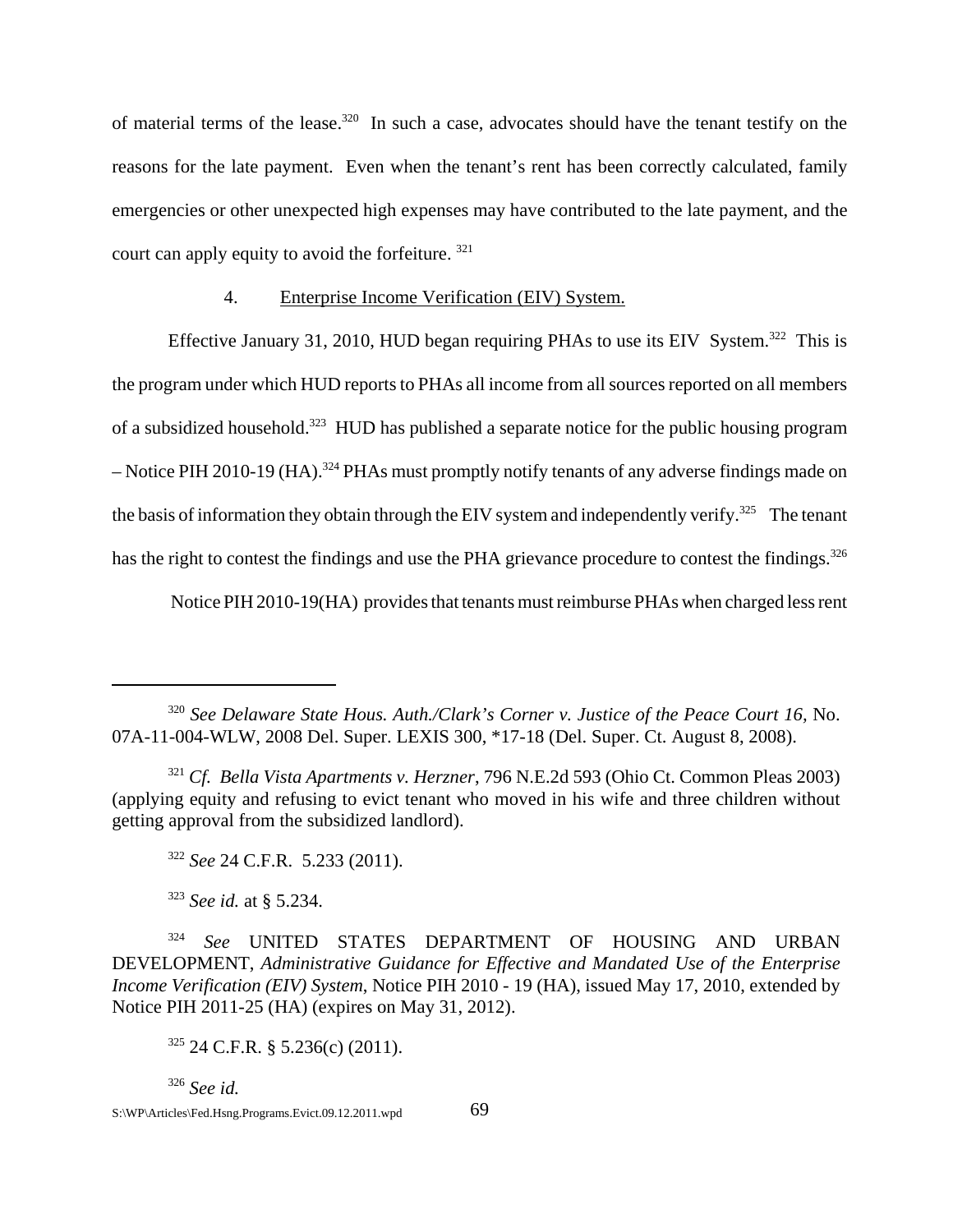of material terms of the lease.<sup>320</sup> In such a case, advocates should have the tenant testify on the reasons for the late payment. Even when the tenant's rent has been correctly calculated, family emergencies or other unexpected high expenses may have contributed to the late payment, and the court can apply equity to avoid the forfeiture. <sup>321</sup>

#### 4. Enterprise Income Verification (EIV) System.

Effective January 31, 2010, HUD began requiring PHAs to use its EIV System.<sup>322</sup> This is the program under which HUD reports to PHAs all income from all sources reported on all members of a subsidized household.<sup>323</sup> HUD has published a separate notice for the public housing program – Notice PIH 2010-19 (HA).<sup>324</sup> PHAs must promptly notify tenants of any adverse findings made on the basis of information they obtain through the EIV system and independently verify.<sup>325</sup> The tenant has the right to contest the findings and use the PHA grievance procedure to contest the findings.<sup>326</sup>

Notice PIH 2010-19(HA) provides that tenants must reimburse PHAs when charged less rent

<sup>323</sup> *See id.* at § 5.234.

<sup>326</sup> *See id.*

<sup>&</sup>lt;sup>320</sup> See Delaware State Hous. Auth./Clark's Corner v. Justice of the Peace Court 16, No. 07A-11-004-WLW, 2008 Del. Super. LEXIS 300, \*17-18 (Del. Super. Ct. August 8, 2008).

<sup>321</sup> *Cf. Bella Vista Apartments v. Herzner*, 796 N.E.2d 593 (Ohio Ct. Common Pleas 2003) (applying equity and refusing to evict tenant who moved in his wife and three children without getting approval from the subsidized landlord).

<sup>322</sup> *See* 24 C.F.R. 5.233 (2011).

<sup>324</sup> *See* UNITED STATES DEPARTMENT OF HOUSING AND URBAN DEVELOPMENT, *Administrative Guidance for Effective and Mandated Use of the Enterprise Income Verification (EIV) System*, Notice PIH 2010 - 19 (HA), issued May 17, 2010, extended by Notice PIH 2011-25 (HA) (expires on May 31, 2012).

 $325$  24 C.F.R. § 5.236(c) (2011).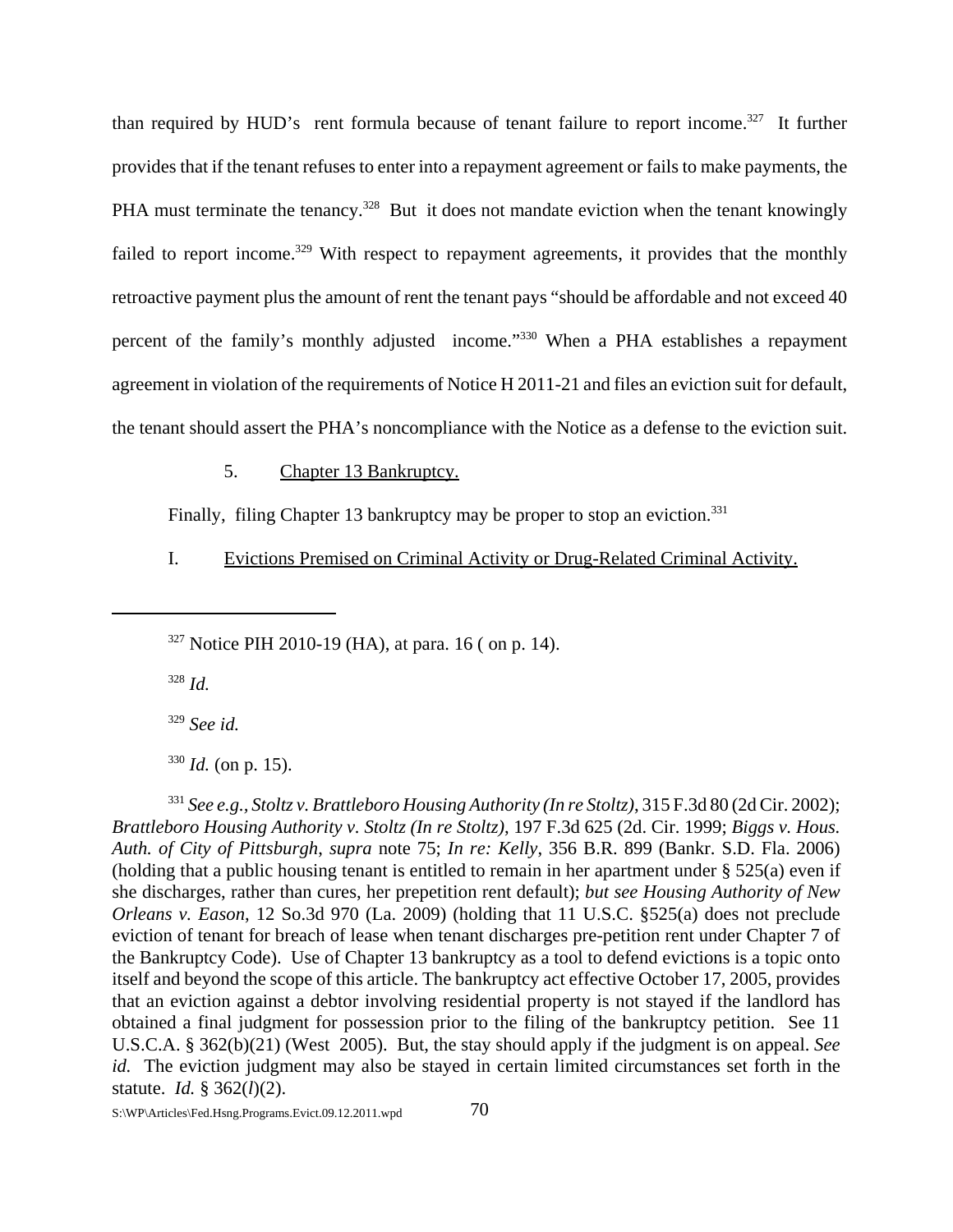than required by HUD's rent formula because of tenant failure to report income.<sup>327</sup> It further provides that if the tenant refuses to enter into a repayment agreement or fails to make payments, the PHA must terminate the tenancy.<sup>328</sup> But it does not mandate eviction when the tenant knowingly failed to report income.<sup>329</sup> With respect to repayment agreements, it provides that the monthly retroactive payment plus the amount of rent the tenant pays "should be affordable and not exceed 40 percent of the family's monthly adjusted income."330 When a PHA establishes a repayment agreement in violation of the requirements of Notice H 2011-21 and files an eviction suit for default, the tenant should assert the PHA's noncompliance with the Notice as a defense to the eviction suit.

5. Chapter 13 Bankruptcy.

Finally, filing Chapter 13 bankruptcy may be proper to stop an eviction.<sup>331</sup>

I. Evictions Premised on Criminal Activity or Drug-Related Criminal Activity.

 $327$  Notice PIH 2010-19 (HA), at para. 16 ( on p. 14).

<sup>328</sup> *Id.*

<sup>329</sup> *See id.*

 $330$  *Id.* (on p. 15).

<sup>331</sup> *See e.g., Stoltz v. Brattleboro Housing Authority (In re Stoltz)*, 315 F.3d 80 (2d Cir. 2002); *Brattleboro Housing Authority v. Stoltz (In re Stoltz)*, 197 F.3d 625 (2d. Cir. 1999; *Biggs v. Hous. Auth. of City of Pittsburgh*, *supra* note 75; *In re: Kelly*, 356 B.R. 899 (Bankr. S.D. Fla. 2006) (holding that a public housing tenant is entitled to remain in her apartment under § 525(a) even if she discharges, rather than cures, her prepetition rent default); *but see Housing Authority of New Orleans v. Eason*, 12 So.3d 970 (La. 2009) (holding that 11 U.S.C. §525(a) does not preclude eviction of tenant for breach of lease when tenant discharges pre-petition rent under Chapter 7 of the Bankruptcy Code). Use of Chapter 13 bankruptcy as a tool to defend evictions is a topic onto itself and beyond the scope of this article. The bankruptcy act effective October 17, 2005, provides that an eviction against a debtor involving residential property is not stayed if the landlord has obtained a final judgment for possession prior to the filing of the bankruptcy petition. See 11 U.S.C.A. § 362(b)(21) (West 2005). But, the stay should apply if the judgment is on appeal. *See id.* The eviction judgment may also be stayed in certain limited circumstances set forth in the statute. *Id.* § 362(*l*)(2).

 $S:\W{P\}$ Articles\Fed.Hsng.Programs.Evict.09.12.2011.wpd  $70$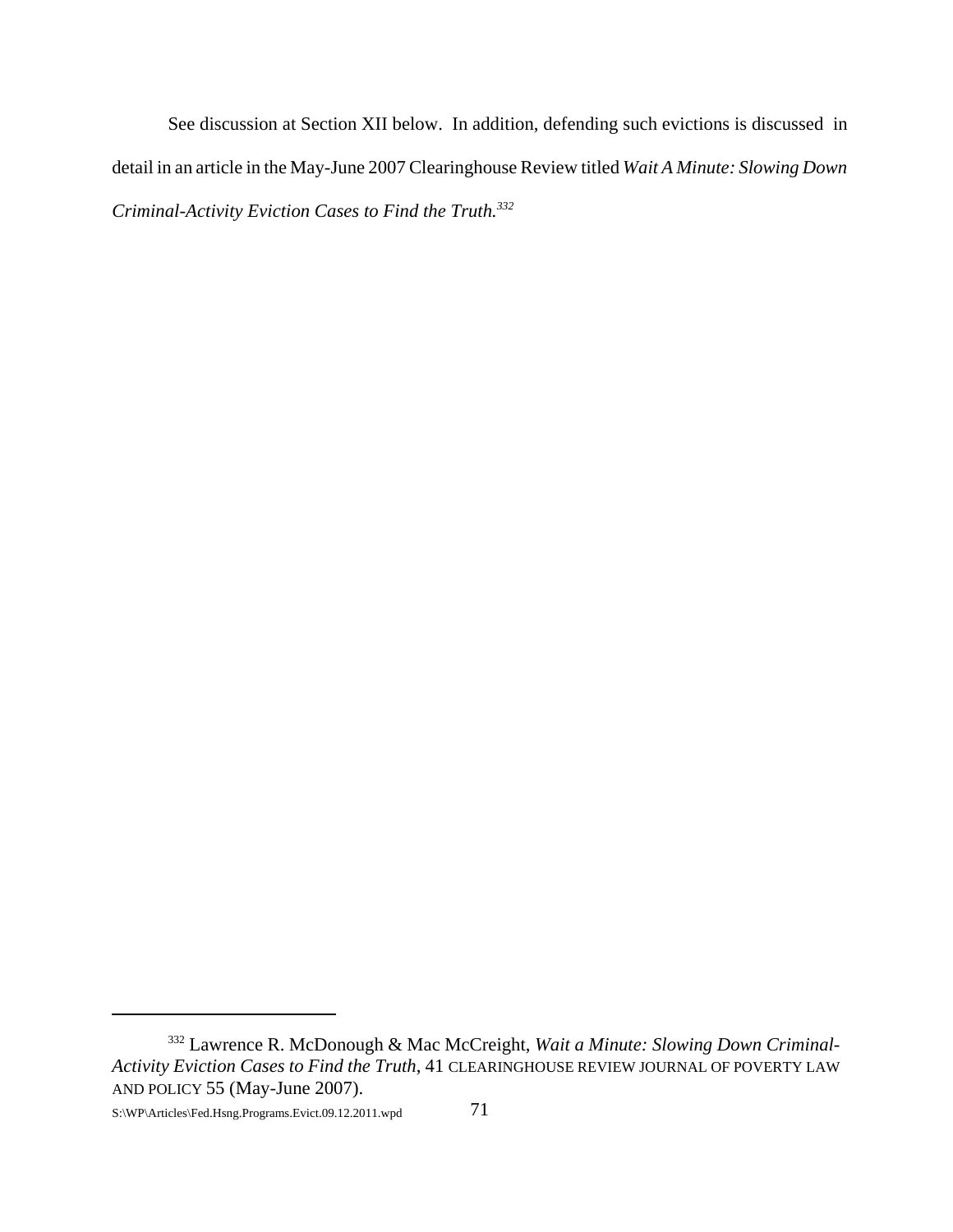See discussion at Section XII below. In addition, defending such evictions is discussed in detail in an article in the May-June 2007 Clearinghouse Review titled *Wait A Minute: Slowing Down Criminal-Activity Eviction Cases to Find the Truth.332*

S:\WP\Articles\Fed.Hsng.Programs.Evict.09.12.2011.wpd 71

<sup>332</sup> Lawrence R. McDonough & Mac McCreight, *Wait a Minute: Slowing Down Criminal-Activity Eviction Cases to Find the Truth*, 41 CLEARINGHOUSE REVIEW JOURNAL OF POVERTY LAW AND POLICY 55 (May-June 2007).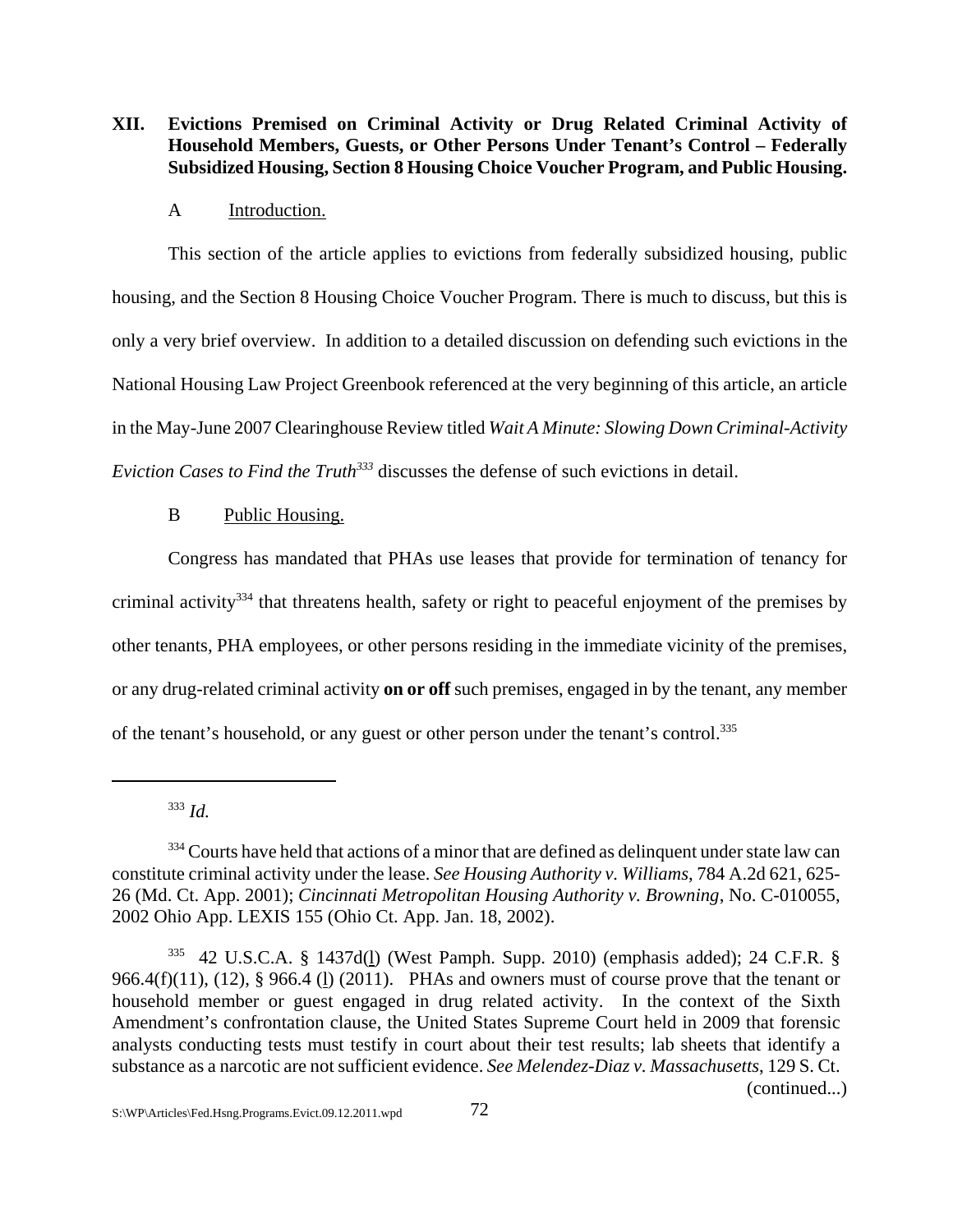**XII. Evictions Premised on Criminal Activity or Drug Related Criminal Activity of Household Members, Guests, or Other Persons Under Tenant's Control – Federally Subsidized Housing, Section 8 Housing Choice Voucher Program, and Public Housing.**

#### A Introduction.

This section of the article applies to evictions from federally subsidized housing, public housing, and the Section 8 Housing Choice Voucher Program. There is much to discuss, but this is only a very brief overview. In addition to a detailed discussion on defending such evictions in the National Housing Law Project Greenbook referenced at the very beginning of this article, an article in the May-June 2007 Clearinghouse Review titled *Wait A Minute: Slowing Down Criminal-Activity Eviction Cases to Find the Truth*<sup>333</sup> discusses the defense of such evictions in detail.

### B Public Housing.

Congress has mandated that PHAs use leases that provide for termination of tenancy for criminal activity<sup>334</sup> that threatens health, safety or right to peaceful enjoyment of the premises by other tenants, PHA employees, or other persons residing in the immediate vicinity of the premises, or any drug-related criminal activity **on or off** such premises, engaged in by the tenant, any member of the tenant's household, or any guest or other person under the tenant's control.<sup>335</sup>

<sup>333</sup> *Id.* 

<sup>&</sup>lt;sup>334</sup> Courts have held that actions of a minor that are defined as delinquent under state law can constitute criminal activity under the lease. *See Housing Authority v. Williams*, 784 A.2d 621, 625- 26 (Md. Ct. App. 2001); *Cincinnati Metropolitan Housing Authority v. Browning*, No. C-010055, 2002 Ohio App. LEXIS 155 (Ohio Ct. App. Jan. 18, 2002).

<sup>335 42</sup> U.S.C.A. § 1437d(l) (West Pamph. Supp. 2010) (emphasis added); 24 C.F.R. § 966.4(f)(11), (12),  $\S$  966.4(l)(2011). PHAs and owners must of course prove that the tenant or household member or guest engaged in drug related activity. In the context of the Sixth Amendment's confrontation clause, the United States Supreme Court held in 2009 that forensic analysts conducting tests must testify in court about their test results; lab sheets that identify a substance as a narcotic are not sufficient evidence. *See Melendez-Diaz v. Massachusetts*, 129 S. Ct. (continued...)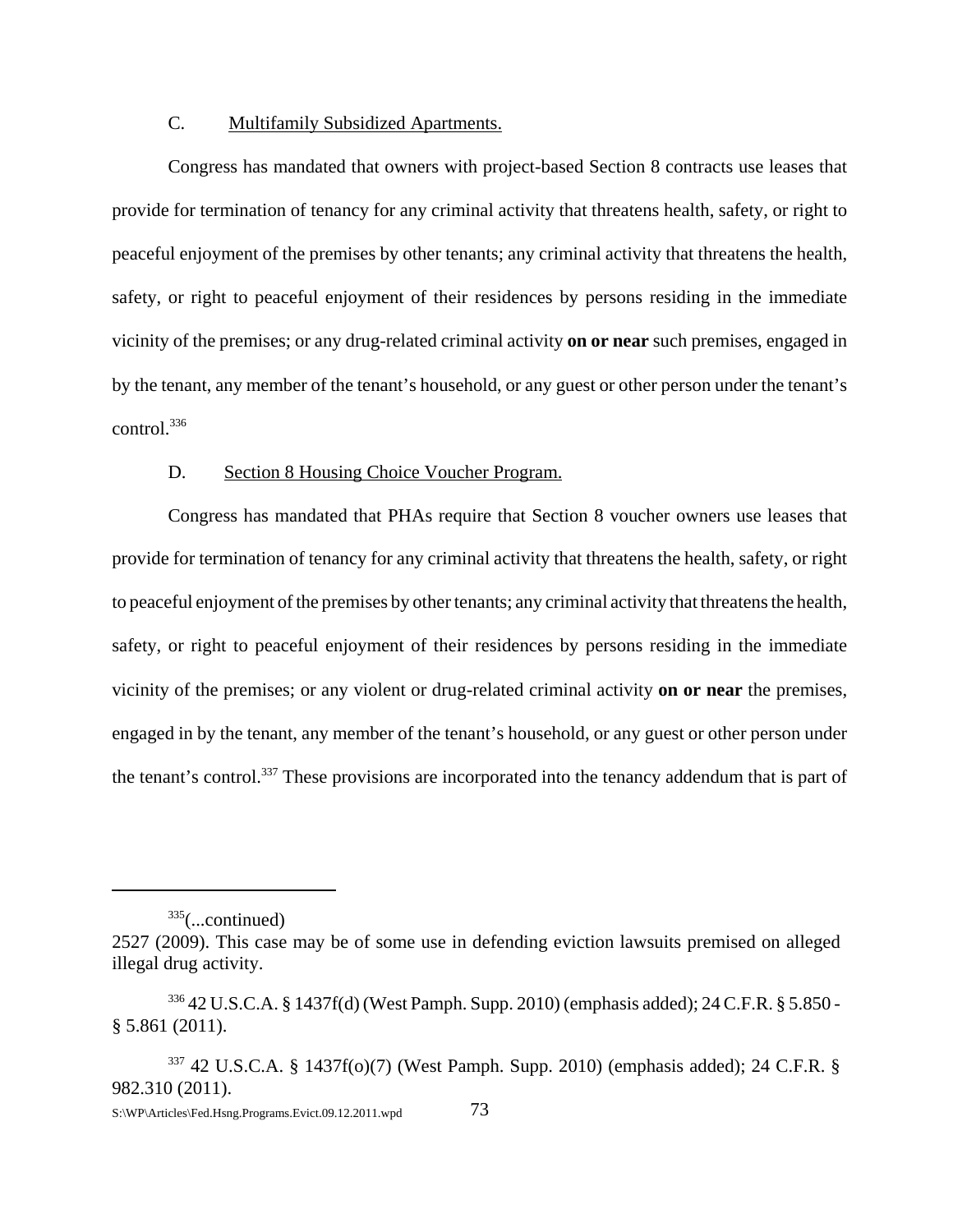# C. Multifamily Subsidized Apartments.

Congress has mandated that owners with project-based Section 8 contracts use leases that provide for termination of tenancy for any criminal activity that threatens health, safety, or right to peaceful enjoyment of the premises by other tenants; any criminal activity that threatens the health, safety, or right to peaceful enjoyment of their residences by persons residing in the immediate vicinity of the premises; or any drug-related criminal activity **on or near** such premises, engaged in by the tenant, any member of the tenant's household, or any guest or other person under the tenant's control.336

#### D. Section 8 Housing Choice Voucher Program.

Congress has mandated that PHAs require that Section 8 voucher owners use leases that provide for termination of tenancy for any criminal activity that threatens the health, safety, or right to peaceful enjoyment of the premises by other tenants; any criminal activity that threatens the health, safety, or right to peaceful enjoyment of their residences by persons residing in the immediate vicinity of the premises; or any violent or drug-related criminal activity **on or near** the premises, engaged in by the tenant, any member of the tenant's household, or any guest or other person under the tenant's control.337 These provisions are incorporated into the tenancy addendum that is part of

 $335$ (...continued)

<sup>2527 (2009).</sup> This case may be of some use in defending eviction lawsuits premised on alleged illegal drug activity.

<sup>336 42</sup> U.S.C.A. § 1437f(d) (West Pamph. Supp. 2010) (emphasis added); 24 C.F.R. § 5.850 - § 5.861 (2011).

 $337$  42 U.S.C.A. § 1437f(o)(7) (West Pamph. Supp. 2010) (emphasis added); 24 C.F.R. § 982.310 (2011).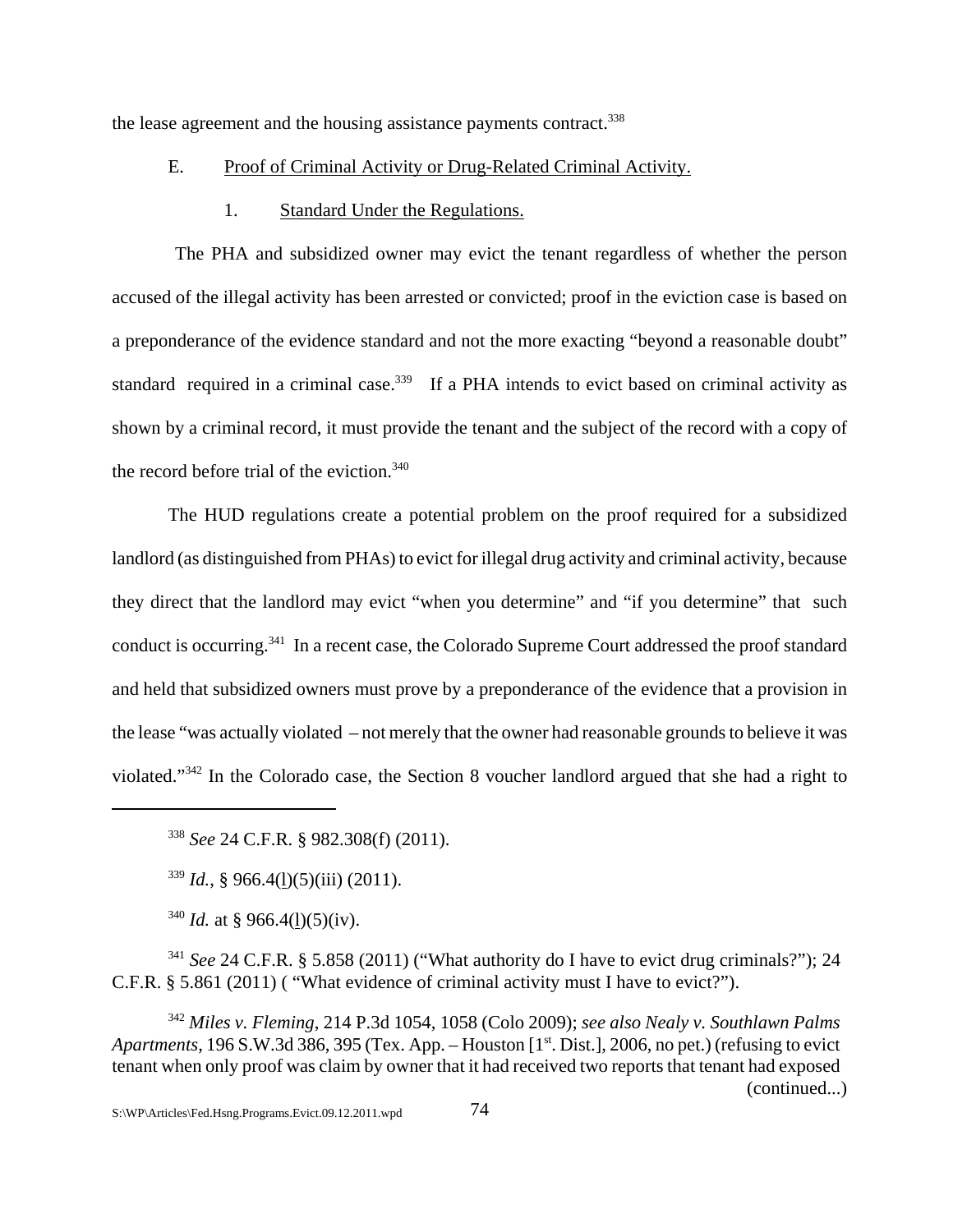the lease agreement and the housing assistance payments contract.<sup>338</sup>

### E. Proof of Criminal Activity or Drug-Related Criminal Activity.

#### 1. Standard Under the Regulations.

 The PHA and subsidized owner may evict the tenant regardless of whether the person accused of the illegal activity has been arrested or convicted; proof in the eviction case is based on a preponderance of the evidence standard and not the more exacting "beyond a reasonable doubt" standard required in a criminal case.<sup>339</sup> If a PHA intends to evict based on criminal activity as shown by a criminal record, it must provide the tenant and the subject of the record with a copy of the record before trial of the eviction.<sup>340</sup>

The HUD regulations create a potential problem on the proof required for a subsidized landlord (as distinguished from PHAs) to evict for illegal drug activity and criminal activity, because they direct that the landlord may evict "when you determine" and "if you determine" that such conduct is occurring.341 In a recent case, the Colorado Supreme Court addressed the proof standard and held that subsidized owners must prove by a preponderance of the evidence that a provision in the lease "was actually violated – not merely that the owner had reasonable grounds to believe it was violated."342 In the Colorado case, the Section 8 voucher landlord argued that she had a right to

<sup>338</sup> *See* 24 C.F.R. § 982.308(f) (2011).

 $339$  *Id.*, § 966.4(1)(5)(iii) (2011).

<sup>340</sup> *Id.* at § 966.4(1)(5)(iv).

<sup>341</sup> *See* 24 C.F.R. § 5.858 (2011) ("What authority do I have to evict drug criminals?"); 24 C.F.R. § 5.861 (2011) ( "What evidence of criminal activity must I have to evict?").

<sup>342</sup> *Miles v. Fleming*, 214 P.3d 1054, 1058 (Colo 2009); *see also Nealy v. Southlawn Palms Apartments*, 196 S.W.3d 386, 395 (Tex. App. – Houston [1<sup>st</sup>. Dist.], 2006, no pet.) (refusing to evict tenant when only proof was claim by owner that it had received two reports that tenant had exposed (continued...)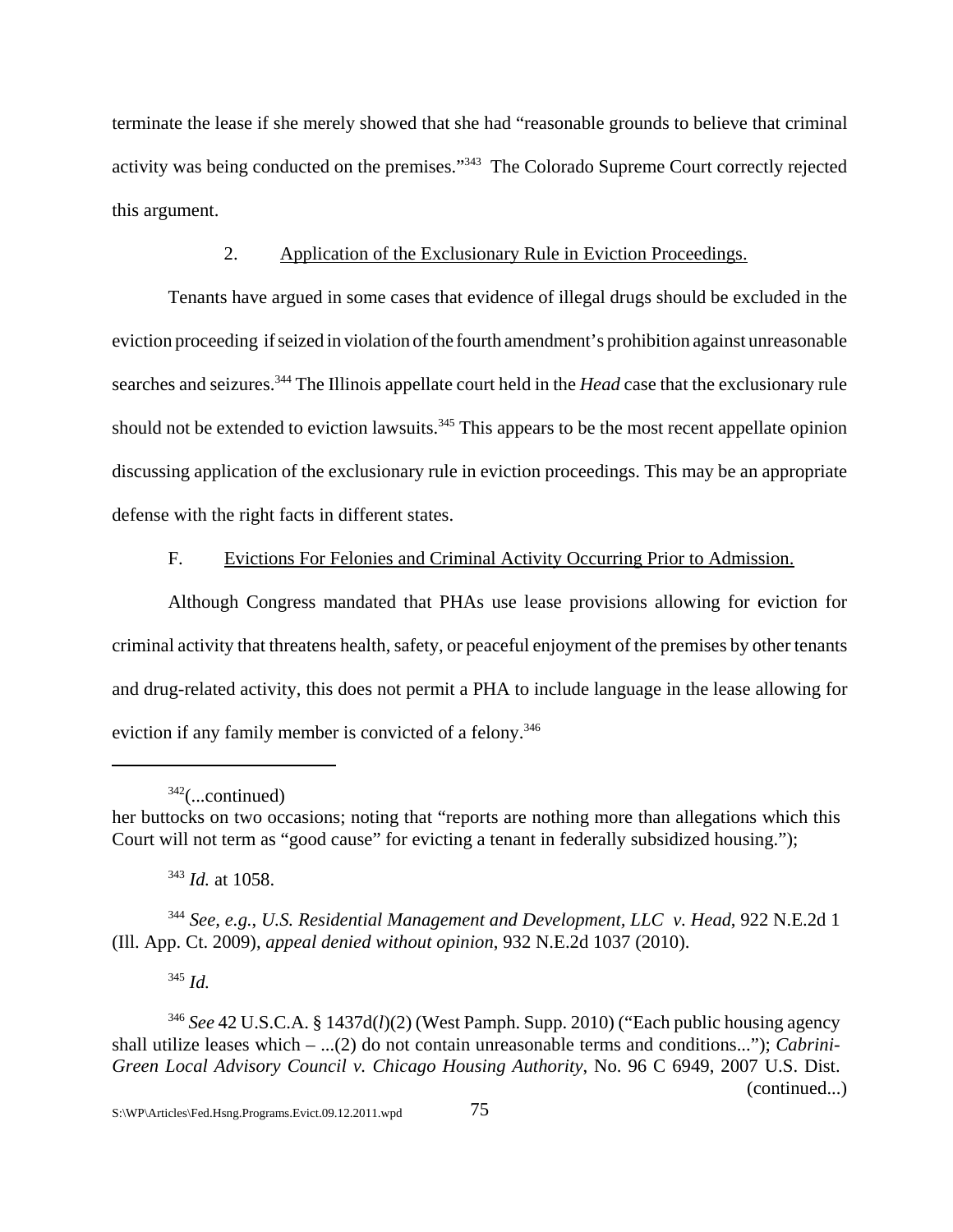terminate the lease if she merely showed that she had "reasonable grounds to believe that criminal activity was being conducted on the premises."343 The Colorado Supreme Court correctly rejected this argument.

# 2. Application of the Exclusionary Rule in Eviction Proceedings.

Tenants have argued in some cases that evidence of illegal drugs should be excluded in the eviction proceeding if seized in violation of the fourth amendment's prohibition against unreasonable searches and seizures.344 The Illinois appellate court held in the *Head* case that the exclusionary rule should not be extended to eviction lawsuits.<sup>345</sup> This appears to be the most recent appellate opinion discussing application of the exclusionary rule in eviction proceedings. This may be an appropriate defense with the right facts in different states.

## F. Evictions For Felonies and Criminal Activity Occurring Prior to Admission.

Although Congress mandated that PHAs use lease provisions allowing for eviction for criminal activity that threatens health, safety, or peaceful enjoyment of the premises by other tenants and drug-related activity, this does not permit a PHA to include language in the lease allowing for eviction if any family member is convicted of a felony.<sup>346</sup>

<sup>343</sup> *Id.* at 1058.

<sup>345</sup> *Id.*

 $342$ (...continued)

her buttocks on two occasions; noting that "reports are nothing more than allegations which this Court will not term as "good cause" for evicting a tenant in federally subsidized housing.");

<sup>344</sup> *See, e.g.*, *U.S. Residential Management and Development, LLC v. Head*, 922 N.E.2d 1 (Ill. App. Ct. 2009), *appeal denied without opinion*, 932 N.E.2d 1037 (2010).

<sup>346</sup> *See* 42 U.S.C.A. § 1437d(*l*)(2) (West Pamph. Supp. 2010) ("Each public housing agency shall utilize leases which – ...(2) do not contain unreasonable terms and conditions..."); *Cabrini-Green Local Advisory Council v. Chicago Housing Authority*, No. 96 C 6949, 2007 U.S. Dist. (continued...)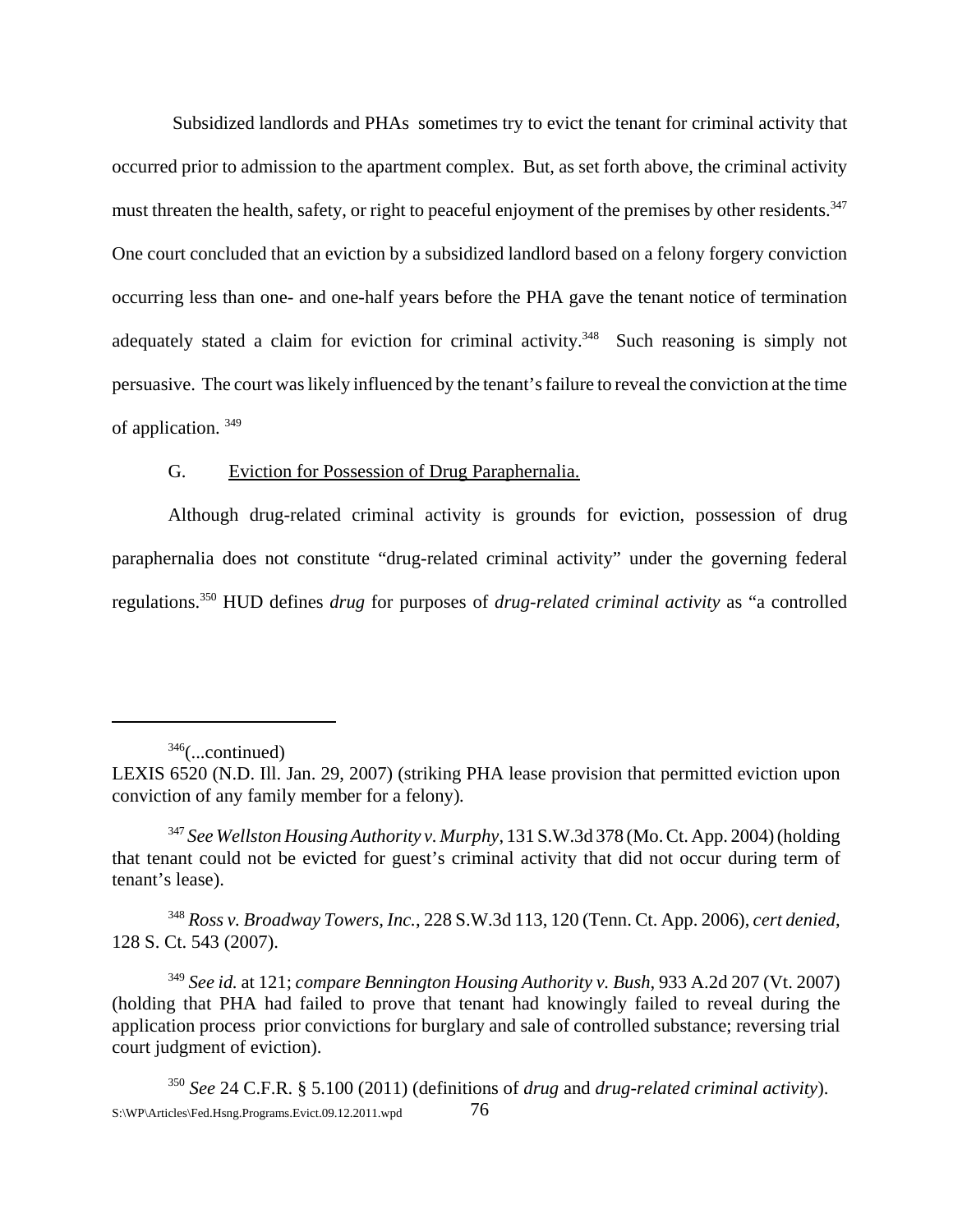Subsidized landlords and PHAs sometimes try to evict the tenant for criminal activity that occurred prior to admission to the apartment complex. But, as set forth above, the criminal activity must threaten the health, safety, or right to peaceful enjoyment of the premises by other residents.<sup>347</sup> One court concluded that an eviction by a subsidized landlord based on a felony forgery conviction occurring less than one- and one-half years before the PHA gave the tenant notice of termination adequately stated a claim for eviction for criminal activity.<sup>348</sup> Such reasoning is simply not persuasive. The court was likely influenced by the tenant's failure to reveal the conviction at the time of application. 349

# G. Eviction for Possession of Drug Paraphernalia.

Although drug-related criminal activity is grounds for eviction, possession of drug paraphernalia does not constitute "drug-related criminal activity" under the governing federal regulations.350 HUD defines *drug* for purposes of *drug-related criminal activity* as "a controlled

<sup>348</sup> *Ross v. Broadway Towers, Inc.*, 228 S.W.3d 113, 120 (Tenn. Ct. App. 2006), *cert denied*, 128 S. Ct. 543 (2007).

 $346$ (...continued)

LEXIS 6520 (N.D. Ill. Jan. 29, 2007) (striking PHA lease provision that permitted eviction upon conviction of any family member for a felony)*.*

<sup>347</sup> *See Wellston Housing Authority v. Murphy*, 131 S.W.3d 378 (Mo. Ct. App. 2004) (holding that tenant could not be evicted for guest's criminal activity that did not occur during term of tenant's lease).

<sup>349</sup> *See id.* at 121; *compare Bennington Housing Authority v. Bush*, 933 A.2d 207 (Vt. 2007) (holding that PHA had failed to prove that tenant had knowingly failed to reveal during the application process prior convictions for burglary and sale of controlled substance; reversing trial court judgment of eviction).

<sup>350</sup> *See* 24 C.F.R. § 5.100 (2011) (definitions of *drug* and *drug-related criminal activity*). S:\WP\Articles\Fed.Hsng.Programs.Evict.09.12.2011.wpd 76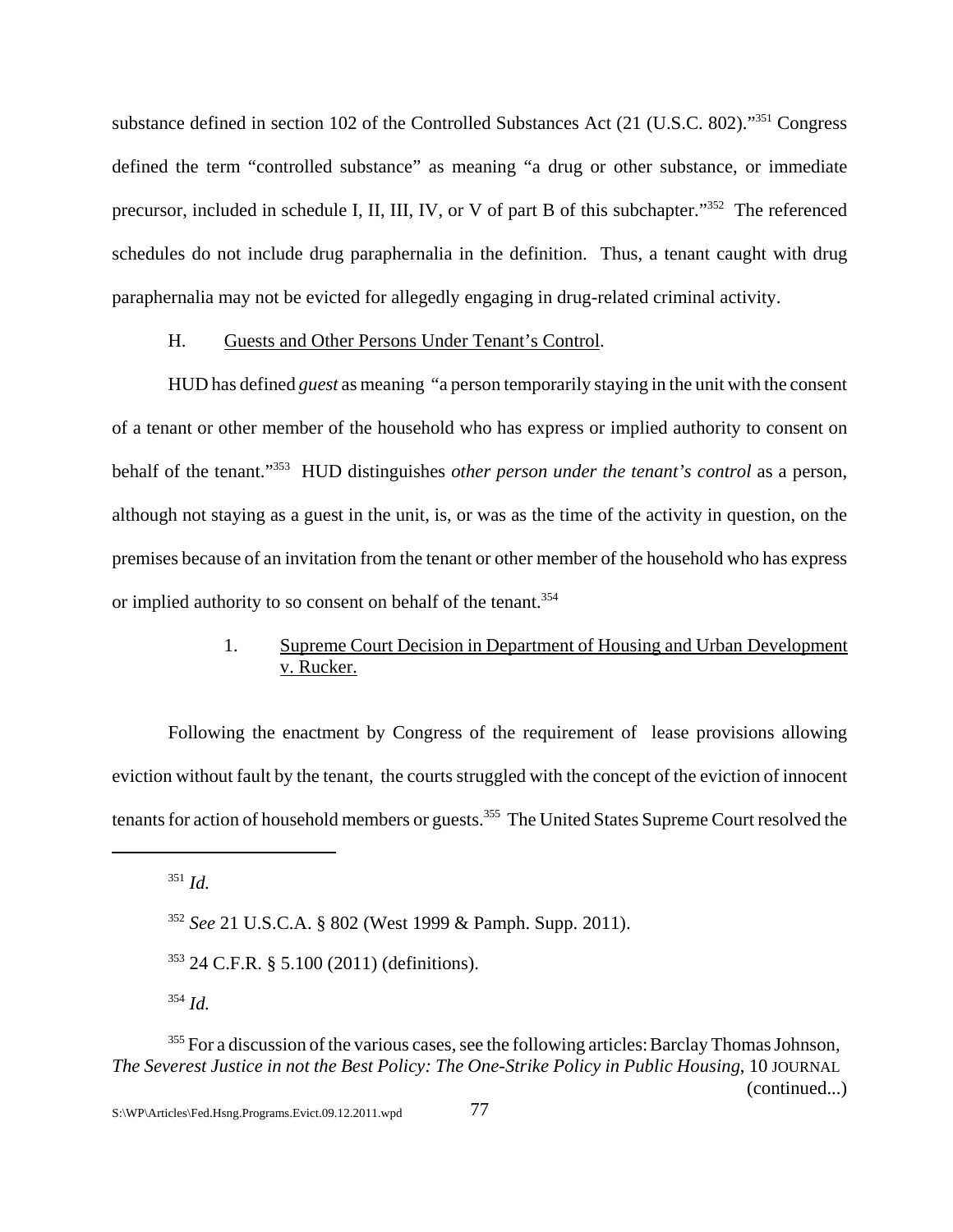substance defined in section 102 of the Controlled Substances Act (21 (U.S.C. 802)."351 Congress defined the term "controlled substance" as meaning "a drug or other substance, or immediate precursor, included in schedule I, II, III, IV, or V of part B of this subchapter."352 The referenced schedules do not include drug paraphernalia in the definition. Thus, a tenant caught with drug paraphernalia may not be evicted for allegedly engaging in drug-related criminal activity.

#### H. Guests and Other Persons Under Tenant's Control.

HUD has defined *guest* as meaning "a person temporarily staying in the unit with the consent of a tenant or other member of the household who has express or implied authority to consent on behalf of the tenant."353 HUD distinguishes *other person under the tenant's control* as a person, although not staying as a guest in the unit, is, or was as the time of the activity in question, on the premises because of an invitation from the tenant or other member of the household who has express or implied authority to so consent on behalf of the tenant.<sup>354</sup>

# 1. Supreme Court Decision in Department of Housing and Urban Development v. Rucker.

Following the enactment by Congress of the requirement of lease provisions allowing eviction without fault by the tenant, the courts struggled with the concept of the eviction of innocent tenants for action of household members or guests.<sup>355</sup> The United States Supreme Court resolved the

<sup>351</sup> *Id.*

<sup>352</sup> *See* 21 U.S.C.A. § 802 (West 1999 & Pamph. Supp. 2011).

<sup>353 24</sup> C.F.R. § 5.100 (2011) (definitions).

<sup>354</sup> *Id.*

 $355$  For a discussion of the various cases, see the following articles: Barclay Thomas Johnson, *The Severest Justice in not the Best Policy: The One-Strike Policy in Public Housing*, 10 JOURNAL (continued...)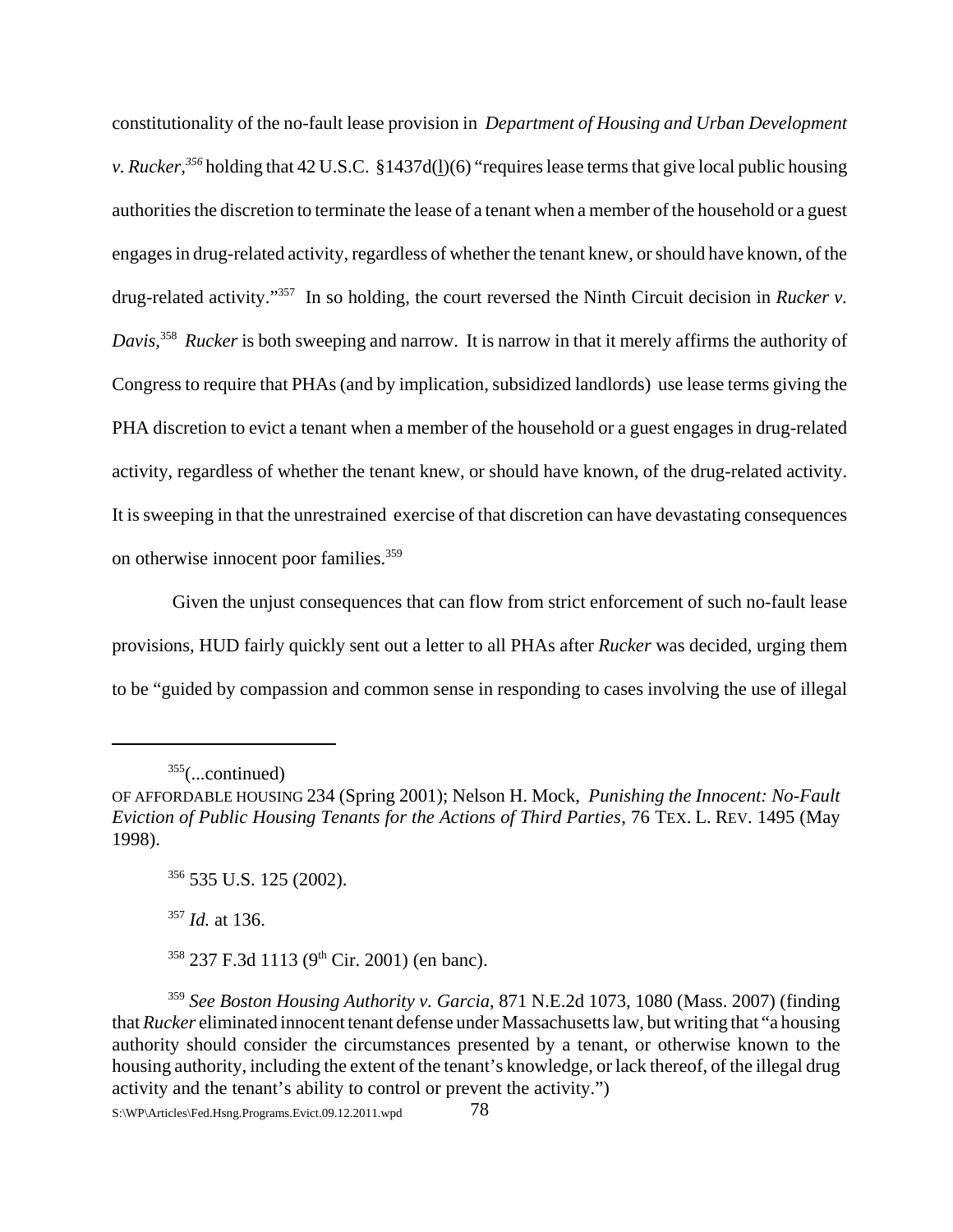constitutionality of the no-fault lease provision in *Department of Housing and Urban Development v. Rucker,356* holding that 42 U.S.C. §1437d(l)(6) "requires lease terms that give local public housing authorities the discretion to terminate the lease of a tenant when a member of the household or a guest engages in drug-related activity, regardless of whether the tenant knew, or should have known, of the drug-related activity."357 In so holding, the court reversed the Ninth Circuit decision in *Rucker v. Davis,*<sup>358</sup> *Rucker* is both sweeping and narrow. It is narrow in that it merely affirms the authority of Congress to require that PHAs (and by implication, subsidized landlords) use lease terms giving the PHA discretion to evict a tenant when a member of the household or a guest engages in drug-related activity, regardless of whether the tenant knew, or should have known, of the drug-related activity. It is sweeping in that the unrestrained exercise of that discretion can have devastating consequences on otherwise innocent poor families.<sup>359</sup>

 Given the unjust consequences that can flow from strict enforcement of such no-fault lease provisions, HUD fairly quickly sent out a letter to all PHAs after *Rucker* was decided*,* urging them to be "guided by compassion and common sense in responding to cases involving the use of illegal

<sup>357</sup> *Id.* at 136.

 $358$  237 F.3d 1113 (9<sup>th</sup> Cir. 2001) (en banc).

 $355$ (...continued)

OF AFFORDABLE HOUSING 234 (Spring 2001); Nelson H. Mock, *Punishing the Innocent: No-Fault Eviction of Public Housing Tenants for the Actions of Third Parties*, 76 TEX. L. REV. 1495 (May 1998).

<sup>356 535</sup> U.S. 125 (2002).

<sup>359</sup> *See Boston Housing Authority v. Garcia*, 871 N.E.2d 1073, 1080 (Mass. 2007) (finding that *Rucker* eliminated innocent tenant defense under Massachusetts law, but writing that "a housing authority should consider the circumstances presented by a tenant, or otherwise known to the housing authority, including the extent of the tenant's knowledge, or lack thereof, of the illegal drug activity and the tenant's ability to control or prevent the activity.")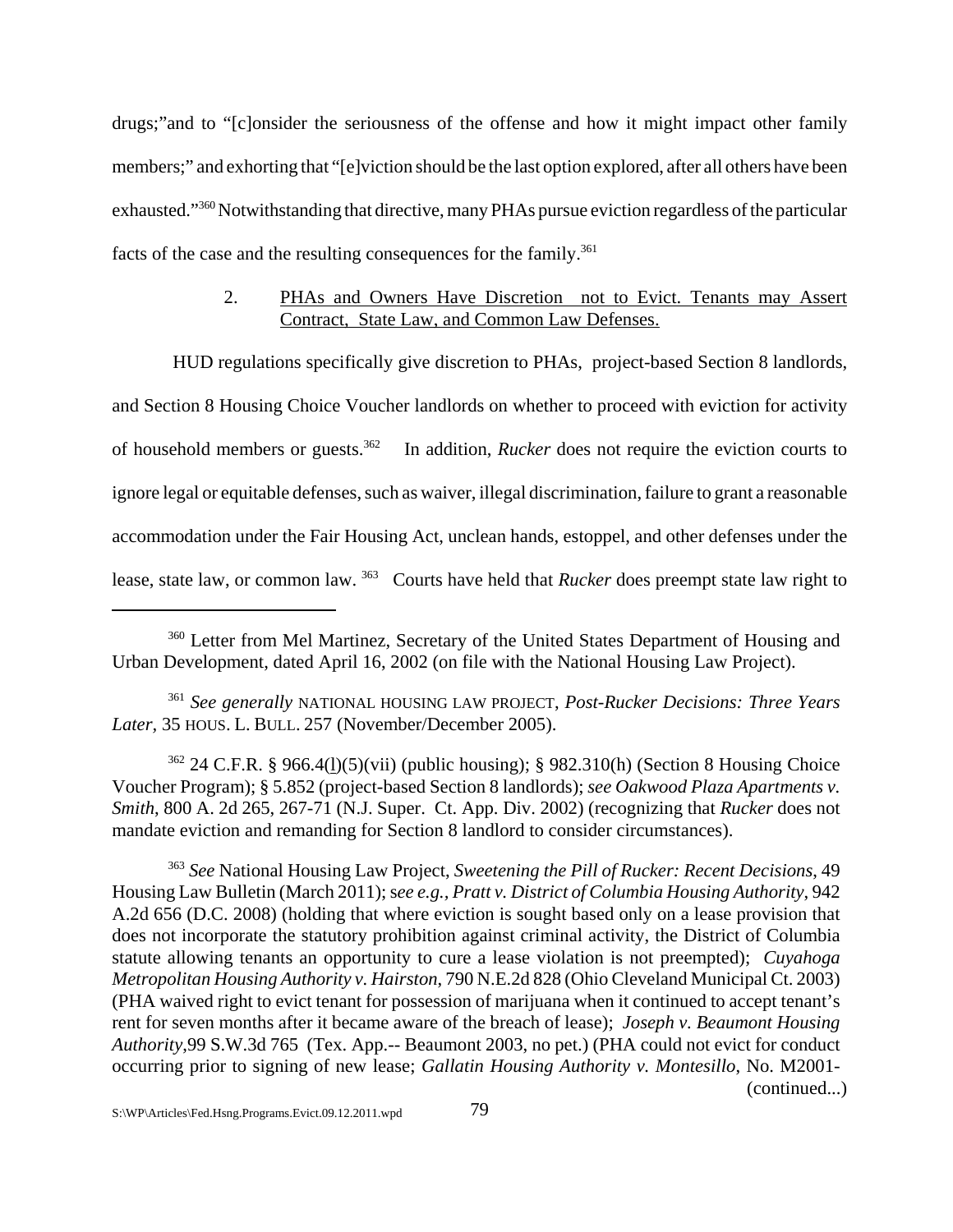drugs;"and to "[c]onsider the seriousness of the offense and how it might impact other family members;" and exhorting that "[e]viction should be the last option explored, after all others have been exhausted."360 Notwithstanding that directive, many PHAs pursue eviction regardless of the particular facts of the case and the resulting consequences for the family.<sup>361</sup>

# 2. PHAs and Owners Have Discretion not to Evict. Tenants may Assert Contract, State Law, and Common Law Defenses.

HUD regulations specifically give discretion to PHAs, project-based Section 8 landlords,

and Section 8 Housing Choice Voucher landlords on whether to proceed with eviction for activity of household members or guests.362 In addition, *Rucker* does not require the eviction courts to ignore legal or equitable defenses, such as waiver, illegal discrimination, failure to grant a reasonable accommodation under the Fair Housing Act, unclean hands, estoppel, and other defenses under the lease, state law, or common law. 363 Courts have held that *Rucker* does preempt state law right to

<sup>361</sup> *See generally* NATIONAL HOUSING LAW PROJECT, *Post-Rucker Decisions: Three Years Later,* 35 HOUS. L. BULL. 257 (November/December 2005).

362 24 C.F.R. § 966.4(l)(5)(vii) (public housing); § 982.310(h) (Section 8 Housing Choice Voucher Program); § 5.852 (project-based Section 8 landlords); *see Oakwood Plaza Apartments v. Smith*, 800 A. 2d 265, 267-71 (N.J. Super. Ct. App. Div. 2002) (recognizing that *Rucker* does not mandate eviction and remanding for Section 8 landlord to consider circumstances).

<sup>363</sup> *See* National Housing Law Project, *Sweetening the Pill of Rucker: Recent Decisions*, 49 Housing Law Bulletin (March 2011); s*ee e.g., Pratt v. District of Columbia Housing Authority*, 942 A.2d 656 (D.C. 2008) (holding that where eviction is sought based only on a lease provision that does not incorporate the statutory prohibition against criminal activity, the District of Columbia statute allowing tenants an opportunity to cure a lease violation is not preempted); *Cuyahoga Metropolitan Housing Authority v. Hairston*, 790 N.E.2d 828 (Ohio Cleveland Municipal Ct. 2003) (PHA waived right to evict tenant for possession of marijuana when it continued to accept tenant's rent for seven months after it became aware of the breach of lease); *Joseph v. Beaumont Housing Authority*,99 S.W.3d 765 (Tex. App.-- Beaumont 2003, no pet.) (PHA could not evict for conduct occurring prior to signing of new lease; *Gallatin Housing Authority v. Montesillo*, No. M2001- (continued...)

<sup>&</sup>lt;sup>360</sup> Letter from Mel Martinez, Secretary of the United States Department of Housing and Urban Development, dated April 16, 2002 (on file with the National Housing Law Project).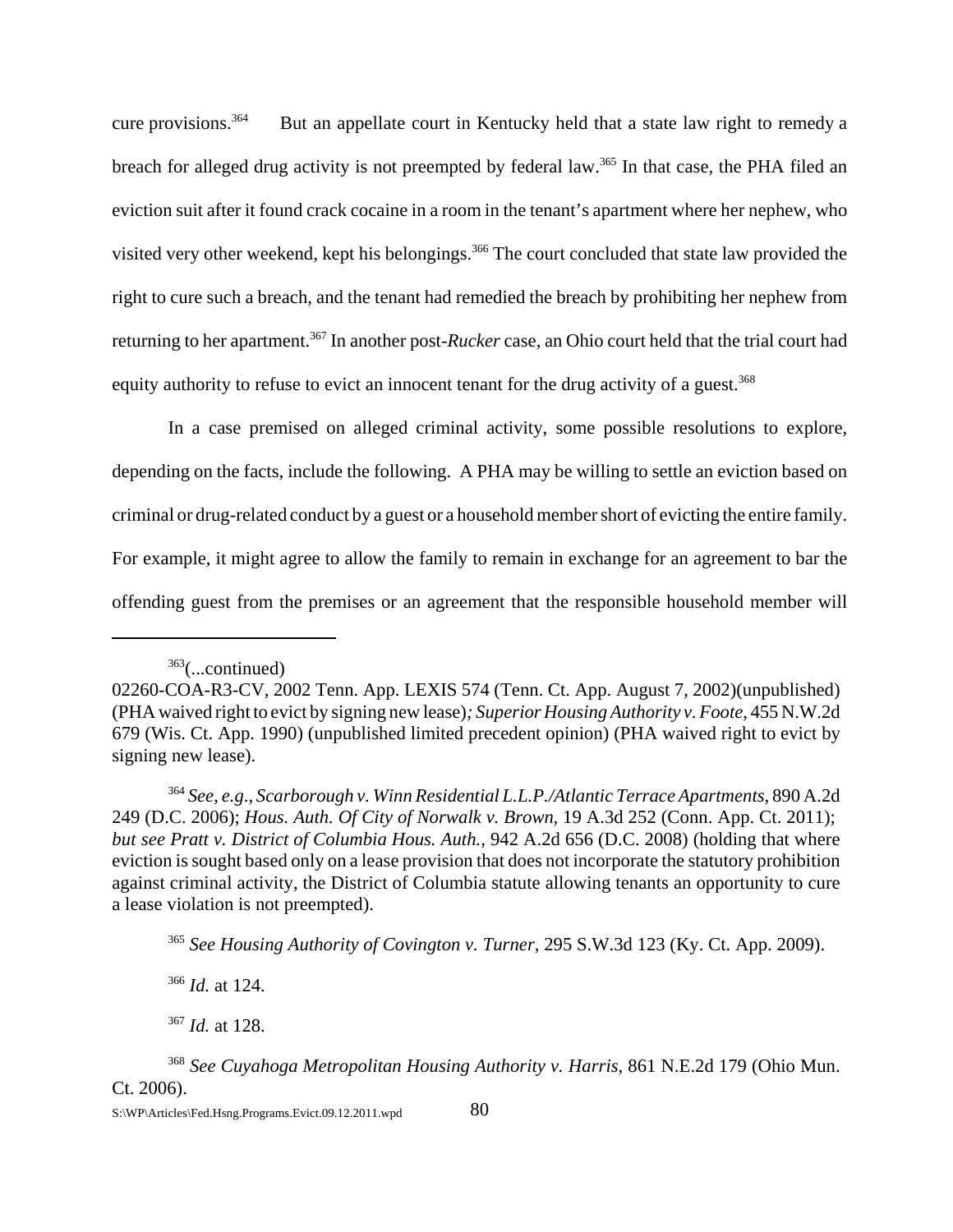cure provisions.<sup>364</sup> But an appellate court in Kentucky held that a state law right to remedy a breach for alleged drug activity is not preempted by federal law.<sup>365</sup> In that case, the PHA filed an eviction suit after it found crack cocaine in a room in the tenant's apartment where her nephew, who visited very other weekend, kept his belongings.<sup>366</sup> The court concluded that state law provided the right to cure such a breach, and the tenant had remedied the breach by prohibiting her nephew from returning to her apartment.367 In another post-*Rucker* case, an Ohio court held that the trial court had equity authority to refuse to evict an innocent tenant for the drug activity of a guest.<sup>368</sup>

In a case premised on alleged criminal activity, some possible resolutions to explore, depending on the facts, include the following. A PHA may be willing to settle an eviction based on criminal or drug-related conduct by a guest or a household member short of evicting the entire family. For example, it might agree to allow the family to remain in exchange for an agreement to bar the offending guest from the premises or an agreement that the responsible household member will

<sup>366</sup> *Id.* at 124.

<sup>367</sup> *Id.* at 128.

 $363$ (...continued)

<sup>02260-</sup>COA-R3-CV, 2002 Tenn. App. LEXIS 574 (Tenn. Ct. App. August 7, 2002)(unpublished) (PHA waived right to evict by signing new lease)*; Superior Housing Authority v. Foote*, 455 N.W.2d 679 (Wis. Ct. App. 1990) (unpublished limited precedent opinion) (PHA waived right to evict by signing new lease).

<sup>364</sup> *See*, *e.g*., *Scarborough v. Winn Residential L.L.P./Atlantic Terrace Apartments*, 890 A.2d 249 (D.C. 2006); *Hous. Auth. Of City of Norwalk v. Brown*, 19 A.3d 252 (Conn. App. Ct. 2011); *but see Pratt v. District of Columbia Hous. Auth.*, 942 A.2d 656 (D.C. 2008) (holding that where eviction is sought based only on a lease provision that does not incorporate the statutory prohibition against criminal activity, the District of Columbia statute allowing tenants an opportunity to cure a lease violation is not preempted).

<sup>365</sup> *See Housing Authority of Covington v. Turner*, 295 S.W.3d 123 (Ky. Ct. App. 2009).

<sup>368</sup> *See Cuyahoga Metropolitan Housing Authority v. Harris*, 861 N.E.2d 179 (Ohio Mun. Ct. 2006).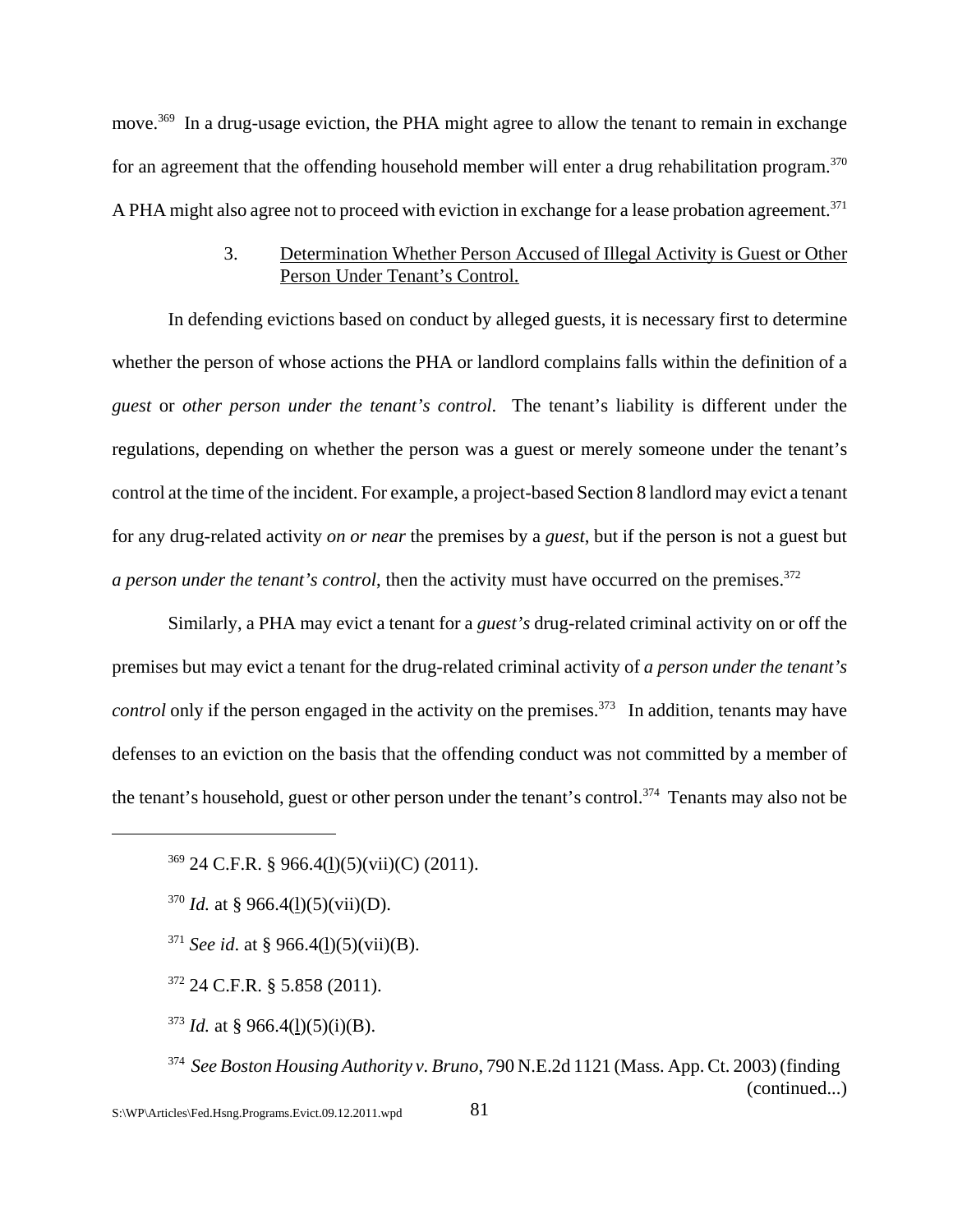move.<sup>369</sup> In a drug-usage eviction, the PHA might agree to allow the tenant to remain in exchange for an agreement that the offending household member will enter a drug rehabilitation program.<sup>370</sup> A PHA might also agree not to proceed with eviction in exchange for a lease probation agreement.<sup>371</sup>

# 3. Determination Whether Person Accused of Illegal Activity is Guest or Other Person Under Tenant's Control.

In defending evictions based on conduct by alleged guests, it is necessary first to determine whether the person of whose actions the PHA or landlord complains falls within the definition of a *guest* or *other person under the tenant's control*. The tenant's liability is different under the regulations, depending on whether the person was a guest or merely someone under the tenant's control at the time of the incident. For example, a project-based Section 8 landlord may evict a tenant for any drug-related activity *on or near* the premises by a *guest*, but if the person is not a guest but *a person under the tenant's control*, then the activity must have occurred on the premises.<sup>372</sup>

Similarly, a PHA may evict a tenant for a *guest's* drug-related criminal activity on or off the premises but may evict a tenant for the drug-related criminal activity of *a person under the tenant's control* only if the person engaged in the activity on the premises.<sup>373</sup> In addition, tenants may have defenses to an eviction on the basis that the offending conduct was not committed by a member of the tenant's household, guest or other person under the tenant's control.<sup>374</sup> Tenants may also not be

 $370$  *Id.* at § 966.4(<u>l</u>)(5)(vii)(D).

- <sup>371</sup> *See id.* at § 966.4(1)(5)(vii)(B).
- $372$  24 C.F.R. § 5.858 (2011).
- <sup>373</sup> *Id.* at § 966.4(1)(5)(i)(B).
- 374 *See Boston Housing Authority v. Bruno*, 790 N.E.2d 1121 (Mass. App. Ct. 2003) (finding (continued...)

 $369$  24 C.F.R. § 966.4(1)(5)(vii)(C) (2011).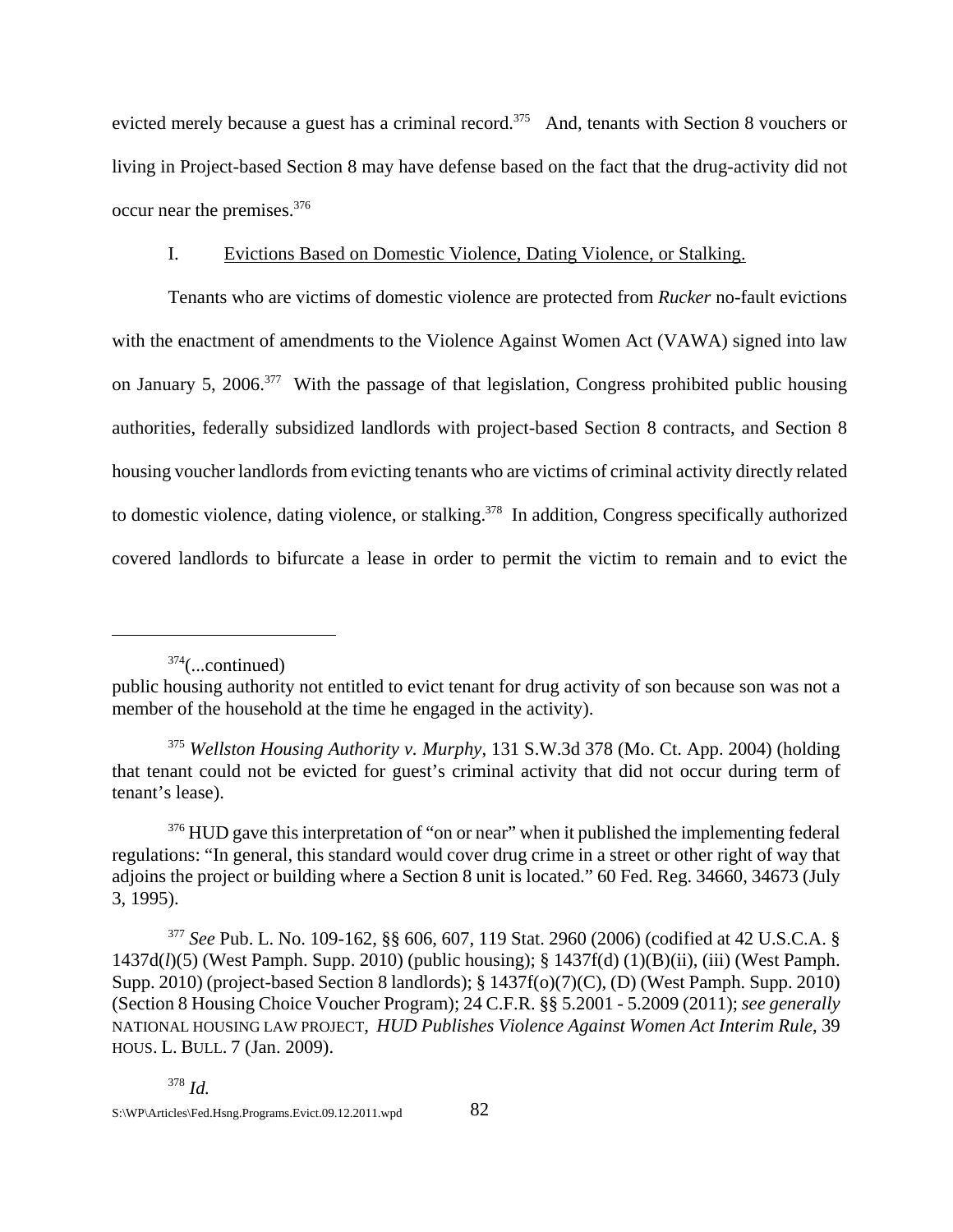evicted merely because a guest has a criminal record.<sup>375</sup> And, tenants with Section 8 vouchers or living in Project-based Section 8 may have defense based on the fact that the drug-activity did not occur near the premises.376

# I. Evictions Based on Domestic Violence, Dating Violence, or Stalking.

Tenants who are victims of domestic violence are protected from *Rucker* no-fault evictions with the enactment of amendments to the Violence Against Women Act (VAWA) signed into law on January 5, 2006.377 With the passage of that legislation, Congress prohibited public housing authorities, federally subsidized landlords with project-based Section 8 contracts, and Section 8 housing voucher landlords from evicting tenants who are victims of criminal activity directly related to domestic violence, dating violence, or stalking.<sup>378</sup> In addition, Congress specifically authorized covered landlords to bifurcate a lease in order to permit the victim to remain and to evict the

 $374$ (...continued)

public housing authority not entitled to evict tenant for drug activity of son because son was not a member of the household at the time he engaged in the activity).

<sup>375</sup> *Wellston Housing Authority v. Murphy*, 131 S.W.3d 378 (Mo. Ct. App. 2004) (holding that tenant could not be evicted for guest's criminal activity that did not occur during term of tenant's lease).

<sup>&</sup>lt;sup>376</sup> HUD gave this interpretation of "on or near" when it published the implementing federal regulations: "In general, this standard would cover drug crime in a street or other right of way that adjoins the project or building where a Section 8 unit is located." 60 Fed. Reg. 34660, 34673 (July 3, 1995).

<sup>377</sup> *See* Pub. L. No. 109-162, §§ 606, 607, 119 Stat. 2960 (2006) (codified at 42 U.S.C.A. § 1437d(*l*)(5) (West Pamph. Supp. 2010) (public housing); § 1437f(d) (1)(B)(ii), (iii) (West Pamph. Supp. 2010) (project-based Section 8 landlords); § 1437f(o)(7)(C), (D) (West Pamph. Supp. 2010) (Section 8 Housing Choice Voucher Program); 24 C.F.R. §§ 5.2001 - 5.2009 (2011); *see generally* NATIONAL HOUSING LAW PROJECT, *HUD Publishes Violence Against Women Act Interim Rule*, 39 HOUS. L. BULL. 7 (Jan. 2009).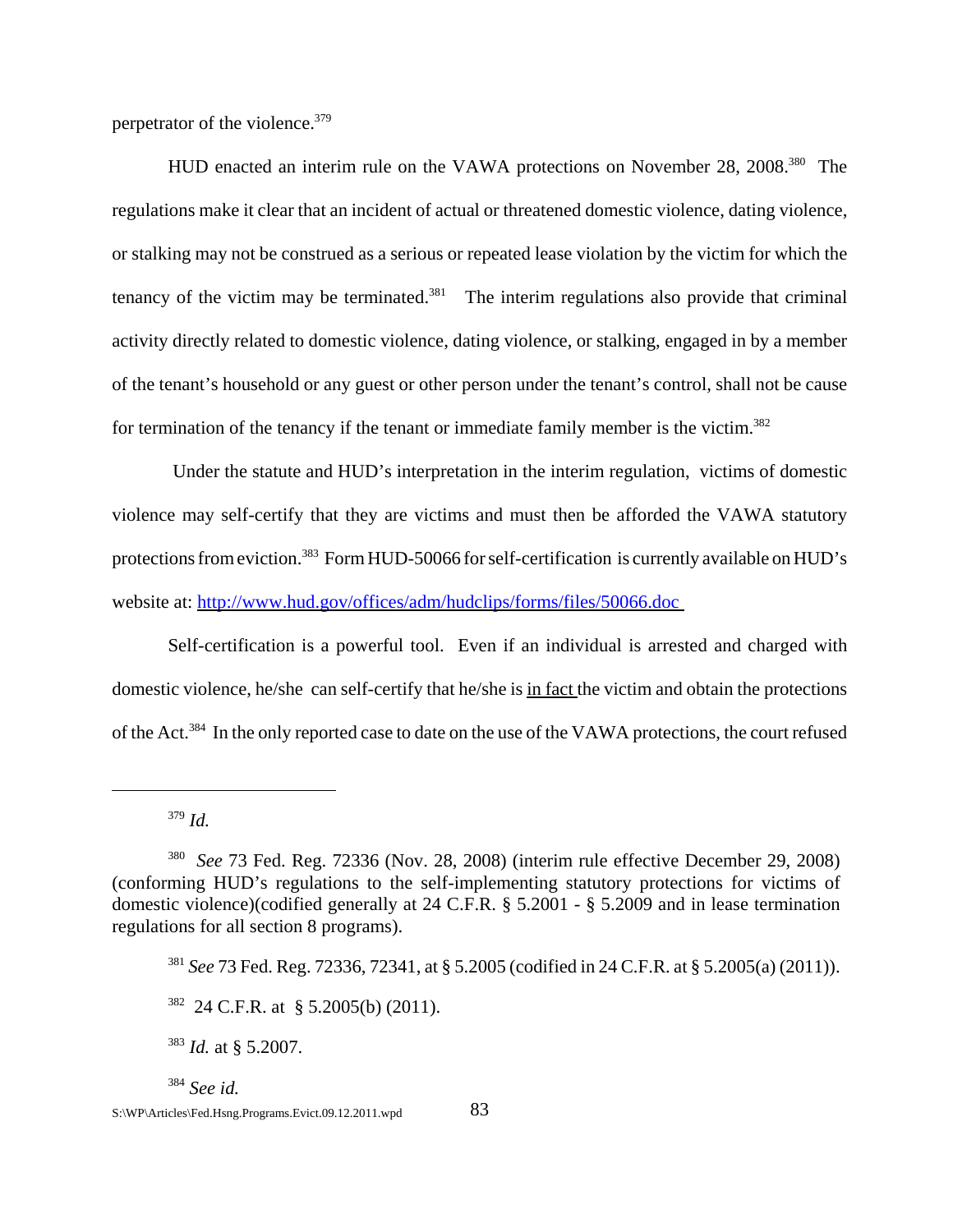perpetrator of the violence.<sup>379</sup>

HUD enacted an interim rule on the VAWA protections on November 28, 2008.<sup>380</sup> The regulations make it clear that an incident of actual or threatened domestic violence, dating violence, or stalking may not be construed as a serious or repeated lease violation by the victim for which the tenancy of the victim may be terminated. $381$  The interim regulations also provide that criminal activity directly related to domestic violence, dating violence, or stalking, engaged in by a member of the tenant's household or any guest or other person under the tenant's control, shall not be cause for termination of the tenancy if the tenant or immediate family member is the victim.<sup>382</sup>

 Under the statute and HUD's interpretation in the interim regulation, victims of domestic violence may self-certify that they are victims and must then be afforded the VAWA statutory protections from eviction.383 Form HUD-50066 for self-certification is currently available on HUD's website at: http://www.hud.gov/offices/adm/hudclips/forms/files/50066.doc

Self-certification is a powerful tool. Even if an individual is arrested and charged with domestic violence, he/she can self-certify that he/she is in fact the victim and obtain the protections of the Act.384 In the only reported case to date on the use of the VAWA protections, the court refused

<sup>379</sup> *Id.*

<sup>384</sup> *See id.*

<sup>380</sup> *See* 73 Fed. Reg. 72336 (Nov. 28, 2008) (interim rule effective December 29, 2008) (conforming HUD's regulations to the self-implementing statutory protections for victims of domestic violence)(codified generally at 24 C.F.R. § 5.2001 - § 5.2009 and in lease termination regulations for all section 8 programs).

<sup>381</sup> *See* 73 Fed. Reg. 72336, 72341, at § 5.2005 (codified in 24 C.F.R. at § 5.2005(a) (2011)).

 $382$  24 C.F.R. at § 5.2005(b) (2011).

<sup>383</sup> *Id.* at § 5.2007.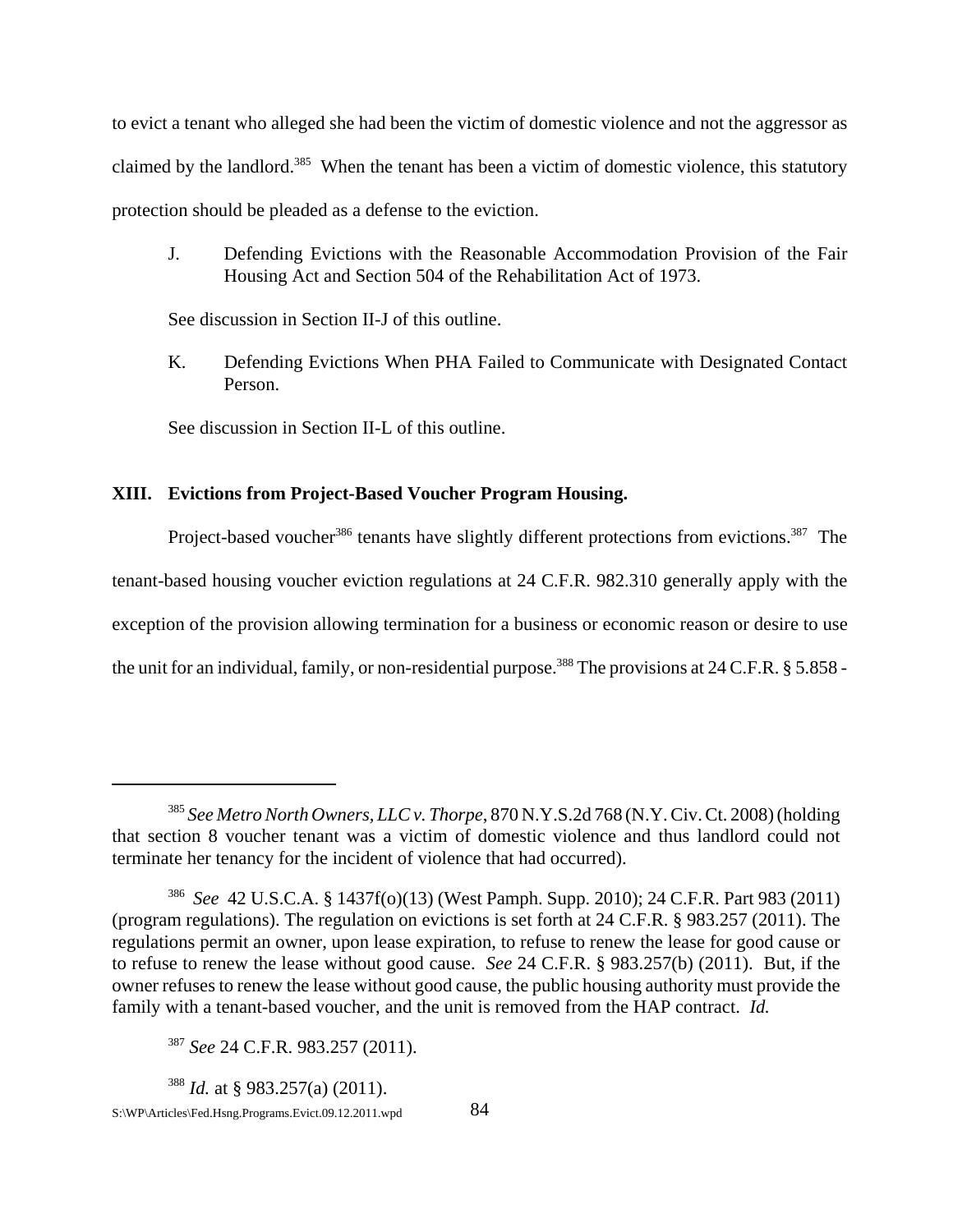to evict a tenant who alleged she had been the victim of domestic violence and not the aggressor as claimed by the landlord.<sup>385</sup> When the tenant has been a victim of domestic violence, this statutory protection should be pleaded as a defense to the eviction.

J. Defending Evictions with the Reasonable Accommodation Provision of the Fair Housing Act and Section 504 of the Rehabilitation Act of 1973.

See discussion in Section II-J of this outline.

K. Defending Evictions When PHA Failed to Communicate with Designated Contact Person.

See discussion in Section II-L of this outline.

### **XIII. Evictions from Project-Based Voucher Program Housing.**

Project-based voucher<sup>386</sup> tenants have slightly different protections from evictions.<sup>387</sup> The tenant-based housing voucher eviction regulations at 24 C.F.R. 982.310 generally apply with the exception of the provision allowing termination for a business or economic reason or desire to use the unit for an individual, family, or non-residential purpose.<sup>388</sup> The provisions at 24 C.F.R.  $\S$  5.858 -

<sup>385</sup> *See Metro North Owners, LLC v. Thorpe*, 870 N.Y.S.2d 768 (N.Y. Civ. Ct. 2008) (holding that section 8 voucher tenant was a victim of domestic violence and thus landlord could not terminate her tenancy for the incident of violence that had occurred).

<sup>386</sup> *See* 42 U.S.C.A. § 1437f(o)(13) (West Pamph. Supp. 2010); 24 C.F.R. Part 983 (2011) (program regulations). The regulation on evictions is set forth at 24 C.F.R. § 983.257 (2011). The regulations permit an owner, upon lease expiration, to refuse to renew the lease for good cause or to refuse to renew the lease without good cause. *See* 24 C.F.R. § 983.257(b) (2011). But, if the owner refuses to renew the lease without good cause, the public housing authority must provide the family with a tenant-based voucher, and the unit is removed from the HAP contract. *Id.*

<sup>387</sup> *See* 24 C.F.R. 983.257 (2011).

<sup>388</sup> *Id.* at § 983.257(a) (2011).

S:\WP\Articles\Fed.Hsng.Programs.Evict.09.12.2011.wpd 84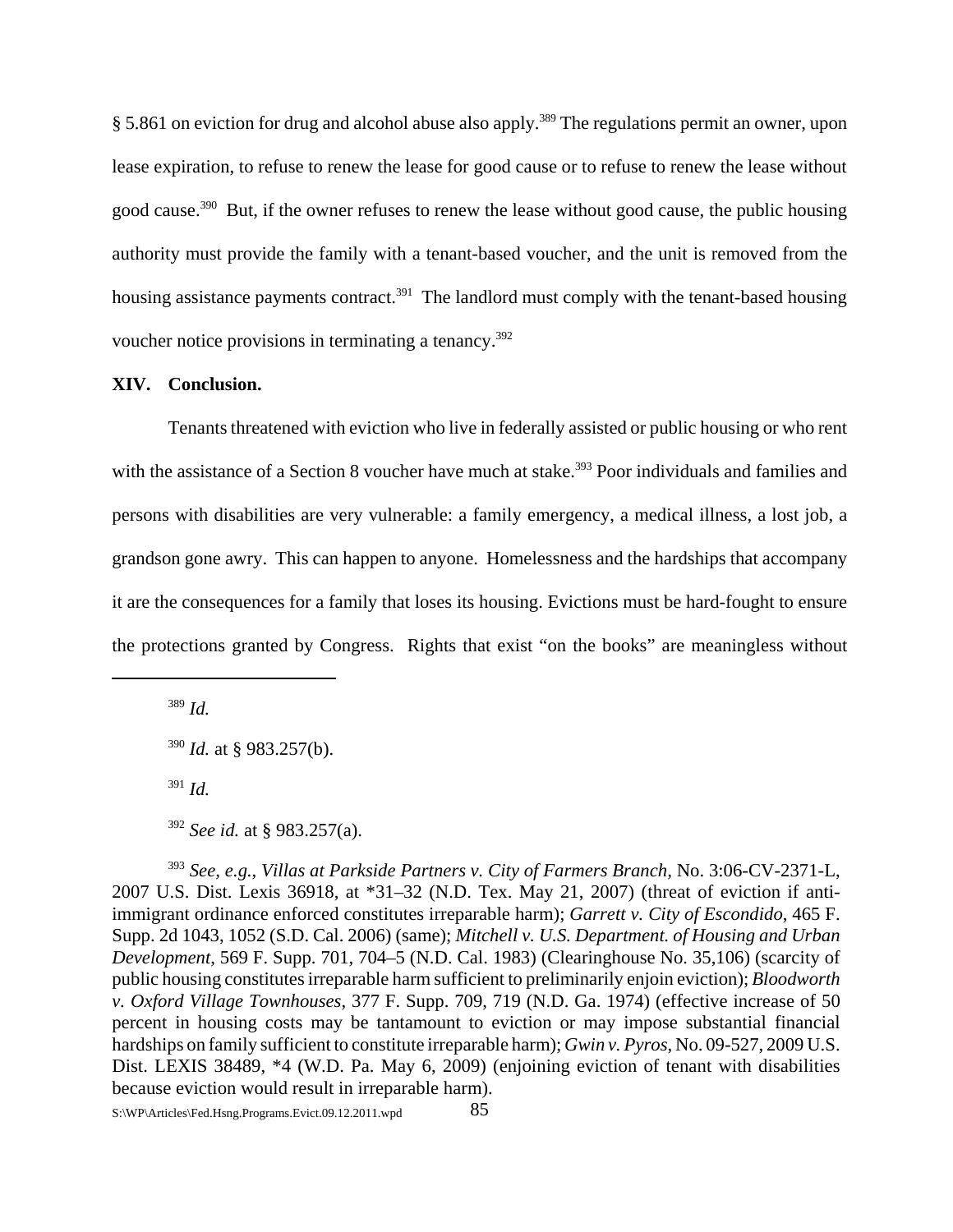§ 5.861 on eviction for drug and alcohol abuse also apply.<sup>389</sup> The regulations permit an owner, upon lease expiration, to refuse to renew the lease for good cause or to refuse to renew the lease without good cause.390 But, if the owner refuses to renew the lease without good cause, the public housing authority must provide the family with a tenant-based voucher, and the unit is removed from the housing assistance payments contract.<sup>391</sup> The landlord must comply with the tenant-based housing voucher notice provisions in terminating a tenancy.<sup>392</sup>

### **XIV. Conclusion.**

Tenants threatened with eviction who live in federally assisted or public housing or who rent with the assistance of a Section 8 voucher have much at stake.<sup>393</sup> Poor individuals and families and persons with disabilities are very vulnerable: a family emergency, a medical illness, a lost job, a grandson gone awry. This can happen to anyone. Homelessness and the hardships that accompany it are the consequences for a family that loses its housing. Evictions must be hard-fought to ensure the protections granted by Congress. Rights that exist "on the books" are meaningless without

<sup>389</sup> *Id.* 

<sup>391</sup> *Id.*

<sup>393</sup> *See, e.g.*, *Villas at Parkside Partners v. City of Farmers Branch,* No. 3:06-CV-2371-L, 2007 U.S. Dist. Lexis 36918, at \*31–32 (N.D. Tex. May 21, 2007) (threat of eviction if antiimmigrant ordinance enforced constitutes irreparable harm); *Garrett v. City of Escondido*, 465 F. Supp. 2d 1043, 1052 (S.D. Cal. 2006) (same); *Mitchell v. U.S. Department. of Housing and Urban Development*, 569 F. Supp. 701, 704–5 (N.D. Cal. 1983) (Clearinghouse No. 35,106) (scarcity of public housing constitutes irreparable harm sufficient to preliminarily enjoin eviction); *Bloodworth v. Oxford Village Townhouses*, 377 F. Supp. 709, 719 (N.D. Ga. 1974) (effective increase of 50 percent in housing costs may be tantamount to eviction or may impose substantial financial hardships on family sufficient to constitute irreparable harm); *Gwin v. Pyros*, No. 09-527, 2009 U.S. Dist. LEXIS 38489, \*4 (W.D. Pa. May 6, 2009) (enjoining eviction of tenant with disabilities because eviction would result in irreparable harm).

<sup>390</sup> *Id.* at § 983.257(b).

<sup>392</sup> *See id.* at § 983.257(a).